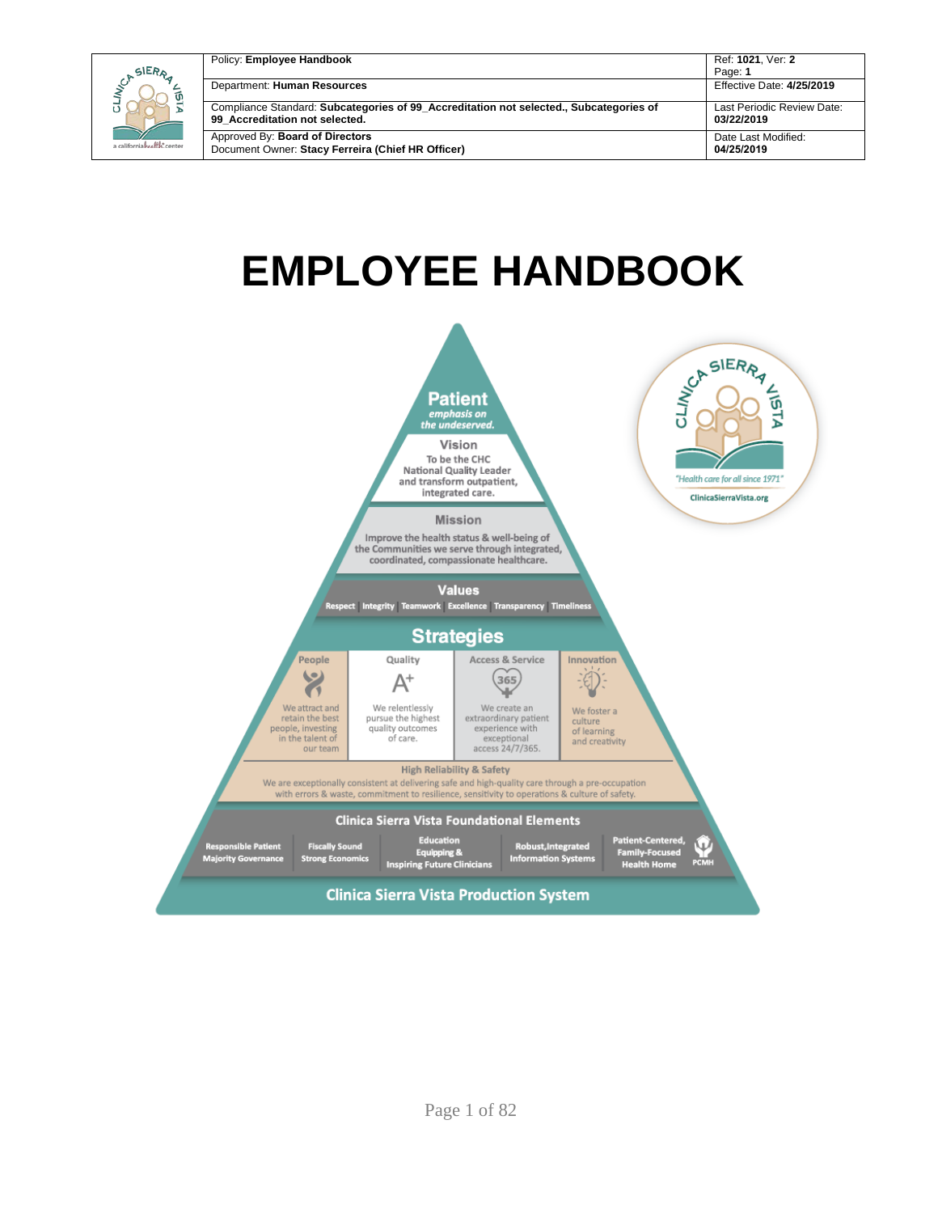| SIERA                     | Policy: Employee Handbook                                                                                                | Ref: 1021, Ver: 2<br>Page: 1             |
|---------------------------|--------------------------------------------------------------------------------------------------------------------------|------------------------------------------|
| ັທ                        | Department: Human Resources                                                                                              | Effective Date: 4/25/2019                |
|                           | Compliance Standard: Subcategories of 99_Accreditation not selected., Subcategories of<br>99 Accreditation not selected. | Last Periodic Review Date:<br>03/22/2019 |
| a californiahralth.center | Approved By: Board of Directors<br>Document Owner: Stacy Ferreira (Chief HR Officer)                                     | Date Last Modified:<br>04/25/2019        |

# **EMPLOYEE HANDBOOK**

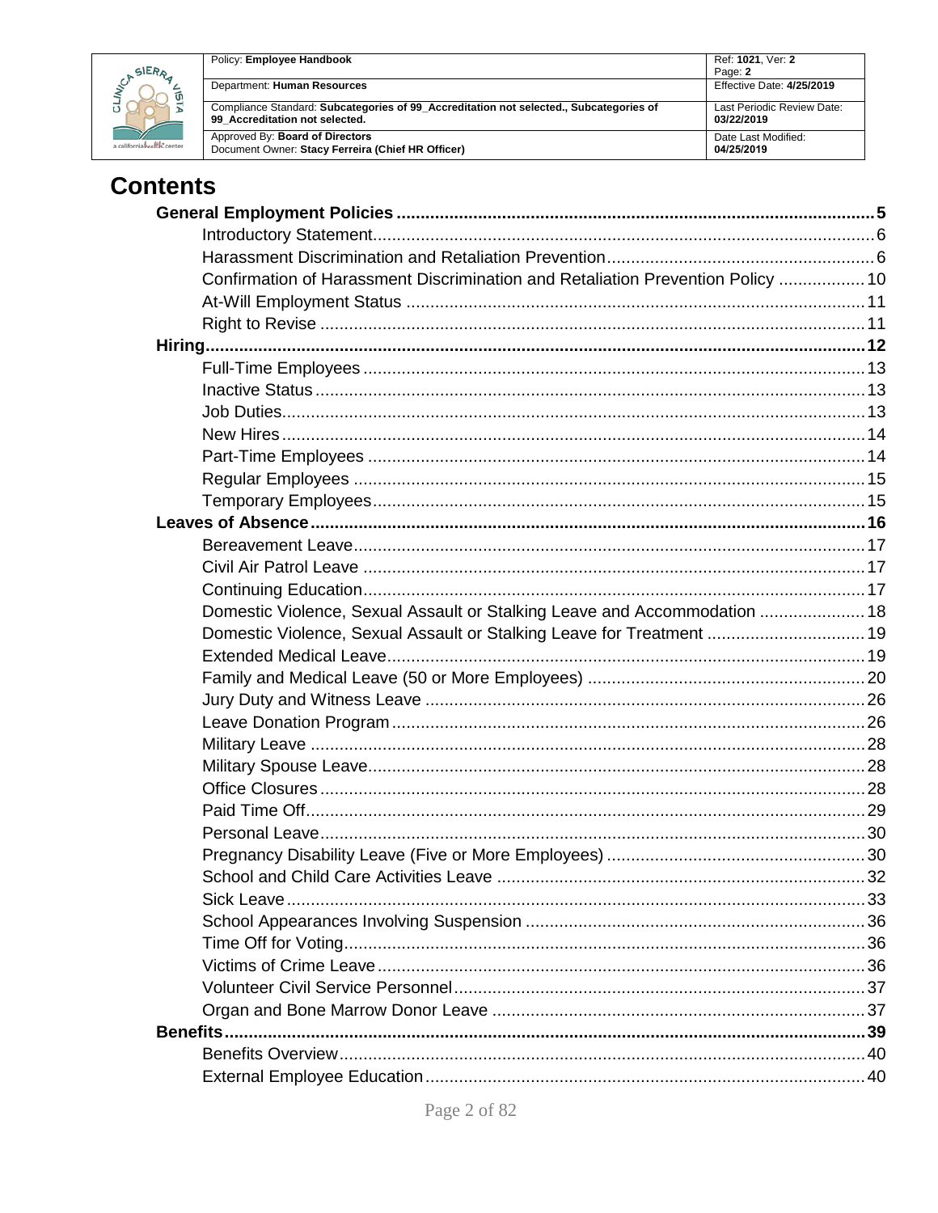

| Policy: Employee Handbook                                                              | Ref: 1021, Ver: 2<br>Page: 2 |
|----------------------------------------------------------------------------------------|------------------------------|
| Department: Human Resources                                                            | Effective Date: 4/25/2019    |
| Compliance Standard: Subcategories of 99_Accreditation not selected., Subcategories of | Last Periodic Review Date:   |
| 99 Accreditation not selected.                                                         | 03/22/2019                   |
| Approved By: Board of Directors                                                        | Date Last Modified:          |
| Document Owner: Stacy Ferreira (Chief HR Officer)                                      | 04/25/2019                   |

# **Contents**

| Confirmation of Harassment Discrimination and Retaliation Prevention Policy  10 |  |
|---------------------------------------------------------------------------------|--|
|                                                                                 |  |
|                                                                                 |  |
|                                                                                 |  |
|                                                                                 |  |
|                                                                                 |  |
|                                                                                 |  |
|                                                                                 |  |
|                                                                                 |  |
|                                                                                 |  |
|                                                                                 |  |
|                                                                                 |  |
|                                                                                 |  |
|                                                                                 |  |
|                                                                                 |  |
| Domestic Violence, Sexual Assault or Stalking Leave and Accommodation  18       |  |
| Domestic Violence, Sexual Assault or Stalking Leave for Treatment  19           |  |
|                                                                                 |  |
|                                                                                 |  |
|                                                                                 |  |
|                                                                                 |  |
|                                                                                 |  |
|                                                                                 |  |
|                                                                                 |  |
|                                                                                 |  |
|                                                                                 |  |
|                                                                                 |  |
|                                                                                 |  |
|                                                                                 |  |
|                                                                                 |  |
|                                                                                 |  |
|                                                                                 |  |
|                                                                                 |  |
|                                                                                 |  |
|                                                                                 |  |
|                                                                                 |  |
|                                                                                 |  |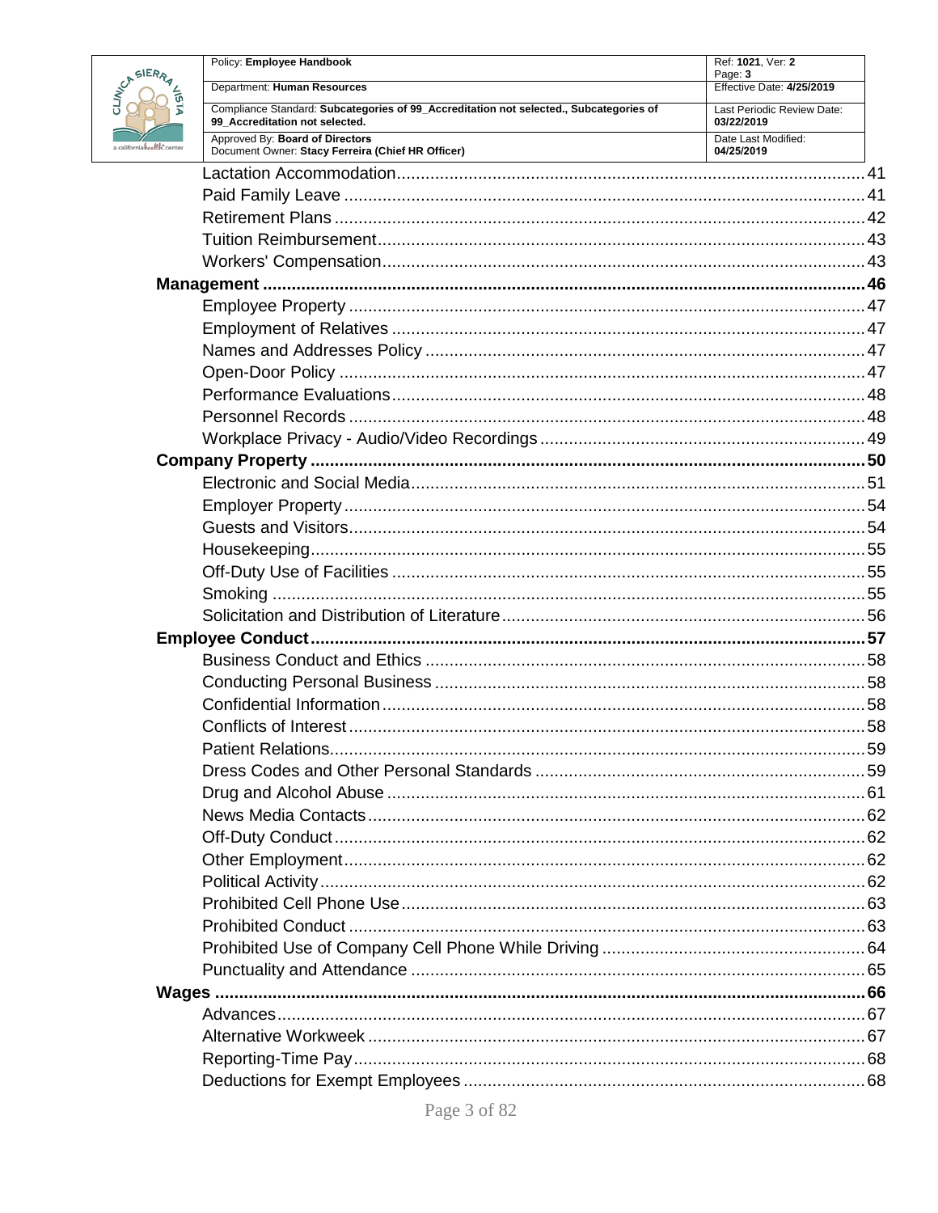

|               | Policy: Employee Handbook                                                                                                | Ref: 1021, Ver: 2<br>Page: 3             |  |
|---------------|--------------------------------------------------------------------------------------------------------------------------|------------------------------------------|--|
| <b>PRAZES</b> | Department: Human Resources                                                                                              | Effective Date: 4/25/2019                |  |
|               | Compliance Standard: Subcategories of 99_Accreditation not selected., Subcategories of<br>99 Accreditation not selected. | Last Periodic Review Date:<br>03/22/2019 |  |
| the center    | Approved By: Board of Directors<br>Document Owner: Stacy Ferreira (Chief HR Officer)                                     | Date Last Modified:<br>04/25/2019        |  |
|               |                                                                                                                          |                                          |  |
|               |                                                                                                                          |                                          |  |
|               |                                                                                                                          |                                          |  |
|               |                                                                                                                          |                                          |  |
|               |                                                                                                                          |                                          |  |
|               |                                                                                                                          |                                          |  |
|               |                                                                                                                          |                                          |  |
|               |                                                                                                                          |                                          |  |
|               |                                                                                                                          |                                          |  |
|               |                                                                                                                          |                                          |  |
|               |                                                                                                                          |                                          |  |
|               |                                                                                                                          |                                          |  |
|               |                                                                                                                          |                                          |  |
|               |                                                                                                                          |                                          |  |
|               |                                                                                                                          |                                          |  |
|               |                                                                                                                          |                                          |  |
|               |                                                                                                                          |                                          |  |
|               |                                                                                                                          |                                          |  |
|               |                                                                                                                          |                                          |  |
|               |                                                                                                                          |                                          |  |
|               |                                                                                                                          |                                          |  |
|               |                                                                                                                          |                                          |  |
|               |                                                                                                                          |                                          |  |
|               |                                                                                                                          |                                          |  |
|               |                                                                                                                          |                                          |  |
|               |                                                                                                                          |                                          |  |
|               |                                                                                                                          |                                          |  |
|               |                                                                                                                          |                                          |  |
|               |                                                                                                                          |                                          |  |
|               |                                                                                                                          |                                          |  |
|               |                                                                                                                          |                                          |  |
|               |                                                                                                                          |                                          |  |
|               |                                                                                                                          |                                          |  |
|               |                                                                                                                          |                                          |  |
|               |                                                                                                                          |                                          |  |
|               |                                                                                                                          |                                          |  |
|               |                                                                                                                          |                                          |  |
|               |                                                                                                                          |                                          |  |
|               |                                                                                                                          |                                          |  |
|               |                                                                                                                          |                                          |  |
|               |                                                                                                                          |                                          |  |
|               |                                                                                                                          |                                          |  |
|               |                                                                                                                          |                                          |  |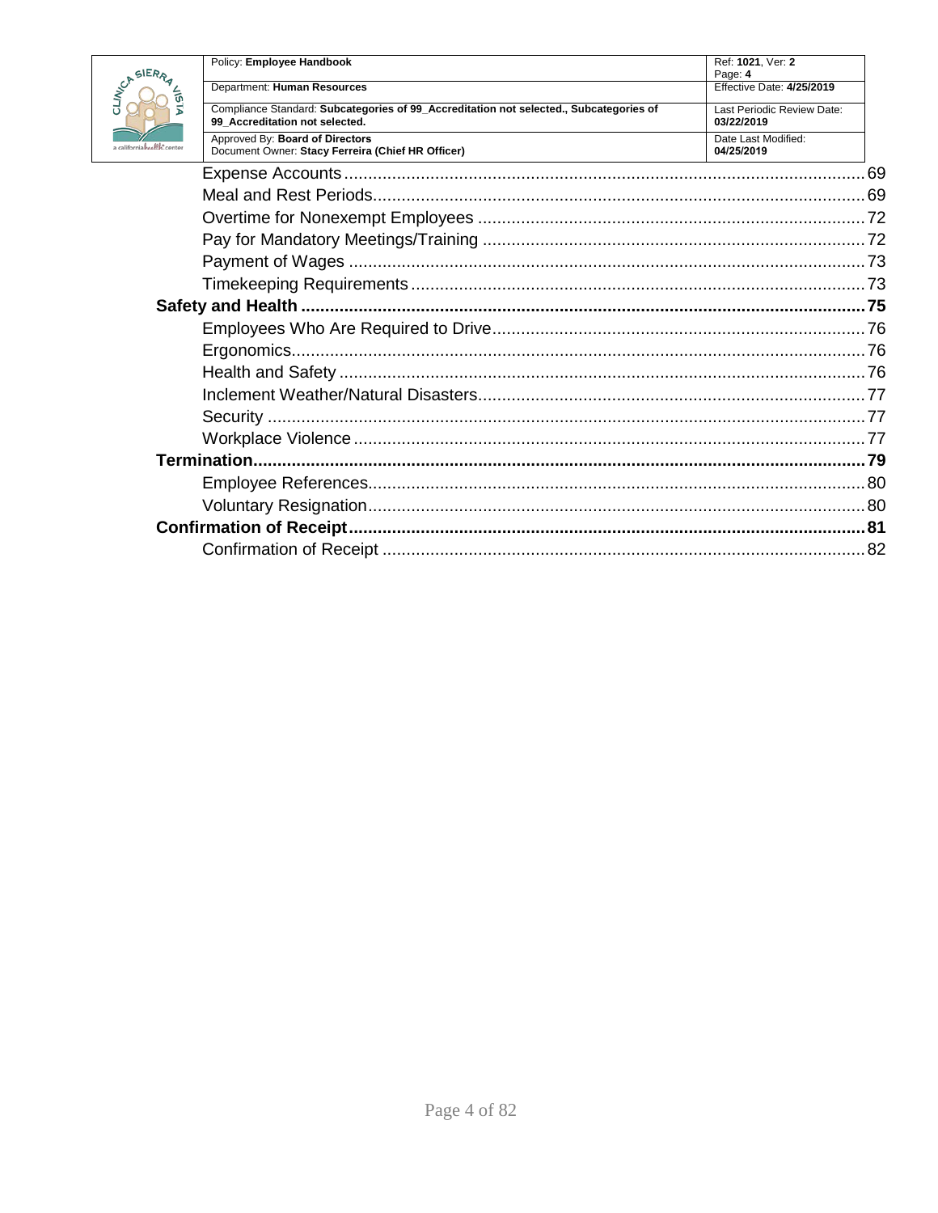

|                    | Policy: Employee Handbook                                                                                                | Ref: 1021, Ver: 2                        |  |
|--------------------|--------------------------------------------------------------------------------------------------------------------------|------------------------------------------|--|
| RRA EST            | Department: Human Resources                                                                                              | Page: 4<br>Effective Date: 4/25/2019     |  |
|                    | Compliance Standard: Subcategories of 99 Accreditation not selected., Subcategories of<br>99 Accreditation not selected. | Last Periodic Review Date:<br>03/22/2019 |  |
| $M_{\rm c}$ conter | Approved By: Board of Directors<br>Document Owner: Stacy Ferreira (Chief HR Officer)                                     | Date Last Modified:<br>04/25/2019        |  |
|                    |                                                                                                                          |                                          |  |
|                    |                                                                                                                          |                                          |  |
|                    |                                                                                                                          |                                          |  |
|                    |                                                                                                                          |                                          |  |
|                    |                                                                                                                          |                                          |  |
|                    |                                                                                                                          |                                          |  |
|                    |                                                                                                                          |                                          |  |
|                    |                                                                                                                          |                                          |  |
|                    |                                                                                                                          |                                          |  |
|                    |                                                                                                                          |                                          |  |
|                    |                                                                                                                          |                                          |  |
|                    |                                                                                                                          |                                          |  |
|                    |                                                                                                                          |                                          |  |
|                    |                                                                                                                          |                                          |  |
|                    |                                                                                                                          |                                          |  |
|                    |                                                                                                                          |                                          |  |
|                    |                                                                                                                          |                                          |  |
|                    |                                                                                                                          |                                          |  |
|                    |                                                                                                                          |                                          |  |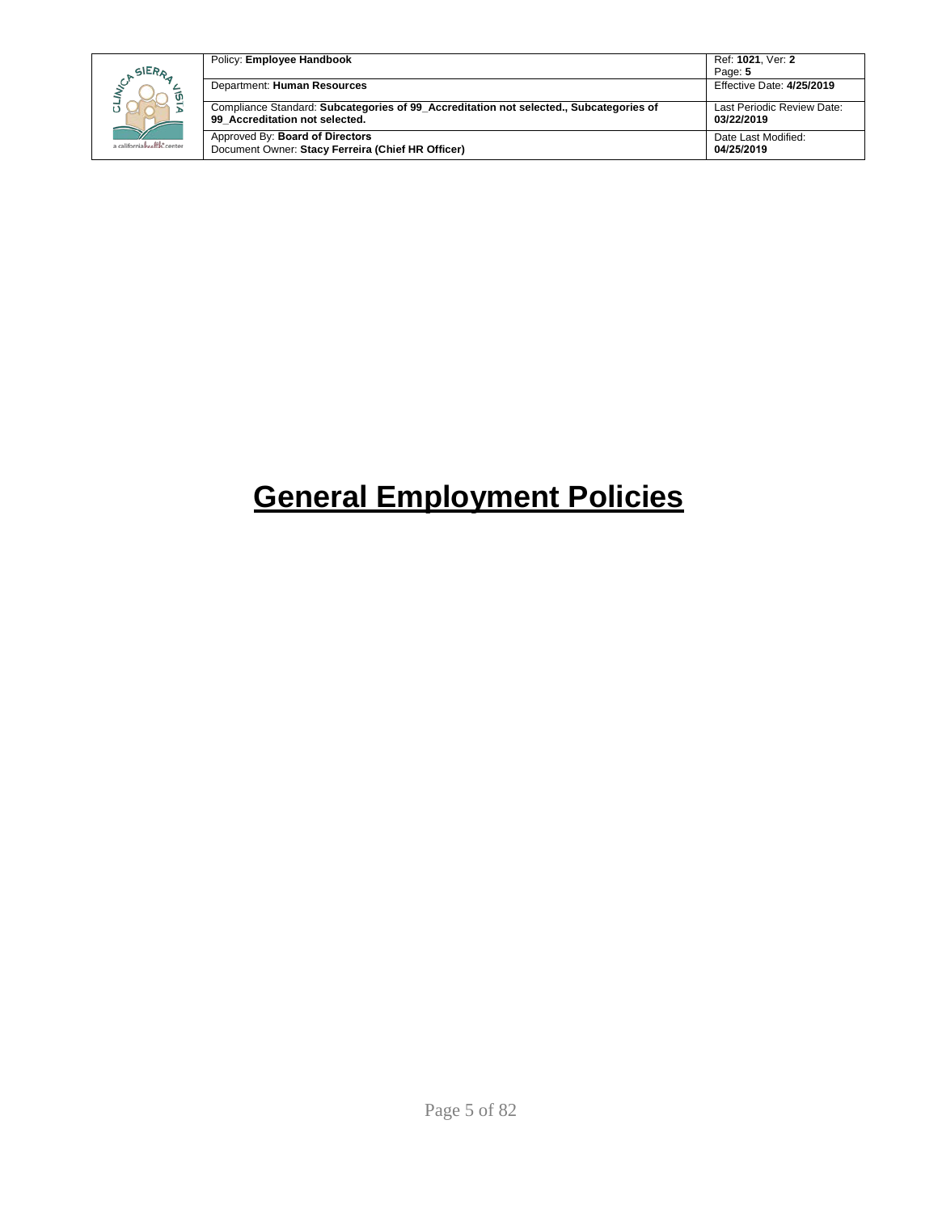|                            | Policy: Employee Handbook                                                                                                | Ref: 1021. Ver: 2                        |
|----------------------------|--------------------------------------------------------------------------------------------------------------------------|------------------------------------------|
| SIERA                      |                                                                                                                          | Page: 5                                  |
|                            | Department: Human Resources                                                                                              | Effective Date: 4/25/2019                |
|                            | Compliance Standard: Subcategories of 99 Accreditation not selected., Subcategories of<br>99 Accreditation not selected. | Last Periodic Review Date:<br>03/22/2019 |
| a californiahealth, center | Approved By: Board of Directors<br>Document Owner: Stacy Ferreira (Chief HR Officer)                                     | Date Last Modified:<br>04/25/2019        |

# <span id="page-4-0"></span>**General Employment Policies**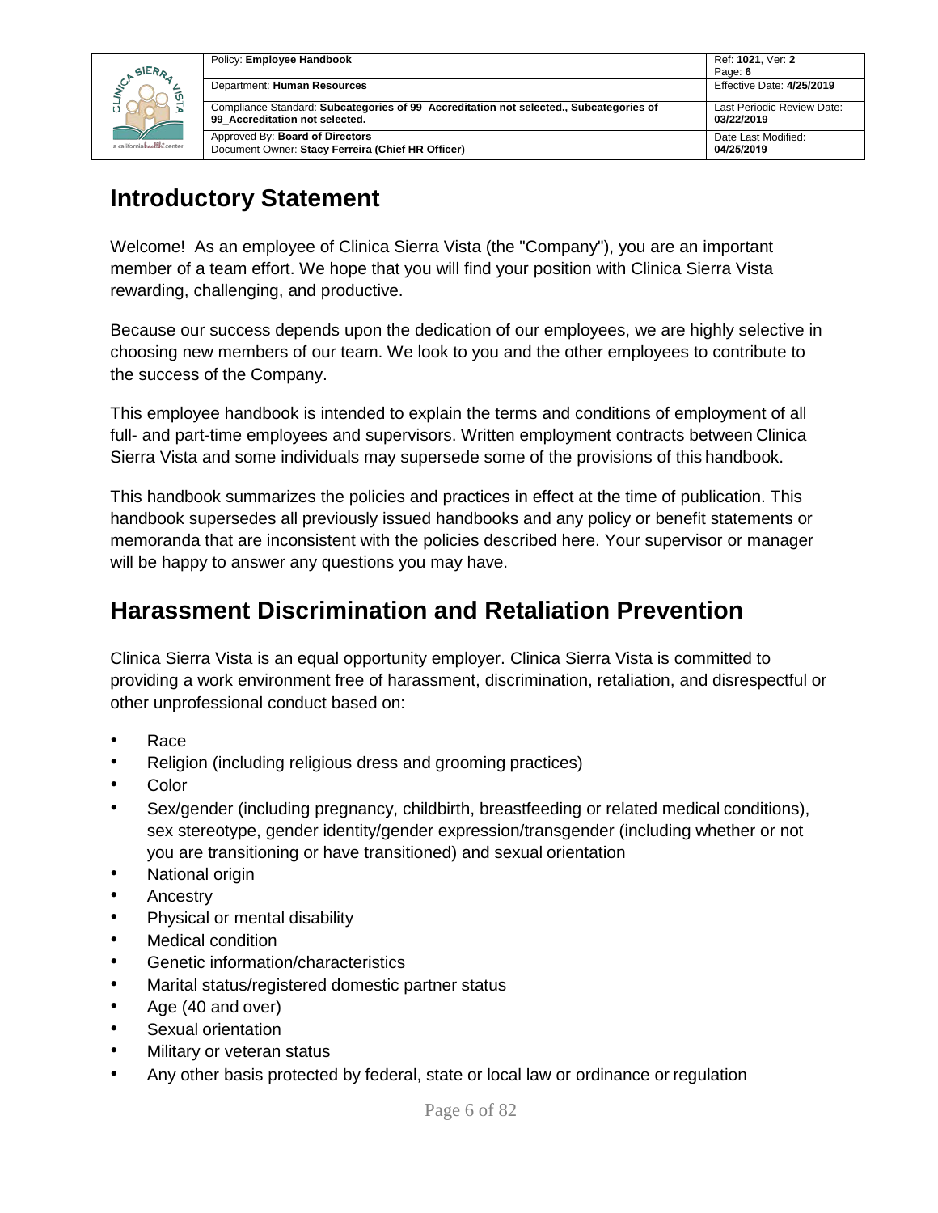|                            | Policy: Employee Handbook                                                                                                | Ref: 1021, Ver: 2                        |
|----------------------------|--------------------------------------------------------------------------------------------------------------------------|------------------------------------------|
| SIERA                      |                                                                                                                          | Page: 6                                  |
|                            | Department: Human Resources                                                                                              | Effective Date: 4/25/2019                |
|                            | Compliance Standard: Subcategories of 99 Accreditation not selected., Subcategories of<br>99 Accreditation not selected. | Last Periodic Review Date:<br>03/22/2019 |
| a californiahealth, center | Approved By: Board of Directors<br>Document Owner: Stacy Ferreira (Chief HR Officer)                                     | Date Last Modified:<br>04/25/2019        |

# <span id="page-5-0"></span>**Introductory Statement**

Welcome! As an employee of Clinica Sierra Vista (the "Company"), you are an important member of a team effort. We hope that you will find your position with Clinica Sierra Vista rewarding, challenging, and productive.

Because our success depends upon the dedication of our employees, we are highly selective in choosing new members of our team. We look to you and the other employees to contribute to the success of the Company.

This employee handbook is intended to explain the terms and conditions of employment of all full- and part-time employees and supervisors. Written employment contracts between Clinica Sierra Vista and some individuals may supersede some of the provisions of this handbook.

This handbook summarizes the policies and practices in effect at the time of publication. This handbook supersedes all previously issued handbooks and any policy or benefit statements or memoranda that are inconsistent with the policies described here. Your supervisor or manager will be happy to answer any questions you may have.

## <span id="page-5-1"></span>**Harassment Discrimination and Retaliation Prevention**

Clinica Sierra Vista is an equal opportunity employer. Clinica Sierra Vista is committed to providing a work environment free of harassment, discrimination, retaliation, and disrespectful or other unprofessional conduct based on:

- Race
- Religion (including religious dress and grooming practices)
- Color
- Sex/gender (including pregnancy, childbirth, breastfeeding or related medical conditions), sex stereotype, gender identity/gender expression/transgender (including whether or not you are transitioning or have transitioned) and sexual orientation
- National origin
- Ancestry
- Physical or mental disability
- Medical condition
- Genetic information/characteristics
- Marital status/registered domestic partner status
- Age (40 and over)
- Sexual orientation
- Military or veteran status
- Any other basis protected by federal, state or local law or ordinance or regulation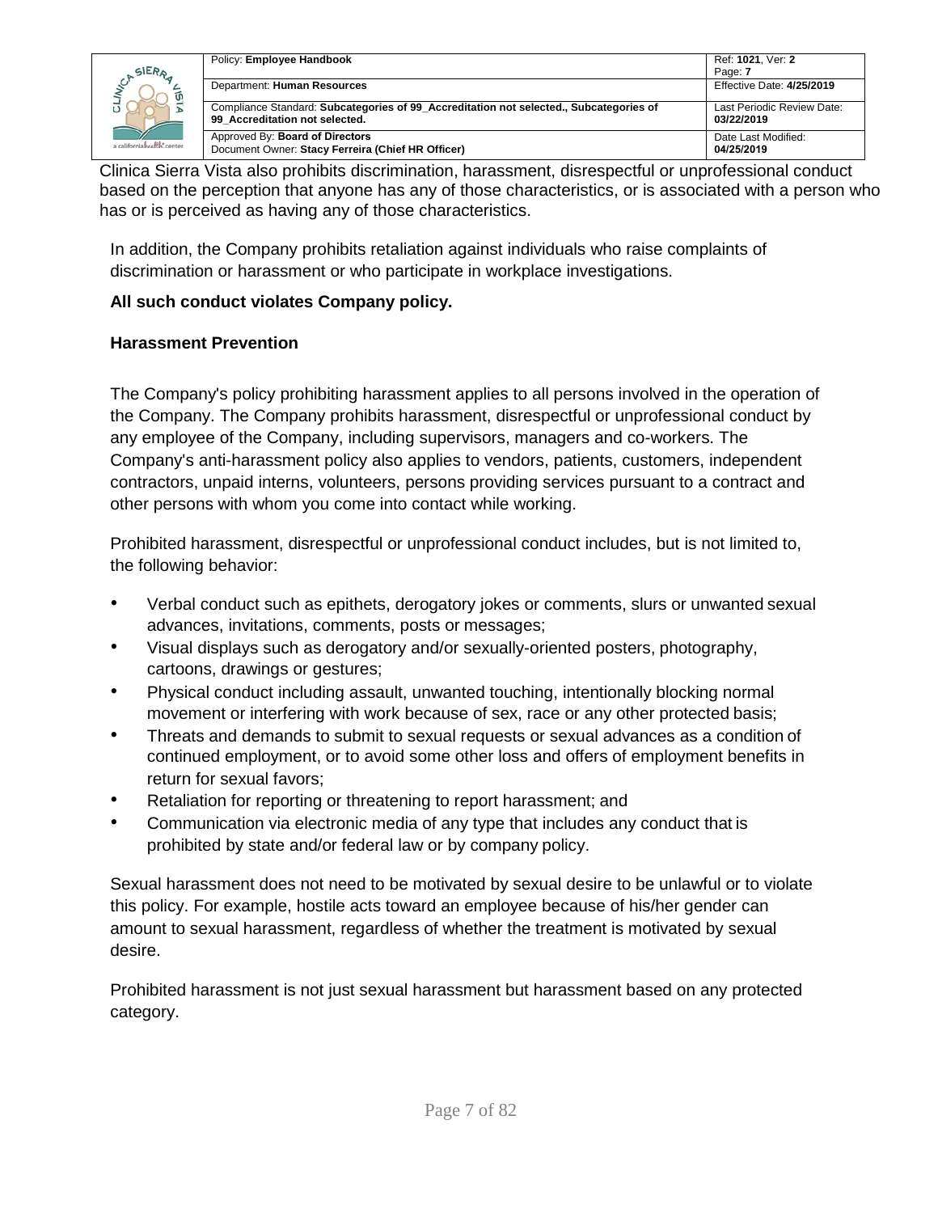| <b>SIER<sub>A</sub></b>    | Policy: Employee Handbook                                                                                                | Ref: 1021, Ver: 2<br>Page: 7             |
|----------------------------|--------------------------------------------------------------------------------------------------------------------------|------------------------------------------|
|                            | Department: Human Resources                                                                                              | Effective Date: 4/25/2019                |
|                            | Compliance Standard: Subcategories of 99 Accreditation not selected., Subcategories of<br>99 Accreditation not selected. | Last Periodic Review Date:<br>03/22/2019 |
| a californiahealth: center | Approved By: Board of Directors<br>Document Owner: Stacy Ferreira (Chief HR Officer)                                     | Date Last Modified:<br>04/25/2019        |

Clinica Sierra Vista also prohibits discrimination, harassment, disrespectful or unprofessional conduct based on the perception that anyone has any of those characteristics, or is associated with a person who has or is perceived as having any of those characteristics.

In addition, the Company prohibits retaliation against individuals who raise complaints of discrimination or harassment or who participate in workplace investigations.

### **All such conduct violates Company policy.**

### **Harassment Prevention**

The Company's policy prohibiting harassment applies to all persons involved in the operation of the Company. The Company prohibits harassment, disrespectful or unprofessional conduct by any employee of the Company, including supervisors, managers and co-workers. The Company's anti-harassment policy also applies to vendors, patients, customers, independent contractors, unpaid interns, volunteers, persons providing services pursuant to a contract and other persons with whom you come into contact while working.

Prohibited harassment, disrespectful or unprofessional conduct includes, but is not limited to, the following behavior:

- Verbal conduct such as epithets, derogatory jokes or comments, slurs or unwanted sexual advances, invitations, comments, posts or messages;
- Visual displays such as derogatory and/or sexually-oriented posters, photography, cartoons, drawings or gestures;
- Physical conduct including assault, unwanted touching, intentionally blocking normal movement or interfering with work because of sex, race or any other protected basis;
- Threats and demands to submit to sexual requests or sexual advances as a condition of continued employment, or to avoid some other loss and offers of employment benefits in return for sexual favors;
- Retaliation for reporting or threatening to report harassment; and
- Communication via electronic media of any type that includes any conduct that is prohibited by state and/or federal law or by company policy.

Sexual harassment does not need to be motivated by sexual desire to be unlawful or to violate this policy. For example, hostile acts toward an employee because of his/her gender can amount to sexual harassment, regardless of whether the treatment is motivated by sexual desire.

Prohibited harassment is not just sexual harassment but harassment based on any protected category.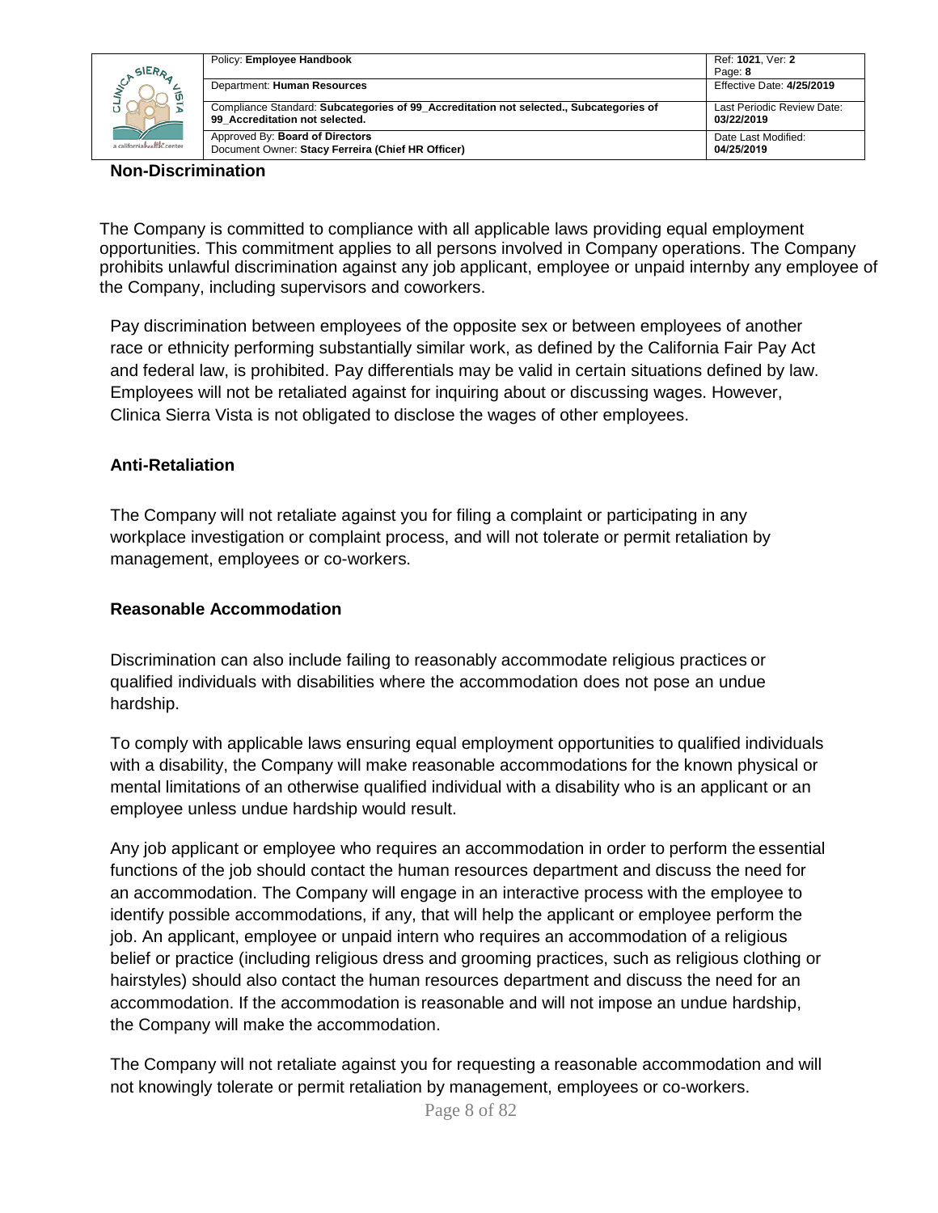|                             | Policy: Employee Handbook                                                                                                | Ref: 1021. Ver: 2                        |
|-----------------------------|--------------------------------------------------------------------------------------------------------------------------|------------------------------------------|
| SIERA                       |                                                                                                                          | Page: 8                                  |
| ັທ                          | Department: Human Resources                                                                                              | Effective Date: 4/25/2019                |
|                             | Compliance Standard: Subcategories of 99 Accreditation not selected., Subcategories of<br>99 Accreditation not selected. | Last Periodic Review Date:<br>03/22/2019 |
| a californiah ealth: center | Approved By: Board of Directors<br>Document Owner: Stacy Ferreira (Chief HR Officer)                                     | Date Last Modified:<br>04/25/2019        |

#### **Non-Discrimination**

The Company is committed to compliance with all applicable laws providing equal employment opportunities. This commitment applies to all persons involved in Company operations. The Company prohibits unlawful discrimination against any job applicant, employee or unpaid internby any employee of the Company, including supervisors and coworkers.

Pay discrimination between employees of the opposite sex or between employees of another race or ethnicity performing substantially similar work, as defined by the California Fair Pay Act and federal law, is prohibited. Pay differentials may be valid in certain situations defined by law. Employees will not be retaliated against for inquiring about or discussing wages. However, Clinica Sierra Vista is not obligated to disclose the wages of other employees.

#### **Anti-Retaliation**

The Company will not retaliate against you for filing a complaint or participating in any workplace investigation or complaint process, and will not tolerate or permit retaliation by management, employees or co-workers.

#### **Reasonable Accommodation**

Discrimination can also include failing to reasonably accommodate religious practices or qualified individuals with disabilities where the accommodation does not pose an undue hardship.

To comply with applicable laws ensuring equal employment opportunities to qualified individuals with a disability, the Company will make reasonable accommodations for the known physical or mental limitations of an otherwise qualified individual with a disability who is an applicant or an employee unless undue hardship would result.

Any job applicant or employee who requires an accommodation in order to perform the essential functions of the job should contact the human resources department and discuss the need for an accommodation. The Company will engage in an interactive process with the employee to identify possible accommodations, if any, that will help the applicant or employee perform the job. An applicant, employee or unpaid intern who requires an accommodation of a religious belief or practice (including religious dress and grooming practices, such as religious clothing or hairstyles) should also contact the human resources department and discuss the need for an accommodation. If the accommodation is reasonable and will not impose an undue hardship, the Company will make the accommodation.

The Company will not retaliate against you for requesting a reasonable accommodation and will not knowingly tolerate or permit retaliation by management, employees or co-workers.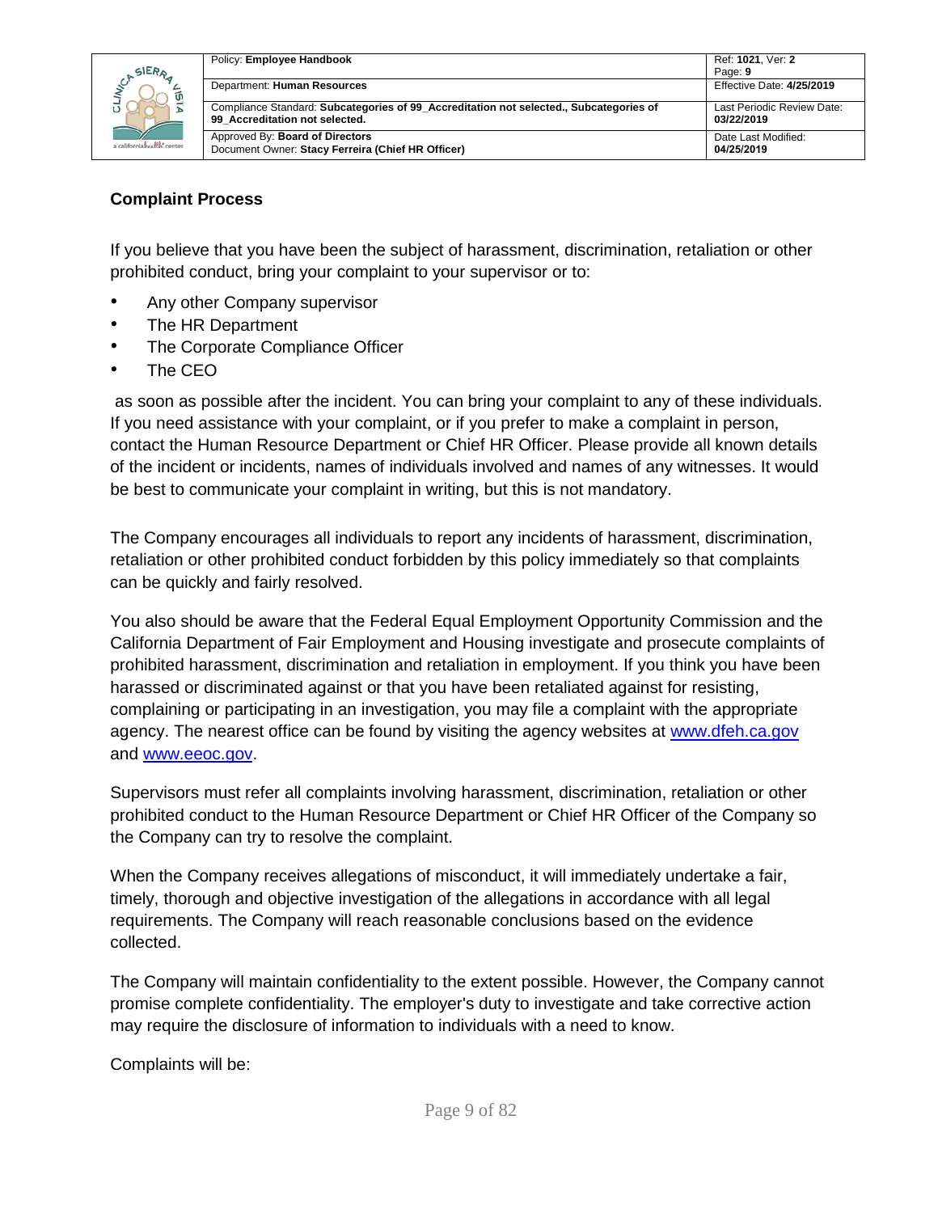| SIERA                      | Policy: Employee Handbook                                                                                                | Ref: 1021. Ver: 2                        |
|----------------------------|--------------------------------------------------------------------------------------------------------------------------|------------------------------------------|
|                            | Department: Human Resources                                                                                              | Page: 9<br>Effective Date: 4/25/2019     |
|                            | Compliance Standard: Subcategories of 99 Accreditation not selected., Subcategories of<br>99 Accreditation not selected. | Last Periodic Review Date:<br>03/22/2019 |
| a californiahealth, center | Approved By: Board of Directors<br>Document Owner: Stacy Ferreira (Chief HR Officer)                                     | Date Last Modified:<br>04/25/2019        |

### **Complaint Process**

If you believe that you have been the subject of harassment, discrimination, retaliation or other prohibited conduct, bring your complaint to your supervisor or to:

- Any other Company supervisor
- The HR Department
- The Corporate Compliance Officer
- The CEO

as soon as possible after the incident. You can bring your complaint to any of these individuals. If you need assistance with your complaint, or if you prefer to make a complaint in person, contact the Human Resource Department or Chief HR Officer. Please provide all known details of the incident or incidents, names of individuals involved and names of any witnesses. It would be best to communicate your complaint in writing, but this is not mandatory.

The Company encourages all individuals to report any incidents of harassment, discrimination, retaliation or other prohibited conduct forbidden by this policy immediately so that complaints can be quickly and fairly resolved.

You also should be aware that the Federal Equal Employment Opportunity Commission and the California Department of Fair Employment and Housing investigate and prosecute complaints of prohibited harassment, discrimination and retaliation in employment. If you think you have been harassed or discriminated against or that you have been retaliated against for resisting, complaining or participating in an investigation, you may file a complaint with the appropriate agency. The nearest office can be found by visiting the agency websites at [www.dfeh.ca.gov](http://www.dfeh.ca.gov/) and [www.eeoc.gov.](http://www.eeoc.gov/)

Supervisors must refer all complaints involving harassment, discrimination, retaliation or other prohibited conduct to the Human Resource Department or Chief HR Officer of the Company so the Company can try to resolve the complaint.

When the Company receives allegations of misconduct, it will immediately undertake a fair, timely, thorough and objective investigation of the allegations in accordance with all legal requirements. The Company will reach reasonable conclusions based on the evidence collected.

The Company will maintain confidentiality to the extent possible. However, the Company cannot promise complete confidentiality. The employer's duty to investigate and take corrective action may require the disclosure of information to individuals with a need to know.

Complaints will be: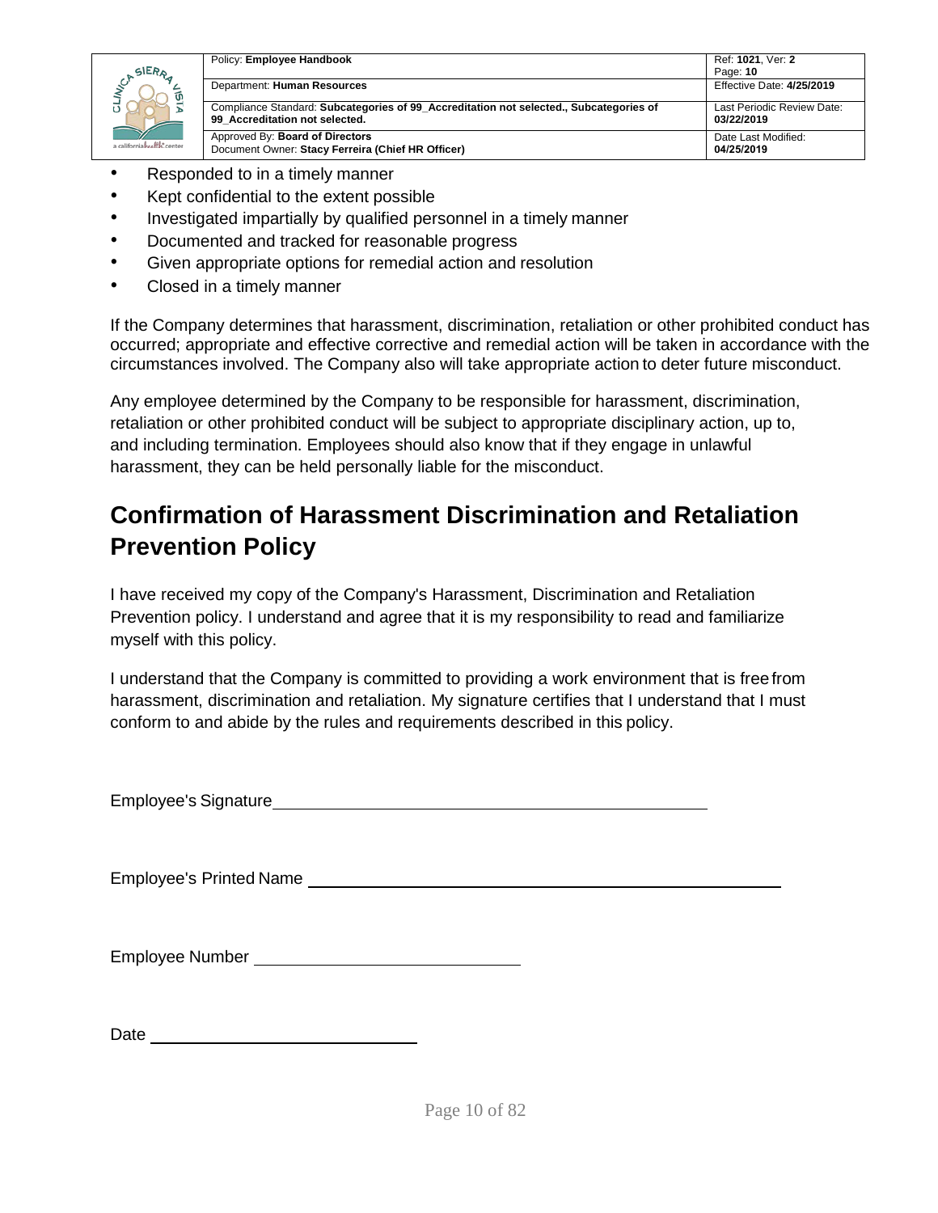

- Responded to in a timely manner
- Kept confidential to the extent possible
- Investigated impartially by qualified personnel in a timely manner
- Documented and tracked for reasonable progress
- Given appropriate options for remedial action and resolution
- Closed in a timely manner

If the Company determines that harassment, discrimination, retaliation or other prohibited conduct has occurred; appropriate and effective corrective and remedial action will be taken in accordance with the circumstances involved. The Company also will take appropriate action to deter future misconduct.

Any employee determined by the Company to be responsible for harassment, discrimination, retaliation or other prohibited conduct will be subject to appropriate disciplinary action, up to, and including termination. Employees should also know that if they engage in unlawful harassment, they can be held personally liable for the misconduct.

# <span id="page-9-0"></span>**Confirmation of Harassment Discrimination and Retaliation Prevention Policy**

I have received my copy of the Company's Harassment, Discrimination and Retaliation Prevention policy. I understand and agree that it is my responsibility to read and familiarize myself with this policy.

I understand that the Company is committed to providing a work environment that is freefrom harassment, discrimination and retaliation. My signature certifies that I understand that I must conform to and abide by the rules and requirements described in this policy.

Employee's Signature

Employee's Printed Name

Employee Number

Date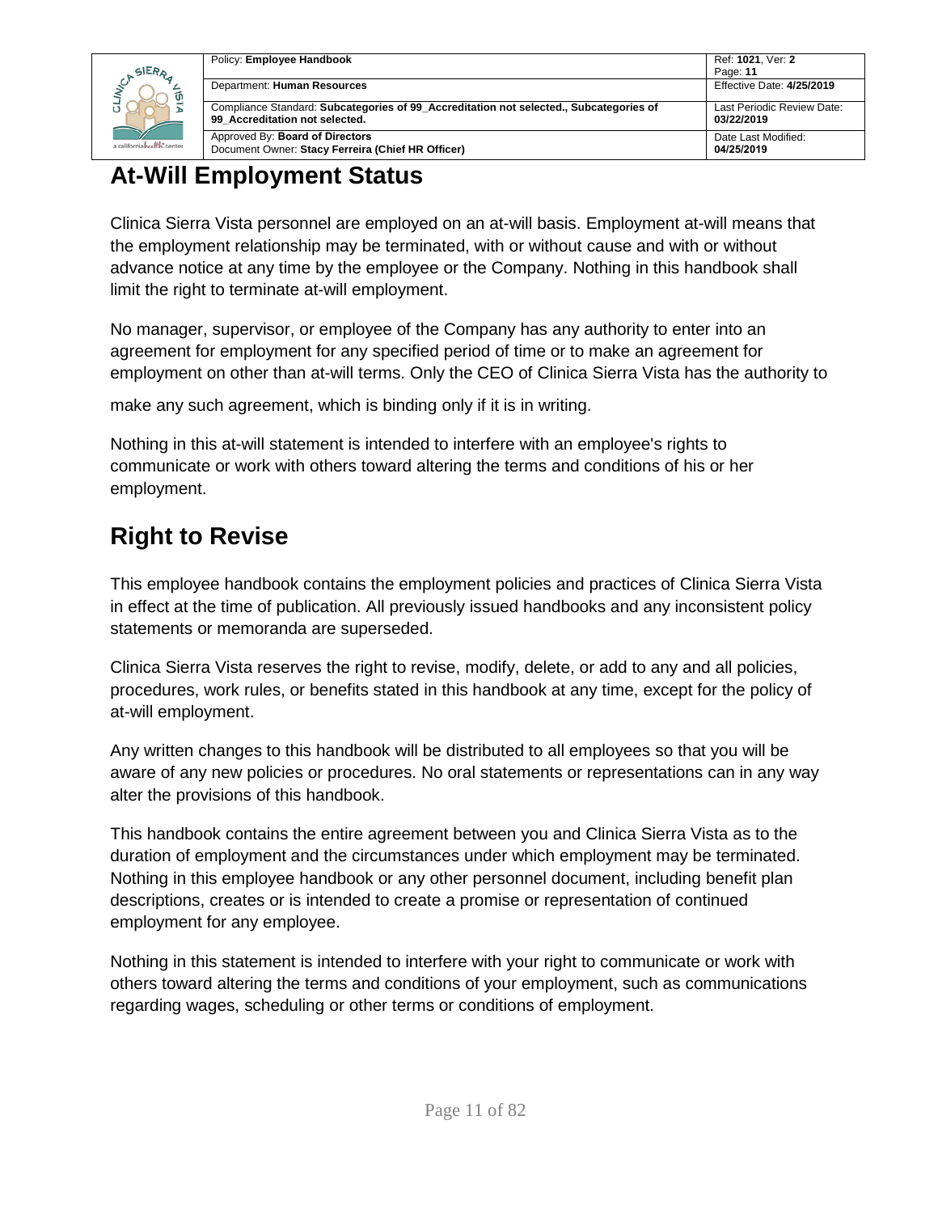

| Policy: Employee Handbook                                                              | Ref: 1021, Ver: 2<br>Page: 11 |
|----------------------------------------------------------------------------------------|-------------------------------|
| Department: Human Resources                                                            | Effective Date: 4/25/2019     |
| Compliance Standard: Subcategories of 99 Accreditation not selected., Subcategories of | Last Periodic Review Date:    |
| 99 Accreditation not selected.                                                         | 03/22/2019                    |
| Approved By: Board of Directors                                                        | Date Last Modified:           |
| Document Owner: Stacy Ferreira (Chief HR Officer)                                      | 04/25/2019                    |

# <span id="page-10-0"></span>**At-Will Employment Status**

Clinica Sierra Vista personnel are employed on an at-will basis. Employment at-will means that the employment relationship may be terminated, with or without cause and with or without advance notice at any time by the employee or the Company. Nothing in this handbook shall limit the right to terminate at-will employment.

No manager, supervisor, or employee of the Company has any authority to enter into an agreement for employment for any specified period of time or to make an agreement for employment on other than at-will terms. Only the CEO of Clinica Sierra Vista has the authority to

make any such agreement, which is binding only if it is in writing.

Nothing in this at-will statement is intended to interfere with an employee's rights to communicate or work with others toward altering the terms and conditions of his or her employment.

# <span id="page-10-1"></span>**Right to Revise**

This employee handbook contains the employment policies and practices of Clinica Sierra Vista in effect at the time of publication. All previously issued handbooks and any inconsistent policy statements or memoranda are superseded.

Clinica Sierra Vista reserves the right to revise, modify, delete, or add to any and all policies, procedures, work rules, or benefits stated in this handbook at any time, except for the policy of at-will employment.

Any written changes to this handbook will be distributed to all employees so that you will be aware of any new policies or procedures. No oral statements or representations can in any way alter the provisions of this handbook.

This handbook contains the entire agreement between you and Clinica Sierra Vista as to the duration of employment and the circumstances under which employment may be terminated. Nothing in this employee handbook or any other personnel document, including benefit plan descriptions, creates or is intended to create a promise or representation of continued employment for any employee.

Nothing in this statement is intended to interfere with your right to communicate or work with others toward altering the terms and conditions of your employment, such as communications regarding wages, scheduling or other terms or conditions of employment.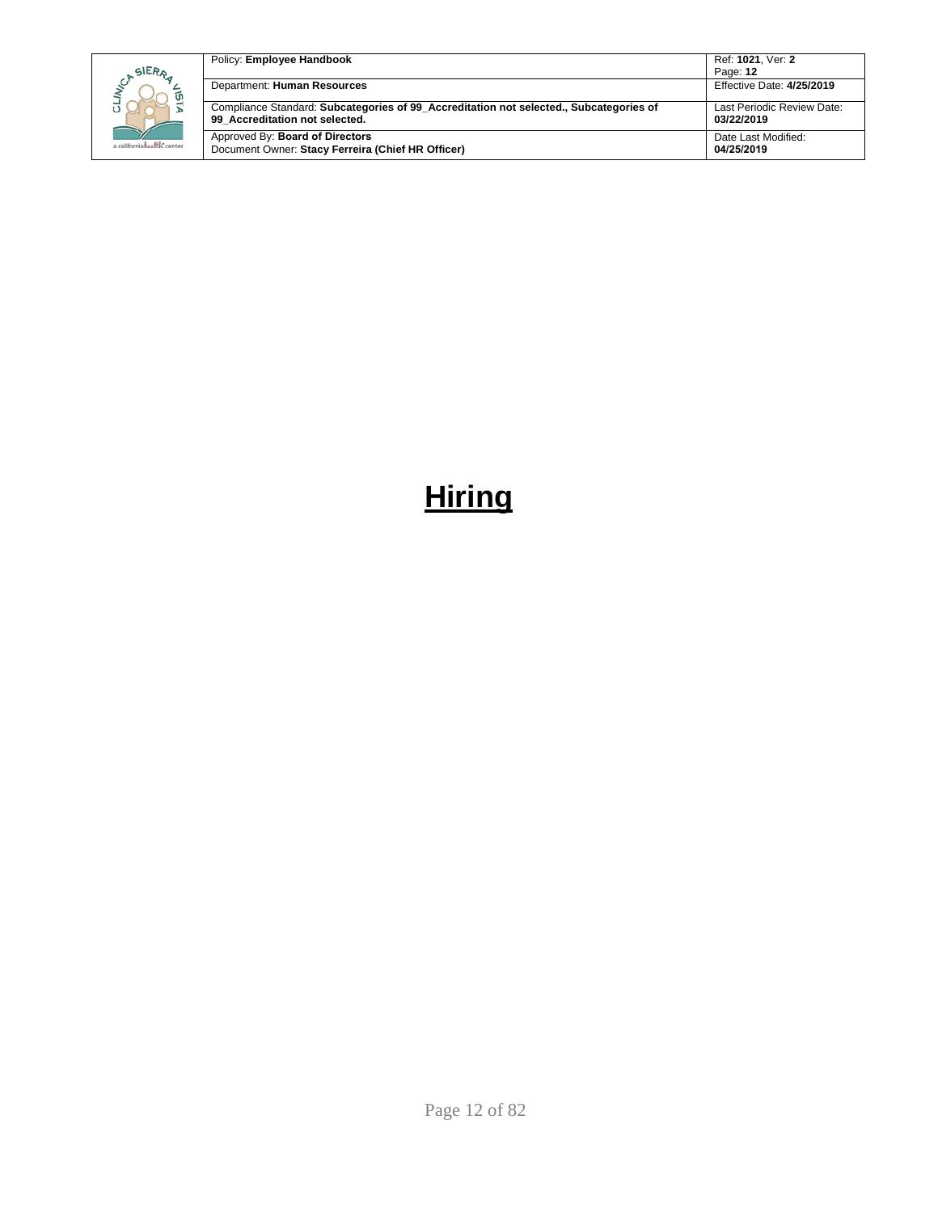|  |                            | Policy: Employee Handbook                                                                                                | Ref: 1021, Ver: 2                        |
|--|----------------------------|--------------------------------------------------------------------------------------------------------------------------|------------------------------------------|
|  | SIERA                      |                                                                                                                          | Page: 12                                 |
|  | ัด                         | Department: Human Resources                                                                                              | Effective Date: 4/25/2019                |
|  |                            | Compliance Standard: Subcategories of 99 Accreditation not selected., Subcategories of<br>99 Accreditation not selected. | Last Periodic Review Date:<br>03/22/2019 |
|  | a californiahralth: center | Approved By: Board of Directors<br>Document Owner: Stacy Ferreira (Chief HR Officer)                                     | Date Last Modified:<br>04/25/2019        |

# <span id="page-11-0"></span>**Hiring**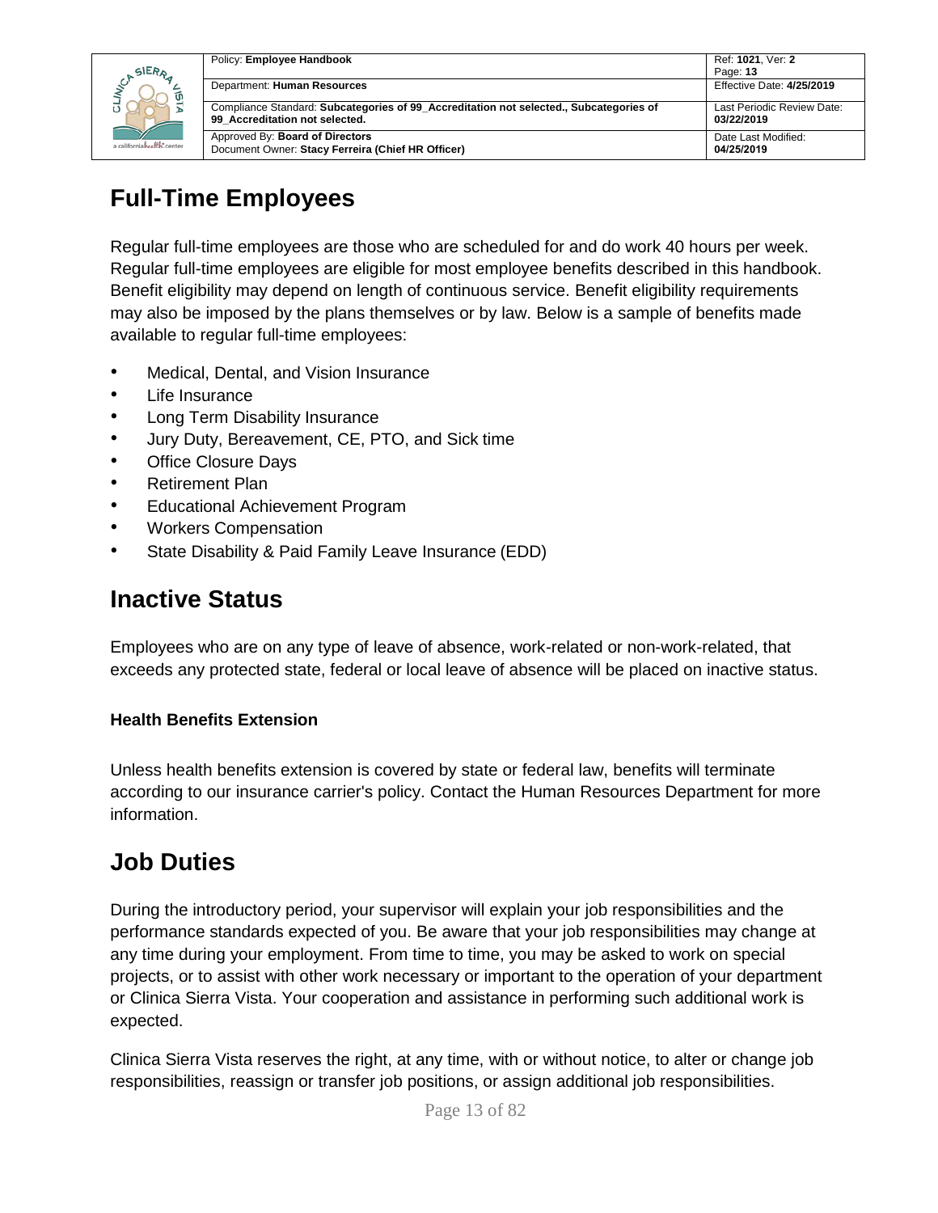|                            | Policy: Employee Handbook                                                                                                | Ref: 1021. Ver: 2                        |
|----------------------------|--------------------------------------------------------------------------------------------------------------------------|------------------------------------------|
| <b>SIERA</b>               |                                                                                                                          | Page: 13                                 |
|                            | Department: Human Resources                                                                                              | Effective Date: 4/25/2019                |
| a californiahealth, center | Compliance Standard: Subcategories of 99_Accreditation not selected., Subcategories of<br>99 Accreditation not selected. | Last Periodic Review Date:<br>03/22/2019 |
|                            | Approved By: Board of Directors<br>Document Owner: Stacy Ferreira (Chief HR Officer)                                     | Date Last Modified:<br>04/25/2019        |

# <span id="page-12-0"></span>**Full-Time Employees**

Regular full-time employees are those who are scheduled for and do work 40 hours per week. Regular full-time employees are eligible for most employee benefits described in this handbook. Benefit eligibility may depend on length of continuous service. Benefit eligibility requirements may also be imposed by the plans themselves or by law. Below is a sample of benefits made available to regular full-time employees:

- Medical, Dental, and Vision Insurance
- Life Insurance
- Long Term Disability Insurance
- Jury Duty, Bereavement, CE, PTO, and Sick time
- Office Closure Days
- Retirement Plan
- Educational Achievement Program
- Workers Compensation
- State Disability & Paid Family Leave Insurance (EDD)

# <span id="page-12-1"></span>**Inactive Status**

Employees who are on any type of leave of absence, work-related or non-work-related, that exceeds any protected state, federal or local leave of absence will be placed on inactive status.

### **Health Benefits Extension**

Unless health benefits extension is covered by state or federal law, benefits will terminate according to our insurance carrier's policy. Contact the Human Resources Department for more information.

### <span id="page-12-2"></span>**Job Duties**

During the introductory period, your supervisor will explain your job responsibilities and the performance standards expected of you. Be aware that your job responsibilities may change at any time during your employment. From time to time, you may be asked to work on special projects, or to assist with other work necessary or important to the operation of your department or Clinica Sierra Vista. Your cooperation and assistance in performing such additional work is expected.

Clinica Sierra Vista reserves the right, at any time, with or without notice, to alter or change job responsibilities, reassign or transfer job positions, or assign additional job responsibilities.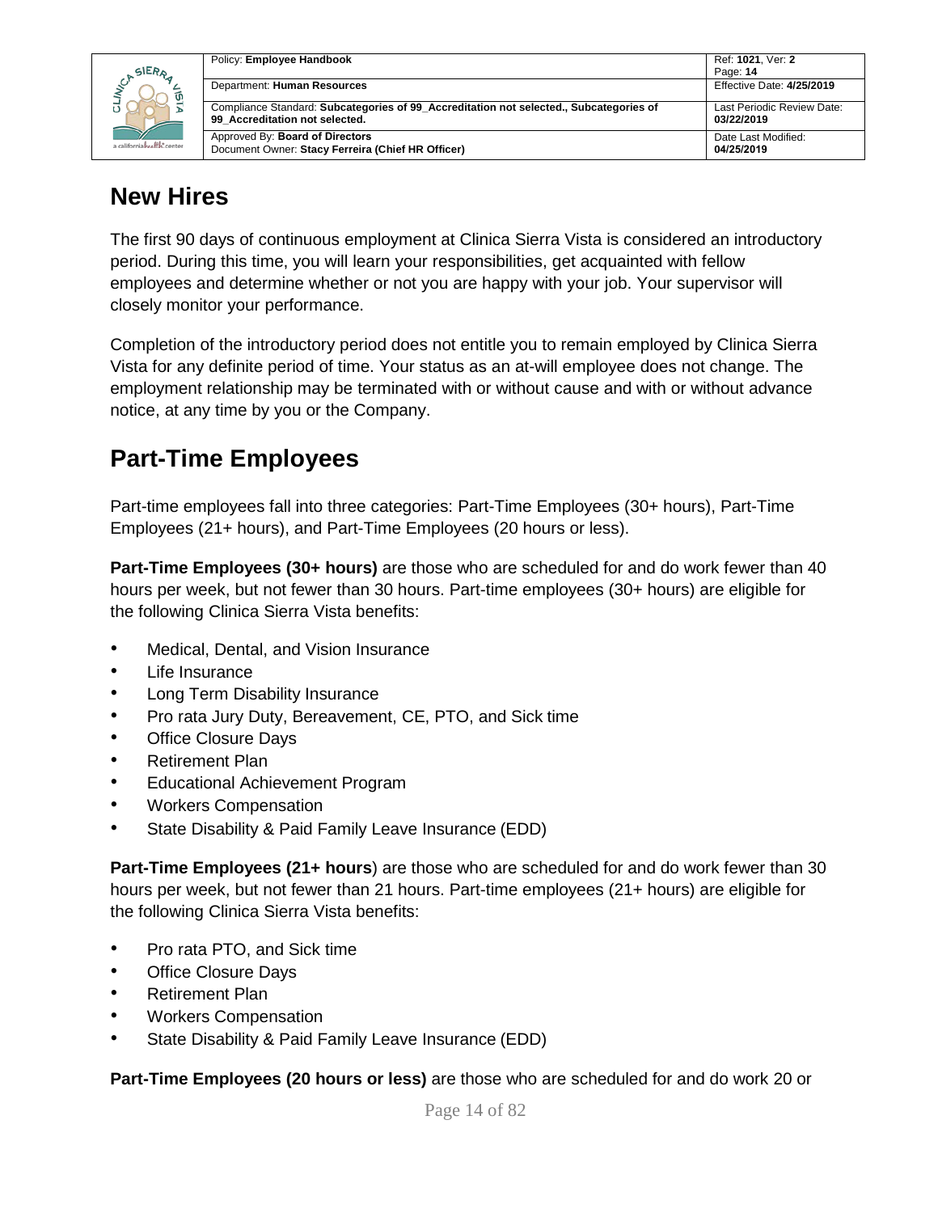

| Policy: Employee Handbook                                                              | Ref: 1021, Ver: 2<br>Page: 14 |
|----------------------------------------------------------------------------------------|-------------------------------|
| Department: Human Resources                                                            | Effective Date: 4/25/2019     |
| Compliance Standard: Subcategories of 99 Accreditation not selected., Subcategories of | Last Periodic Review Date:    |
| 99 Accreditation not selected.                                                         | 03/22/2019                    |
| Approved By: Board of Directors                                                        | Date Last Modified:           |
| Document Owner: Stacy Ferreira (Chief HR Officer)                                      | 04/25/2019                    |

### <span id="page-13-0"></span>**New Hires**

The first 90 days of continuous employment at Clinica Sierra Vista is considered an introductory period. During this time, you will learn your responsibilities, get acquainted with fellow employees and determine whether or not you are happy with your job. Your supervisor will closely monitor your performance.

Completion of the introductory period does not entitle you to remain employed by Clinica Sierra Vista for any definite period of time. Your status as an at-will employee does not change. The employment relationship may be terminated with or without cause and with or without advance notice, at any time by you or the Company.

# <span id="page-13-1"></span>**Part-Time Employees**

Part-time employees fall into three categories: Part-Time Employees (30+ hours), Part-Time Employees (21+ hours), and Part-Time Employees (20 hours or less).

**Part-Time Employees (30+ hours)** are those who are scheduled for and do work fewer than 40 hours per week, but not fewer than 30 hours. Part-time employees (30+ hours) are eligible for the following Clinica Sierra Vista benefits:

- Medical, Dental, and Vision Insurance
- Life Insurance
- Long Term Disability Insurance
- Pro rata Jury Duty, Bereavement, CE, PTO, and Sick time
- Office Closure Days
- Retirement Plan
- Educational Achievement Program
- Workers Compensation
- State Disability & Paid Family Leave Insurance (EDD)

**Part-Time Employees (21+ hours**) are those who are scheduled for and do work fewer than 30 hours per week, but not fewer than 21 hours. Part-time employees (21+ hours) are eligible for the following Clinica Sierra Vista benefits:

- Pro rata PTO, and Sick time
- **Office Closure Days**
- Retirement Plan
- Workers Compensation
- State Disability & Paid Family Leave Insurance (EDD)

**Part-Time Employees (20 hours or less)** are those who are scheduled for and do work 20 or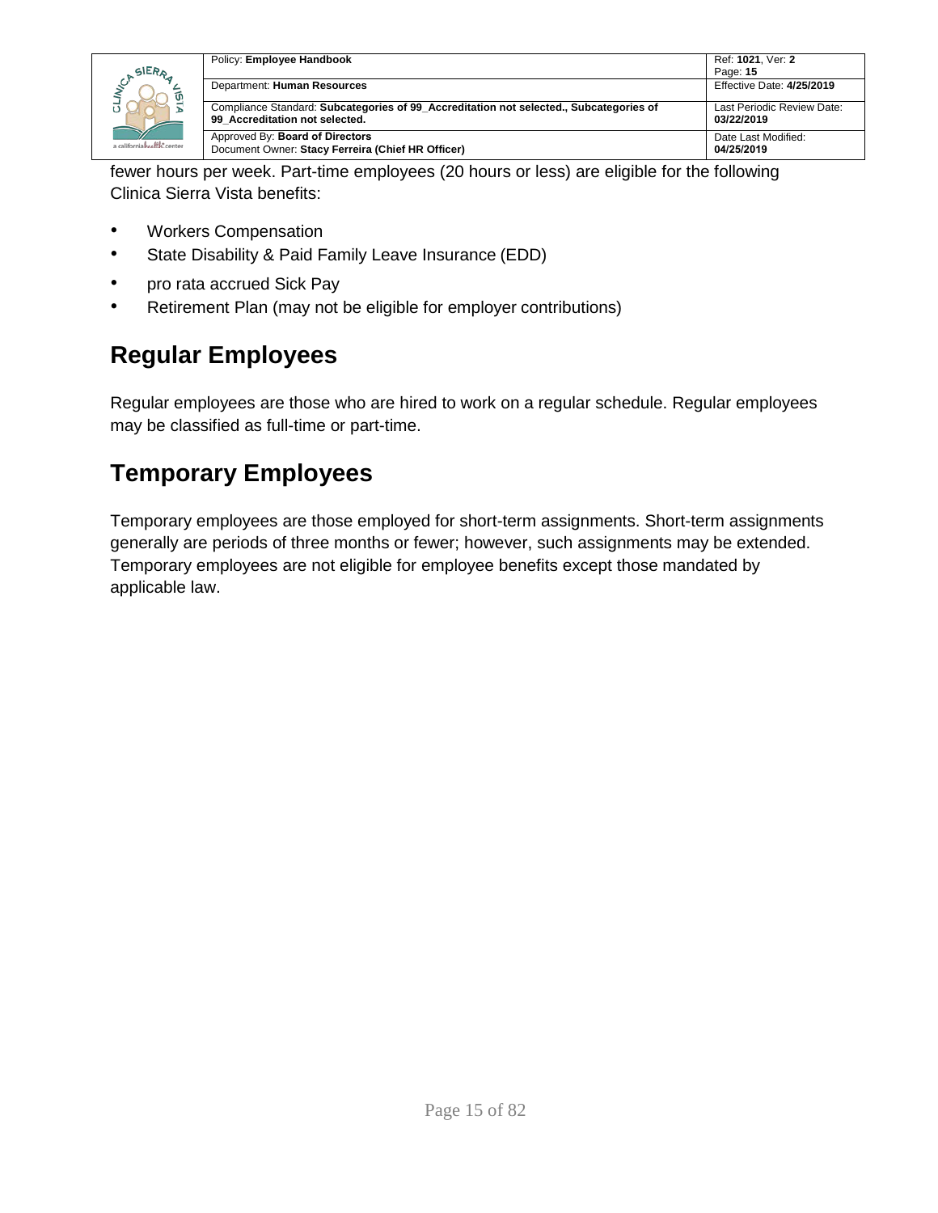

fewer hours per week. Part-time employees (20 hours or less) are eligible for the following Clinica Sierra Vista benefits:

- Workers Compensation
- State Disability & Paid Family Leave Insurance (EDD)
- pro rata accrued Sick Pay
- Retirement Plan (may not be eligible for employer contributions)

# <span id="page-14-0"></span>**Regular Employees**

Regular employees are those who are hired to work on a regular schedule. Regular employees may be classified as full-time or part-time.

## <span id="page-14-1"></span>**Temporary Employees**

Temporary employees are those employed for short-term assignments. Short-term assignments generally are periods of three months or fewer; however, such assignments may be extended. Temporary employees are not eligible for employee benefits except those mandated by applicable law.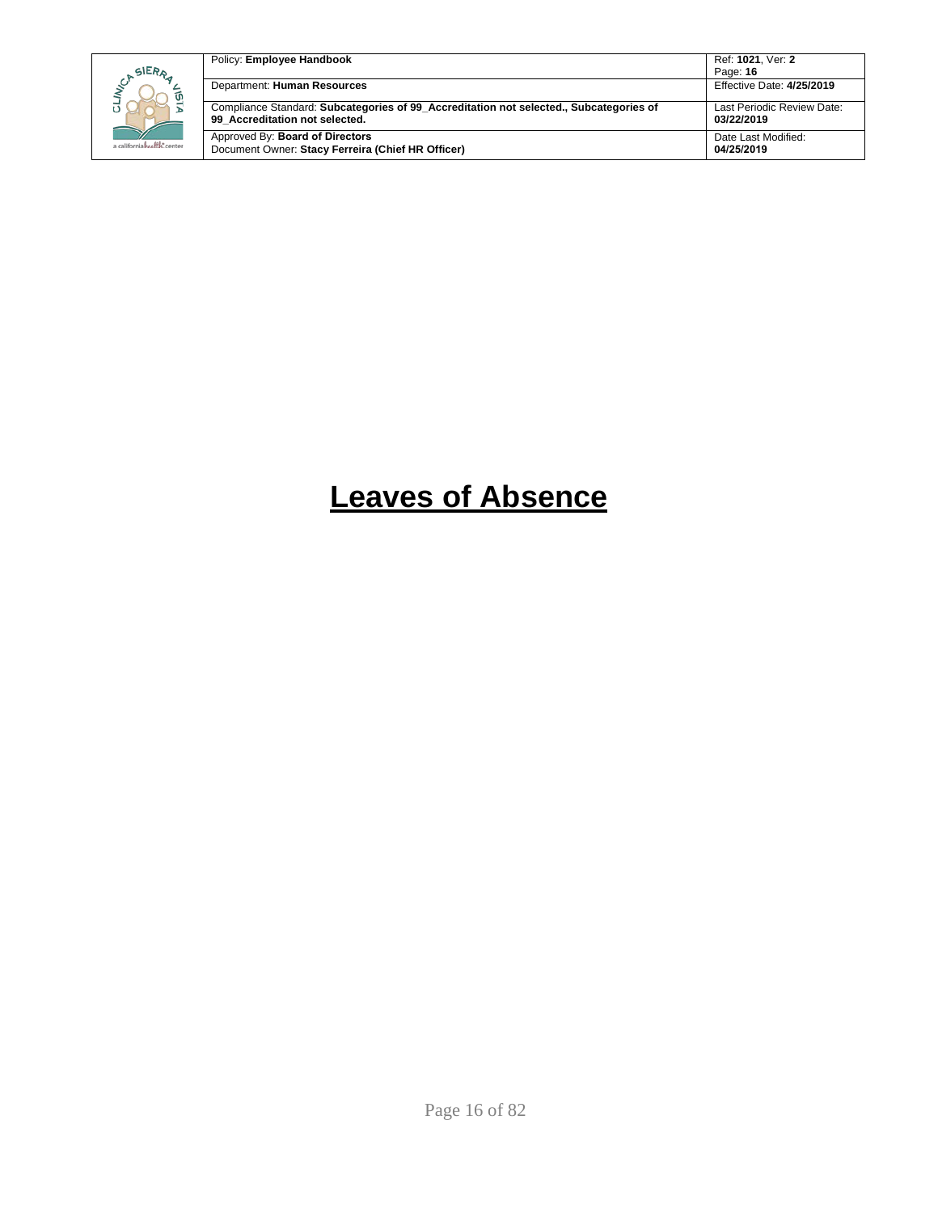| SIERA<br>a californiahealth, center | Policy: Employee Handbook                                                                                                | Ref: 1021. Ver: 2<br>Page: 16            |
|-------------------------------------|--------------------------------------------------------------------------------------------------------------------------|------------------------------------------|
|                                     | Department: Human Resources                                                                                              | Effective Date: 4/25/2019                |
|                                     | Compliance Standard: Subcategories of 99 Accreditation not selected., Subcategories of<br>99 Accreditation not selected. | Last Periodic Review Date:<br>03/22/2019 |
|                                     | Approved By: Board of Directors<br>Document Owner: Stacy Ferreira (Chief HR Officer)                                     | Date Last Modified:<br>04/25/2019        |

# <span id="page-15-0"></span>**Leaves of Absence**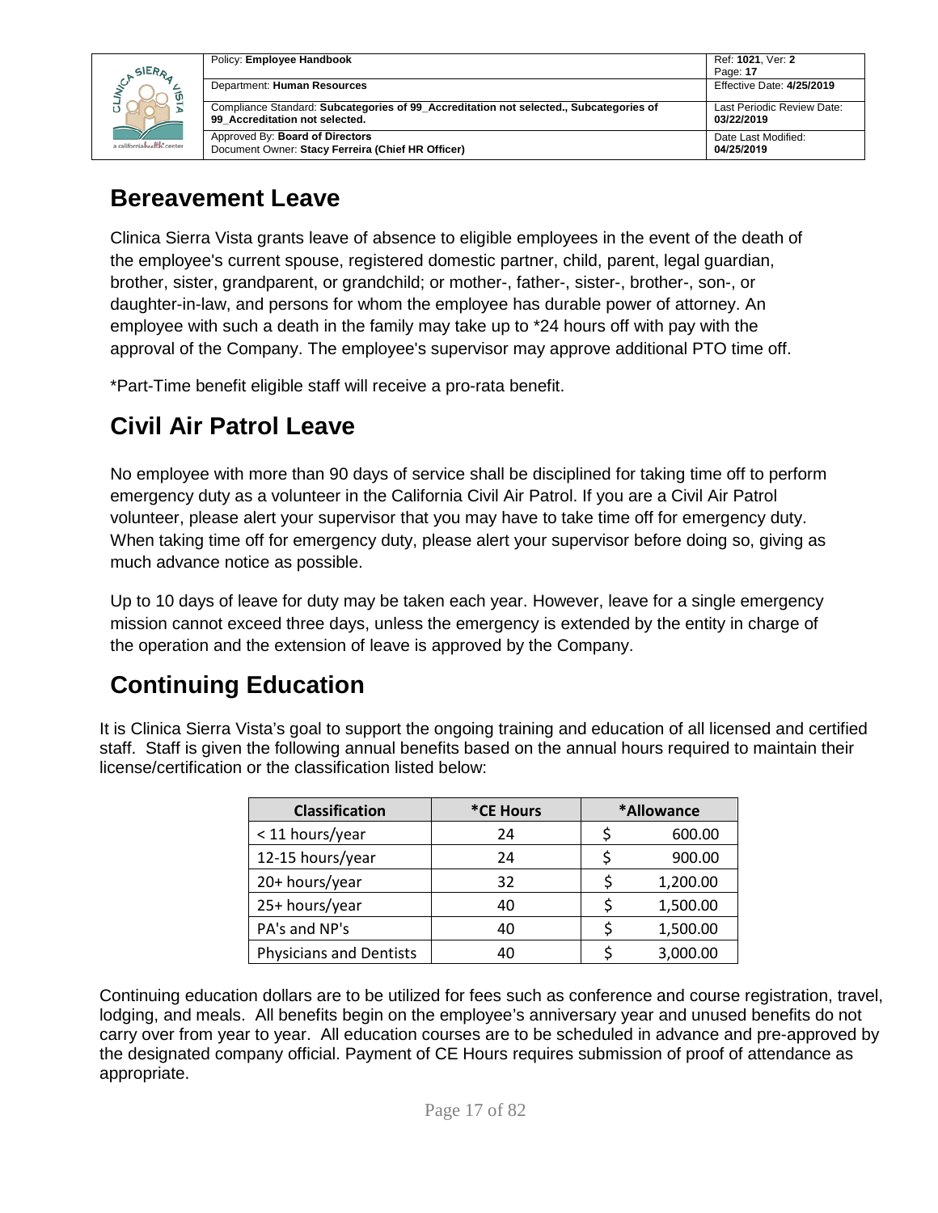|                            | Policy: Employee Handbook                                                                                                | Ref: 1021. Ver: 2                        |
|----------------------------|--------------------------------------------------------------------------------------------------------------------------|------------------------------------------|
| <b>SIERA</b>               |                                                                                                                          | Page: 17                                 |
| a californiahealth, center | Department: Human Resources                                                                                              | <b>Effective Date: 4/25/2019</b>         |
|                            | Compliance Standard: Subcategories of 99 Accreditation not selected., Subcategories of<br>99 Accreditation not selected. | Last Periodic Review Date:<br>03/22/2019 |
|                            | Approved By: Board of Directors<br>Document Owner: Stacy Ferreira (Chief HR Officer)                                     | Date Last Modified:<br>04/25/2019        |

### <span id="page-16-0"></span>**Bereavement Leave**

Clinica Sierra Vista grants leave of absence to eligible employees in the event of the death of the employee's current spouse, registered domestic partner, child, parent, legal guardian, brother, sister, grandparent, or grandchild; or mother-, father-, sister-, brother-, son-, or daughter-in-law, and persons for whom the employee has durable power of attorney. An employee with such a death in the family may take up to \*24 hours off with pay with the approval of the Company. The employee's supervisor may approve additional PTO time off.

\*Part-Time benefit eligible staff will receive a pro-rata benefit.

# <span id="page-16-1"></span>**Civil Air Patrol Leave**

No employee with more than 90 days of service shall be disciplined for taking time off to perform emergency duty as a volunteer in the California Civil Air Patrol. If you are a Civil Air Patrol volunteer, please alert your supervisor that you may have to take time off for emergency duty. When taking time off for emergency duty, please alert your supervisor before doing so, giving as much advance notice as possible.

Up to 10 days of leave for duty may be taken each year. However, leave for a single emergency mission cannot exceed three days, unless the emergency is extended by the entity in charge of the operation and the extension of leave is approved by the Company.

# <span id="page-16-2"></span>**Continuing Education**

It is Clinica Sierra Vista's goal to support the ongoing training and education of all licensed and certified staff. Staff is given the following annual benefits based on the annual hours required to maintain their license/certification or the classification listed below:

| <b>Classification</b>          | *CE Hours | *Allowance |          |
|--------------------------------|-----------|------------|----------|
| < 11 hours/year                | 24        |            | 600.00   |
| 12-15 hours/year               | 24        |            | 900.00   |
| 20+ hours/year                 | 32        |            | 1,200.00 |
| 25+ hours/year                 | 40        |            | 1,500.00 |
| PA's and NP's                  | 40        |            | 1,500.00 |
| <b>Physicians and Dentists</b> |           |            | 3,000.00 |

Continuing education dollars are to be utilized for fees such as conference and course registration, travel, lodging, and meals. All benefits begin on the employee's anniversary year and unused benefits do not carry over from year to year. All education courses are to be scheduled in advance and pre-approved by the designated company official. Payment of CE Hours requires submission of proof of attendance as appropriate.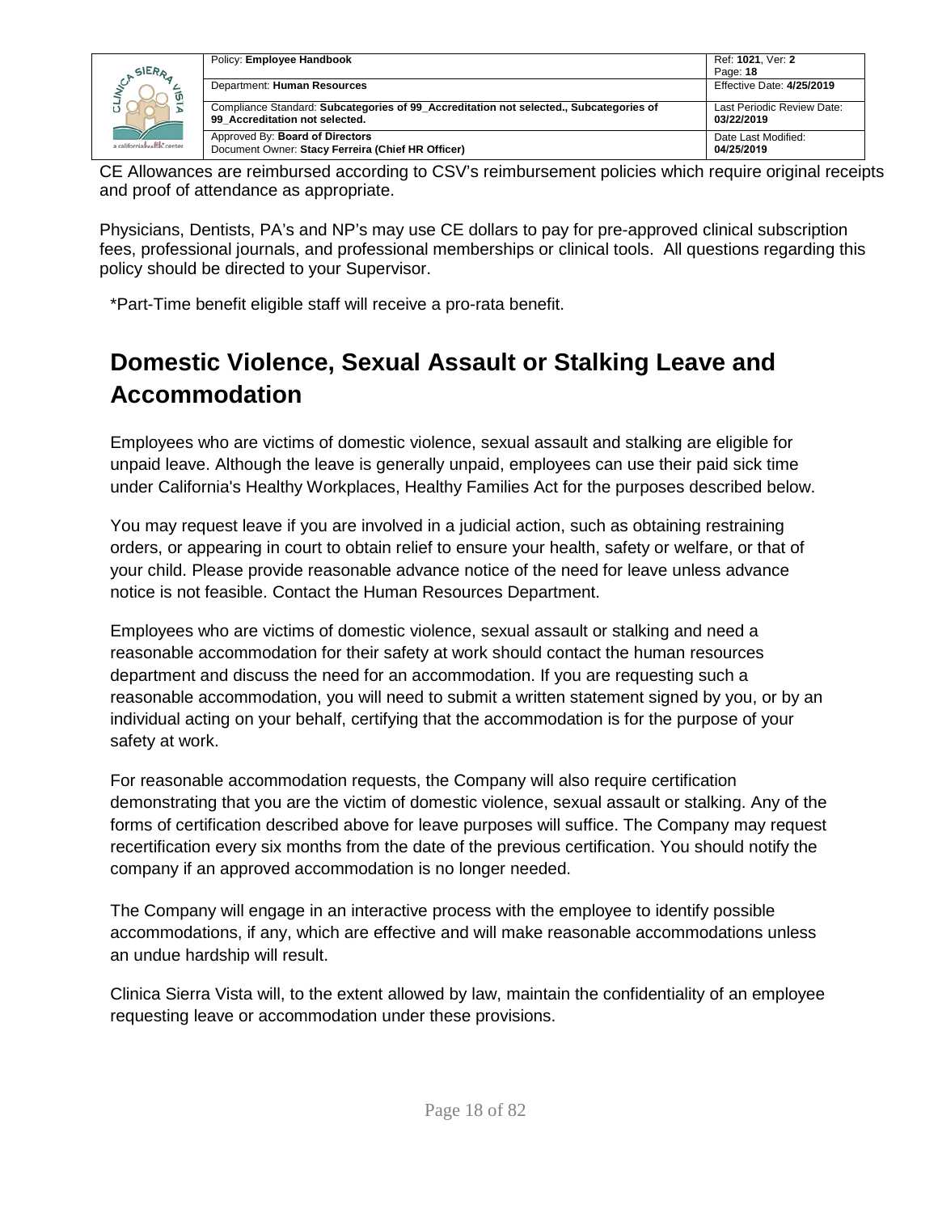| SIERA<br>ັທ<br>a californiahealth.center | Policy: Employee Handbook                                                                                                | Ref: 1021. Ver: 2<br>Page: 18            |
|------------------------------------------|--------------------------------------------------------------------------------------------------------------------------|------------------------------------------|
|                                          | Department: Human Resources                                                                                              | Effective Date: 4/25/2019                |
|                                          | Compliance Standard: Subcategories of 99 Accreditation not selected., Subcategories of<br>99 Accreditation not selected. | Last Periodic Review Date:<br>03/22/2019 |
|                                          | Approved By: Board of Directors<br>Document Owner: Stacy Ferreira (Chief HR Officer)                                     | Date Last Modified:<br>04/25/2019        |

CE Allowances are reimbursed according to CSV's reimbursement policies which require original receipts and proof of attendance as appropriate.

Physicians, Dentists, PA's and NP's may use CE dollars to pay for pre-approved clinical subscription fees, professional journals, and professional memberships or clinical tools. All questions regarding this policy should be directed to your Supervisor.

\*Part-Time benefit eligible staff will receive a pro-rata benefit.

# <span id="page-17-0"></span>**Domestic Violence, Sexual Assault or Stalking Leave and Accommodation**

Employees who are victims of domestic violence, sexual assault and stalking are eligible for unpaid leave. Although the leave is generally unpaid, employees can use their paid sick time under California's Healthy Workplaces, Healthy Families Act for the purposes described below.

You may request leave if you are involved in a judicial action, such as obtaining restraining orders, or appearing in court to obtain relief to ensure your health, safety or welfare, or that of your child. Please provide reasonable advance notice of the need for leave unless advance notice is not feasible. Contact the Human Resources Department.

Employees who are victims of domestic violence, sexual assault or stalking and need a reasonable accommodation for their safety at work should contact the human resources department and discuss the need for an accommodation. If you are requesting such a reasonable accommodation, you will need to submit a written statement signed by you, or by an individual acting on your behalf, certifying that the accommodation is for the purpose of your safety at work.

For reasonable accommodation requests, the Company will also require certification demonstrating that you are the victim of domestic violence, sexual assault or stalking. Any of the forms of certification described above for leave purposes will suffice. The Company may request recertification every six months from the date of the previous certification. You should notify the company if an approved accommodation is no longer needed.

The Company will engage in an interactive process with the employee to identify possible accommodations, if any, which are effective and will make reasonable accommodations unless an undue hardship will result.

Clinica Sierra Vista will, to the extent allowed by law, maintain the confidentiality of an employee requesting leave or accommodation under these provisions.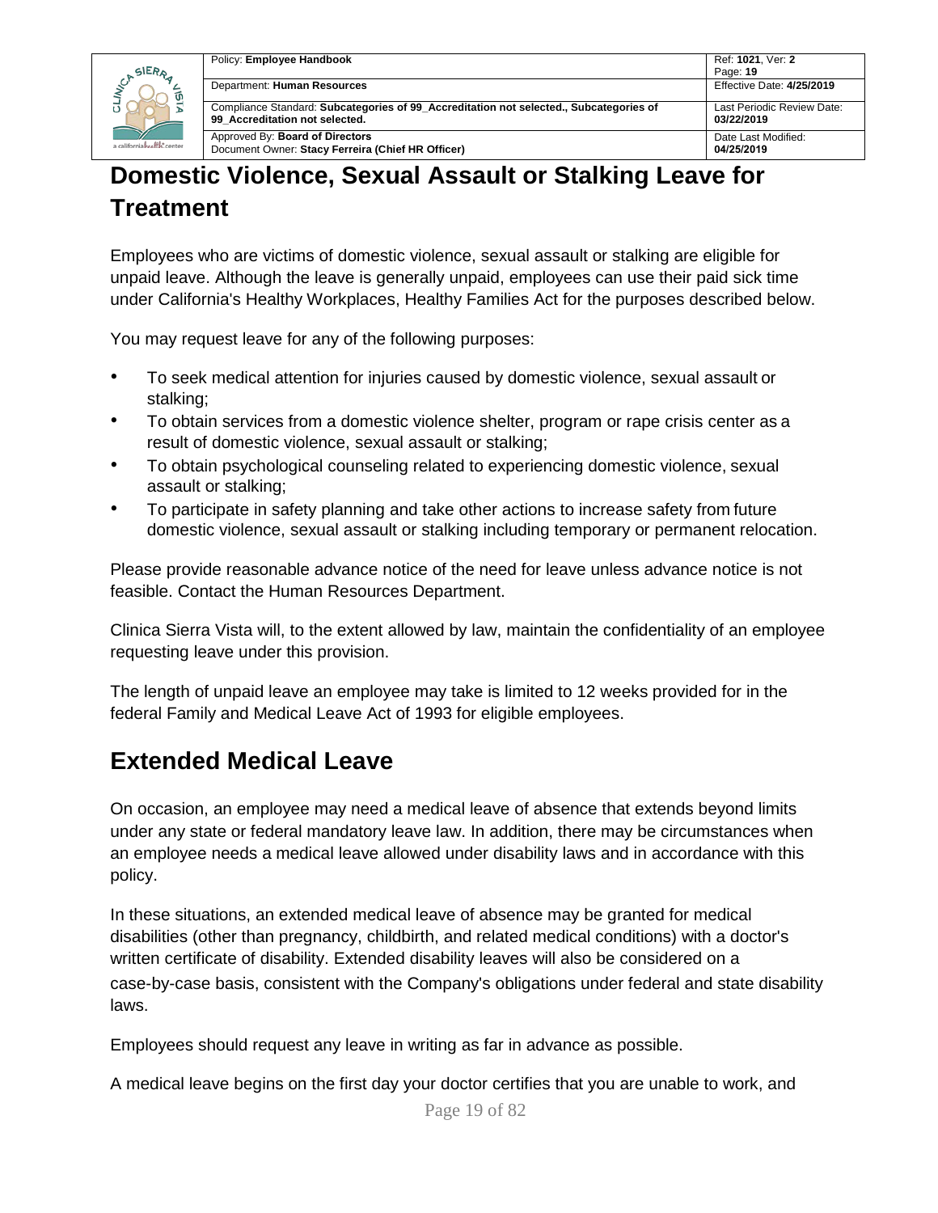

# <span id="page-18-0"></span>**Domestic Violence, Sexual Assault or Stalking Leave for Treatment**

Employees who are victims of domestic violence, sexual assault or stalking are eligible for unpaid leave. Although the leave is generally unpaid, employees can use their paid sick time under California's Healthy Workplaces, Healthy Families Act for the purposes described below.

You may request leave for any of the following purposes:

- To seek medical attention for injuries caused by domestic violence, sexual assault or stalking;
- To obtain services from a domestic violence shelter, program or rape crisis center as a result of domestic violence, sexual assault or stalking;
- To obtain psychological counseling related to experiencing domestic violence, sexual assault or stalking;
- To participate in safety planning and take other actions to increase safety from future domestic violence, sexual assault or stalking including temporary or permanent relocation.

Please provide reasonable advance notice of the need for leave unless advance notice is not feasible. Contact the Human Resources Department.

Clinica Sierra Vista will, to the extent allowed by law, maintain the confidentiality of an employee requesting leave under this provision.

The length of unpaid leave an employee may take is limited to 12 weeks provided for in the federal Family and Medical Leave Act of 1993 for eligible employees.

### <span id="page-18-1"></span>**Extended Medical Leave**

On occasion, an employee may need a medical leave of absence that extends beyond limits under any state or federal mandatory leave law. In addition, there may be circumstances when an employee needs a medical leave allowed under disability laws and in accordance with this policy.

In these situations, an extended medical leave of absence may be granted for medical disabilities (other than pregnancy, childbirth, and related medical conditions) with a doctor's written certificate of disability. Extended disability leaves will also be considered on a case-by-case basis, consistent with the Company's obligations under federal and state disability laws.

Employees should request any leave in writing as far in advance as possible.

A medical leave begins on the first day your doctor certifies that you are unable to work, and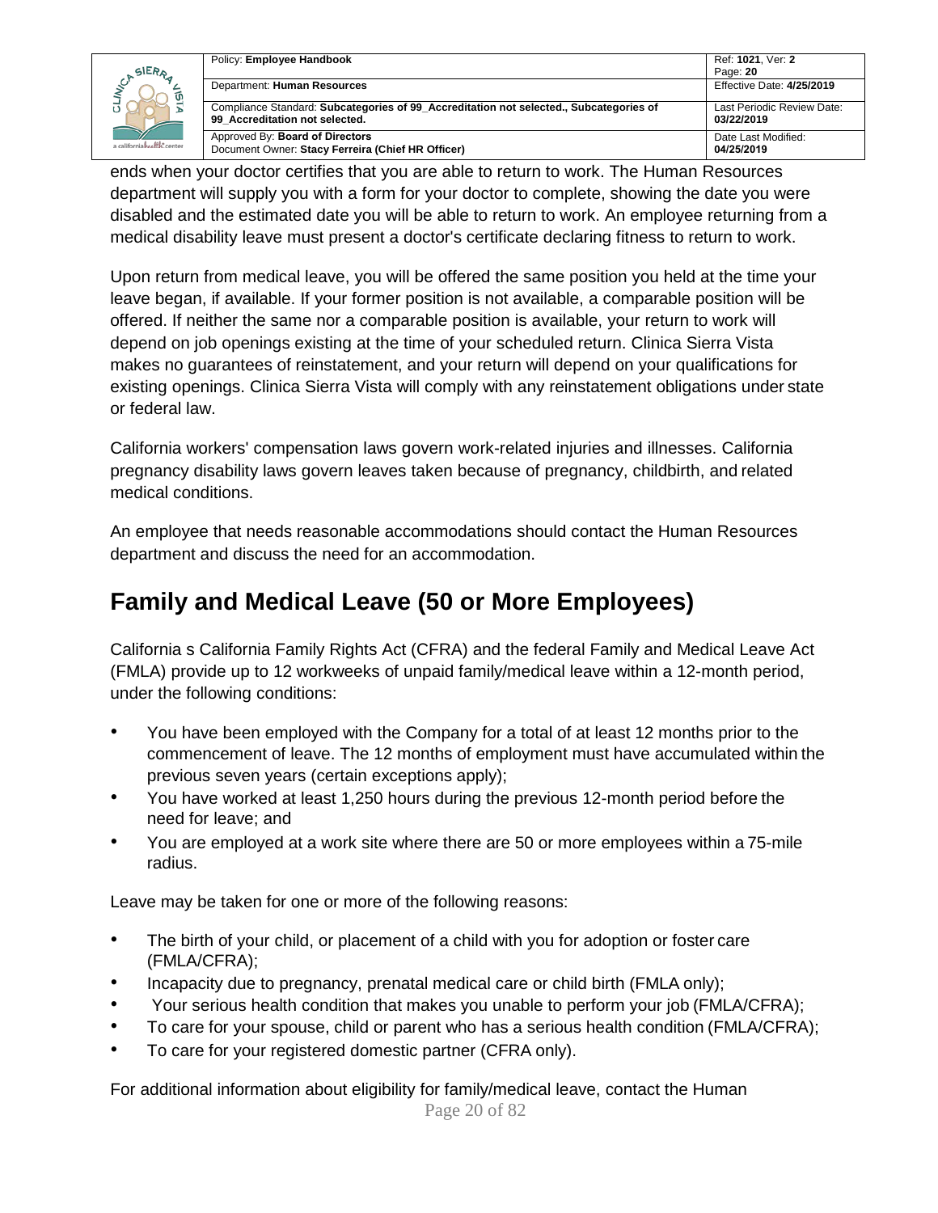|                                                       | Policy: Employee Handbook                                                                                                | Ref: 1021, Ver: 2                        |
|-------------------------------------------------------|--------------------------------------------------------------------------------------------------------------------------|------------------------------------------|
| SIERA<br>$\overline{u}$<br>a californiahealth, center |                                                                                                                          | Page: 20                                 |
|                                                       | Department: Human Resources                                                                                              | Effective Date: 4/25/2019                |
|                                                       | Compliance Standard: Subcategories of 99 Accreditation not selected., Subcategories of<br>99 Accreditation not selected. | Last Periodic Review Date:<br>03/22/2019 |
|                                                       | Approved By: Board of Directors<br>Document Owner: Stacy Ferreira (Chief HR Officer)                                     | Date Last Modified:<br>04/25/2019        |

ends when your doctor certifies that you are able to return to work. The Human Resources department will supply you with a form for your doctor to complete, showing the date you were disabled and the estimated date you will be able to return to work. An employee returning from a medical disability leave must present a doctor's certificate declaring fitness to return to work.

Upon return from medical leave, you will be offered the same position you held at the time your leave began, if available. If your former position is not available, a comparable position will be offered. If neither the same nor a comparable position is available, your return to work will depend on job openings existing at the time of your scheduled return. Clinica Sierra Vista makes no guarantees of reinstatement, and your return will depend on your qualifications for existing openings. Clinica Sierra Vista will comply with any reinstatement obligations under state or federal law.

California workers' compensation laws govern work-related injuries and illnesses. California pregnancy disability laws govern leaves taken because of pregnancy, childbirth, and related medical conditions.

An employee that needs reasonable accommodations should contact the Human Resources department and discuss the need for an accommodation.

## <span id="page-19-0"></span>**Family and Medical Leave (50 or More Employees)**

California s California Family Rights Act (CFRA) and the federal Family and Medical Leave Act (FMLA) provide up to 12 workweeks of unpaid family/medical leave within a 12-month period, under the following conditions:

- You have been employed with the Company for a total of at least 12 months prior to the commencement of leave. The 12 months of employment must have accumulated within the previous seven years (certain exceptions apply);
- You have worked at least 1,250 hours during the previous 12-month period before the need for leave; and
- You are employed at a work site where there are 50 or more employees within a 75-mile radius.

Leave may be taken for one or more of the following reasons:

- The birth of your child, or placement of a child with you for adoption or foster care (FMLA/CFRA);
- Incapacity due to pregnancy, prenatal medical care or child birth (FMLA only);
- Your serious health condition that makes you unable to perform your job (FMLA/CFRA);
- To care for your spouse, child or parent who has a serious health condition (FMLA/CFRA);
- To care for your registered domestic partner (CFRA only).

Page 20 of 82 For additional information about eligibility for family/medical leave, contact the Human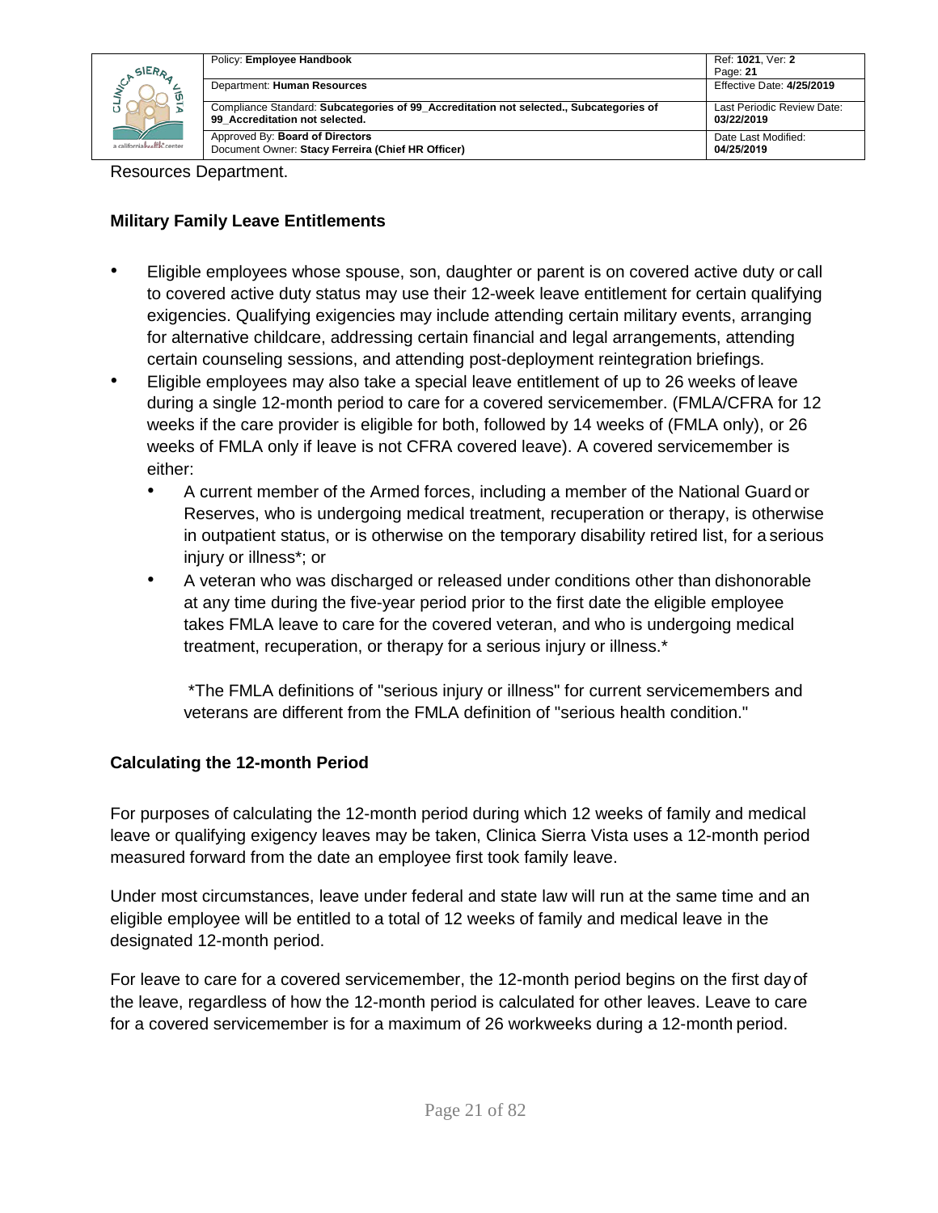| SIERA<br>a californiahealth, center | Policy: Employee Handbook                                                                                                | Ref: 1021, Ver: 2<br>Page: 21            |
|-------------------------------------|--------------------------------------------------------------------------------------------------------------------------|------------------------------------------|
|                                     | Department: Human Resources                                                                                              | Effective Date: 4/25/2019                |
|                                     | Compliance Standard: Subcategories of 99 Accreditation not selected., Subcategories of<br>99 Accreditation not selected. | Last Periodic Review Date:<br>03/22/2019 |
|                                     | Approved By: Board of Directors<br>Document Owner: Stacy Ferreira (Chief HR Officer)                                     | Date Last Modified:<br>04/25/2019        |

Resources Department.

#### **Military Family Leave Entitlements**

- Eligible employees whose spouse, son, daughter or parent is on covered active duty or call to covered active duty status may use their 12-week leave entitlement for certain qualifying exigencies. Qualifying exigencies may include attending certain military events, arranging for alternative childcare, addressing certain financial and legal arrangements, attending certain counseling sessions, and attending post-deployment reintegration briefings.
- Eligible employees may also take a special leave entitlement of up to 26 weeks of leave during a single 12-month period to care for a covered servicemember. (FMLA/CFRA for 12 weeks if the care provider is eligible for both, followed by 14 weeks of (FMLA only), or 26 weeks of FMLA only if leave is not CFRA covered leave). A covered servicemember is either:
	- A current member of the Armed forces, including a member of the National Guard or Reserves, who is undergoing medical treatment, recuperation or therapy, is otherwise in outpatient status, or is otherwise on the temporary disability retired list, for a serious injury or illness\*; or
	- A veteran who was discharged or released under conditions other than dishonorable at any time during the five-year period prior to the first date the eligible employee takes FMLA leave to care for the covered veteran, and who is undergoing medical treatment, recuperation, or therapy for a serious injury or illness.\*

\*The FMLA definitions of "serious injury or illness" for current servicemembers and veterans are different from the FMLA definition of "serious health condition."

### **Calculating the 12-month Period**

For purposes of calculating the 12-month period during which 12 weeks of family and medical leave or qualifying exigency leaves may be taken, Clinica Sierra Vista uses a 12-month period measured forward from the date an employee first took family leave.

Under most circumstances, leave under federal and state law will run at the same time and an eligible employee will be entitled to a total of 12 weeks of family and medical leave in the designated 12-month period.

For leave to care for a covered servicemember, the 12-month period begins on the first day of the leave, regardless of how the 12-month period is calculated for other leaves. Leave to care for a covered servicemember is for a maximum of 26 workweeks during a 12-month period.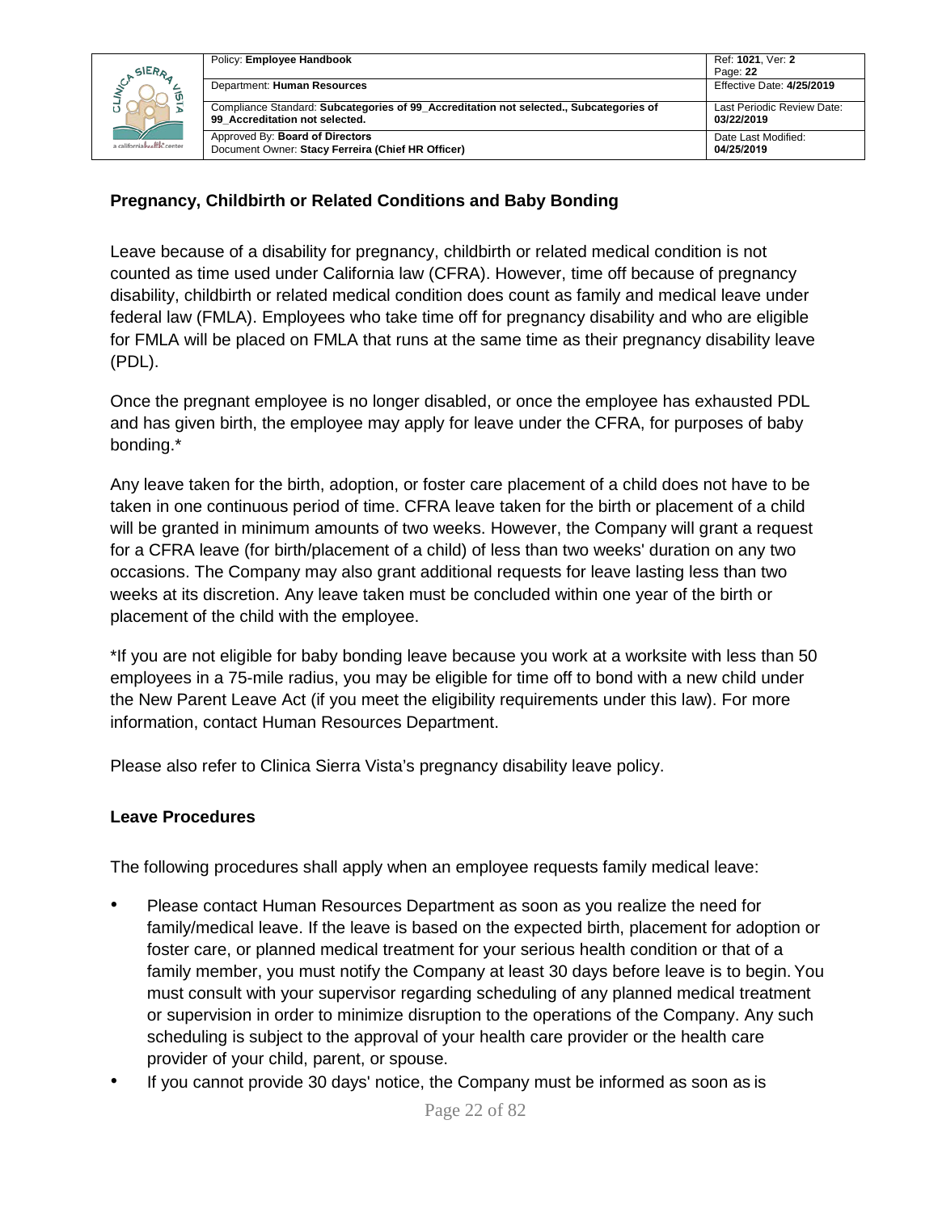

### **Pregnancy, Childbirth or Related Conditions and Baby Bonding**

Leave because of a disability for pregnancy, childbirth or related medical condition is not counted as time used under California law (CFRA). However, time off because of pregnancy disability, childbirth or related medical condition does count as family and medical leave under federal law (FMLA). Employees who take time off for pregnancy disability and who are eligible for FMLA will be placed on FMLA that runs at the same time as their pregnancy disability leave (PDL).

Once the pregnant employee is no longer disabled, or once the employee has exhausted PDL and has given birth, the employee may apply for leave under the CFRA, for purposes of baby bonding.\*

Any leave taken for the birth, adoption, or foster care placement of a child does not have to be taken in one continuous period of time. CFRA leave taken for the birth or placement of a child will be granted in minimum amounts of two weeks. However, the Company will grant a request for a CFRA leave (for birth/placement of a child) of less than two weeks' duration on any two occasions. The Company may also grant additional requests for leave lasting less than two weeks at its discretion. Any leave taken must be concluded within one year of the birth or placement of the child with the employee.

\*If you are not eligible for baby bonding leave because you work at a worksite with less than 50 employees in a 75-mile radius, you may be eligible for time off to bond with a new child under the New Parent Leave Act (if you meet the eligibility requirements under this law). For more information, contact Human Resources Department.

Please also refer to Clinica Sierra Vista's pregnancy disability leave policy.

#### **Leave Procedures**

The following procedures shall apply when an employee requests family medical leave:

- Please contact Human Resources Department as soon as you realize the need for family/medical leave. If the leave is based on the expected birth, placement for adoption or foster care, or planned medical treatment for your serious health condition or that of a family member, you must notify the Company at least 30 days before leave is to begin. You must consult with your supervisor regarding scheduling of any planned medical treatment or supervision in order to minimize disruption to the operations of the Company. Any such scheduling is subject to the approval of your health care provider or the health care provider of your child, parent, or spouse.
- If you cannot provide 30 days' notice, the Company must be informed as soon as is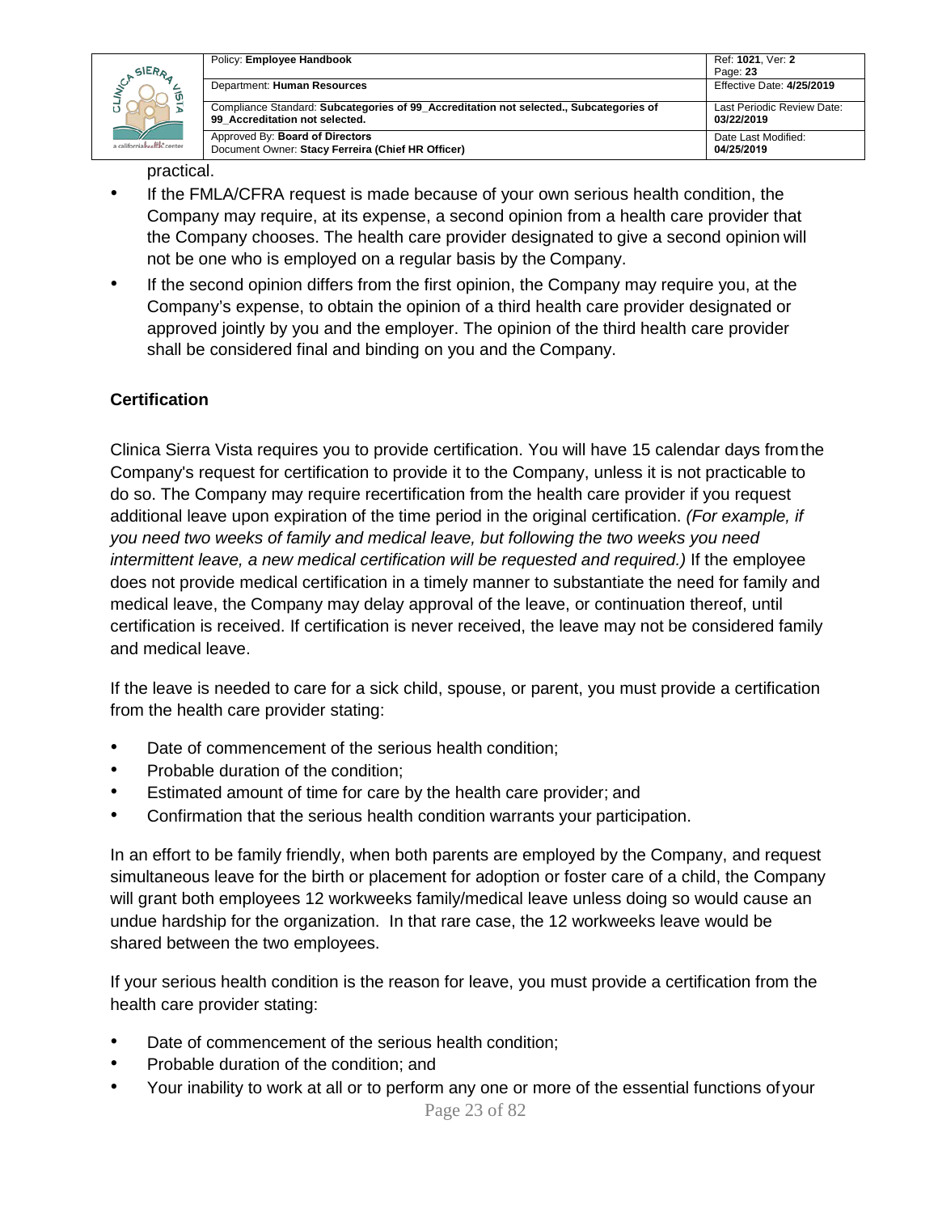

| Policy: Employee Handbook                                                              | Ref: 1021, Ver: 2<br>Page: 23 |
|----------------------------------------------------------------------------------------|-------------------------------|
| Department: Human Resources                                                            | Effective Date: 4/25/2019     |
| Compliance Standard: Subcategories of 99 Accreditation not selected., Subcategories of | Last Periodic Review Date:    |
| 99 Accreditation not selected.                                                         | 03/22/2019                    |
| Approved By: Board of Directors                                                        | Date Last Modified:           |
| Document Owner: Stacy Ferreira (Chief HR Officer)                                      | 04/25/2019                    |

practical.

- If the FMLA/CFRA request is made because of your own serious health condition, the Company may require, at its expense, a second opinion from a health care provider that the Company chooses. The health care provider designated to give a second opinion will not be one who is employed on a regular basis by the Company.
- If the second opinion differs from the first opinion, the Company may require you, at the Company's expense, to obtain the opinion of a third health care provider designated or approved jointly by you and the employer. The opinion of the third health care provider shall be considered final and binding on you and the Company.

### **Certification**

Clinica Sierra Vista requires you to provide certification. You will have 15 calendar days fromthe Company's request for certification to provide it to the Company, unless it is not practicable to do so. The Company may require recertification from the health care provider if you request additional leave upon expiration of the time period in the original certification. *(For example, if you need two weeks of family and medical leave, but following the two weeks you need intermittent leave, a new medical certification will be requested and required.)* If the employee does not provide medical certification in a timely manner to substantiate the need for family and medical leave, the Company may delay approval of the leave, or continuation thereof, until certification is received. If certification is never received, the leave may not be considered family and medical leave.

If the leave is needed to care for a sick child, spouse, or parent, you must provide a certification from the health care provider stating:

- Date of commencement of the serious health condition;
- Probable duration of the condition;
- Estimated amount of time for care by the health care provider; and
- Confirmation that the serious health condition warrants your participation.

In an effort to be family friendly, when both parents are employed by the Company, and request simultaneous leave for the birth or placement for adoption or foster care of a child, the Company will grant both employees 12 workweeks family/medical leave unless doing so would cause an undue hardship for the organization. In that rare case, the 12 workweeks leave would be shared between the two employees.

If your serious health condition is the reason for leave, you must provide a certification from the health care provider stating:

- Date of commencement of the serious health condition;
- Probable duration of the condition; and
- Your inability to work at all or to perform any one or more of the essential functions of your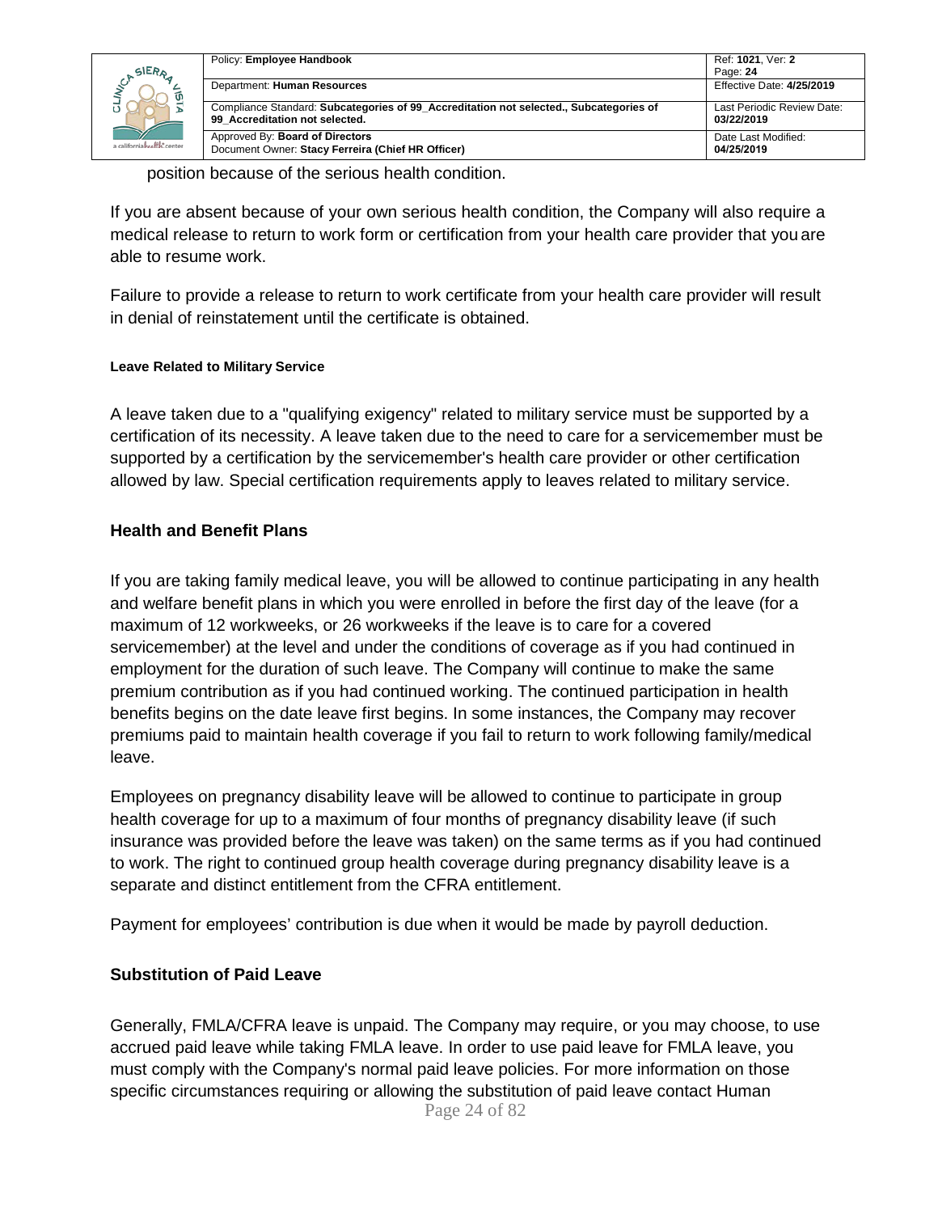|                                           | Policy: Employee Handbook                                                                                                | Ref: 1021, Ver: 2                        |
|-------------------------------------------|--------------------------------------------------------------------------------------------------------------------------|------------------------------------------|
| SIERA<br>ັທ<br>a californiahealth, center |                                                                                                                          | Page: 24                                 |
|                                           | Department: Human Resources                                                                                              | Effective Date: 4/25/2019                |
|                                           | Compliance Standard: Subcategories of 99_Accreditation not selected., Subcategories of<br>99 Accreditation not selected. | Last Periodic Review Date:<br>03/22/2019 |
|                                           | Approved By: Board of Directors<br>Document Owner: Stacy Ferreira (Chief HR Officer)                                     | Date Last Modified:<br>04/25/2019        |

position because of the serious health condition.

If you are absent because of your own serious health condition, the Company will also require a medical release to return to work form or certification from your health care provider that you are able to resume work.

Failure to provide a release to return to work certificate from your health care provider will result in denial of reinstatement until the certificate is obtained.

#### **Leave Related to Military Service**

A leave taken due to a "qualifying exigency" related to military service must be supported by a certification of its necessity. A leave taken due to the need to care for a servicemember must be supported by a certification by the servicemember's health care provider or other certification allowed by law. Special certification requirements apply to leaves related to military service.

#### **Health and Benefit Plans**

If you are taking family medical leave, you will be allowed to continue participating in any health and welfare benefit plans in which you were enrolled in before the first day of the leave (for a maximum of 12 workweeks, or 26 workweeks if the leave is to care for a covered servicemember) at the level and under the conditions of coverage as if you had continued in employment for the duration of such leave. The Company will continue to make the same premium contribution as if you had continued working. The continued participation in health benefits begins on the date leave first begins. In some instances, the Company may recover premiums paid to maintain health coverage if you fail to return to work following family/medical leave.

Employees on pregnancy disability leave will be allowed to continue to participate in group health coverage for up to a maximum of four months of pregnancy disability leave (if such insurance was provided before the leave was taken) on the same terms as if you had continued to work. The right to continued group health coverage during pregnancy disability leave is a separate and distinct entitlement from the CFRA entitlement.

Payment for employees' contribution is due when it would be made by payroll deduction.

#### **Substitution of Paid Leave**

Page 24 of 82 Generally, FMLA/CFRA leave is unpaid. The Company may require, or you may choose, to use accrued paid leave while taking FMLA leave. In order to use paid leave for FMLA leave, you must comply with the Company's normal paid leave policies. For more information on those specific circumstances requiring or allowing the substitution of paid leave contact Human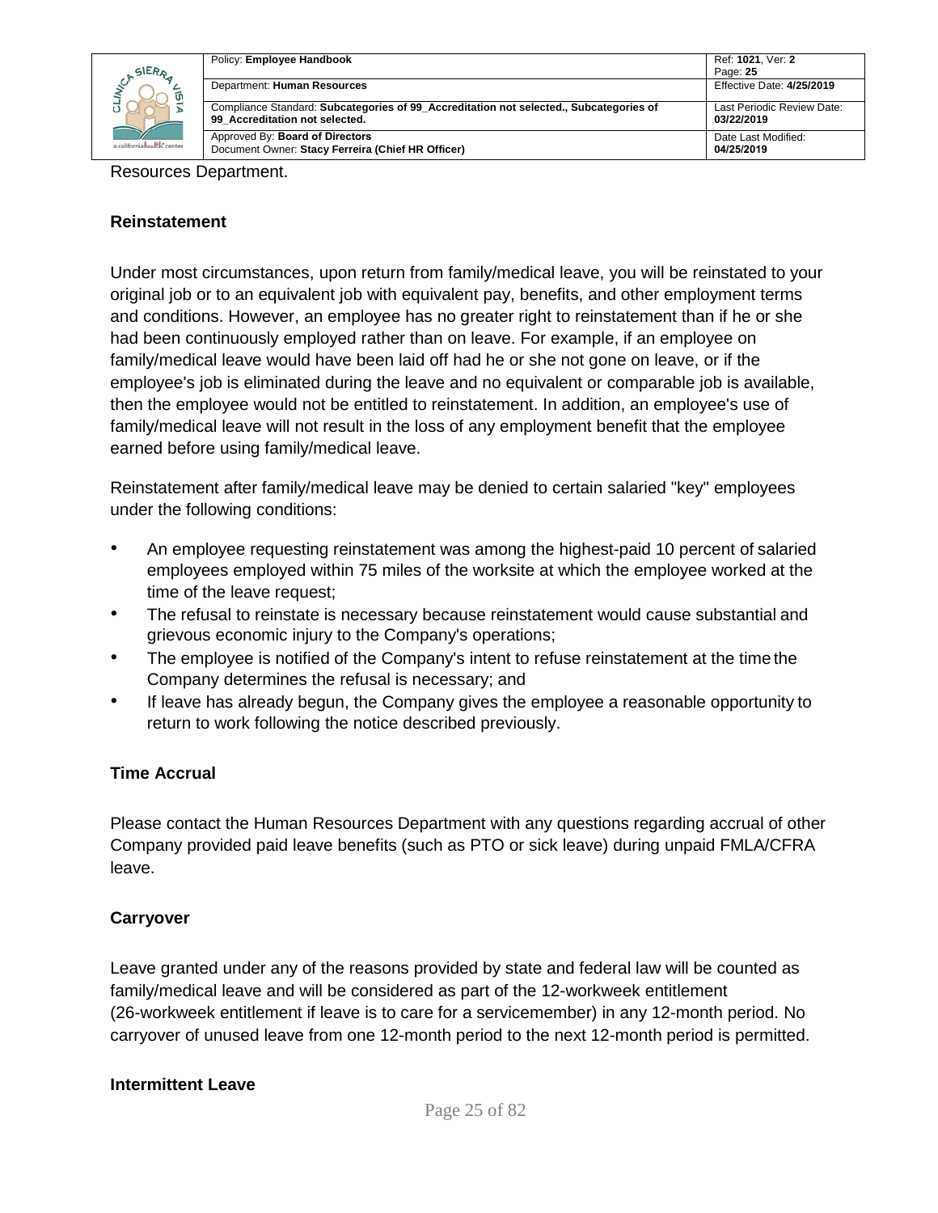|                            | Policy: Employee Handbook                                                                                                | Ref: 1021, Ver: 2                        |
|----------------------------|--------------------------------------------------------------------------------------------------------------------------|------------------------------------------|
| SIERA                      |                                                                                                                          | Page: 25                                 |
| ັທ                         | Department: Human Resources                                                                                              | Effective Date: 4/25/2019                |
|                            | Compliance Standard: Subcategories of 99 Accreditation not selected., Subcategories of<br>99 Accreditation not selected. | Last Periodic Review Date:<br>03/22/2019 |
| a californiahealth, center | Approved By: Board of Directors<br>Document Owner: Stacy Ferreira (Chief HR Officer)                                     | Date Last Modified:<br>04/25/2019        |

Resources Department.

#### **Reinstatement**

Under most circumstances, upon return from family/medical leave, you will be reinstated to your original job or to an equivalent job with equivalent pay, benefits, and other employment terms and conditions. However, an employee has no greater right to reinstatement than if he or she had been continuously employed rather than on leave. For example, if an employee on family/medical leave would have been laid off had he or she not gone on leave, or if the employee's job is eliminated during the leave and no equivalent or comparable job is available, then the employee would not be entitled to reinstatement. In addition, an employee's use of family/medical leave will not result in the loss of any employment benefit that the employee earned before using family/medical leave.

Reinstatement after family/medical leave may be denied to certain salaried "key" employees under the following conditions:

- An employee requesting reinstatement was among the highest-paid 10 percent of salaried employees employed within 75 miles of the worksite at which the employee worked at the time of the leave request;
- The refusal to reinstate is necessary because reinstatement would cause substantial and grievous economic injury to the Company's operations;
- The employee is notified of the Company's intent to refuse reinstatement at the time the Company determines the refusal is necessary; and
- If leave has already begun, the Company gives the employee a reasonable opportunity to return to work following the notice described previously.

### **Time Accrual**

Please contact the Human Resources Department with any questions regarding accrual of other Company provided paid leave benefits (such as PTO or sick leave) during unpaid FMLA/CFRA leave.

#### **Carryover**

Leave granted under any of the reasons provided by state and federal law will be counted as family/medical leave and will be considered as part of the 12-workweek entitlement (26-workweek entitlement if leave is to care for a servicemember) in any 12-month period. No carryover of unused leave from one 12-month period to the next 12-month period is permitted.

#### **Intermittent Leave**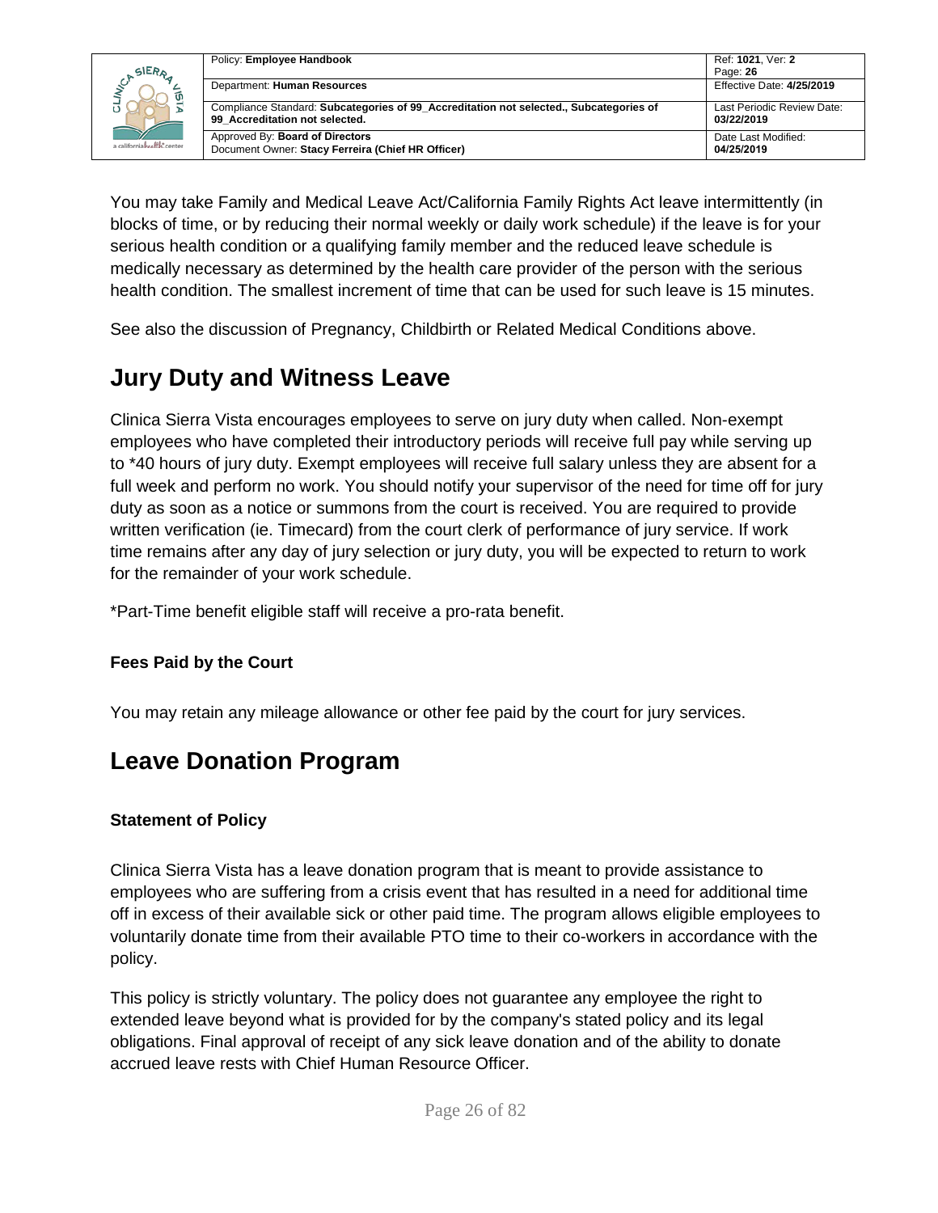| SIERA                      | Policy: Employee Handbook                                                                                                | Ref: 1021, Ver: 2<br>Page: 26            |
|----------------------------|--------------------------------------------------------------------------------------------------------------------------|------------------------------------------|
| a californiahealth, center | Department: Human Resources                                                                                              | Effective Date: 4/25/2019                |
|                            | Compliance Standard: Subcategories of 99 Accreditation not selected., Subcategories of<br>99 Accreditation not selected. | Last Periodic Review Date:<br>03/22/2019 |
|                            | Approved By: Board of Directors<br>Document Owner: Stacy Ferreira (Chief HR Officer)                                     | Date Last Modified:<br>04/25/2019        |

You may take Family and Medical Leave Act/California Family Rights Act leave intermittently (in blocks of time, or by reducing their normal weekly or daily work schedule) if the leave is for your serious health condition or a qualifying family member and the reduced leave schedule is medically necessary as determined by the health care provider of the person with the serious health condition. The smallest increment of time that can be used for such leave is 15 minutes.

See also the discussion of Pregnancy, Childbirth or Related Medical Conditions above.

## <span id="page-25-0"></span>**Jury Duty and Witness Leave**

Clinica Sierra Vista encourages employees to serve on jury duty when called. Non-exempt employees who have completed their introductory periods will receive full pay while serving up to \*40 hours of jury duty. Exempt employees will receive full salary unless they are absent for a full week and perform no work. You should notify your supervisor of the need for time off for jury duty as soon as a notice or summons from the court is received. You are required to provide written verification (ie. Timecard) from the court clerk of performance of jury service. If work time remains after any day of jury selection or jury duty, you will be expected to return to work for the remainder of your work schedule.

\*Part-Time benefit eligible staff will receive a pro-rata benefit.

### **Fees Paid by the Court**

You may retain any mileage allowance or other fee paid by the court for jury services.

### <span id="page-25-1"></span>**Leave Donation Program**

### **Statement of Policy**

Clinica Sierra Vista has a leave donation program that is meant to provide assistance to employees who are suffering from a crisis event that has resulted in a need for additional time off in excess of their available sick or other paid time. The program allows eligible employees to voluntarily donate time from their available PTO time to their co-workers in accordance with the policy.

This policy is strictly voluntary. The policy does not guarantee any employee the right to extended leave beyond what is provided for by the company's stated policy and its legal obligations. Final approval of receipt of any sick leave donation and of the ability to donate accrued leave rests with Chief Human Resource Officer.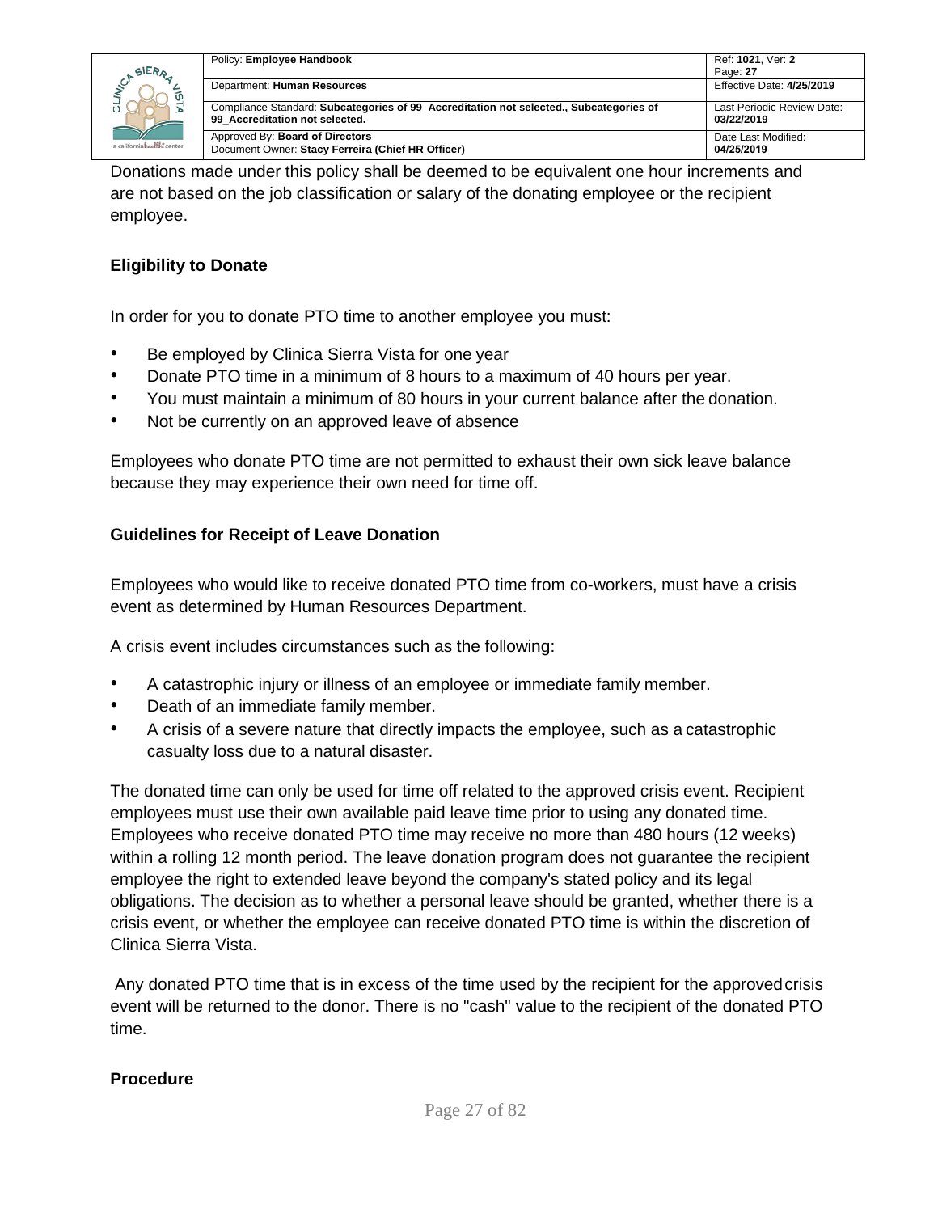

|  | Policy: Employee Handbook                                                                                                | Ref: 1021, Ver: 2                        |
|--|--------------------------------------------------------------------------------------------------------------------------|------------------------------------------|
|  |                                                                                                                          | Page: 27                                 |
|  | Department: Human Resources                                                                                              | Effective Date: 4/25/2019                |
|  | Compliance Standard: Subcategories of 99 Accreditation not selected., Subcategories of<br>99 Accreditation not selected. | Last Periodic Review Date:<br>03/22/2019 |
|  | Approved By: Board of Directors<br>Document Owner: Stacy Ferreira (Chief HR Officer)                                     | Date Last Modified:<br>04/25/2019        |

Donations made under this policy shall be deemed to be equivalent one hour increments and are not based on the job classification or salary of the donating employee or the recipient employee.

### **Eligibility to Donate**

In order for you to donate PTO time to another employee you must:

- Be employed by Clinica Sierra Vista for one year
- Donate PTO time in a minimum of 8 hours to a maximum of 40 hours per year.
- You must maintain a minimum of 80 hours in your current balance after the donation.
- Not be currently on an approved leave of absence

Employees who donate PTO time are not permitted to exhaust their own sick leave balance because they may experience their own need for time off.

### **Guidelines for Receipt of Leave Donation**

Employees who would like to receive donated PTO time from co-workers, must have a crisis event as determined by Human Resources Department.

A crisis event includes circumstances such as the following:

- A catastrophic injury or illness of an employee or immediate family member.
- Death of an immediate family member.
- A crisis of a severe nature that directly impacts the employee, such as a catastrophic casualty loss due to a natural disaster.

The donated time can only be used for time off related to the approved crisis event. Recipient employees must use their own available paid leave time prior to using any donated time. Employees who receive donated PTO time may receive no more than 480 hours (12 weeks) within a rolling 12 month period. The leave donation program does not guarantee the recipient employee the right to extended leave beyond the company's stated policy and its legal obligations. The decision as to whether a personal leave should be granted, whether there is a crisis event, or whether the employee can receive donated PTO time is within the discretion of Clinica Sierra Vista.

Any donated PTO time that is in excess of the time used by the recipient for the approved crisis event will be returned to the donor. There is no "cash" value to the recipient of the donated PTO time.

### **Procedure**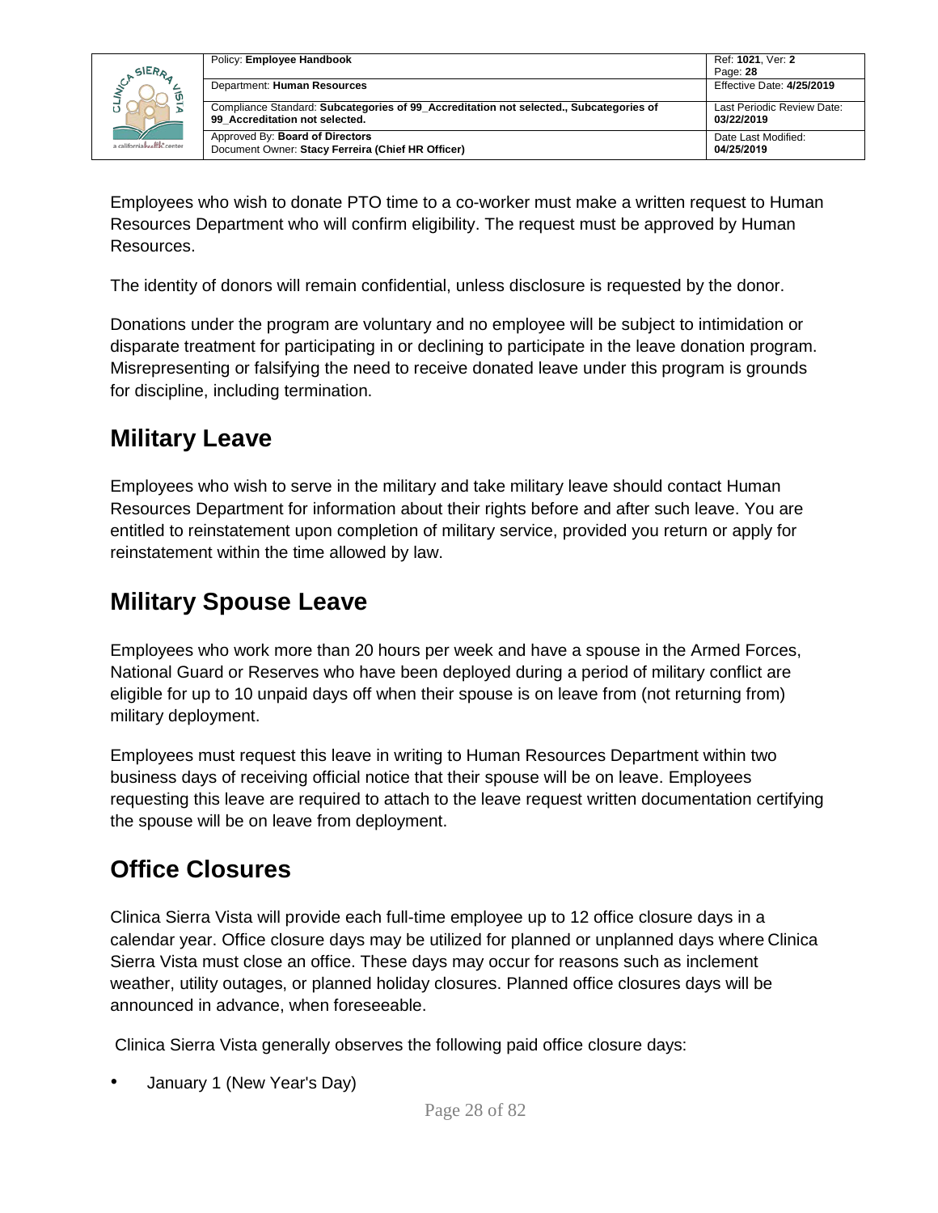

| Policy: Employee Handbook                                                              | Ref: 1021, Ver: 2<br>Page: 28 |
|----------------------------------------------------------------------------------------|-------------------------------|
| Department: Human Resources                                                            | Effective Date: 4/25/2019     |
| Compliance Standard: Subcategories of 99 Accreditation not selected., Subcategories of | Last Periodic Review Date:    |
| 99 Accreditation not selected.                                                         | 03/22/2019                    |
| Approved By: Board of Directors                                                        | Date Last Modified:           |
| Document Owner: Stacy Ferreira (Chief HR Officer)                                      | 04/25/2019                    |

Employees who wish to donate PTO time to a co-worker must make a written request to Human Resources Department who will confirm eligibility. The request must be approved by Human Resources.

The identity of donors will remain confidential, unless disclosure is requested by the donor.

Donations under the program are voluntary and no employee will be subject to intimidation or disparate treatment for participating in or declining to participate in the leave donation program. Misrepresenting or falsifying the need to receive donated leave under this program is grounds for discipline, including termination.

## <span id="page-27-0"></span>**Military Leave**

Employees who wish to serve in the military and take military leave should contact Human Resources Department for information about their rights before and after such leave. You are entitled to reinstatement upon completion of military service, provided you return or apply for reinstatement within the time allowed by law.

# <span id="page-27-1"></span>**Military Spouse Leave**

Employees who work more than 20 hours per week and have a spouse in the Armed Forces, National Guard or Reserves who have been deployed during a period of military conflict are eligible for up to 10 unpaid days off when their spouse is on leave from (not returning from) military deployment.

Employees must request this leave in writing to Human Resources Department within two business days of receiving official notice that their spouse will be on leave. Employees requesting this leave are required to attach to the leave request written documentation certifying the spouse will be on leave from deployment.

## <span id="page-27-2"></span>**Office Closures**

Clinica Sierra Vista will provide each full-time employee up to 12 office closure days in a calendar year. Office closure days may be utilized for planned or unplanned days where Clinica Sierra Vista must close an office. These days may occur for reasons such as inclement weather, utility outages, or planned holiday closures. Planned office closures days will be announced in advance, when foreseeable.

Clinica Sierra Vista generally observes the following paid office closure days:

• January 1 (New Year's Day)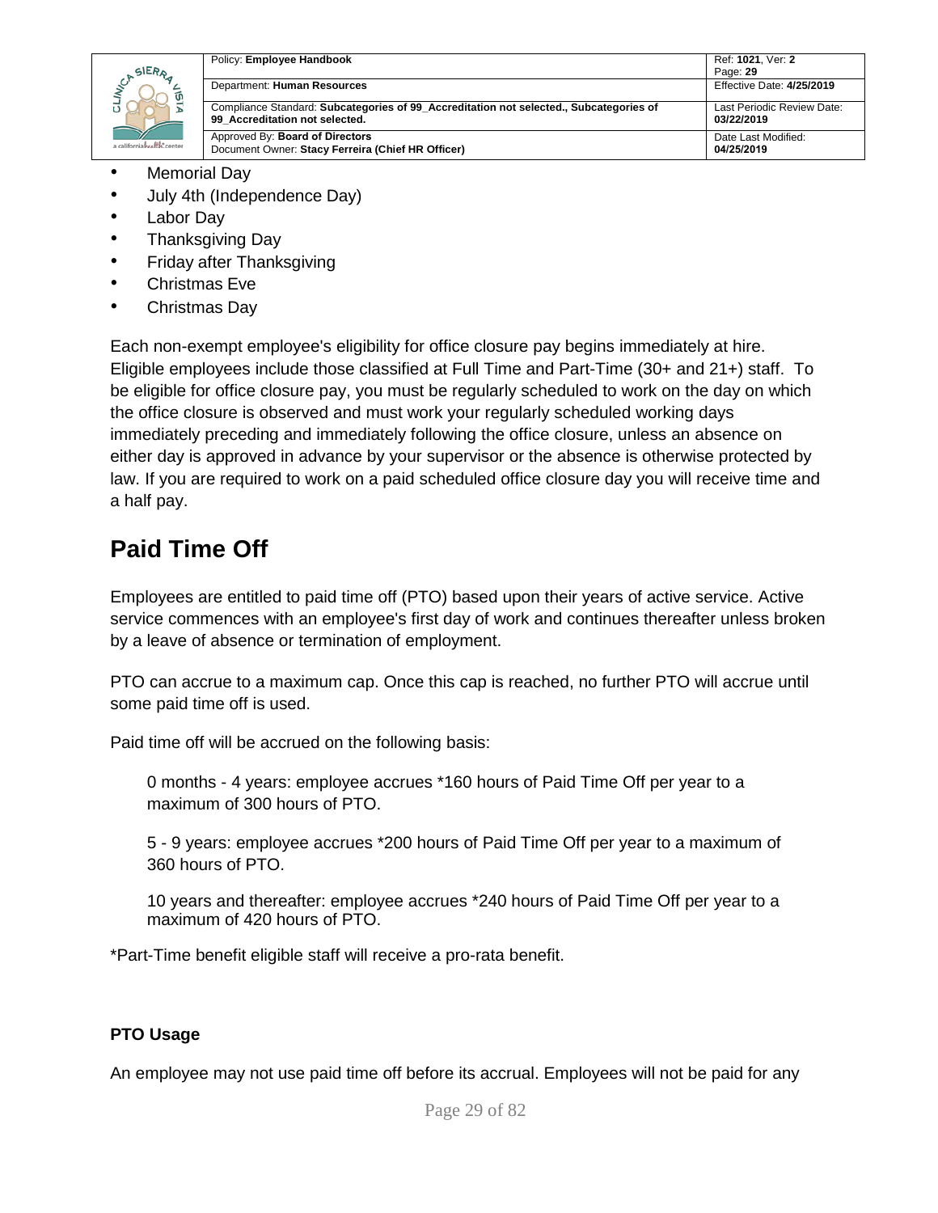| SIERA                      | Policy: Employee Handbook                                                                                                | Ref: 1021, Ver: 2<br>Page: 29            |
|----------------------------|--------------------------------------------------------------------------------------------------------------------------|------------------------------------------|
|                            | Department: Human Resources                                                                                              | Effective Date: 4/25/2019                |
|                            | Compliance Standard: Subcategories of 99_Accreditation not selected., Subcategories of<br>99 Accreditation not selected. | Last Periodic Review Date:<br>03/22/2019 |
| a californiahealth, center | Approved By: Board of Directors<br>Document Owner: Stacy Ferreira (Chief HR Officer)                                     | Date Last Modified:<br>04/25/2019        |

- Memorial Day
- July 4th (Independence Day)
- Labor Day
- Thanksgiving Day
- Friday after Thanksgiving
- Christmas Eve
- Christmas Day

Each non-exempt employee's eligibility for office closure pay begins immediately at hire. Eligible employees include those classified at Full Time and Part-Time (30+ and 21+) staff. To be eligible for office closure pay, you must be regularly scheduled to work on the day on which the office closure is observed and must work your regularly scheduled working days immediately preceding and immediately following the office closure, unless an absence on either day is approved in advance by your supervisor or the absence is otherwise protected by law. If you are required to work on a paid scheduled office closure day you will receive time and a half pay.

## <span id="page-28-0"></span>**Paid Time Off**

Employees are entitled to paid time off (PTO) based upon their years of active service. Active service commences with an employee's first day of work and continues thereafter unless broken by a leave of absence or termination of employment.

PTO can accrue to a maximum cap. Once this cap is reached, no further PTO will accrue until some paid time off is used.

Paid time off will be accrued on the following basis:

0 months - 4 years: employee accrues \*160 hours of Paid Time Off per year to a maximum of 300 hours of PTO.

5 - 9 years: employee accrues \*200 hours of Paid Time Off per year to a maximum of 360 hours of PTO.

10 years and thereafter: employee accrues \*240 hours of Paid Time Off per year to a maximum of 420 hours of PTO.

\*Part-Time benefit eligible staff will receive a pro-rata benefit.

### **PTO Usage**

An employee may not use paid time off before its accrual. Employees will not be paid for any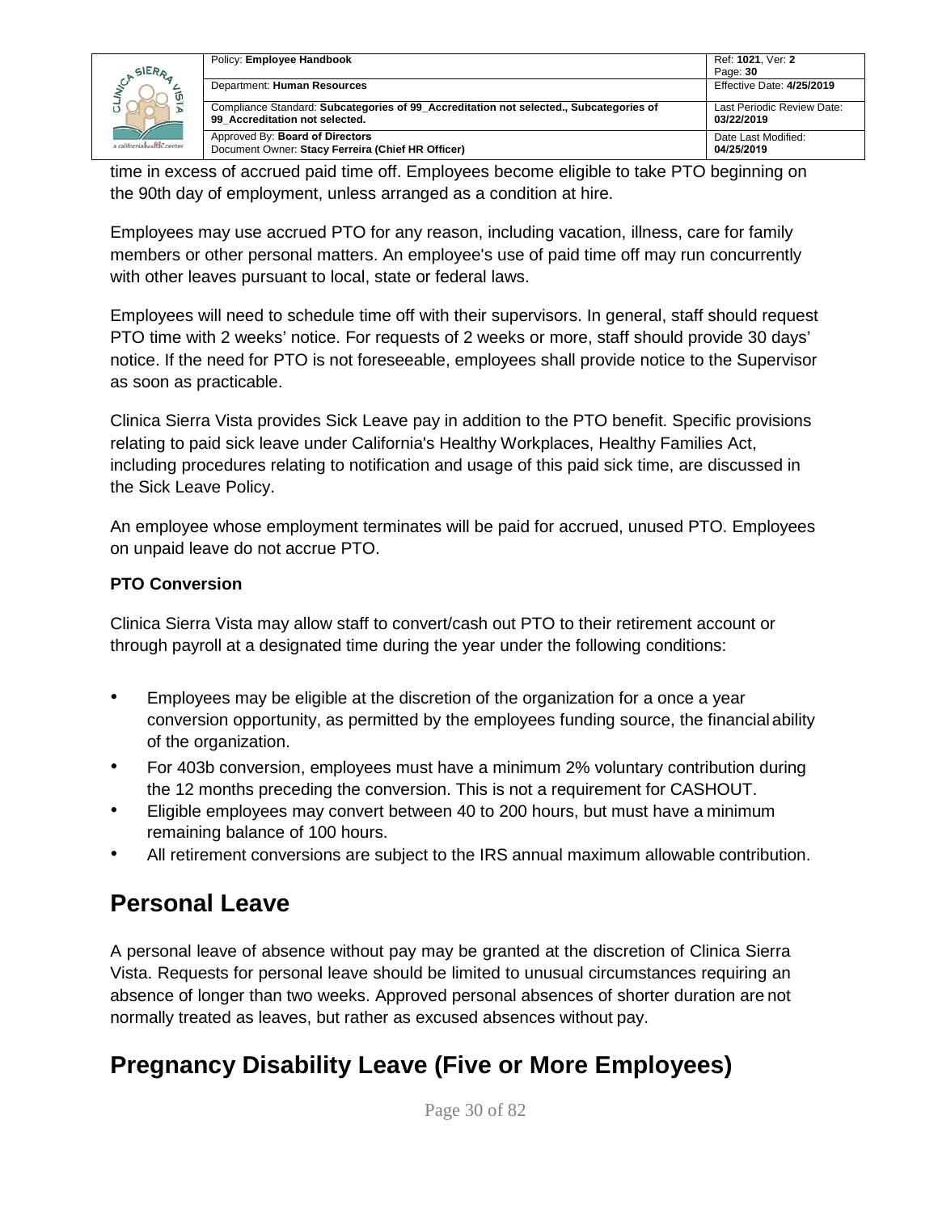| SIERA                      | Policy: Employee Handbook                                                                                                | Ref: 1021. Ver: 2<br>Page: 30            |
|----------------------------|--------------------------------------------------------------------------------------------------------------------------|------------------------------------------|
|                            | Department: Human Resources                                                                                              | Effective Date: 4/25/2019                |
|                            | Compliance Standard: Subcategories of 99 Accreditation not selected., Subcategories of<br>99 Accreditation not selected. | Last Periodic Review Date:<br>03/22/2019 |
| a californiahealth, center | Approved By: Board of Directors<br>Document Owner: Stacy Ferreira (Chief HR Officer)                                     | Date Last Modified:<br>04/25/2019        |

time in excess of accrued paid time off. Employees become eligible to take PTO beginning on the 90th day of employment, unless arranged as a condition at hire.

Employees may use accrued PTO for any reason, including vacation, illness, care for family members or other personal matters. An employee's use of paid time off may run concurrently with other leaves pursuant to local, state or federal laws.

Employees will need to schedule time off with their supervisors. In general, staff should request PTO time with 2 weeks' notice. For requests of 2 weeks or more, staff should provide 30 days' notice. If the need for PTO is not foreseeable, employees shall provide notice to the Supervisor as soon as practicable.

Clinica Sierra Vista provides Sick Leave pay in addition to the PTO benefit. Specific provisions relating to paid sick leave under California's Healthy Workplaces, Healthy Families Act, including procedures relating to notification and usage of this paid sick time, are discussed in the Sick Leave Policy.

An employee whose employment terminates will be paid for accrued, unused PTO. Employees on unpaid leave do not accrue PTO.

### **PTO Conversion**

Clinica Sierra Vista may allow staff to convert/cash out PTO to their retirement account or through payroll at a designated time during the year under the following conditions:

- Employees may be eligible at the discretion of the organization for a once a year conversion opportunity, as permitted by the employees funding source, the financial ability of the organization.
- For 403b conversion, employees must have a minimum 2% voluntary contribution during the 12 months preceding the conversion. This is not a requirement for CASHOUT.
- Eligible employees may convert between 40 to 200 hours, but must have a minimum remaining balance of 100 hours.
- All retirement conversions are subject to the IRS annual maximum allowable contribution.

# <span id="page-29-0"></span>**Personal Leave**

A personal leave of absence without pay may be granted at the discretion of Clinica Sierra Vista. Requests for personal leave should be limited to unusual circumstances requiring an absence of longer than two weeks. Approved personal absences of shorter duration are not normally treated as leaves, but rather as excused absences without pay.

# <span id="page-29-1"></span>**Pregnancy Disability Leave (Five or More Employees)**

Page 30 of 82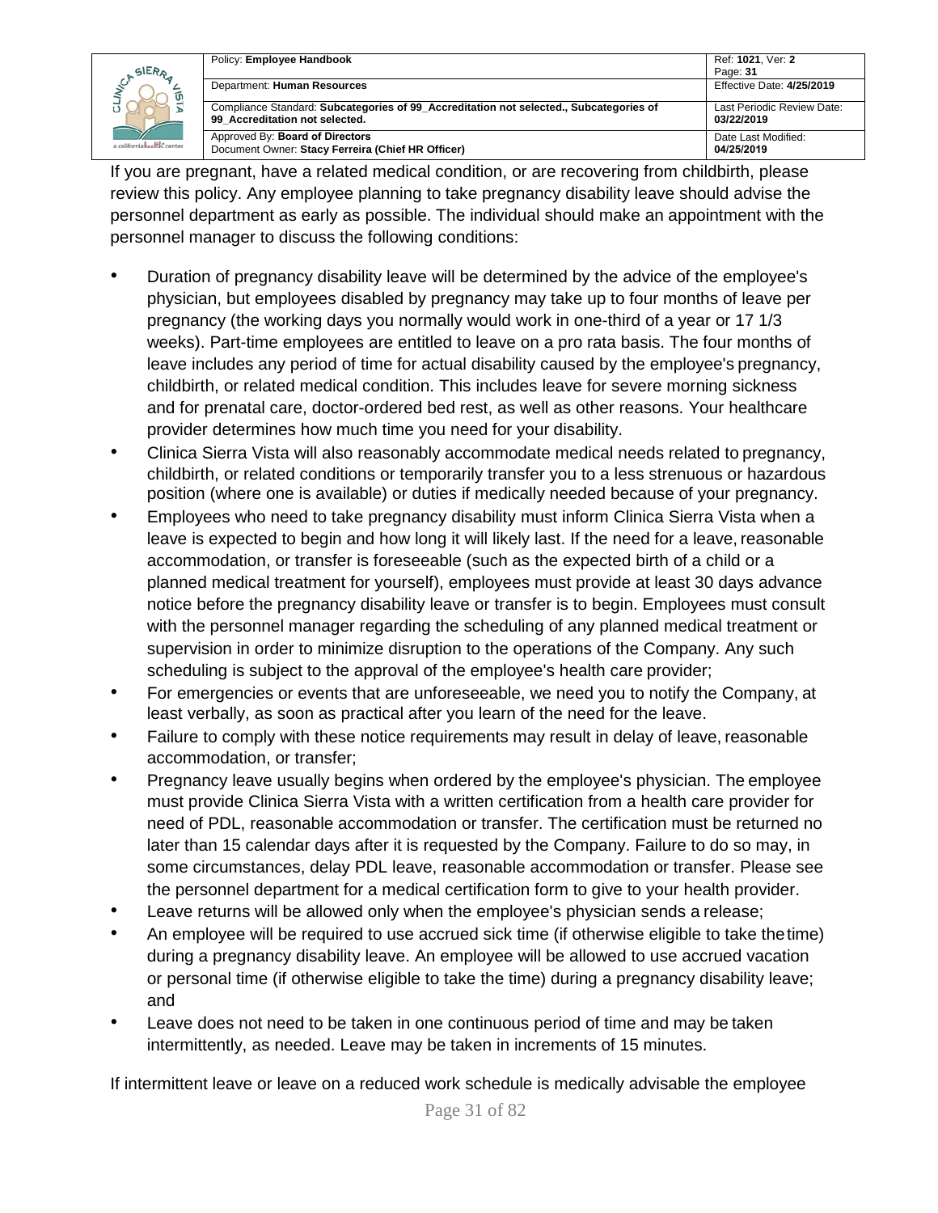|                            | Policy: Employee Handbook                                                                                                | Ref: 1021. Ver: 2                        |
|----------------------------|--------------------------------------------------------------------------------------------------------------------------|------------------------------------------|
| SIERA                      |                                                                                                                          | Page: 31                                 |
|                            | Department: Human Resources                                                                                              | Effective Date: 4/25/2019                |
|                            | Compliance Standard: Subcategories of 99 Accreditation not selected., Subcategories of<br>99 Accreditation not selected. | Last Periodic Review Date:<br>03/22/2019 |
| a californiahealth, center | Approved By: Board of Directors<br>Document Owner: Stacy Ferreira (Chief HR Officer)                                     | Date Last Modified:<br>04/25/2019        |

If you are pregnant, have a related medical condition, or are recovering from childbirth, please review this policy. Any employee planning to take pregnancy disability leave should advise the personnel department as early as possible. The individual should make an appointment with the personnel manager to discuss the following conditions:

- Duration of pregnancy disability leave will be determined by the advice of the employee's physician, but employees disabled by pregnancy may take up to four months of leave per pregnancy (the working days you normally would work in one-third of a year or 17 1/3 weeks). Part-time employees are entitled to leave on a pro rata basis. The four months of leave includes any period of time for actual disability caused by the employee's pregnancy, childbirth, or related medical condition. This includes leave for severe morning sickness and for prenatal care, doctor-ordered bed rest, as well as other reasons. Your healthcare provider determines how much time you need for your disability.
- Clinica Sierra Vista will also reasonably accommodate medical needs related to pregnancy, childbirth, or related conditions or temporarily transfer you to a less strenuous or hazardous position (where one is available) or duties if medically needed because of your pregnancy.
- Employees who need to take pregnancy disability must inform Clinica Sierra Vista when a leave is expected to begin and how long it will likely last. If the need for a leave, reasonable accommodation, or transfer is foreseeable (such as the expected birth of a child or a planned medical treatment for yourself), employees must provide at least 30 days advance notice before the pregnancy disability leave or transfer is to begin. Employees must consult with the personnel manager regarding the scheduling of any planned medical treatment or supervision in order to minimize disruption to the operations of the Company. Any such scheduling is subject to the approval of the employee's health care provider;
- For emergencies or events that are unforeseeable, we need you to notify the Company, at least verbally, as soon as practical after you learn of the need for the leave.
- Failure to comply with these notice requirements may result in delay of leave, reasonable accommodation, or transfer;
- Pregnancy leave usually begins when ordered by the employee's physician. The employee must provide Clinica Sierra Vista with a written certification from a health care provider for need of PDL, reasonable accommodation or transfer. The certification must be returned no later than 15 calendar days after it is requested by the Company. Failure to do so may, in some circumstances, delay PDL leave, reasonable accommodation or transfer. Please see the personnel department for a medical certification form to give to your health provider.
- Leave returns will be allowed only when the employee's physician sends a release;
- An employee will be required to use accrued sick time (if otherwise eligible to take thetime) during a pregnancy disability leave. An employee will be allowed to use accrued vacation or personal time (if otherwise eligible to take the time) during a pregnancy disability leave; and
- Leave does not need to be taken in one continuous period of time and may be taken intermittently, as needed. Leave may be taken in increments of 15 minutes.

If intermittent leave or leave on a reduced work schedule is medically advisable the employee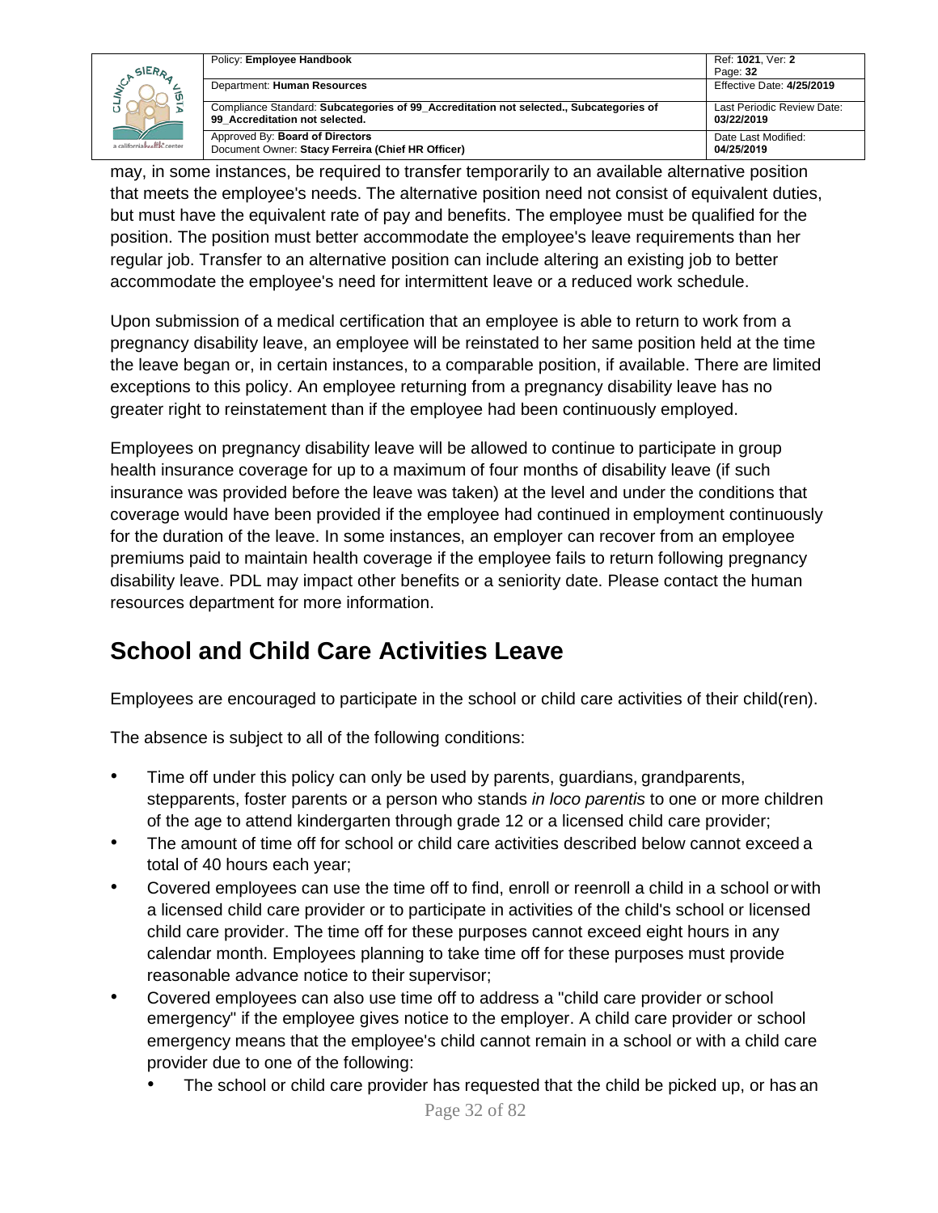|                            | Policy: Employee Handbook                                                                                                | Ref: 1021. Ver: 2                        |
|----------------------------|--------------------------------------------------------------------------------------------------------------------------|------------------------------------------|
| SIERA                      |                                                                                                                          | Page: 32                                 |
|                            | Department: Human Resources                                                                                              | Effective Date: 4/25/2019                |
|                            | Compliance Standard: Subcategories of 99 Accreditation not selected., Subcategories of<br>99 Accreditation not selected. | Last Periodic Review Date:<br>03/22/2019 |
| a californiahealth, center | Approved By: Board of Directors<br>Document Owner: Stacy Ferreira (Chief HR Officer)                                     | Date Last Modified:<br>04/25/2019        |

may, in some instances, be required to transfer temporarily to an available alternative position that meets the employee's needs. The alternative position need not consist of equivalent duties, but must have the equivalent rate of pay and benefits. The employee must be qualified for the position. The position must better accommodate the employee's leave requirements than her regular job. Transfer to an alternative position can include altering an existing job to better accommodate the employee's need for intermittent leave or a reduced work schedule.

Upon submission of a medical certification that an employee is able to return to work from a pregnancy disability leave, an employee will be reinstated to her same position held at the time the leave began or, in certain instances, to a comparable position, if available. There are limited exceptions to this policy. An employee returning from a pregnancy disability leave has no greater right to reinstatement than if the employee had been continuously employed.

Employees on pregnancy disability leave will be allowed to continue to participate in group health insurance coverage for up to a maximum of four months of disability leave (if such insurance was provided before the leave was taken) at the level and under the conditions that coverage would have been provided if the employee had continued in employment continuously for the duration of the leave. In some instances, an employer can recover from an employee premiums paid to maintain health coverage if the employee fails to return following pregnancy disability leave. PDL may impact other benefits or a seniority date. Please contact the human resources department for more information.

# <span id="page-31-0"></span>**School and Child Care Activities Leave**

Employees are encouraged to participate in the school or child care activities of their child(ren).

The absence is subject to all of the following conditions:

- Time off under this policy can only be used by parents, guardians, grandparents, stepparents, foster parents or a person who stands *in loco parentis* to one or more children of the age to attend kindergarten through grade 12 or a licensed child care provider;
- The amount of time off for school or child care activities described below cannot exceed a total of 40 hours each year;
- Covered employees can use the time off to find, enroll or reenroll a child in a school or with a licensed child care provider or to participate in activities of the child's school or licensed child care provider. The time off for these purposes cannot exceed eight hours in any calendar month. Employees planning to take time off for these purposes must provide reasonable advance notice to their supervisor;
- Covered employees can also use time off to address a "child care provider or school emergency" if the employee gives notice to the employer. A child care provider or school emergency means that the employee's child cannot remain in a school or with a child care provider due to one of the following:
	- The school or child care provider has requested that the child be picked up, or has an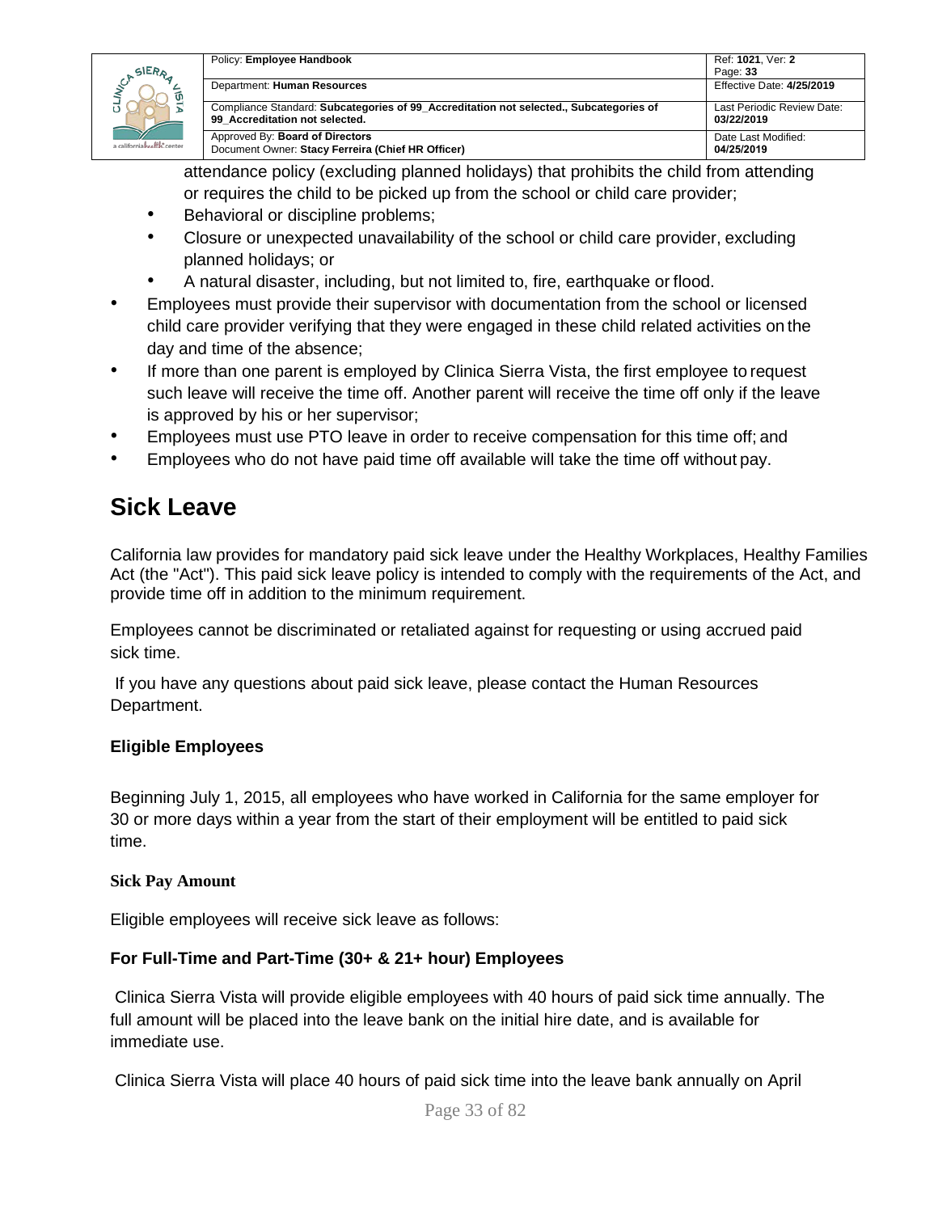

| Policy: Employee Handbook                                                              | Ref: 1021, Ver: 2<br>Page: 33 |
|----------------------------------------------------------------------------------------|-------------------------------|
| Department: Human Resources                                                            | Effective Date: 4/25/2019     |
| Compliance Standard: Subcategories of 99 Accreditation not selected., Subcategories of | Last Periodic Review Date:    |
| 99 Accreditation not selected.                                                         | 03/22/2019                    |
| Approved By: Board of Directors                                                        | Date Last Modified:           |
| Document Owner: Stacy Ferreira (Chief HR Officer)                                      | 04/25/2019                    |

attendance policy (excluding planned holidays) that prohibits the child from attending or requires the child to be picked up from the school or child care provider;

- Behavioral or discipline problems;
- Closure or unexpected unavailability of the school or child care provider, excluding planned holidays; or
- A natural disaster, including, but not limited to, fire, earthquake or flood.
- Employees must provide their supervisor with documentation from the school or licensed child care provider verifying that they were engaged in these child related activities on the day and time of the absence;
- If more than one parent is employed by Clinica Sierra Vista, the first employee to request such leave will receive the time off. Another parent will receive the time off only if the leave is approved by his or her supervisor;
- Employees must use PTO leave in order to receive compensation for this time off; and
- Employees who do not have paid time off available will take the time off without pay.

### <span id="page-32-0"></span>**Sick Leave**

California law provides for mandatory paid sick leave under the Healthy Workplaces, Healthy Families Act (the "Act"). This paid sick leave policy is intended to comply with the requirements of the Act, and provide time off in addition to the minimum requirement.

Employees cannot be discriminated or retaliated against for requesting or using accrued paid sick time.

If you have any questions about paid sick leave, please contact the Human Resources Department.

### **Eligible Employees**

Beginning July 1, 2015, all employees who have worked in California for the same employer for 30 or more days within a year from the start of their employment will be entitled to paid sick time.

### **Sick Pay Amount**

Eligible employees will receive sick leave as follows:

### **For Full-Time and Part-Time (30+ & 21+ hour) Employees**

Clinica Sierra Vista will provide eligible employees with 40 hours of paid sick time annually. The full amount will be placed into the leave bank on the initial hire date, and is available for immediate use.

Clinica Sierra Vista will place 40 hours of paid sick time into the leave bank annually on April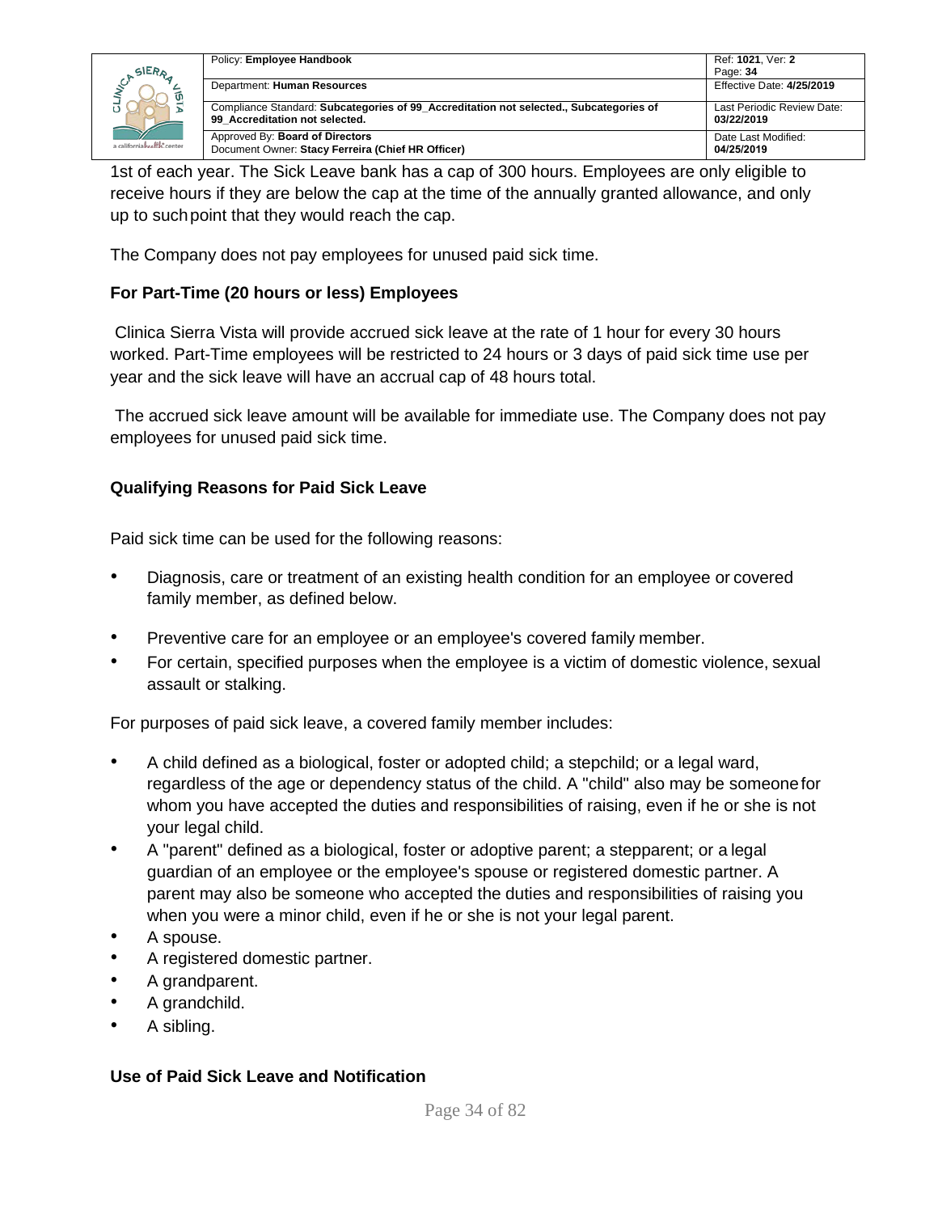

|  | Policy: Employee Handbook                                                                                                | Ref: 1021, Ver: 2                        |
|--|--------------------------------------------------------------------------------------------------------------------------|------------------------------------------|
|  |                                                                                                                          | Page: 34                                 |
|  | Department: Human Resources                                                                                              | Effective Date: 4/25/2019                |
|  | Compliance Standard: Subcategories of 99 Accreditation not selected., Subcategories of<br>99 Accreditation not selected. | Last Periodic Review Date:<br>03/22/2019 |
|  | Approved By: Board of Directors<br>Document Owner: Stacy Ferreira (Chief HR Officer)                                     | Date Last Modified:<br>04/25/2019        |

1st of each year. The Sick Leave bank has a cap of 300 hours. Employees are only eligible to receive hours if they are below the cap at the time of the annually granted allowance, and only up to suchpoint that they would reach the cap.

The Company does not pay employees for unused paid sick time.

### **For Part-Time (20 hours or less) Employees**

Clinica Sierra Vista will provide accrued sick leave at the rate of 1 hour for every 30 hours worked. Part-Time employees will be restricted to 24 hours or 3 days of paid sick time use per year and the sick leave will have an accrual cap of 48 hours total.

The accrued sick leave amount will be available for immediate use. The Company does not pay employees for unused paid sick time.

### **Qualifying Reasons for Paid Sick Leave**

Paid sick time can be used for the following reasons:

- Diagnosis, care or treatment of an existing health condition for an employee or covered family member, as defined below.
- Preventive care for an employee or an employee's covered family member.
- For certain, specified purposes when the employee is a victim of domestic violence, sexual assault or stalking.

For purposes of paid sick leave, a covered family member includes:

- A child defined as a biological, foster or adopted child; a stepchild; or a legal ward, regardless of the age or dependency status of the child. A "child" also may be someonefor whom you have accepted the duties and responsibilities of raising, even if he or she is not your legal child.
- A "parent" defined as a biological, foster or adoptive parent; a stepparent; or a legal guardian of an employee or the employee's spouse or registered domestic partner. A parent may also be someone who accepted the duties and responsibilities of raising you when you were a minor child, even if he or she is not your legal parent.
- A spouse.
- A registered domestic partner.
- A grandparent.
- A grandchild.
- A sibling.

#### **Use of Paid Sick Leave and Notification**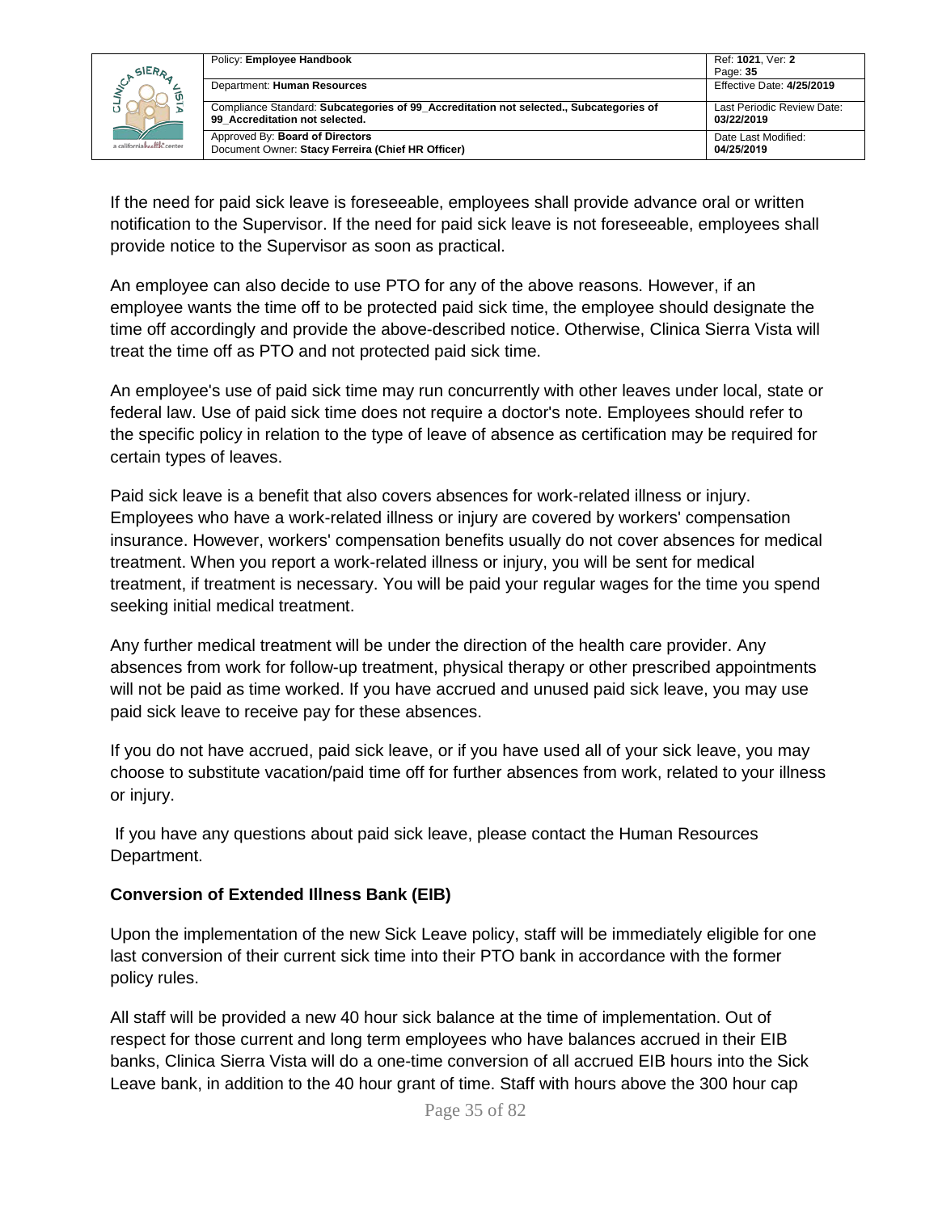|                            | Policy: Employee Handbook                                                                                                | Ref: 1021, Ver: 2                        |
|----------------------------|--------------------------------------------------------------------------------------------------------------------------|------------------------------------------|
| SIERA                      |                                                                                                                          | Page: 35                                 |
| ັທ                         | Department: Human Resources                                                                                              | Effective Date: 4/25/2019                |
|                            | Compliance Standard: Subcategories of 99 Accreditation not selected., Subcategories of<br>99 Accreditation not selected. | Last Periodic Review Date:<br>03/22/2019 |
|                            |                                                                                                                          |                                          |
| a californiahealth, center | Approved By: Board of Directors<br>Document Owner: Stacy Ferreira (Chief HR Officer)                                     | Date Last Modified:<br>04/25/2019        |

If the need for paid sick leave is foreseeable, employees shall provide advance oral or written notification to the Supervisor. If the need for paid sick leave is not foreseeable, employees shall provide notice to the Supervisor as soon as practical.

An employee can also decide to use PTO for any of the above reasons. However, if an employee wants the time off to be protected paid sick time, the employee should designate the time off accordingly and provide the above-described notice. Otherwise, Clinica Sierra Vista will treat the time off as PTO and not protected paid sick time.

An employee's use of paid sick time may run concurrently with other leaves under local, state or federal law. Use of paid sick time does not require a doctor's note. Employees should refer to the specific policy in relation to the type of leave of absence as certification may be required for certain types of leaves.

Paid sick leave is a benefit that also covers absences for work-related illness or injury. Employees who have a work-related illness or injury are covered by workers' compensation insurance. However, workers' compensation benefits usually do not cover absences for medical treatment. When you report a work-related illness or injury, you will be sent for medical treatment, if treatment is necessary. You will be paid your regular wages for the time you spend seeking initial medical treatment.

Any further medical treatment will be under the direction of the health care provider. Any absences from work for follow-up treatment, physical therapy or other prescribed appointments will not be paid as time worked. If you have accrued and unused paid sick leave, you may use paid sick leave to receive pay for these absences.

If you do not have accrued, paid sick leave, or if you have used all of your sick leave, you may choose to substitute vacation/paid time off for further absences from work, related to your illness or injury.

If you have any questions about paid sick leave, please contact the Human Resources Department.

### **Conversion of Extended Illness Bank (EIB)**

Upon the implementation of the new Sick Leave policy, staff will be immediately eligible for one last conversion of their current sick time into their PTO bank in accordance with the former policy rules.

All staff will be provided a new 40 hour sick balance at the time of implementation. Out of respect for those current and long term employees who have balances accrued in their EIB banks, Clinica Sierra Vista will do a one-time conversion of all accrued EIB hours into the Sick Leave bank, in addition to the 40 hour grant of time. Staff with hours above the 300 hour cap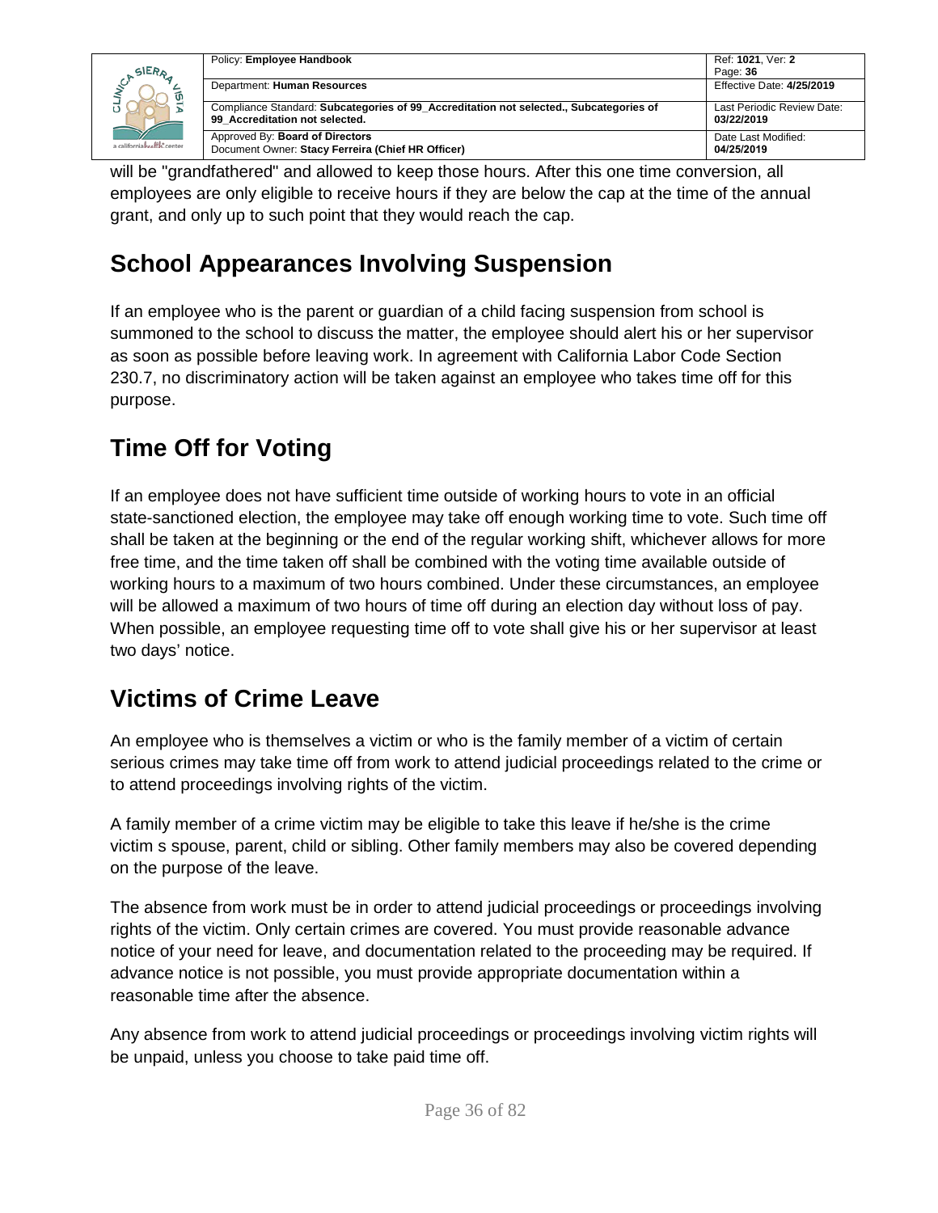|                             | Policy: Employee Handbook                                                                                                | Ref: 1021. Ver: 2                        |
|-----------------------------|--------------------------------------------------------------------------------------------------------------------------|------------------------------------------|
| SIERA                       |                                                                                                                          | Page: 36                                 |
| ωī                          | Department: Human Resources                                                                                              | Effective Date: 4/25/2019                |
|                             | Compliance Standard: Subcategories of 99 Accreditation not selected., Subcategories of<br>99 Accreditation not selected. | Last Periodic Review Date:<br>03/22/2019 |
| a californiah valik, center | Approved By: Board of Directors<br>Document Owner: Stacy Ferreira (Chief HR Officer)                                     | Date Last Modified:<br>04/25/2019        |

will be "grandfathered" and allowed to keep those hours. After this one time conversion, all employees are only eligible to receive hours if they are below the cap at the time of the annual grant, and only up to such point that they would reach the cap.

# <span id="page-35-0"></span>**School Appearances Involving Suspension**

If an employee who is the parent or guardian of a child facing suspension from school is summoned to the school to discuss the matter, the employee should alert his or her supervisor as soon as possible before leaving work. In agreement with California Labor Code Section 230.7, no discriminatory action will be taken against an employee who takes time off for this purpose.

# <span id="page-35-1"></span>**Time Off for Voting**

If an employee does not have sufficient time outside of working hours to vote in an official state-sanctioned election, the employee may take off enough working time to vote. Such time off shall be taken at the beginning or the end of the regular working shift, whichever allows for more free time, and the time taken off shall be combined with the voting time available outside of working hours to a maximum of two hours combined. Under these circumstances, an employee will be allowed a maximum of two hours of time off during an election day without loss of pay. When possible, an employee requesting time off to vote shall give his or her supervisor at least two days' notice.

## <span id="page-35-2"></span>**Victims of Crime Leave**

An employee who is themselves a victim or who is the family member of a victim of certain serious crimes may take time off from work to attend judicial proceedings related to the crime or to attend proceedings involving rights of the victim.

A family member of a crime victim may be eligible to take this leave if he/she is the crime victim s spouse, parent, child or sibling. Other family members may also be covered depending on the purpose of the leave.

The absence from work must be in order to attend judicial proceedings or proceedings involving rights of the victim. Only certain crimes are covered. You must provide reasonable advance notice of your need for leave, and documentation related to the proceeding may be required. If advance notice is not possible, you must provide appropriate documentation within a reasonable time after the absence.

Any absence from work to attend judicial proceedings or proceedings involving victim rights will be unpaid, unless you choose to take paid time off.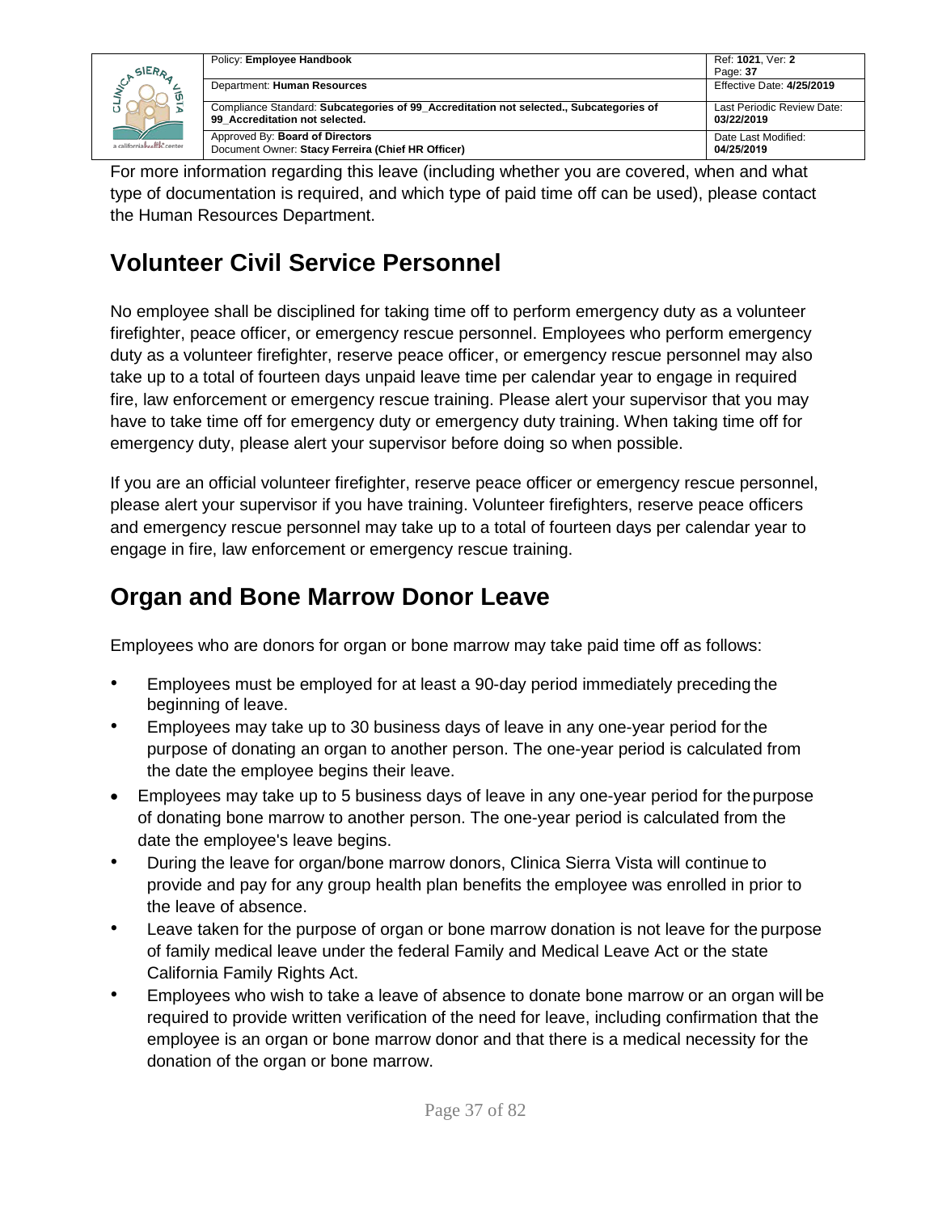|                                           | Policy: Employee Handbook                                                                                                | Ref: 1021. Ver: 2                        |
|-------------------------------------------|--------------------------------------------------------------------------------------------------------------------------|------------------------------------------|
| SIERA<br>ັທ<br>a californiahrafth: center |                                                                                                                          | Page: 37                                 |
|                                           | Department: Human Resources                                                                                              | Effective Date: 4/25/2019                |
|                                           | Compliance Standard: Subcategories of 99 Accreditation not selected., Subcategories of<br>99 Accreditation not selected. | Last Periodic Review Date:<br>03/22/2019 |
|                                           | Approved By: Board of Directors<br>Document Owner: Stacy Ferreira (Chief HR Officer)                                     | Date Last Modified:<br>04/25/2019        |

For more information regarding this leave (including whether you are covered, when and what type of documentation is required, and which type of paid time off can be used), please contact the Human Resources Department.

## **Volunteer Civil Service Personnel**

No employee shall be disciplined for taking time off to perform emergency duty as a volunteer firefighter, peace officer, or emergency rescue personnel. Employees who perform emergency duty as a volunteer firefighter, reserve peace officer, or emergency rescue personnel may also take up to a total of fourteen days unpaid leave time per calendar year to engage in required fire, law enforcement or emergency rescue training. Please alert your supervisor that you may have to take time off for emergency duty or emergency duty training. When taking time off for emergency duty, please alert your supervisor before doing so when possible.

If you are an official volunteer firefighter, reserve peace officer or emergency rescue personnel, please alert your supervisor if you have training. Volunteer firefighters, reserve peace officers and emergency rescue personnel may take up to a total of fourteen days per calendar year to engage in fire, law enforcement or emergency rescue training.

## **Organ and Bone Marrow Donor Leave**

Employees who are donors for organ or bone marrow may take paid time off as follows:

- Employees must be employed for at least a 90-day period immediately preceding the beginning of leave.
- Employees may take up to 30 business days of leave in any one-year period for the purpose of donating an organ to another person. The one-year period is calculated from the date the employee begins their leave.
- Employees may take up to 5 business days of leave in any one-year period for the purpose of donating bone marrow to another person. The one-year period is calculated from the date the employee's leave begins.
- During the leave for organ/bone marrow donors, Clinica Sierra Vista will continue to provide and pay for any group health plan benefits the employee was enrolled in prior to the leave of absence.
- Leave taken for the purpose of organ or bone marrow donation is not leave for the purpose of family medical leave under the federal Family and Medical Leave Act or the state California Family Rights Act.
- Employees who wish to take a leave of absence to donate bone marrow or an organ will be required to provide written verification of the need for leave, including confirmation that the employee is an organ or bone marrow donor and that there is a medical necessity for the donation of the organ or bone marrow.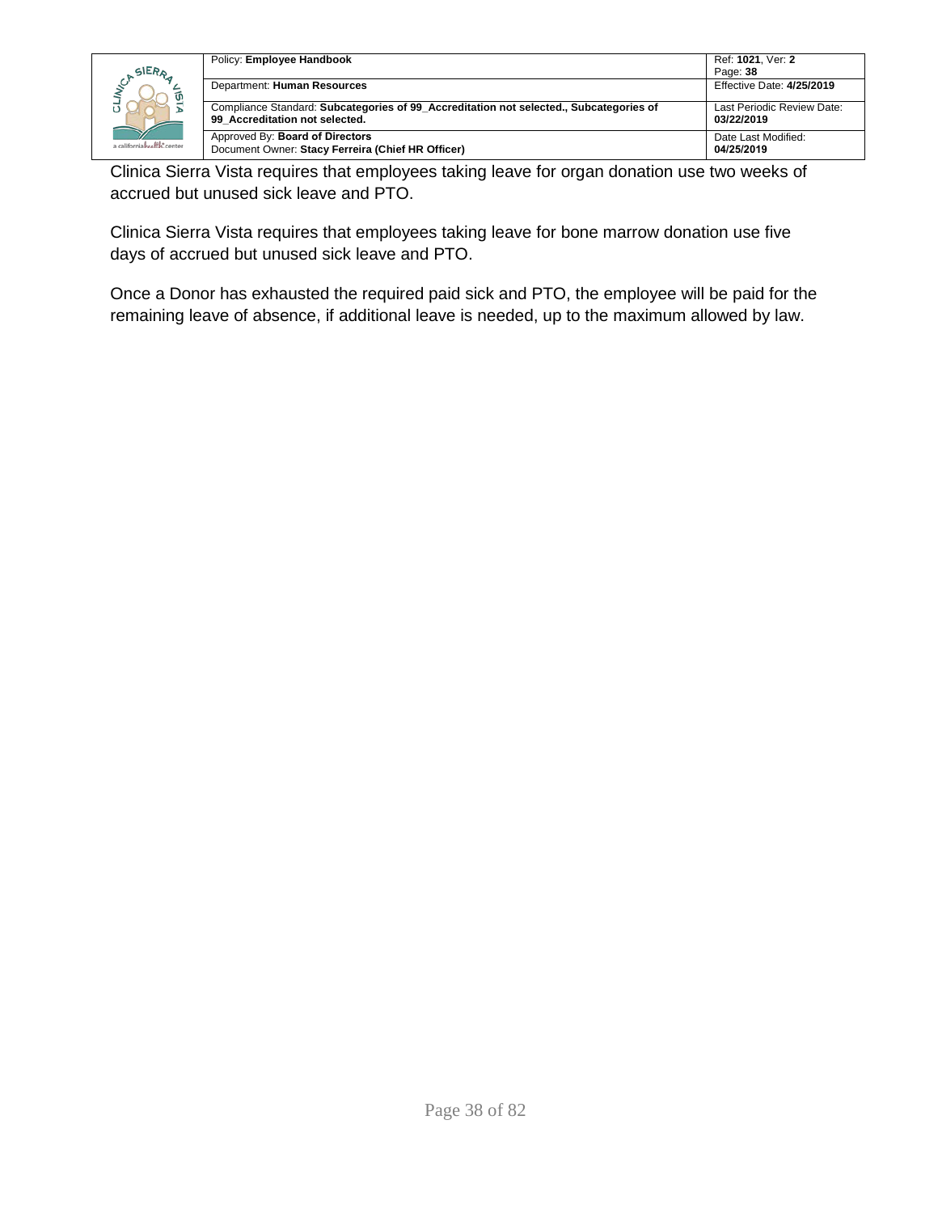|                                           | Policy: Employee Handbook                                                                                                | Ref: 1021. Ver: 2                        |
|-------------------------------------------|--------------------------------------------------------------------------------------------------------------------------|------------------------------------------|
| SIERA<br>ωī<br>a californiahealth, center |                                                                                                                          | Page: 38                                 |
|                                           | Department: Human Resources                                                                                              | Effective Date: 4/25/2019                |
|                                           | Compliance Standard: Subcategories of 99_Accreditation not selected., Subcategories of<br>99 Accreditation not selected. | Last Periodic Review Date:<br>03/22/2019 |
|                                           | Approved By: Board of Directors<br>Document Owner: Stacy Ferreira (Chief HR Officer)                                     | Date Last Modified:<br>04/25/2019        |

Clinica Sierra Vista requires that employees taking leave for organ donation use two weeks of accrued but unused sick leave and PTO.

Clinica Sierra Vista requires that employees taking leave for bone marrow donation use five days of accrued but unused sick leave and PTO.

Once a Donor has exhausted the required paid sick and PTO, the employee will be paid for the remaining leave of absence, if additional leave is needed, up to the maximum allowed by law.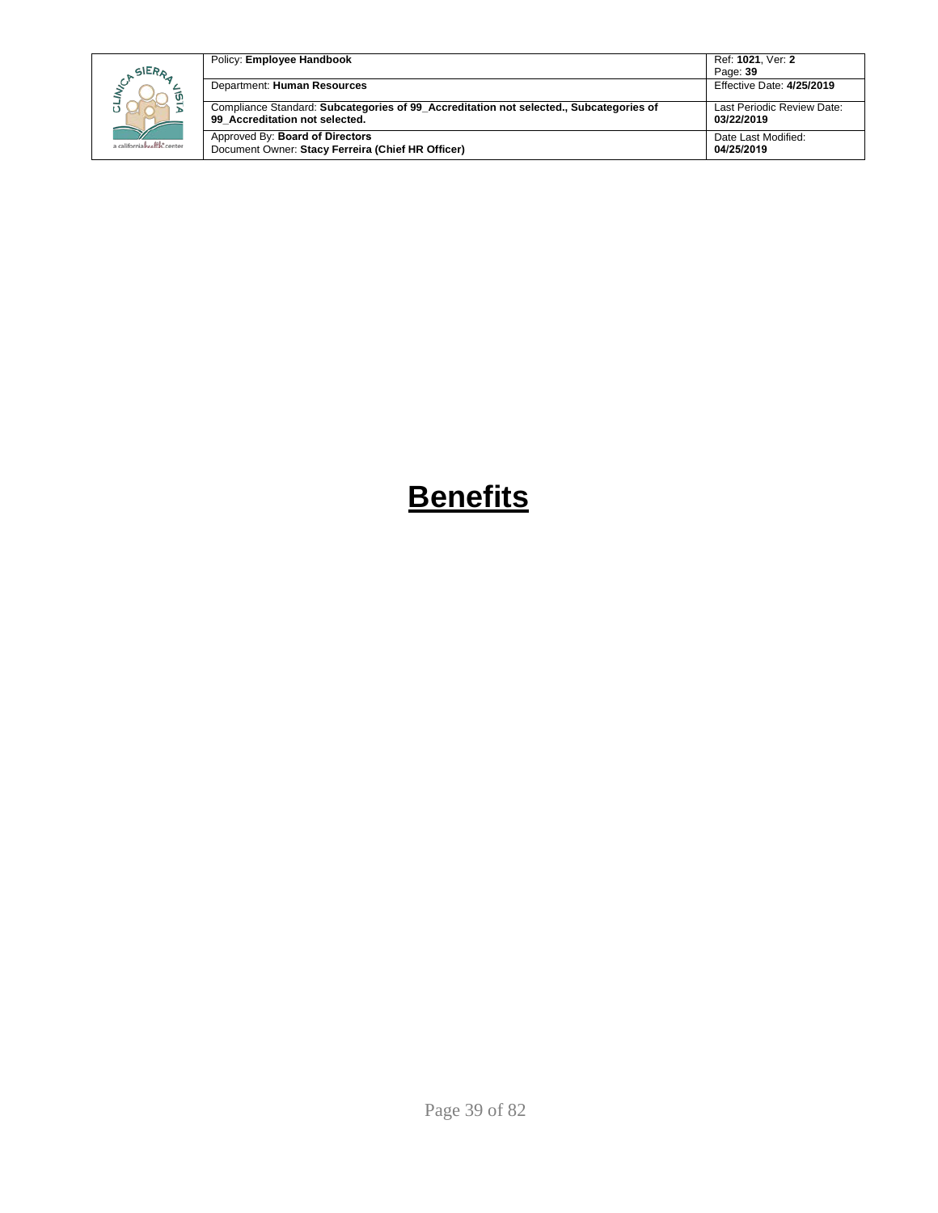| SIERA                      | Policy: Employee Handbook                                                                                                | Ref: 1021. Ver: 2<br>Page: 39            |
|----------------------------|--------------------------------------------------------------------------------------------------------------------------|------------------------------------------|
|                            | Department: Human Resources                                                                                              | Effective Date: 4/25/2019                |
|                            | Compliance Standard: Subcategories of 99 Accreditation not selected., Subcategories of<br>99 Accreditation not selected. | Last Periodic Review Date:<br>03/22/2019 |
| a californiahralist.center | Approved By: Board of Directors<br>Document Owner: Stacy Ferreira (Chief HR Officer)                                     | Date Last Modified:<br>04/25/2019        |

# **Benefits**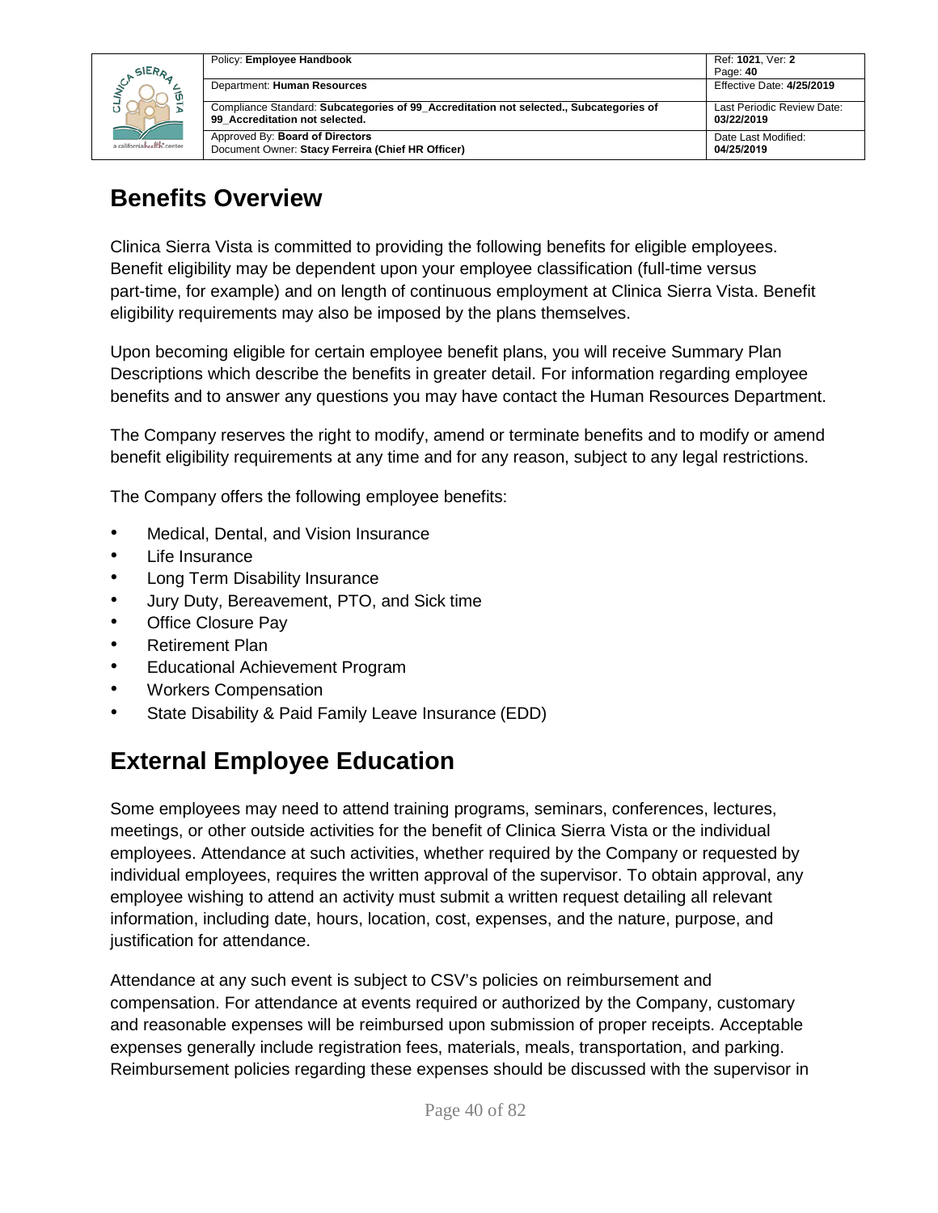|                            | Policy: Employee Handbook                                                                                                | Ref: 1021, Ver: 2                        |
|----------------------------|--------------------------------------------------------------------------------------------------------------------------|------------------------------------------|
| SIERA                      |                                                                                                                          | Page: 40                                 |
| a californiahealth, center | Department: Human Resources                                                                                              | Effective Date: 4/25/2019                |
|                            | Compliance Standard: Subcategories of 99 Accreditation not selected., Subcategories of<br>99 Accreditation not selected. | Last Periodic Review Date:<br>03/22/2019 |
|                            | Approved By: Board of Directors<br>Document Owner: Stacy Ferreira (Chief HR Officer)                                     | Date Last Modified:<br>04/25/2019        |

## **Benefits Overview**

Clinica Sierra Vista is committed to providing the following benefits for eligible employees. Benefit eligibility may be dependent upon your employee classification (full-time versus part-time, for example) and on length of continuous employment at Clinica Sierra Vista. Benefit eligibility requirements may also be imposed by the plans themselves.

Upon becoming eligible for certain employee benefit plans, you will receive Summary Plan Descriptions which describe the benefits in greater detail. For information regarding employee benefits and to answer any questions you may have contact the Human Resources Department.

The Company reserves the right to modify, amend or terminate benefits and to modify or amend benefit eligibility requirements at any time and for any reason, subject to any legal restrictions.

The Company offers the following employee benefits:

- Medical, Dental, and Vision Insurance
- Life Insurance
- Long Term Disability Insurance
- Jury Duty, Bereavement, PTO, and Sick time
- Office Closure Pay
- Retirement Plan
- Educational Achievement Program
- Workers Compensation
- State Disability & Paid Family Leave Insurance (EDD)

## **External Employee Education**

Some employees may need to attend training programs, seminars, conferences, lectures, meetings, or other outside activities for the benefit of Clinica Sierra Vista or the individual employees. Attendance at such activities, whether required by the Company or requested by individual employees, requires the written approval of the supervisor. To obtain approval, any employee wishing to attend an activity must submit a written request detailing all relevant information, including date, hours, location, cost, expenses, and the nature, purpose, and justification for attendance.

Attendance at any such event is subject to CSV's policies on reimbursement and compensation. For attendance at events required or authorized by the Company, customary and reasonable expenses will be reimbursed upon submission of proper receipts. Acceptable expenses generally include registration fees, materials, meals, transportation, and parking. Reimbursement policies regarding these expenses should be discussed with the supervisor in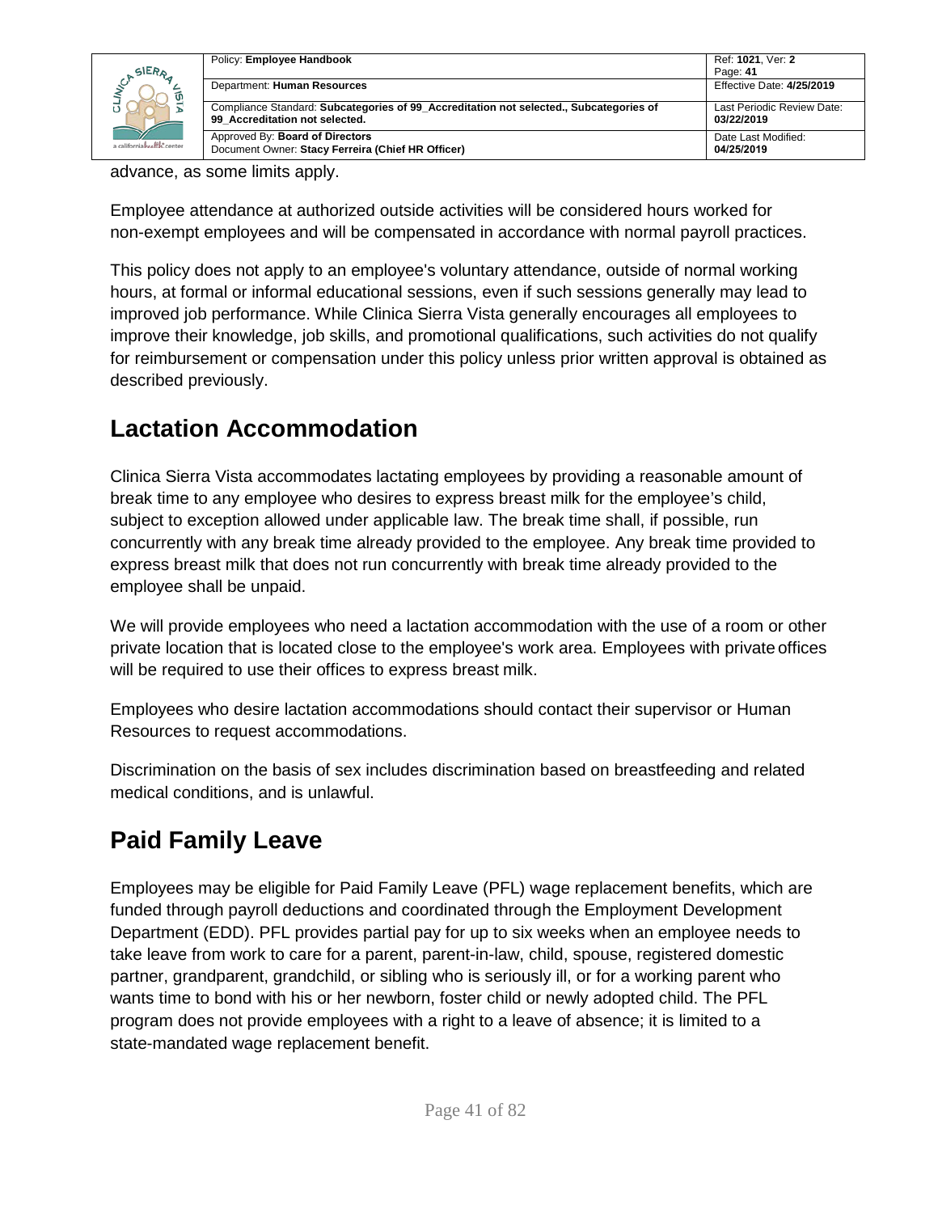| SIERA<br>a californiahealth, center | Policy: Employee Handbook                                                                                                | Ref: 1021, Ver: 2<br>Page: 41            |
|-------------------------------------|--------------------------------------------------------------------------------------------------------------------------|------------------------------------------|
|                                     | Department: Human Resources                                                                                              | Effective Date: 4/25/2019                |
|                                     | Compliance Standard: Subcategories of 99 Accreditation not selected., Subcategories of<br>99 Accreditation not selected. | Last Periodic Review Date:<br>03/22/2019 |
|                                     | Approved By: Board of Directors<br>Document Owner: Stacy Ferreira (Chief HR Officer)                                     | Date Last Modified:<br>04/25/2019        |

advance, as some limits apply.

Employee attendance at authorized outside activities will be considered hours worked for non-exempt employees and will be compensated in accordance with normal payroll practices.

This policy does not apply to an employee's voluntary attendance, outside of normal working hours, at formal or informal educational sessions, even if such sessions generally may lead to improved job performance. While Clinica Sierra Vista generally encourages all employees to improve their knowledge, job skills, and promotional qualifications, such activities do not qualify for reimbursement or compensation under this policy unless prior written approval is obtained as described previously.

### **Lactation Accommodation**

Clinica Sierra Vista accommodates lactating employees by providing a reasonable amount of break time to any employee who desires to express breast milk for the employee's child, subject to exception allowed under applicable law. The break time shall, if possible, run concurrently with any break time already provided to the employee. Any break time provided to express breast milk that does not run concurrently with break time already provided to the employee shall be unpaid.

We will provide employees who need a lactation accommodation with the use of a room or other private location that is located close to the employee's work area. Employees with private offices will be required to use their offices to express breast milk.

Employees who desire lactation accommodations should contact their supervisor or Human Resources to request accommodations.

Discrimination on the basis of sex includes discrimination based on breastfeeding and related medical conditions, and is unlawful.

## **Paid Family Leave**

Employees may be eligible for Paid Family Leave (PFL) wage replacement benefits, which are funded through payroll deductions and coordinated through the Employment Development Department (EDD). PFL provides partial pay for up to six weeks when an employee needs to take leave from work to care for a parent, parent-in-law, child, spouse, registered domestic partner, grandparent, grandchild, or sibling who is seriously ill, or for a working parent who wants time to bond with his or her newborn, foster child or newly adopted child. The PFL program does not provide employees with a right to a leave of absence; it is limited to a state-mandated wage replacement benefit.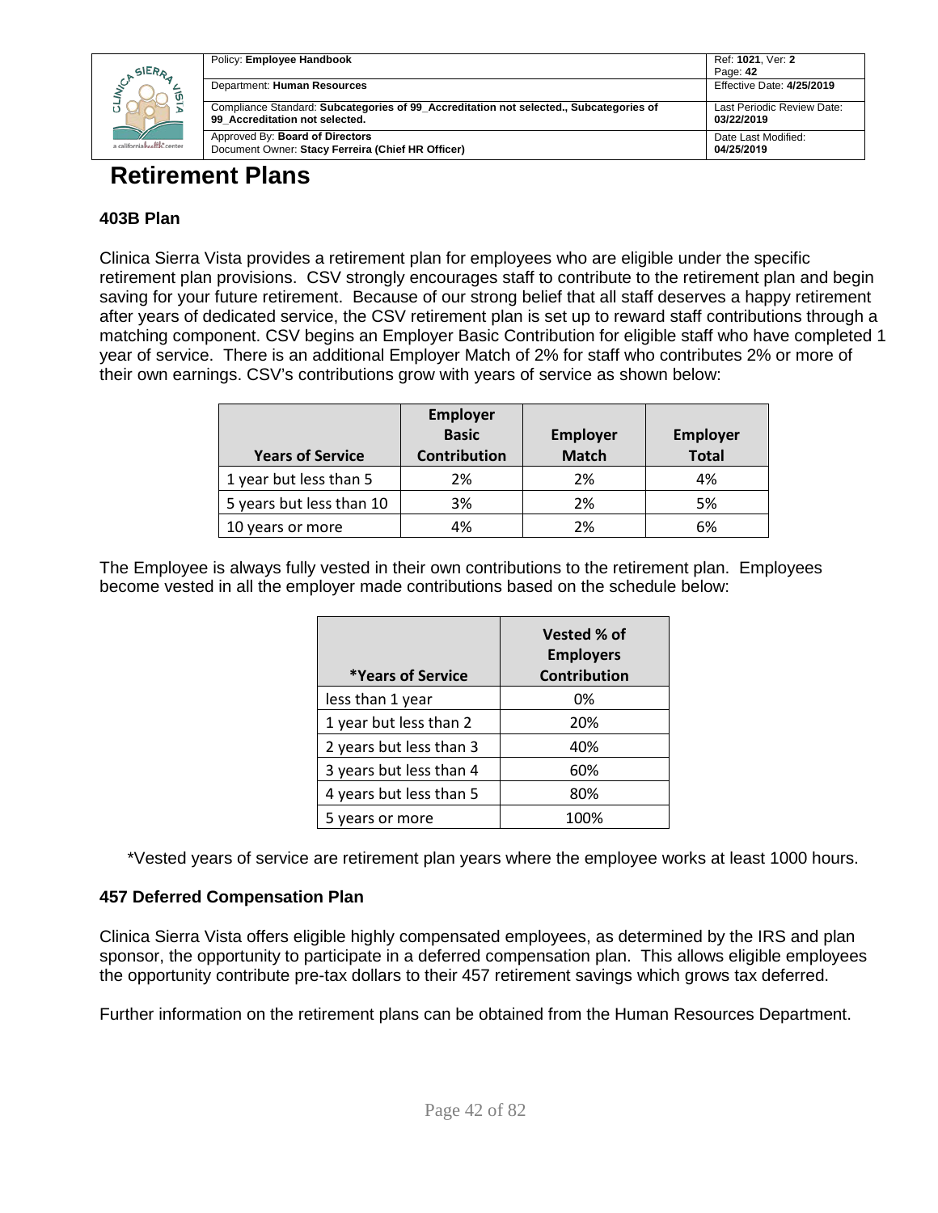|                                       | Policy: Employee Handbook                                                                                                | Ref: 1021, Ver: 2                        |
|---------------------------------------|--------------------------------------------------------------------------------------------------------------------------|------------------------------------------|
| SIERA<br>a californiah self is center | Department: Human Resources                                                                                              | Page: 42<br>Effective Date: 4/25/2019    |
|                                       | Compliance Standard: Subcategories of 99 Accreditation not selected., Subcategories of<br>99 Accreditation not selected. | Last Periodic Review Date:<br>03/22/2019 |
|                                       | Approved By: Board of Directors<br>Document Owner: Stacy Ferreira (Chief HR Officer)                                     | Date Last Modified:<br>04/25/2019        |
|                                       |                                                                                                                          |                                          |

### **Retirement Plans**

### **403B Plan**

Clinica Sierra Vista provides a retirement plan for employees who are eligible under the specific retirement plan provisions. CSV strongly encourages staff to contribute to the retirement plan and begin saving for your future retirement. Because of our strong belief that all staff deserves a happy retirement after years of dedicated service, the CSV retirement plan is set up to reward staff contributions through a matching component. CSV begins an Employer Basic Contribution for eligible staff who have completed 1 year of service. There is an additional Employer Match of 2% for staff who contributes 2% or more of their own earnings. CSV's contributions grow with years of service as shown below:

| <b>Years of Service</b>  | <b>Employer</b><br><b>Basic</b><br><b>Contribution</b> | <b>Employer</b><br><b>Match</b> | <b>Employer</b><br><b>Total</b> |
|--------------------------|--------------------------------------------------------|---------------------------------|---------------------------------|
| 1 year but less than 5   | 2%                                                     | 2%                              | 4%                              |
| 5 years but less than 10 | 3%                                                     | 2%                              | 5%                              |
| 10 years or more         | 4%                                                     | 2%                              | 6%                              |

The Employee is always fully vested in their own contributions to the retirement plan. Employees become vested in all the employer made contributions based on the schedule below:

| *Years of Service       | Vested % of<br><b>Employers</b><br><b>Contribution</b> |
|-------------------------|--------------------------------------------------------|
| less than 1 year        | 0%                                                     |
| 1 year but less than 2  | 20%                                                    |
| 2 years but less than 3 | 40%                                                    |
| 3 years but less than 4 | 60%                                                    |
| 4 years but less than 5 | 80%                                                    |
| 5 years or more         | 100%                                                   |

\*Vested years of service are retirement plan years where the employee works at least 1000 hours.

### **457 Deferred Compensation Plan**

Clinica Sierra Vista offers eligible highly compensated employees, as determined by the IRS and plan sponsor, the opportunity to participate in a deferred compensation plan. This allows eligible employees the opportunity contribute pre-tax dollars to their 457 retirement savings which grows tax deferred.

Further information on the retirement plans can be obtained from the Human Resources Department.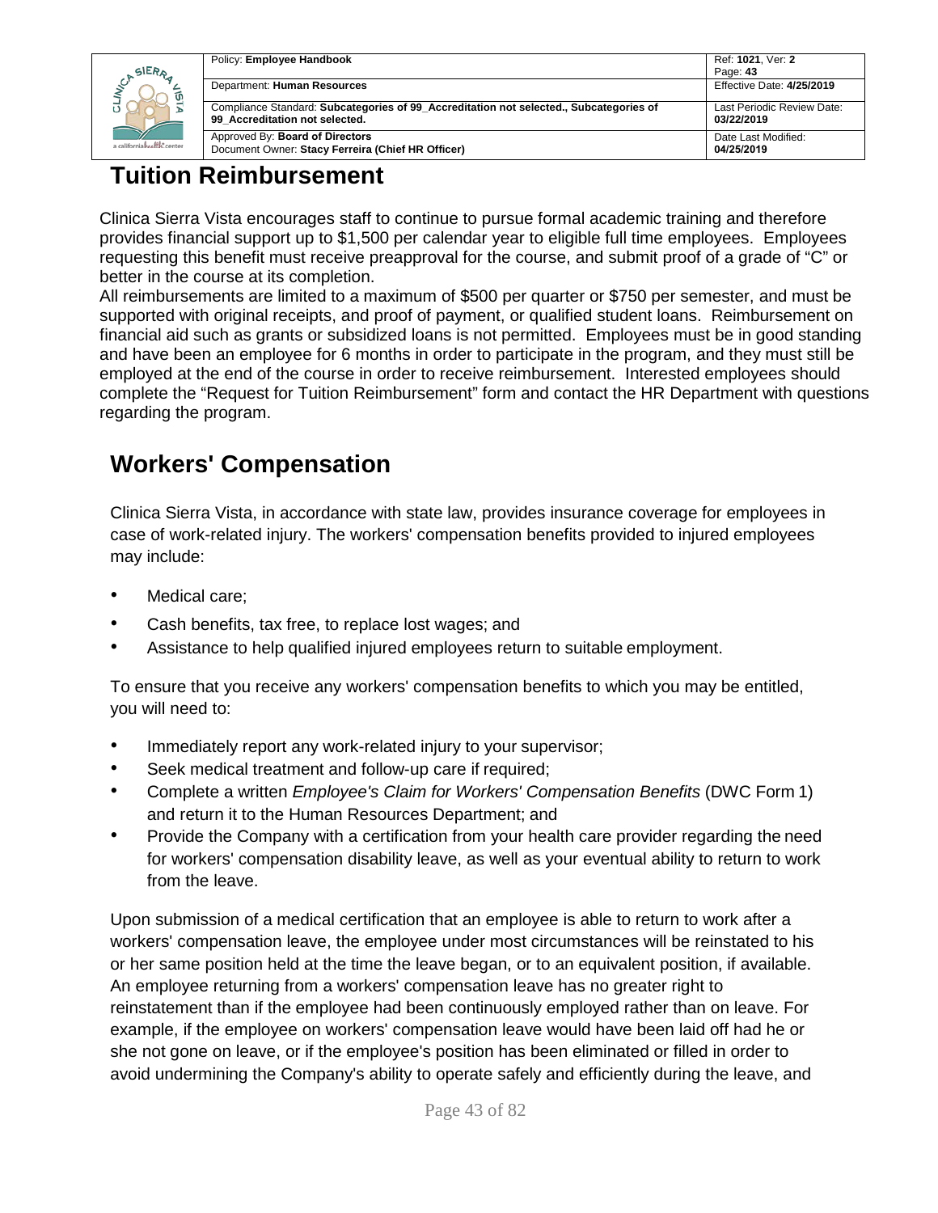

| Policy: Employee Handbook                                                                                                | Ref: 1021, Ver: 2                        |
|--------------------------------------------------------------------------------------------------------------------------|------------------------------------------|
|                                                                                                                          | Page: 43                                 |
| Department: Human Resources                                                                                              | Effective Date: 4/25/2019                |
|                                                                                                                          |                                          |
| Compliance Standard: Subcategories of 99 Accreditation not selected., Subcategories of<br>99 Accreditation not selected. | Last Periodic Review Date:<br>03/22/2019 |
| Approved By: Board of Directors<br>Document Owner: Stacy Ferreira (Chief HR Officer)                                     | Date Last Modified:<br>04/25/2019        |

### **Tuition Reimbursement**

Clinica Sierra Vista encourages staff to continue to pursue formal academic training and therefore provides financial support up to \$1,500 per calendar year to eligible full time employees. Employees requesting this benefit must receive preapproval for the course, and submit proof of a grade of "C" or better in the course at its completion.

All reimbursements are limited to a maximum of \$500 per quarter or \$750 per semester, and must be supported with original receipts, and proof of payment, or qualified student loans. Reimbursement on financial aid such as grants or subsidized loans is not permitted. Employees must be in good standing and have been an employee for 6 months in order to participate in the program, and they must still be employed at the end of the course in order to receive reimbursement. Interested employees should complete the "Request for Tuition Reimbursement" form and contact the HR Department with questions regarding the program.

## **Workers' Compensation**

Clinica Sierra Vista, in accordance with state law, provides insurance coverage for employees in case of work-related injury. The workers' compensation benefits provided to injured employees may include:

- Medical care:
- Cash benefits, tax free, to replace lost wages; and
- Assistance to help qualified injured employees return to suitable employment.

To ensure that you receive any workers' compensation benefits to which you may be entitled, you will need to:

- Immediately report any work-related injury to your supervisor;
- Seek medical treatment and follow-up care if required;
- Complete a written *Employee's Claim for Workers' Compensation Benefits* (DWC Form 1) and return it to the Human Resources Department; and
- Provide the Company with a certification from your health care provider regarding the need for workers' compensation disability leave, as well as your eventual ability to return to work from the leave.

Upon submission of a medical certification that an employee is able to return to work after a workers' compensation leave, the employee under most circumstances will be reinstated to his or her same position held at the time the leave began, or to an equivalent position, if available. An employee returning from a workers' compensation leave has no greater right to reinstatement than if the employee had been continuously employed rather than on leave. For example, if the employee on workers' compensation leave would have been laid off had he or she not gone on leave, or if the employee's position has been eliminated or filled in order to avoid undermining the Company's ability to operate safely and efficiently during the leave, and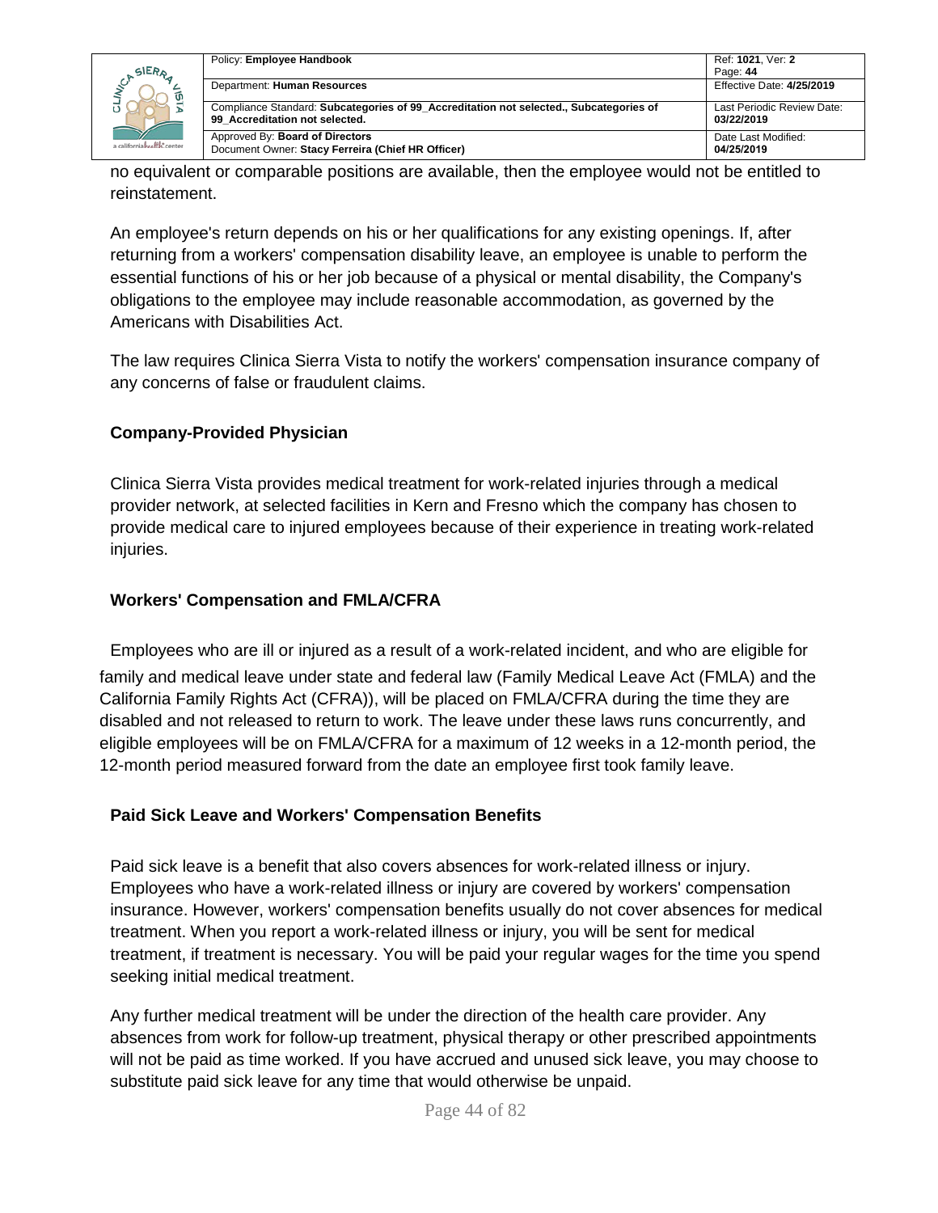|                            | Policy: Employee Handbook                                                                                                | Ref: 1021, Ver: 2                        |
|----------------------------|--------------------------------------------------------------------------------------------------------------------------|------------------------------------------|
| SIERA                      |                                                                                                                          | Page: 44                                 |
| a californiahealth, center | Department: Human Resources                                                                                              | Effective Date: 4/25/2019                |
|                            | Compliance Standard: Subcategories of 99 Accreditation not selected., Subcategories of<br>99 Accreditation not selected. | Last Periodic Review Date:<br>03/22/2019 |
|                            | Approved By: Board of Directors<br>Document Owner: Stacy Ferreira (Chief HR Officer)                                     | Date Last Modified:<br>04/25/2019        |

no equivalent or comparable positions are available, then the employee would not be entitled to reinstatement.

An employee's return depends on his or her qualifications for any existing openings. If, after returning from a workers' compensation disability leave, an employee is unable to perform the essential functions of his or her job because of a physical or mental disability, the Company's obligations to the employee may include reasonable accommodation, as governed by the Americans with Disabilities Act.

The law requires Clinica Sierra Vista to notify the workers' compensation insurance company of any concerns of false or fraudulent claims.

#### **Company-Provided Physician**

Clinica Sierra Vista provides medical treatment for work-related injuries through a medical provider network, at selected facilities in Kern and Fresno which the company has chosen to provide medical care to injured employees because of their experience in treating work-related injuries.

#### **Workers' Compensation and FMLA/CFRA**

Employees who are ill or injured as a result of a work-related incident, and who are eligible for family and medical leave under state and federal law (Family Medical Leave Act (FMLA) and the California Family Rights Act (CFRA)), will be placed on FMLA/CFRA during the time they are disabled and not released to return to work. The leave under these laws runs concurrently, and eligible employees will be on FMLA/CFRA for a maximum of 12 weeks in a 12-month period, the 12-month period measured forward from the date an employee first took family leave.

#### **Paid Sick Leave and Workers' Compensation Benefits**

Paid sick leave is a benefit that also covers absences for work-related illness or injury. Employees who have a work-related illness or injury are covered by workers' compensation insurance. However, workers' compensation benefits usually do not cover absences for medical treatment. When you report a work-related illness or injury, you will be sent for medical treatment, if treatment is necessary. You will be paid your regular wages for the time you spend seeking initial medical treatment.

Any further medical treatment will be under the direction of the health care provider. Any absences from work for follow-up treatment, physical therapy or other prescribed appointments will not be paid as time worked. If you have accrued and unused sick leave, you may choose to substitute paid sick leave for any time that would otherwise be unpaid.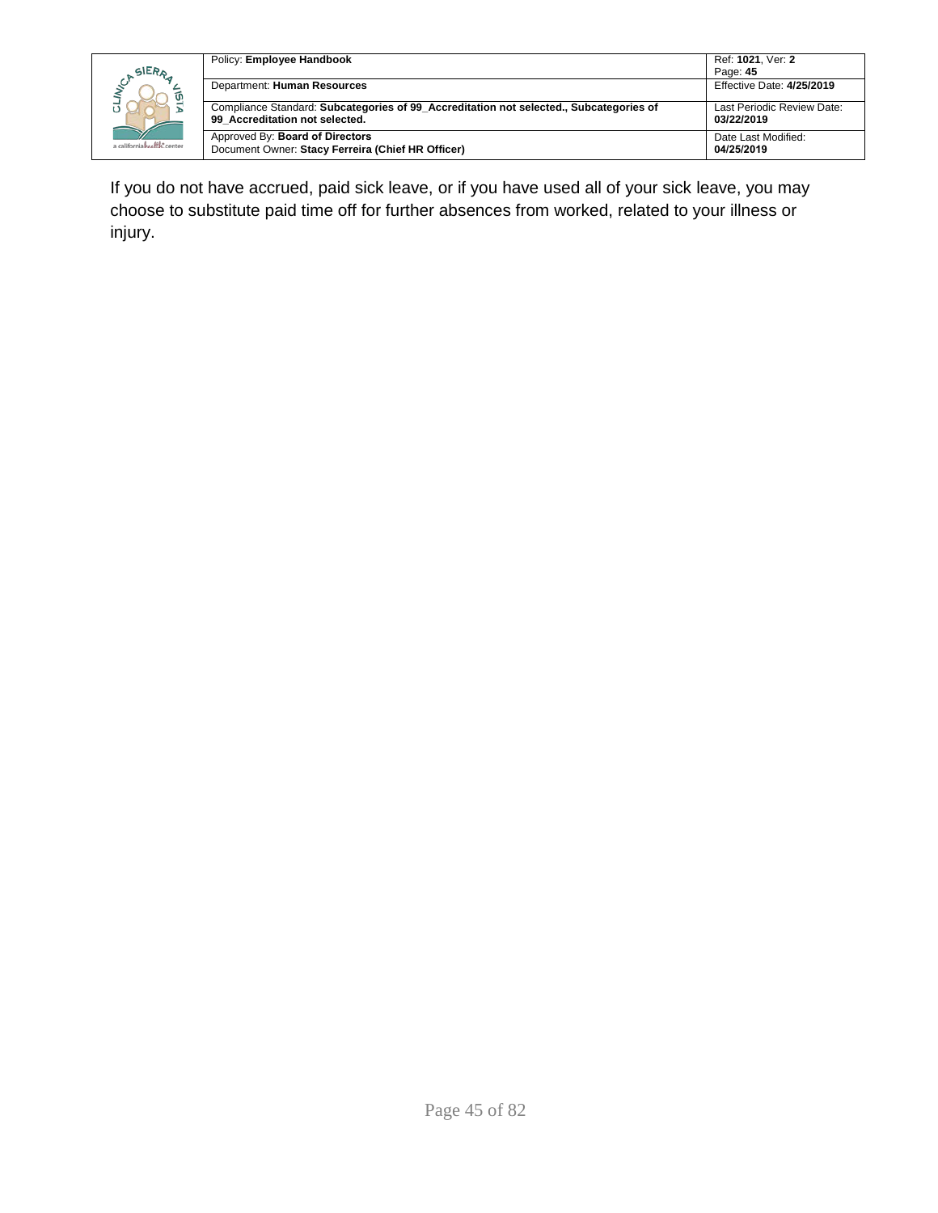|                            | Policy: Employee Handbook                                                                                                | Ref: 1021. Ver: 2                        |
|----------------------------|--------------------------------------------------------------------------------------------------------------------------|------------------------------------------|
| SIERA                      |                                                                                                                          | Page: 45                                 |
| a californiahealth, center | Department: Human Resources                                                                                              | Effective Date: 4/25/2019                |
|                            | Compliance Standard: Subcategories of 99 Accreditation not selected., Subcategories of<br>99 Accreditation not selected. | Last Periodic Review Date:<br>03/22/2019 |
|                            | Approved By: Board of Directors<br>Document Owner: Stacy Ferreira (Chief HR Officer)                                     | Date Last Modified:<br>04/25/2019        |

If you do not have accrued, paid sick leave, or if you have used all of your sick leave, you may choose to substitute paid time off for further absences from worked, related to your illness or injury.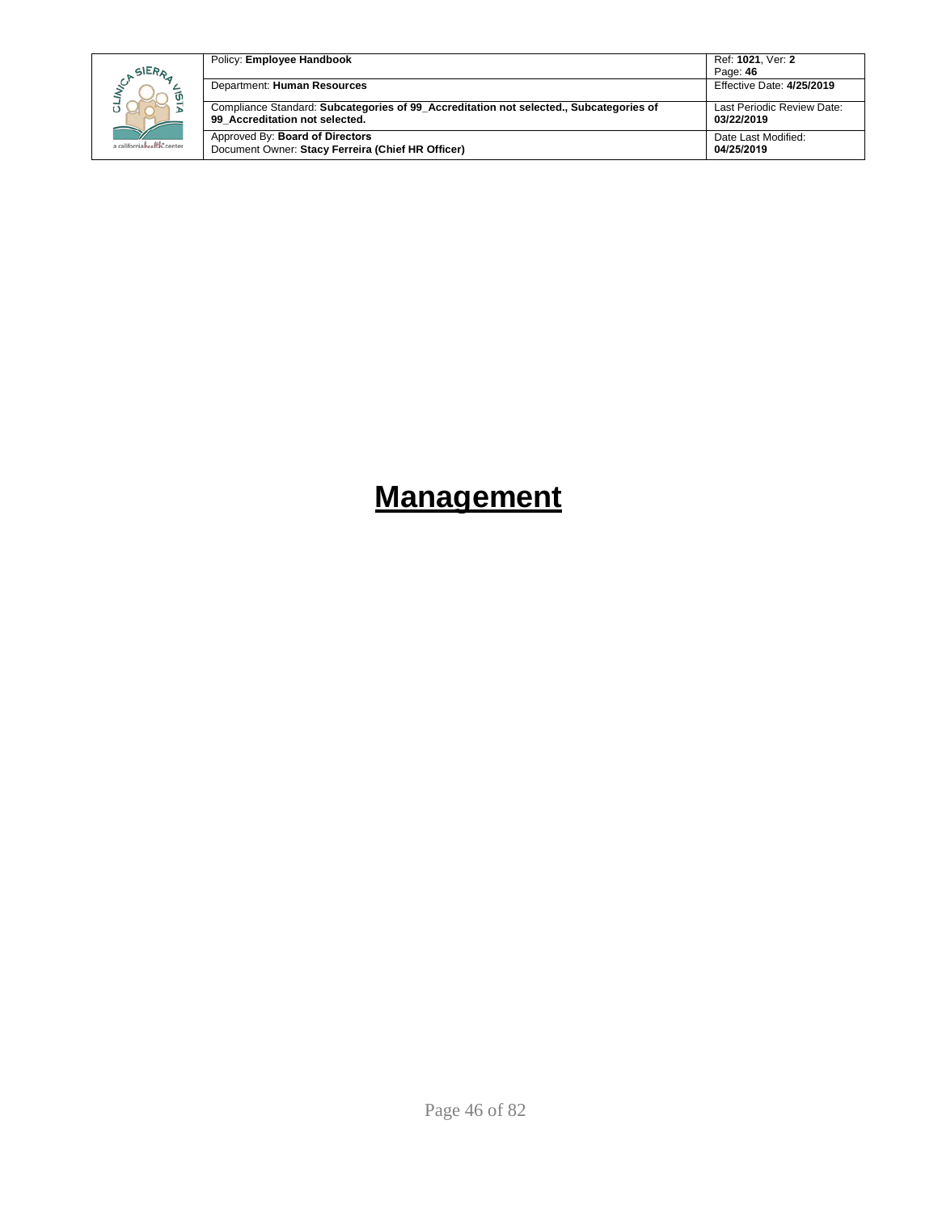| SIERA<br>a californiahealth, center | Policy: Employee Handbook                                                                                                | Ref: 1021. Ver: 2<br>Page: 46            |
|-------------------------------------|--------------------------------------------------------------------------------------------------------------------------|------------------------------------------|
|                                     | Department: Human Resources                                                                                              | Effective Date: 4/25/2019                |
|                                     | Compliance Standard: Subcategories of 99 Accreditation not selected., Subcategories of<br>99 Accreditation not selected. | Last Periodic Review Date:<br>03/22/2019 |
|                                     | Approved By: Board of Directors<br>Document Owner: Stacy Ferreira (Chief HR Officer)                                     | Date Last Modified:<br>04/25/2019        |

# **Management**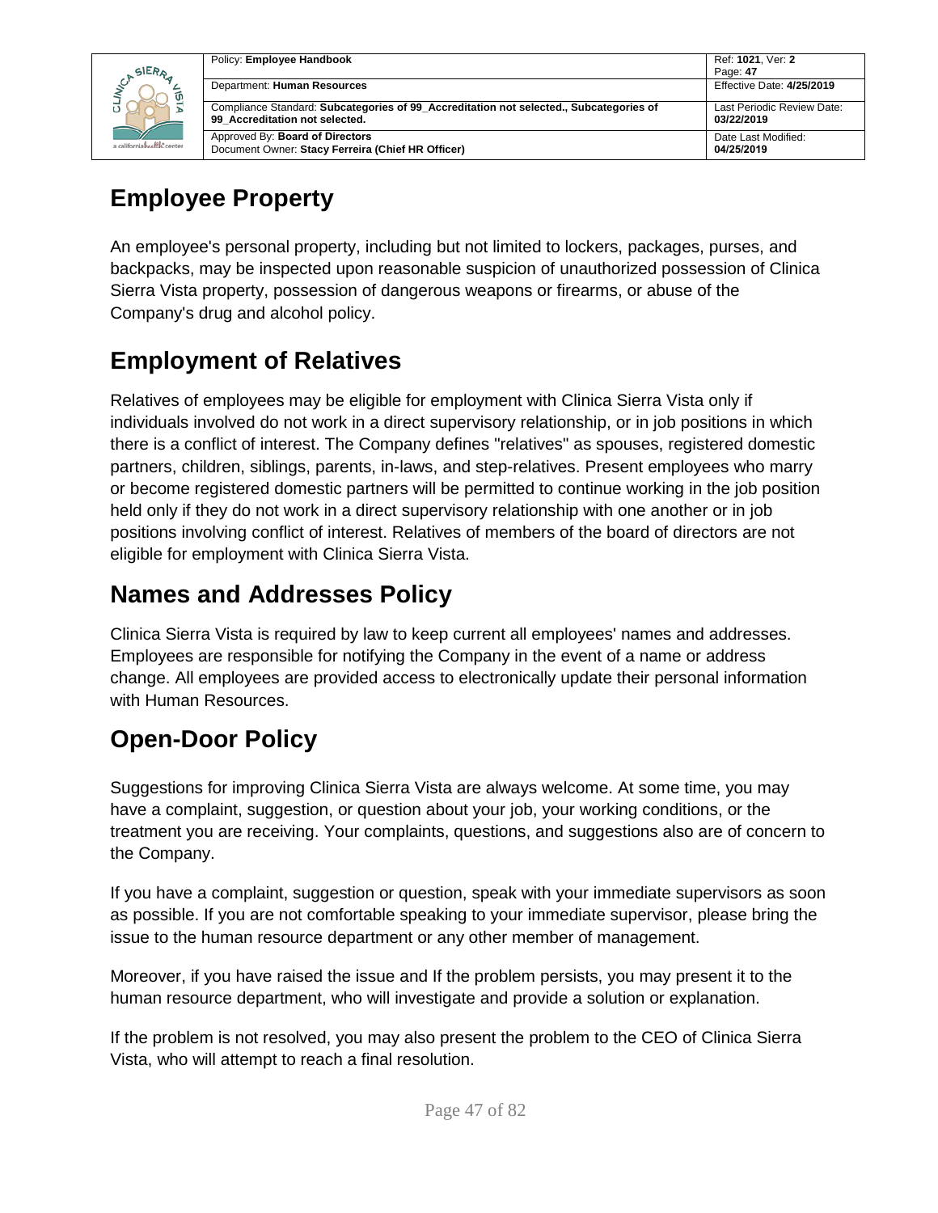

| Policy: Employee Handbook                                                                                                | Ref: 1021, Ver: 2                        |
|--------------------------------------------------------------------------------------------------------------------------|------------------------------------------|
|                                                                                                                          | Page: 47                                 |
| Department: Human Resources                                                                                              | Effective Date: 4/25/2019                |
| Compliance Standard: Subcategories of 99 Accreditation not selected., Subcategories of<br>99 Accreditation not selected. | Last Periodic Review Date:<br>03/22/2019 |
| Approved By: Board of Directors<br>Document Owner: Stacy Ferreira (Chief HR Officer)                                     | Date Last Modified:<br>04/25/2019        |

## **Employee Property**

An employee's personal property, including but not limited to lockers, packages, purses, and backpacks, may be inspected upon reasonable suspicion of unauthorized possession of Clinica Sierra Vista property, possession of dangerous weapons or firearms, or abuse of the Company's drug and alcohol policy.

## **Employment of Relatives**

Relatives of employees may be eligible for employment with Clinica Sierra Vista only if individuals involved do not work in a direct supervisory relationship, or in job positions in which there is a conflict of interest. The Company defines "relatives" as spouses, registered domestic partners, children, siblings, parents, in-laws, and step-relatives. Present employees who marry or become registered domestic partners will be permitted to continue working in the job position held only if they do not work in a direct supervisory relationship with one another or in job positions involving conflict of interest. Relatives of members of the board of directors are not eligible for employment with Clinica Sierra Vista.

## **Names and Addresses Policy**

Clinica Sierra Vista is required by law to keep current all employees' names and addresses. Employees are responsible for notifying the Company in the event of a name or address change. All employees are provided access to electronically update their personal information with Human Resources.

## **Open-Door Policy**

Suggestions for improving Clinica Sierra Vista are always welcome. At some time, you may have a complaint, suggestion, or question about your job, your working conditions, or the treatment you are receiving. Your complaints, questions, and suggestions also are of concern to the Company.

If you have a complaint, suggestion or question, speak with your immediate supervisors as soon as possible. If you are not comfortable speaking to your immediate supervisor, please bring the issue to the human resource department or any other member of management.

Moreover, if you have raised the issue and If the problem persists, you may present it to the human resource department, who will investigate and provide a solution or explanation.

If the problem is not resolved, you may also present the problem to the CEO of Clinica Sierra Vista, who will attempt to reach a final resolution.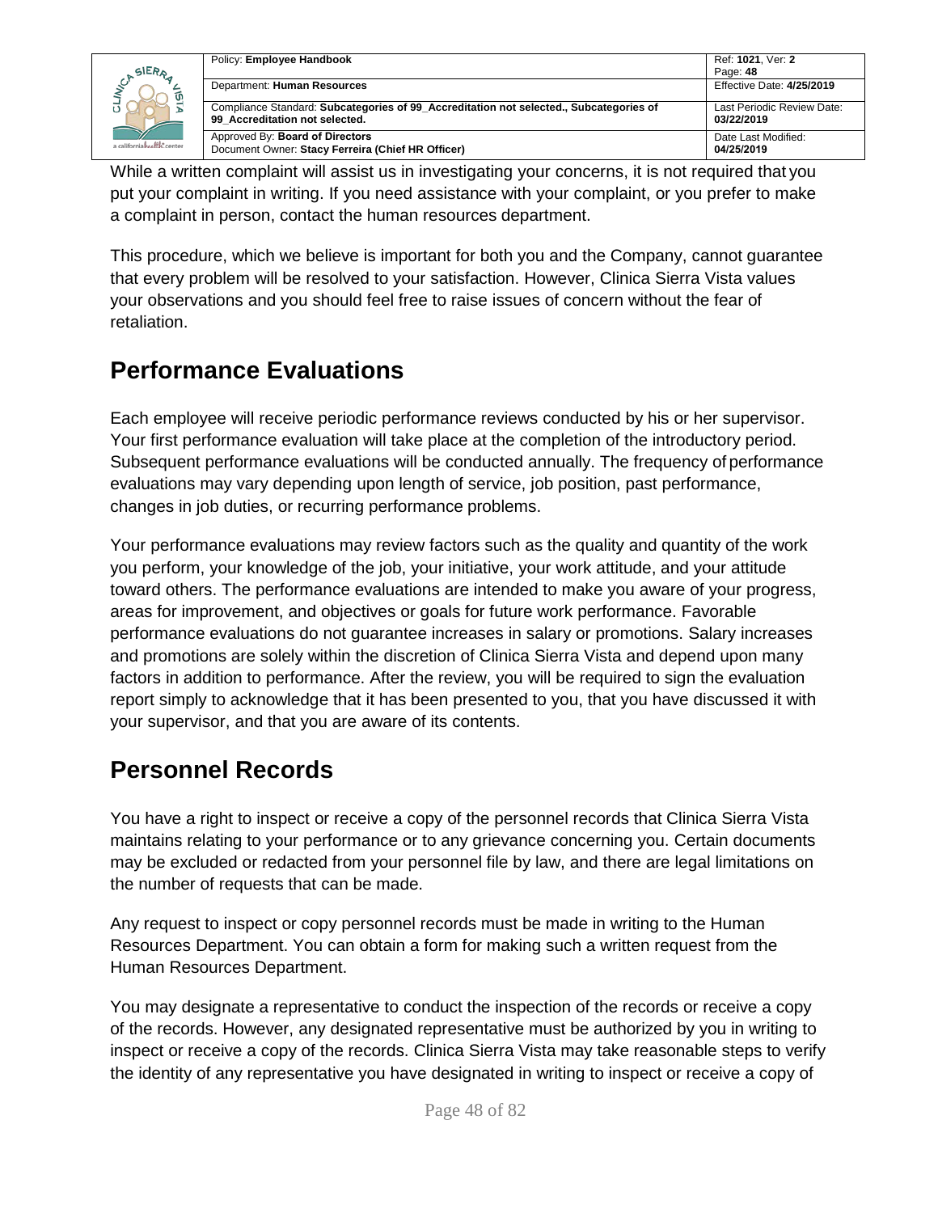|                                           | Policy: Employee Handbook                                                                                                | Ref: 1021. Ver: 2                        |
|-------------------------------------------|--------------------------------------------------------------------------------------------------------------------------|------------------------------------------|
| SIERA<br>ັທ<br>a californiahealth, center |                                                                                                                          | Page: 48                                 |
|                                           | Department: Human Resources                                                                                              | Effective Date: 4/25/2019                |
|                                           | Compliance Standard: Subcategories of 99 Accreditation not selected., Subcategories of<br>99 Accreditation not selected. | Last Periodic Review Date:<br>03/22/2019 |
|                                           | Approved By: Board of Directors<br>Document Owner: Stacy Ferreira (Chief HR Officer)                                     | Date Last Modified:<br>04/25/2019        |

While a written complaint will assist us in investigating your concerns, it is not required that you put your complaint in writing. If you need assistance with your complaint, or you prefer to make a complaint in person, contact the human resources department.

This procedure, which we believe is important for both you and the Company, cannot guarantee that every problem will be resolved to your satisfaction. However, Clinica Sierra Vista values your observations and you should feel free to raise issues of concern without the fear of retaliation.

## **Performance Evaluations**

Each employee will receive periodic performance reviews conducted by his or her supervisor. Your first performance evaluation will take place at the completion of the introductory period. Subsequent performance evaluations will be conducted annually. The frequency of performance evaluations may vary depending upon length of service, job position, past performance, changes in job duties, or recurring performance problems.

Your performance evaluations may review factors such as the quality and quantity of the work you perform, your knowledge of the job, your initiative, your work attitude, and your attitude toward others. The performance evaluations are intended to make you aware of your progress, areas for improvement, and objectives or goals for future work performance. Favorable performance evaluations do not guarantee increases in salary or promotions. Salary increases and promotions are solely within the discretion of Clinica Sierra Vista and depend upon many factors in addition to performance. After the review, you will be required to sign the evaluation report simply to acknowledge that it has been presented to you, that you have discussed it with your supervisor, and that you are aware of its contents.

## **Personnel Records**

You have a right to inspect or receive a copy of the personnel records that Clinica Sierra Vista maintains relating to your performance or to any grievance concerning you. Certain documents may be excluded or redacted from your personnel file by law, and there are legal limitations on the number of requests that can be made.

Any request to inspect or copy personnel records must be made in writing to the Human Resources Department. You can obtain a form for making such a written request from the Human Resources Department.

You may designate a representative to conduct the inspection of the records or receive a copy of the records. However, any designated representative must be authorized by you in writing to inspect or receive a copy of the records. Clinica Sierra Vista may take reasonable steps to verify the identity of any representative you have designated in writing to inspect or receive a copy of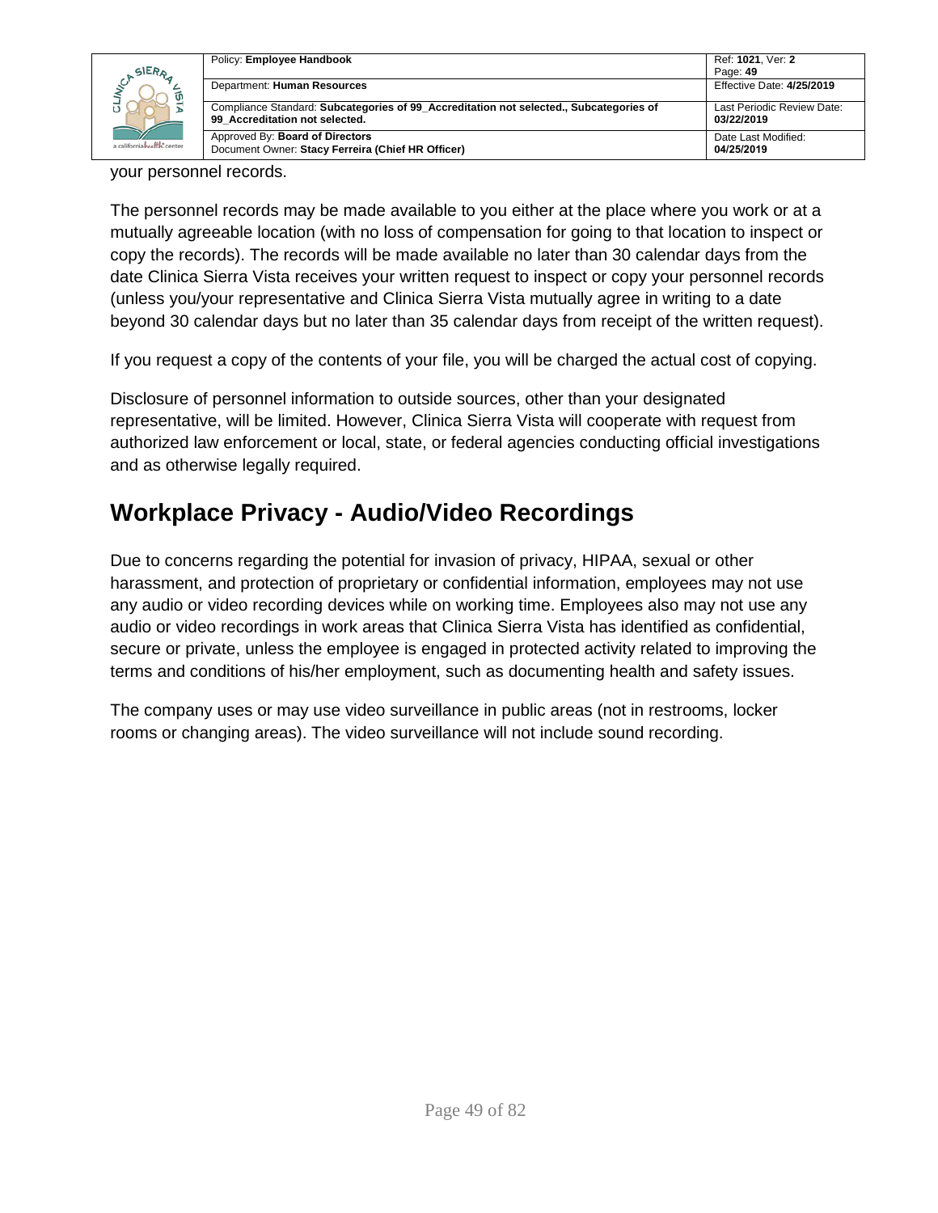| SIERA<br>a californiah settly, center | Policy: Employee Handbook                                                                                                | Ref: 1021, Ver: 2<br>Page: 49            |
|---------------------------------------|--------------------------------------------------------------------------------------------------------------------------|------------------------------------------|
|                                       | Department: Human Resources                                                                                              | Effective Date: 4/25/2019                |
|                                       | Compliance Standard: Subcategories of 99 Accreditation not selected., Subcategories of<br>99 Accreditation not selected. | Last Periodic Review Date:<br>03/22/2019 |
|                                       | Approved By: Board of Directors<br>Document Owner: Stacy Ferreira (Chief HR Officer)                                     | Date Last Modified:<br>04/25/2019        |

your personnel records.

The personnel records may be made available to you either at the place where you work or at a mutually agreeable location (with no loss of compensation for going to that location to inspect or copy the records). The records will be made available no later than 30 calendar days from the date Clinica Sierra Vista receives your written request to inspect or copy your personnel records (unless you/your representative and Clinica Sierra Vista mutually agree in writing to a date beyond 30 calendar days but no later than 35 calendar days from receipt of the written request).

If you request a copy of the contents of your file, you will be charged the actual cost of copying.

Disclosure of personnel information to outside sources, other than your designated representative, will be limited. However, Clinica Sierra Vista will cooperate with request from authorized law enforcement or local, state, or federal agencies conducting official investigations and as otherwise legally required.

## **Workplace Privacy - Audio/Video Recordings**

Due to concerns regarding the potential for invasion of privacy, HIPAA, sexual or other harassment, and protection of proprietary or confidential information, employees may not use any audio or video recording devices while on working time. Employees also may not use any audio or video recordings in work areas that Clinica Sierra Vista has identified as confidential, secure or private, unless the employee is engaged in protected activity related to improving the terms and conditions of his/her employment, such as documenting health and safety issues.

The company uses or may use video surveillance in public areas (not in restrooms, locker rooms or changing areas). The video surveillance will not include sound recording.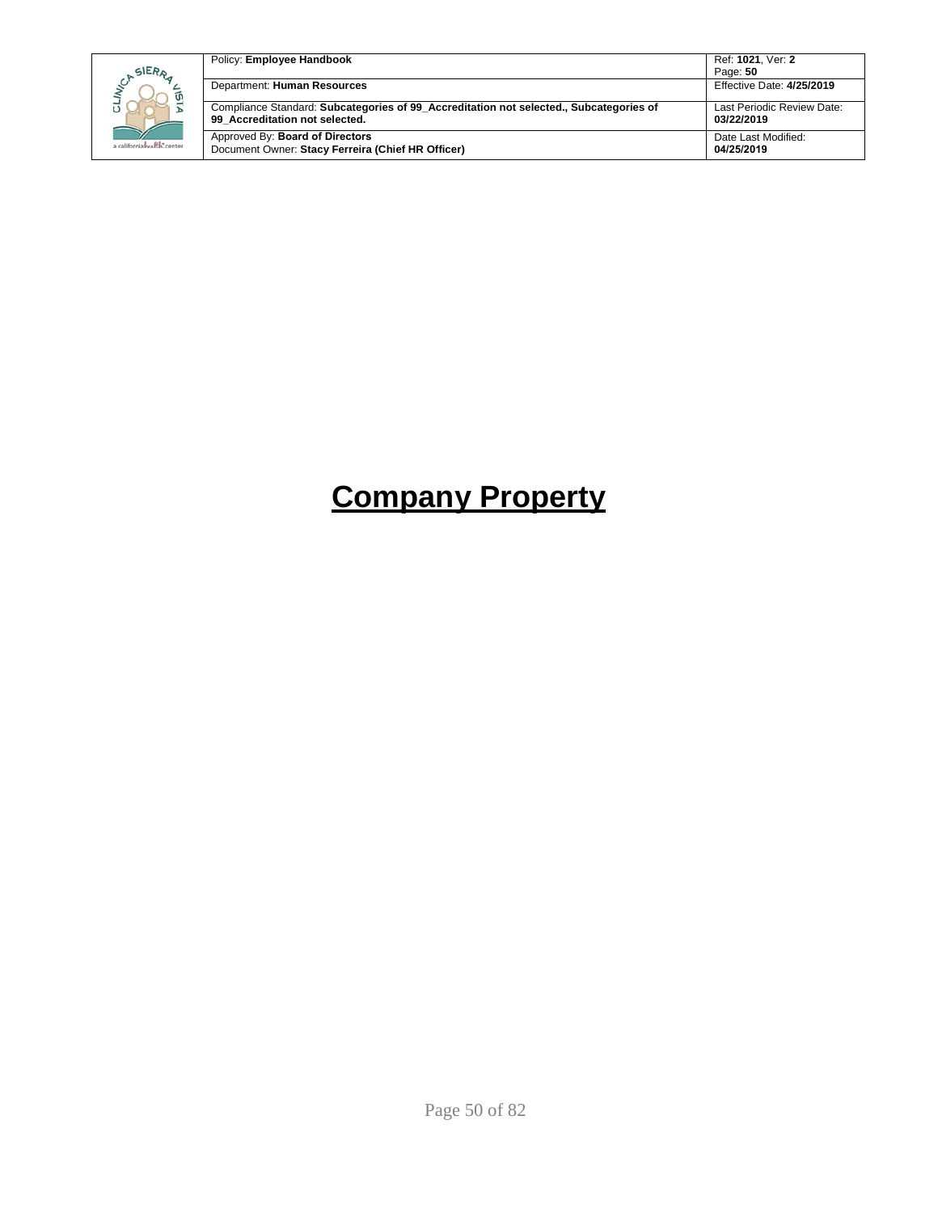| SIERA<br>a californiahealth, center | Policy: Employee Handbook                                                                                                | Ref: 1021. Ver: 2<br>Page: 50            |
|-------------------------------------|--------------------------------------------------------------------------------------------------------------------------|------------------------------------------|
|                                     | Department: Human Resources                                                                                              | Effective Date: 4/25/2019                |
|                                     | Compliance Standard: Subcategories of 99 Accreditation not selected., Subcategories of<br>99 Accreditation not selected. | Last Periodic Review Date:<br>03/22/2019 |
|                                     | Approved By: Board of Directors<br>Document Owner: Stacy Ferreira (Chief HR Officer)                                     | Date Last Modified:<br>04/25/2019        |

# **Company Property**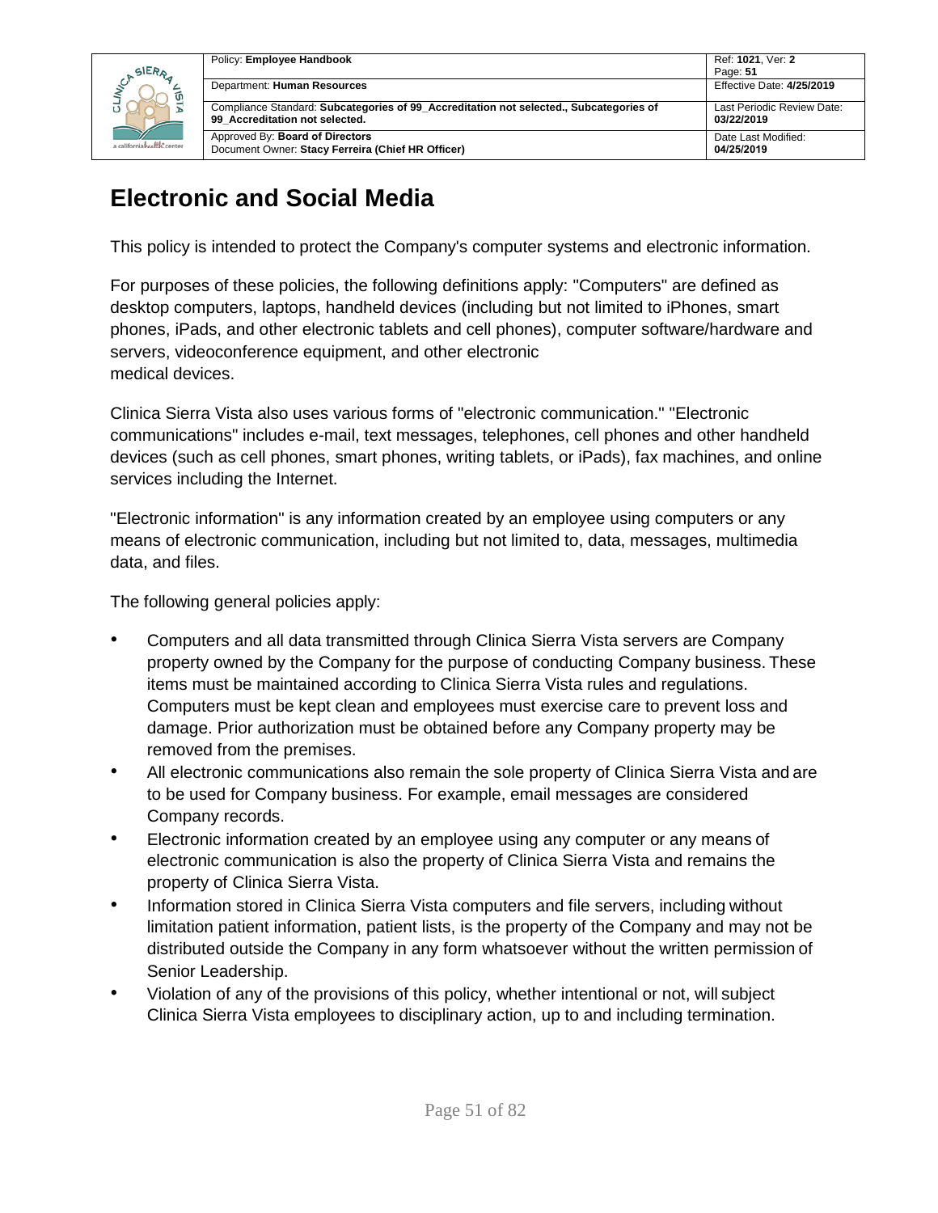

| Policy: Employee Handbook                                                                                                | Ref: 1021, Ver: 2                        |
|--------------------------------------------------------------------------------------------------------------------------|------------------------------------------|
|                                                                                                                          | Page: 51                                 |
| Department: Human Resources                                                                                              | Effective Date: 4/25/2019                |
| Compliance Standard: Subcategories of 99 Accreditation not selected., Subcategories of<br>99 Accreditation not selected. | Last Periodic Review Date:<br>03/22/2019 |
| Approved By: <b>Board of Directors</b><br>Document Owner: Stacy Ferreira (Chief HR Officer)                              | Date Last Modified:<br>04/25/2019        |

## **Electronic and Social Media**

This policy is intended to protect the Company's computer systems and electronic information.

For purposes of these policies, the following definitions apply: "Computers" are defined as desktop computers, laptops, handheld devices (including but not limited to iPhones, smart phones, iPads, and other electronic tablets and cell phones), computer software/hardware and servers, videoconference equipment, and other electronic medical devices.

Clinica Sierra Vista also uses various forms of "electronic communication." "Electronic communications" includes e-mail, text messages, telephones, cell phones and other handheld devices (such as cell phones, smart phones, writing tablets, or iPads), fax machines, and online services including the Internet.

"Electronic information" is any information created by an employee using computers or any means of electronic communication, including but not limited to, data, messages, multimedia data, and files.

The following general policies apply:

- Computers and all data transmitted through Clinica Sierra Vista servers are Company property owned by the Company for the purpose of conducting Company business. These items must be maintained according to Clinica Sierra Vista rules and regulations. Computers must be kept clean and employees must exercise care to prevent loss and damage. Prior authorization must be obtained before any Company property may be removed from the premises.
- All electronic communications also remain the sole property of Clinica Sierra Vista and are to be used for Company business. For example, email messages are considered Company records.
- Electronic information created by an employee using any computer or any means of electronic communication is also the property of Clinica Sierra Vista and remains the property of Clinica Sierra Vista.
- Information stored in Clinica Sierra Vista computers and file servers, including without limitation patient information, patient lists, is the property of the Company and may not be distributed outside the Company in any form whatsoever without the written permission of Senior Leadership.
- Violation of any of the provisions of this policy, whether intentional or not, will subject Clinica Sierra Vista employees to disciplinary action, up to and including termination.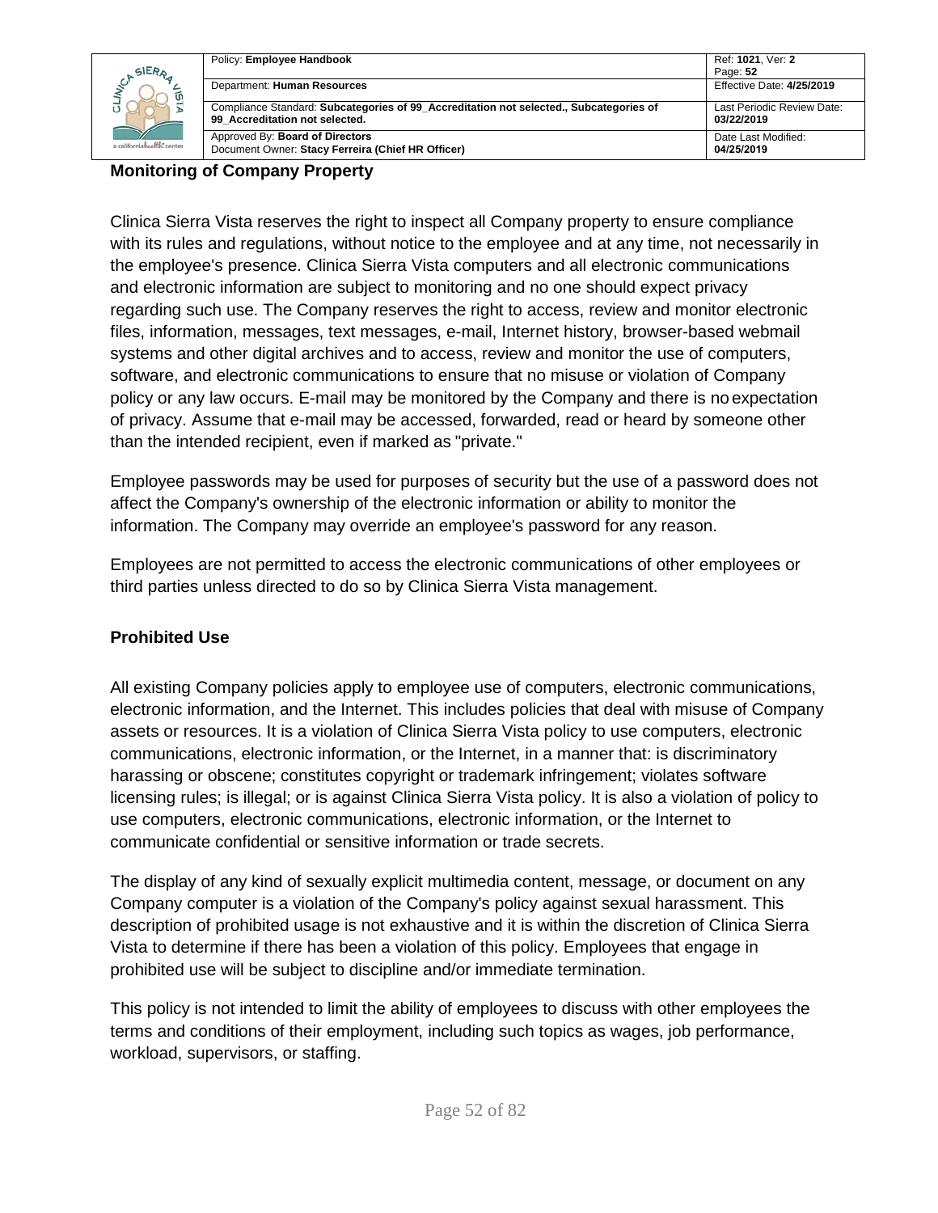|                                     | Policy: Employee Handbook                                                                                                | Ref: 1021. Ver: 2                        |
|-------------------------------------|--------------------------------------------------------------------------------------------------------------------------|------------------------------------------|
| SIERA<br>a californiahealth, center |                                                                                                                          | Page: 52                                 |
|                                     | Department: Human Resources                                                                                              | Effective Date: 4/25/2019                |
|                                     | Compliance Standard: Subcategories of 99 Accreditation not selected., Subcategories of<br>99 Accreditation not selected. | Last Periodic Review Date:<br>03/22/2019 |
|                                     | Approved By: Board of Directors<br>Document Owner: Stacy Ferreira (Chief HR Officer)                                     | Date Last Modified:<br>04/25/2019        |

#### **Monitoring of Company Property**

Clinica Sierra Vista reserves the right to inspect all Company property to ensure compliance with its rules and regulations, without notice to the employee and at any time, not necessarily in the employee's presence. Clinica Sierra Vista computers and all electronic communications and electronic information are subject to monitoring and no one should expect privacy regarding such use. The Company reserves the right to access, review and monitor electronic files, information, messages, text messages, e-mail, Internet history, browser-based webmail systems and other digital archives and to access, review and monitor the use of computers, software, and electronic communications to ensure that no misuse or violation of Company policy or any law occurs. E-mail may be monitored by the Company and there is no expectation of privacy. Assume that e-mail may be accessed, forwarded, read or heard by someone other than the intended recipient, even if marked as "private."

Employee passwords may be used for purposes of security but the use of a password does not affect the Company's ownership of the electronic information or ability to monitor the information. The Company may override an employee's password for any reason.

Employees are not permitted to access the electronic communications of other employees or third parties unless directed to do so by Clinica Sierra Vista management.

### **Prohibited Use**

All existing Company policies apply to employee use of computers, electronic communications, electronic information, and the Internet. This includes policies that deal with misuse of Company assets or resources. It is a violation of Clinica Sierra Vista policy to use computers, electronic communications, electronic information, or the Internet, in a manner that: is discriminatory harassing or obscene; constitutes copyright or trademark infringement; violates software licensing rules; is illegal; or is against Clinica Sierra Vista policy. It is also a violation of policy to use computers, electronic communications, electronic information, or the Internet to communicate confidential or sensitive information or trade secrets.

The display of any kind of sexually explicit multimedia content, message, or document on any Company computer is a violation of the Company's policy against sexual harassment. This description of prohibited usage is not exhaustive and it is within the discretion of Clinica Sierra Vista to determine if there has been a violation of this policy. Employees that engage in prohibited use will be subject to discipline and/or immediate termination.

This policy is not intended to limit the ability of employees to discuss with other employees the terms and conditions of their employment, including such topics as wages, job performance, workload, supervisors, or staffing.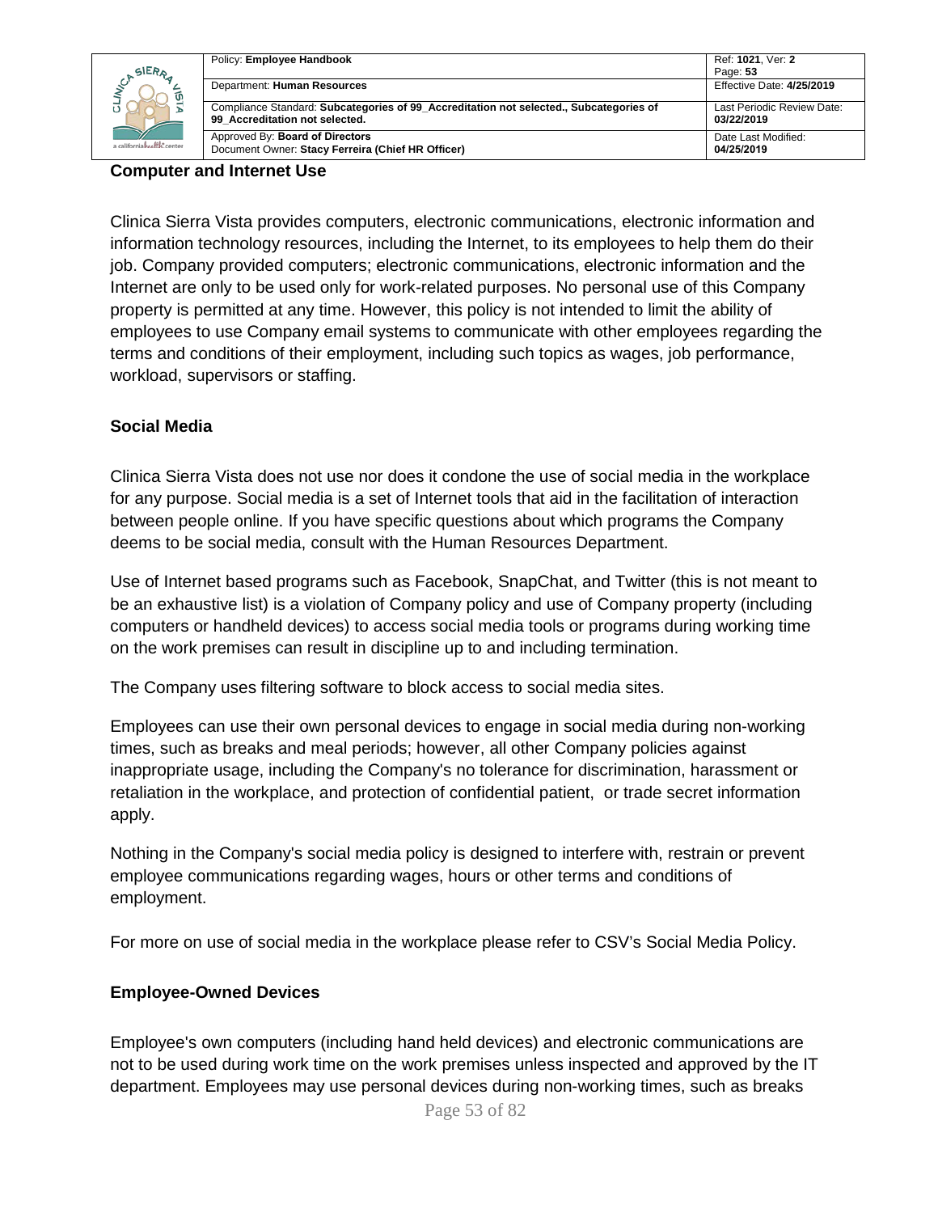| SIERA                            | Policy: Employee Handbook                                                                                                | Ref: 1021, Ver: 2<br>Page: 53            |
|----------------------------------|--------------------------------------------------------------------------------------------------------------------------|------------------------------------------|
| ίU<br>a californiahealth, center | Department: Human Resources                                                                                              | Effective Date: 4/25/2019                |
|                                  | Compliance Standard: Subcategories of 99 Accreditation not selected., Subcategories of<br>99 Accreditation not selected. | Last Periodic Review Date:<br>03/22/2019 |
|                                  | Approved By: Board of Directors<br>Document Owner: Stacy Ferreira (Chief HR Officer)                                     | Date Last Modified:<br>04/25/2019        |

#### **Computer and Internet Use**

Clinica Sierra Vista provides computers, electronic communications, electronic information and information technology resources, including the Internet, to its employees to help them do their job. Company provided computers; electronic communications, electronic information and the Internet are only to be used only for work-related purposes. No personal use of this Company property is permitted at any time. However, this policy is not intended to limit the ability of employees to use Company email systems to communicate with other employees regarding the terms and conditions of their employment, including such topics as wages, job performance, workload, supervisors or staffing.

#### **Social Media**

Clinica Sierra Vista does not use nor does it condone the use of social media in the workplace for any purpose. Social media is a set of Internet tools that aid in the facilitation of interaction between people online. If you have specific questions about which programs the Company deems to be social media, consult with the Human Resources Department.

Use of Internet based programs such as Facebook, SnapChat, and Twitter (this is not meant to be an exhaustive list) is a violation of Company policy and use of Company property (including computers or handheld devices) to access social media tools or programs during working time on the work premises can result in discipline up to and including termination.

The Company uses filtering software to block access to social media sites.

Employees can use their own personal devices to engage in social media during non-working times, such as breaks and meal periods; however, all other Company policies against inappropriate usage, including the Company's no tolerance for discrimination, harassment or retaliation in the workplace, and protection of confidential patient, or trade secret information apply.

Nothing in the Company's social media policy is designed to interfere with, restrain or prevent employee communications regarding wages, hours or other terms and conditions of employment.

For more on use of social media in the workplace please refer to CSV's Social Media Policy.

#### **Employee-Owned Devices**

Employee's own computers (including hand held devices) and electronic communications are not to be used during work time on the work premises unless inspected and approved by the IT department. Employees may use personal devices during non-working times, such as breaks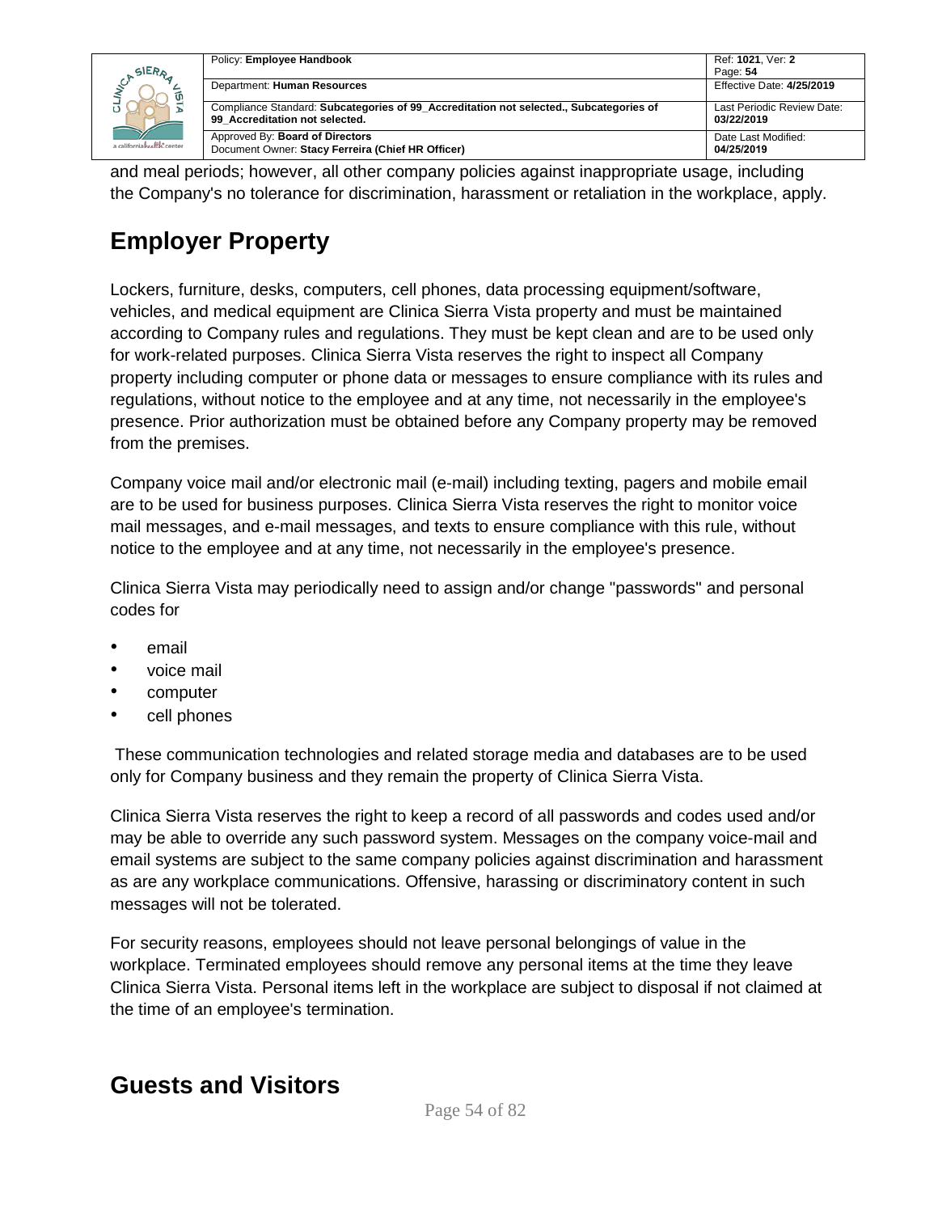| SIERR<br>a californiahealth, center | Policy: Employee Handbook                                                                                                | Ref: 1021, Ver: 2                        |
|-------------------------------------|--------------------------------------------------------------------------------------------------------------------------|------------------------------------------|
|                                     |                                                                                                                          | Page: 54                                 |
|                                     | Department: Human Resources                                                                                              | Effective Date: 4/25/2019                |
|                                     | Compliance Standard: Subcategories of 99 Accreditation not selected., Subcategories of<br>99 Accreditation not selected. | Last Periodic Review Date:<br>03/22/2019 |
|                                     | Approved By: Board of Directors<br>Document Owner: Stacy Ferreira (Chief HR Officer)                                     | Date Last Modified:<br>04/25/2019        |

and meal periods; however, all other company policies against inappropriate usage, including the Company's no tolerance for discrimination, harassment or retaliation in the workplace, apply.

## **Employer Property**

Lockers, furniture, desks, computers, cell phones, data processing equipment/software, vehicles, and medical equipment are Clinica Sierra Vista property and must be maintained according to Company rules and regulations. They must be kept clean and are to be used only for work-related purposes. Clinica Sierra Vista reserves the right to inspect all Company property including computer or phone data or messages to ensure compliance with its rules and regulations, without notice to the employee and at any time, not necessarily in the employee's presence. Prior authorization must be obtained before any Company property may be removed from the premises.

Company voice mail and/or electronic mail (e-mail) including texting, pagers and mobile email are to be used for business purposes. Clinica Sierra Vista reserves the right to monitor voice mail messages, and e-mail messages, and texts to ensure compliance with this rule, without notice to the employee and at any time, not necessarily in the employee's presence.

Clinica Sierra Vista may periodically need to assign and/or change "passwords" and personal codes for

- email
- voice mail
- computer
- cell phones

These communication technologies and related storage media and databases are to be used only for Company business and they remain the property of Clinica Sierra Vista.

Clinica Sierra Vista reserves the right to keep a record of all passwords and codes used and/or may be able to override any such password system. Messages on the company voice-mail and email systems are subject to the same company policies against discrimination and harassment as are any workplace communications. Offensive, harassing or discriminatory content in such messages will not be tolerated.

For security reasons, employees should not leave personal belongings of value in the workplace. Terminated employees should remove any personal items at the time they leave Clinica Sierra Vista. Personal items left in the workplace are subject to disposal if not claimed at the time of an employee's termination.

### **Guests and Visitors**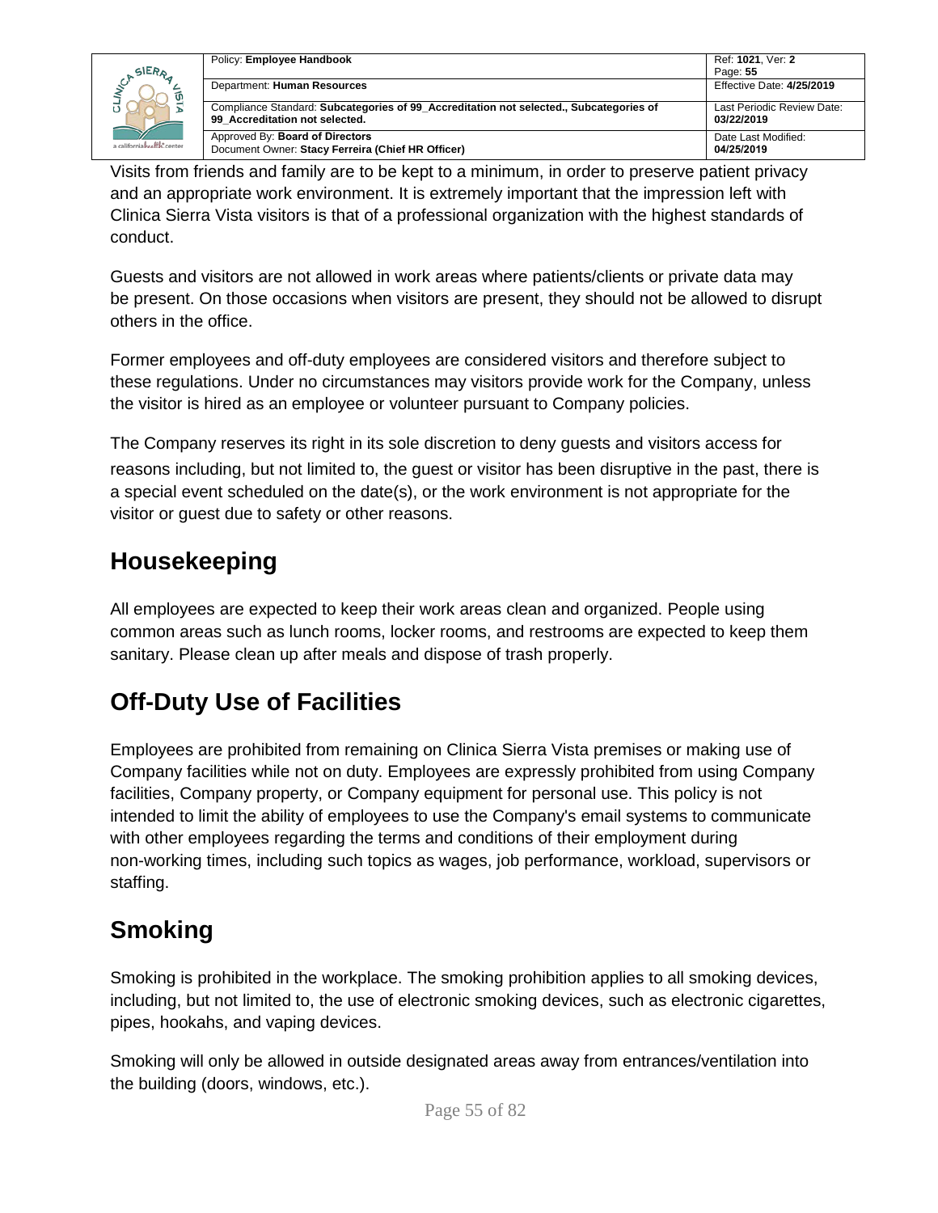|                            | Policy: Employee Handbook                                                                                                | Ref: 1021, Ver: 2                        |
|----------------------------|--------------------------------------------------------------------------------------------------------------------------|------------------------------------------|
| SIERA                      |                                                                                                                          | Page: 55                                 |
| a californiahealth, center | Department: Human Resources                                                                                              | Effective Date: 4/25/2019                |
|                            | Compliance Standard: Subcategories of 99 Accreditation not selected., Subcategories of<br>99 Accreditation not selected. | Last Periodic Review Date:<br>03/22/2019 |
|                            | Approved By: Board of Directors<br>Document Owner: Stacy Ferreira (Chief HR Officer)                                     | Date Last Modified:<br>04/25/2019        |

Visits from friends and family are to be kept to a minimum, in order to preserve patient privacy and an appropriate work environment. It is extremely important that the impression left with Clinica Sierra Vista visitors is that of a professional organization with the highest standards of conduct.

Guests and visitors are not allowed in work areas where patients/clients or private data may be present. On those occasions when visitors are present, they should not be allowed to disrupt others in the office.

Former employees and off-duty employees are considered visitors and therefore subject to these regulations. Under no circumstances may visitors provide work for the Company, unless the visitor is hired as an employee or volunteer pursuant to Company policies.

The Company reserves its right in its sole discretion to deny guests and visitors access for reasons including, but not limited to, the guest or visitor has been disruptive in the past, there is a special event scheduled on the date(s), or the work environment is not appropriate for the visitor or guest due to safety or other reasons.

## **Housekeeping**

All employees are expected to keep their work areas clean and organized. People using common areas such as lunch rooms, locker rooms, and restrooms are expected to keep them sanitary. Please clean up after meals and dispose of trash properly.

## **Off-Duty Use of Facilities**

Employees are prohibited from remaining on Clinica Sierra Vista premises or making use of Company facilities while not on duty. Employees are expressly prohibited from using Company facilities, Company property, or Company equipment for personal use. This policy is not intended to limit the ability of employees to use the Company's email systems to communicate with other employees regarding the terms and conditions of their employment during non-working times, including such topics as wages, job performance, workload, supervisors or staffing.

## **Smoking**

Smoking is prohibited in the workplace. The smoking prohibition applies to all smoking devices, including, but not limited to, the use of electronic smoking devices, such as electronic cigarettes, pipes, hookahs, and vaping devices.

Smoking will only be allowed in outside designated areas away from entrances/ventilation into the building (doors, windows, etc.).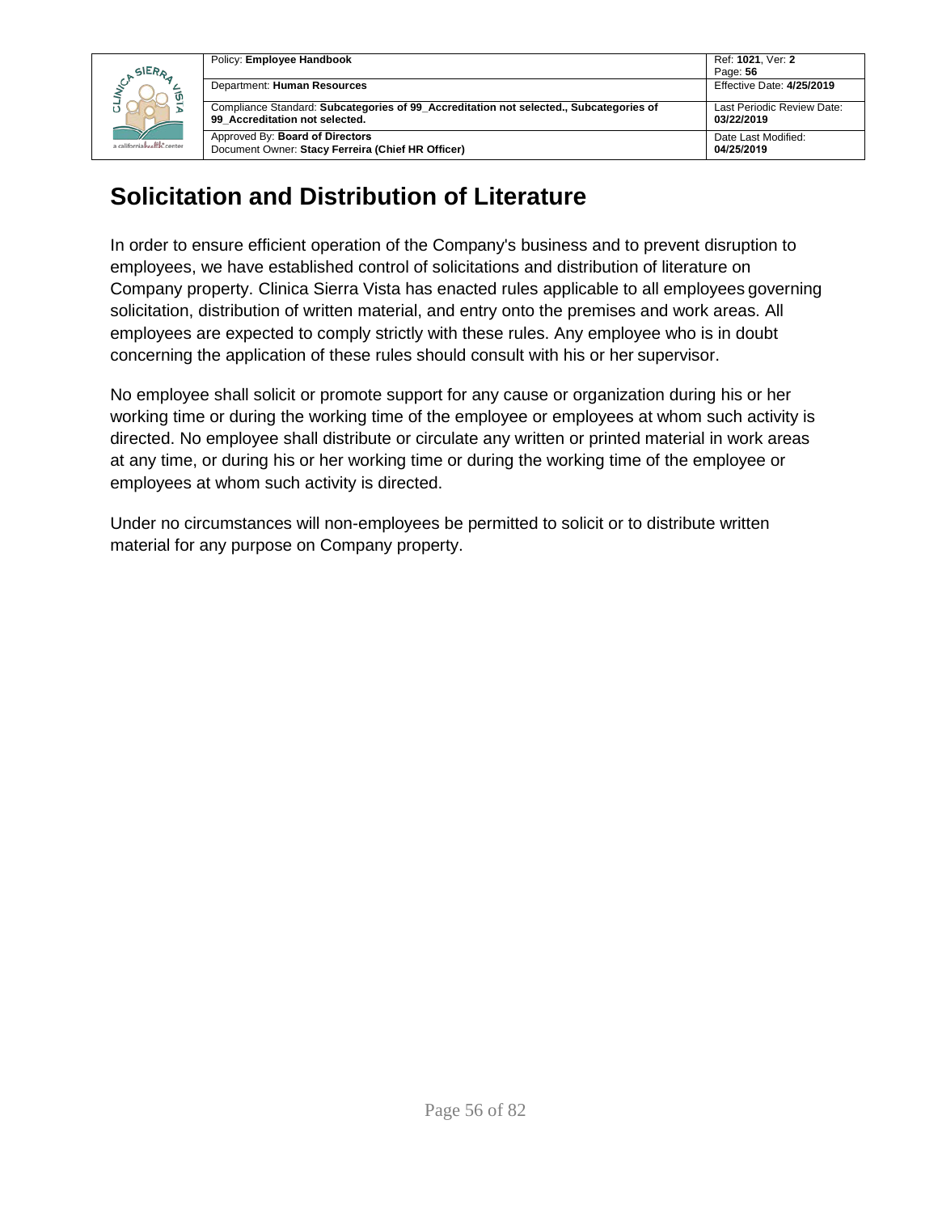

| Policy: Employee Handbook                                                                                                | Ref: 1021, Ver: 2                        |
|--------------------------------------------------------------------------------------------------------------------------|------------------------------------------|
|                                                                                                                          | Page: 56                                 |
| Department: Human Resources                                                                                              | Effective Date: 4/25/2019                |
| Compliance Standard: Subcategories of 99 Accreditation not selected., Subcategories of<br>99 Accreditation not selected. | Last Periodic Review Date:<br>03/22/2019 |
| Approved By: Board of Directors<br>Document Owner: Stacy Ferreira (Chief HR Officer)                                     | Date Last Modified:<br>04/25/2019        |

## **Solicitation and Distribution of Literature**

In order to ensure efficient operation of the Company's business and to prevent disruption to employees, we have established control of solicitations and distribution of literature on Company property. Clinica Sierra Vista has enacted rules applicable to all employees governing solicitation, distribution of written material, and entry onto the premises and work areas. All employees are expected to comply strictly with these rules. Any employee who is in doubt concerning the application of these rules should consult with his or her supervisor.

No employee shall solicit or promote support for any cause or organization during his or her working time or during the working time of the employee or employees at whom such activity is directed. No employee shall distribute or circulate any written or printed material in work areas at any time, or during his or her working time or during the working time of the employee or employees at whom such activity is directed.

Under no circumstances will non-employees be permitted to solicit or to distribute written material for any purpose on Company property.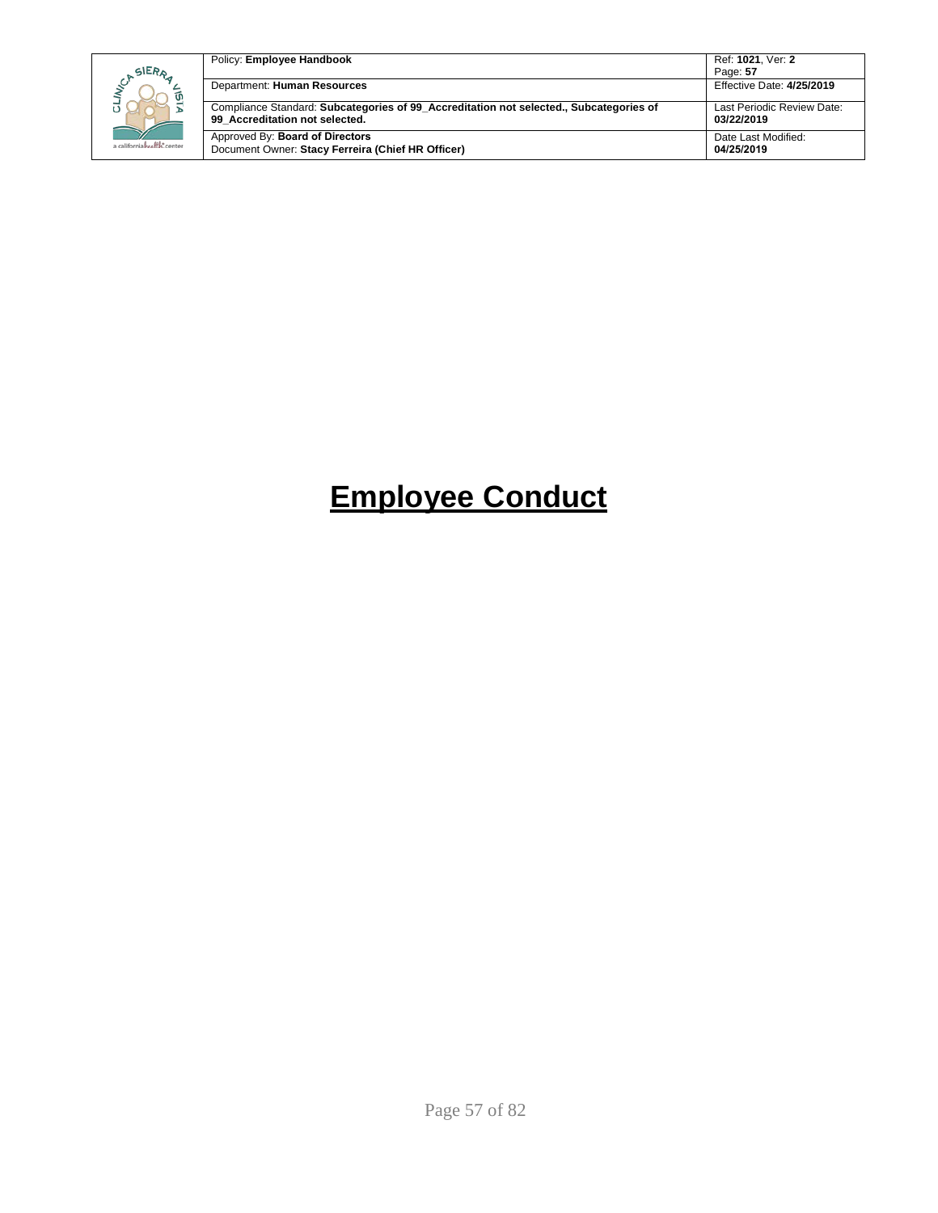| SIERA<br>ັທ<br>a californiahealth, center | Policy: Employee Handbook                                                                                                | Ref: 1021. Ver: 2<br>Page: 57            |
|-------------------------------------------|--------------------------------------------------------------------------------------------------------------------------|------------------------------------------|
|                                           | Department: Human Resources                                                                                              | Effective Date: 4/25/2019                |
|                                           | Compliance Standard: Subcategories of 99 Accreditation not selected., Subcategories of<br>99 Accreditation not selected. | Last Periodic Review Date:<br>03/22/2019 |
|                                           | Approved By: Board of Directors<br>Document Owner: Stacy Ferreira (Chief HR Officer)                                     | Date Last Modified:<br>04/25/2019        |

# **Employee Conduct**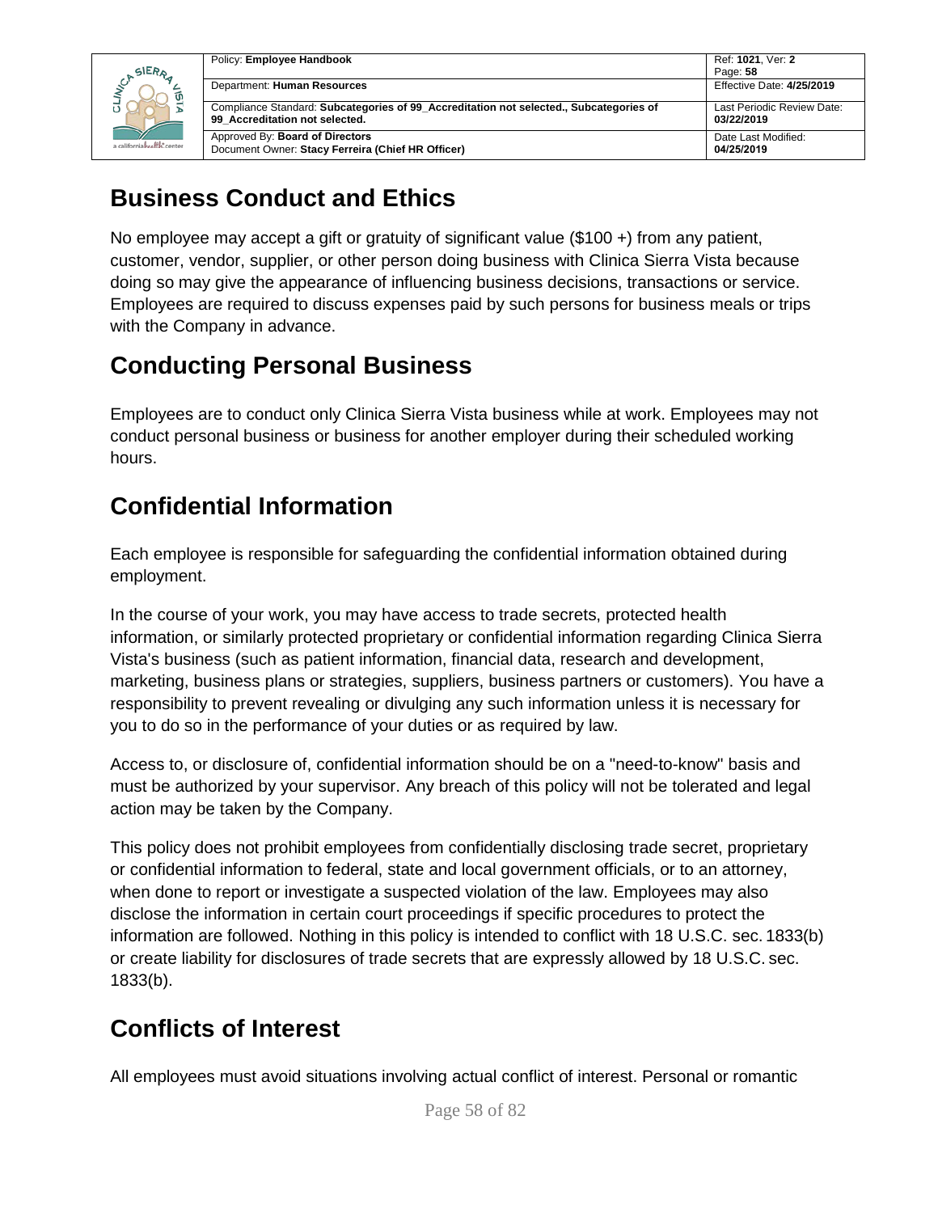

| Ref: 1021, Ver: 2                        |
|------------------------------------------|
| Page: 58                                 |
| <b>Effective Date: 4/25/2019</b>         |
| Last Periodic Review Date:<br>03/22/2019 |
| Date Last Modified:<br>04/25/2019        |
|                                          |

## **Business Conduct and Ethics**

No employee may accept a gift or gratuity of significant value (\$100 +) from any patient, customer, vendor, supplier, or other person doing business with Clinica Sierra Vista because doing so may give the appearance of influencing business decisions, transactions or service. Employees are required to discuss expenses paid by such persons for business meals or trips with the Company in advance.

## **Conducting Personal Business**

Employees are to conduct only Clinica Sierra Vista business while at work. Employees may not conduct personal business or business for another employer during their scheduled working hours.

## **Confidential Information**

Each employee is responsible for safeguarding the confidential information obtained during employment.

In the course of your work, you may have access to trade secrets, protected health information, or similarly protected proprietary or confidential information regarding Clinica Sierra Vista's business (such as patient information, financial data, research and development, marketing, business plans or strategies, suppliers, business partners or customers). You have a responsibility to prevent revealing or divulging any such information unless it is necessary for you to do so in the performance of your duties or as required by law.

Access to, or disclosure of, confidential information should be on a "need-to-know" basis and must be authorized by your supervisor. Any breach of this policy will not be tolerated and legal action may be taken by the Company.

This policy does not prohibit employees from confidentially disclosing trade secret, proprietary or confidential information to federal, state and local government officials, or to an attorney, when done to report or investigate a suspected violation of the law. Employees may also disclose the information in certain court proceedings if specific procedures to protect the information are followed. Nothing in this policy is intended to conflict with 18 U.S.C. sec. 1833(b) or create liability for disclosures of trade secrets that are expressly allowed by 18 U.S.C. sec. 1833(b).

## **Conflicts of Interest**

All employees must avoid situations involving actual conflict of interest. Personal or romantic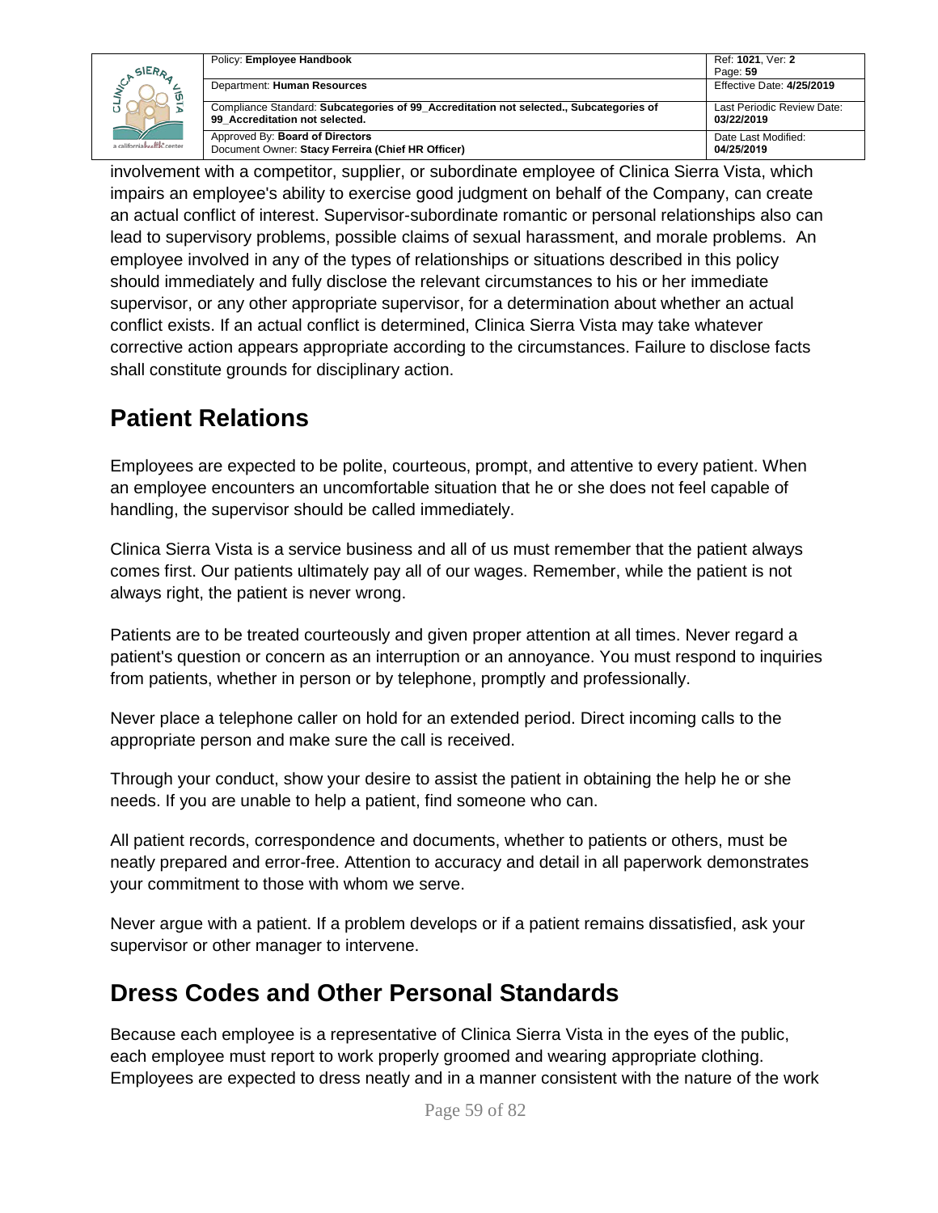|                            | Policy: Employee Handbook                                                                                                | Ref: 1021. Ver: 2                        |
|----------------------------|--------------------------------------------------------------------------------------------------------------------------|------------------------------------------|
| SIERA                      |                                                                                                                          | Page: 59                                 |
|                            | Department: Human Resources                                                                                              | Effective Date: 4/25/2019                |
|                            | Compliance Standard: Subcategories of 99 Accreditation not selected., Subcategories of<br>99 Accreditation not selected. | Last Periodic Review Date:<br>03/22/2019 |
| a californiahealth, center | Approved By: Board of Directors<br>Document Owner: Stacy Ferreira (Chief HR Officer)                                     | Date Last Modified:<br>04/25/2019        |

involvement with a competitor, supplier, or subordinate employee of Clinica Sierra Vista, which impairs an employee's ability to exercise good judgment on behalf of the Company, can create an actual conflict of interest. Supervisor-subordinate romantic or personal relationships also can lead to supervisory problems, possible claims of sexual harassment, and morale problems. An employee involved in any of the types of relationships or situations described in this policy should immediately and fully disclose the relevant circumstances to his or her immediate supervisor, or any other appropriate supervisor, for a determination about whether an actual conflict exists. If an actual conflict is determined, Clinica Sierra Vista may take whatever corrective action appears appropriate according to the circumstances. Failure to disclose facts shall constitute grounds for disciplinary action.

## **Patient Relations**

Employees are expected to be polite, courteous, prompt, and attentive to every patient. When an employee encounters an uncomfortable situation that he or she does not feel capable of handling, the supervisor should be called immediately.

Clinica Sierra Vista is a service business and all of us must remember that the patient always comes first. Our patients ultimately pay all of our wages. Remember, while the patient is not always right, the patient is never wrong.

Patients are to be treated courteously and given proper attention at all times. Never regard a patient's question or concern as an interruption or an annoyance. You must respond to inquiries from patients, whether in person or by telephone, promptly and professionally.

Never place a telephone caller on hold for an extended period. Direct incoming calls to the appropriate person and make sure the call is received.

Through your conduct, show your desire to assist the patient in obtaining the help he or she needs. If you are unable to help a patient, find someone who can.

All patient records, correspondence and documents, whether to patients or others, must be neatly prepared and error-free. Attention to accuracy and detail in all paperwork demonstrates your commitment to those with whom we serve.

Never argue with a patient. If a problem develops or if a patient remains dissatisfied, ask your supervisor or other manager to intervene.

### **Dress Codes and Other Personal Standards**

Because each employee is a representative of Clinica Sierra Vista in the eyes of the public, each employee must report to work properly groomed and wearing appropriate clothing. Employees are expected to dress neatly and in a manner consistent with the nature of the work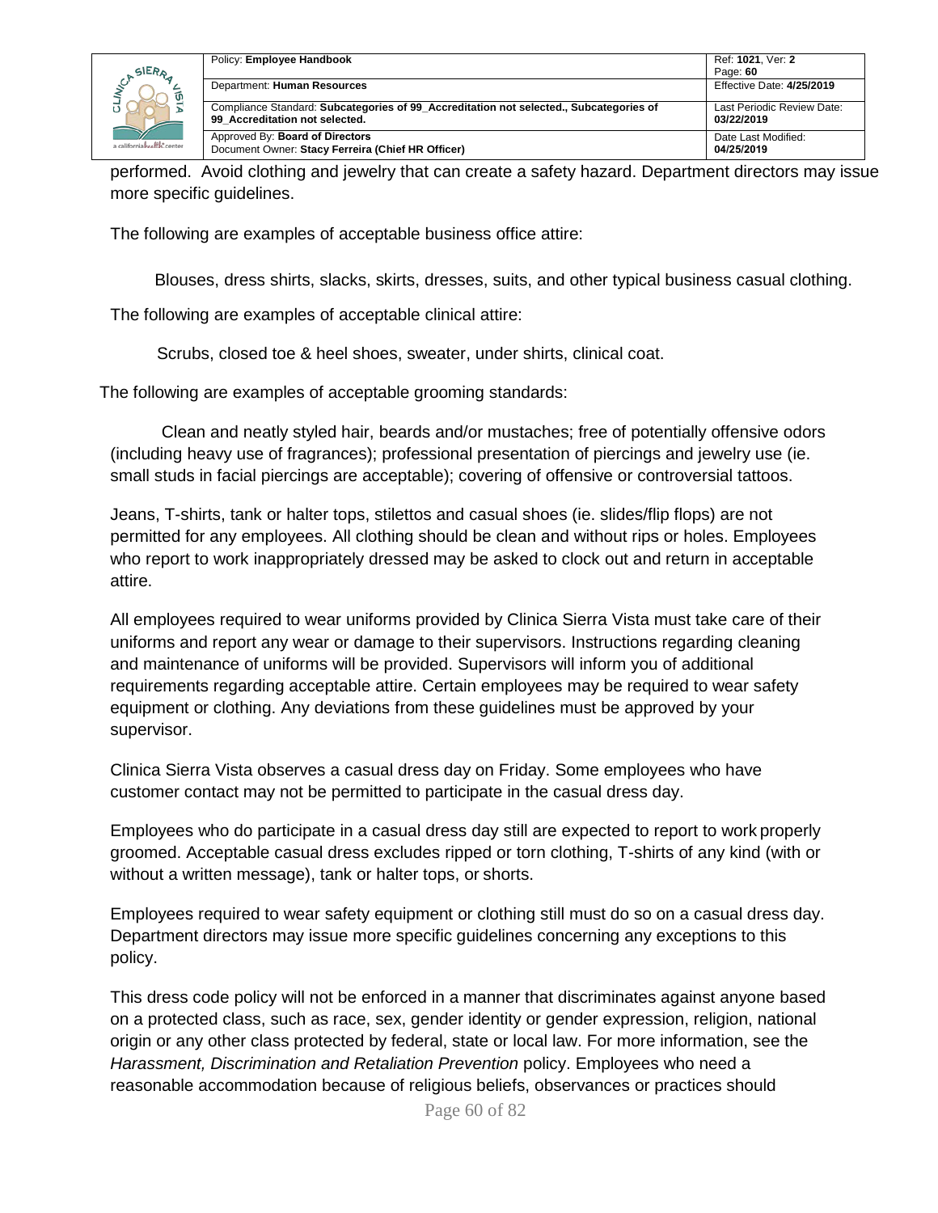|                              | Policy: Employee Handbook                                                                                                | Ref: 1021. Ver: 2                        |
|------------------------------|--------------------------------------------------------------------------------------------------------------------------|------------------------------------------|
| SIERA                        |                                                                                                                          | Page: 60                                 |
|                              | Department: Human Resources                                                                                              | Effective Date: 4/25/2019                |
|                              | Compliance Standard: Subcategories of 99 Accreditation not selected., Subcategories of<br>99 Accreditation not selected. | Last Periodic Review Date:<br>03/22/2019 |
| a californiah self is center | Approved By: Board of Directors<br>Document Owner: Stacy Ferreira (Chief HR Officer)                                     | Date Last Modified:<br>04/25/2019        |

performed. Avoid clothing and jewelry that can create a safety hazard. Department directors may issue more specific guidelines.

The following are examples of acceptable business office attire:

Blouses, dress shirts, slacks, skirts, dresses, suits, and other typical business casual clothing.

The following are examples of acceptable clinical attire:

Scrubs, closed toe & heel shoes, sweater, under shirts, clinical coat.

The following are examples of acceptable grooming standards:

Clean and neatly styled hair, beards and/or mustaches; free of potentially offensive odors (including heavy use of fragrances); professional presentation of piercings and jewelry use (ie. small studs in facial piercings are acceptable); covering of offensive or controversial tattoos.

Jeans, T-shirts, tank or halter tops, stilettos and casual shoes (ie. slides/flip flops) are not permitted for any employees. All clothing should be clean and without rips or holes. Employees who report to work inappropriately dressed may be asked to clock out and return in acceptable attire.

All employees required to wear uniforms provided by Clinica Sierra Vista must take care of their uniforms and report any wear or damage to their supervisors. Instructions regarding cleaning and maintenance of uniforms will be provided. Supervisors will inform you of additional requirements regarding acceptable attire. Certain employees may be required to wear safety equipment or clothing. Any deviations from these guidelines must be approved by your supervisor.

Clinica Sierra Vista observes a casual dress day on Friday. Some employees who have customer contact may not be permitted to participate in the casual dress day.

Employees who do participate in a casual dress day still are expected to report to work properly groomed. Acceptable casual dress excludes ripped or torn clothing, T-shirts of any kind (with or without a written message), tank or halter tops, or shorts.

Employees required to wear safety equipment or clothing still must do so on a casual dress day. Department directors may issue more specific guidelines concerning any exceptions to this policy.

This dress code policy will not be enforced in a manner that discriminates against anyone based on a protected class, such as race, sex, gender identity or gender expression, religion, national origin or any other class protected by federal, state or local law. For more information, see the *Harassment, Discrimination and Retaliation Prevention* policy. Employees who need a reasonable accommodation because of religious beliefs, observances or practices should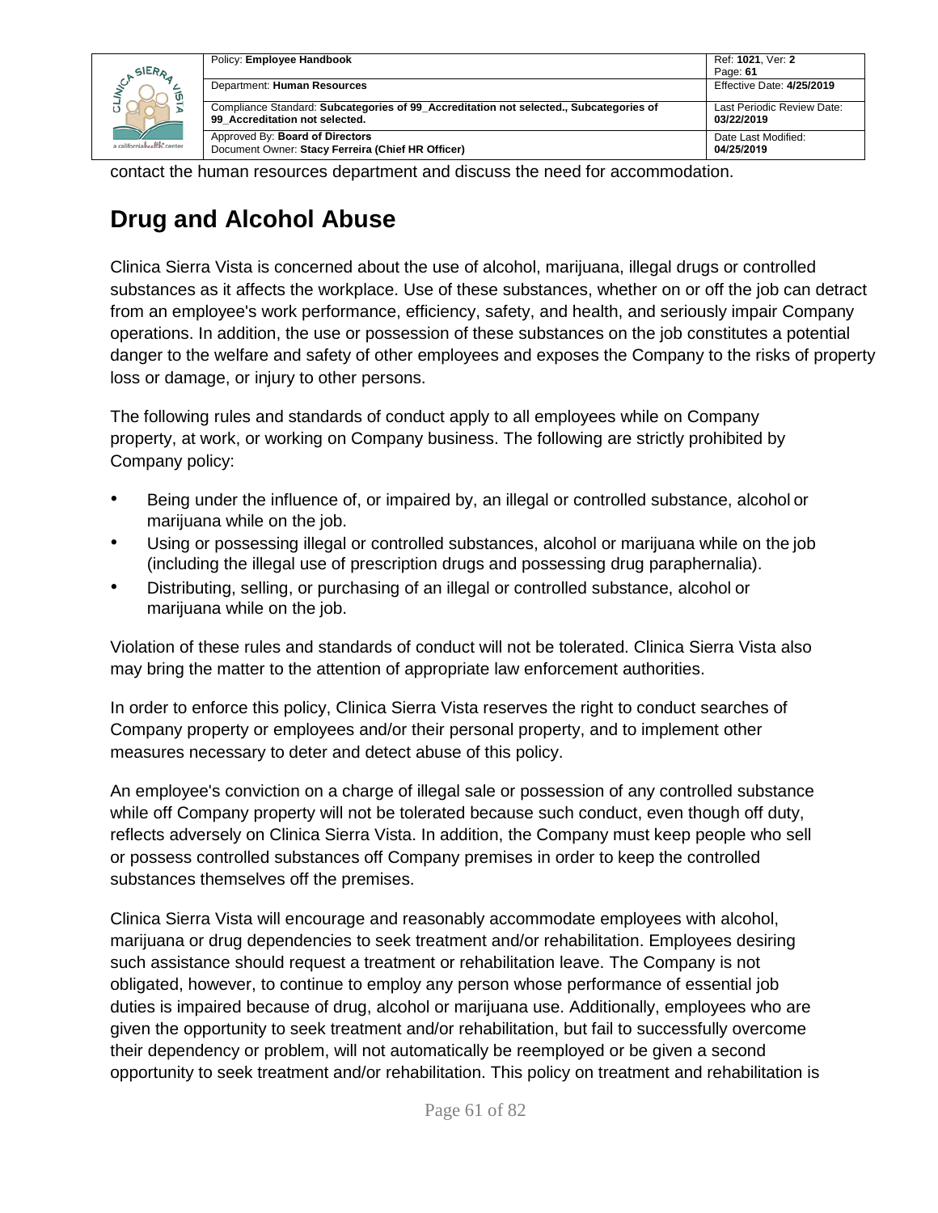| SIERA                       | Policy: Employee Handbook                                                                                                | Ref: 1021. Ver: 2<br>Page: 61            |
|-----------------------------|--------------------------------------------------------------------------------------------------------------------------|------------------------------------------|
|                             | Department: Human Resources                                                                                              | Effective Date: 4/25/2019                |
|                             | Compliance Standard: Subcategories of 99 Accreditation not selected., Subcategories of<br>99 Accreditation not selected. | Last Periodic Review Date:<br>03/22/2019 |
| a californiah ealth: center | Approved By: Board of Directors<br>Document Owner: Stacy Ferreira (Chief HR Officer)                                     | Date Last Modified:<br>04/25/2019        |

contact the human resources department and discuss the need for accommodation.

## **Drug and Alcohol Abuse**

Clinica Sierra Vista is concerned about the use of alcohol, marijuana, illegal drugs or controlled substances as it affects the workplace. Use of these substances, whether on or off the job can detract from an employee's work performance, efficiency, safety, and health, and seriously impair Company operations. In addition, the use or possession of these substances on the job constitutes a potential danger to the welfare and safety of other employees and exposes the Company to the risks of property loss or damage, or injury to other persons.

The following rules and standards of conduct apply to all employees while on Company property, at work, or working on Company business. The following are strictly prohibited by Company policy:

- Being under the influence of, or impaired by, an illegal or controlled substance, alcohol or marijuana while on the job.
- Using or possessing illegal or controlled substances, alcohol or marijuana while on the job (including the illegal use of prescription drugs and possessing drug paraphernalia).
- Distributing, selling, or purchasing of an illegal or controlled substance, alcohol or marijuana while on the job.

Violation of these rules and standards of conduct will not be tolerated. Clinica Sierra Vista also may bring the matter to the attention of appropriate law enforcement authorities.

In order to enforce this policy, Clinica Sierra Vista reserves the right to conduct searches of Company property or employees and/or their personal property, and to implement other measures necessary to deter and detect abuse of this policy.

An employee's conviction on a charge of illegal sale or possession of any controlled substance while off Company property will not be tolerated because such conduct, even though off duty, reflects adversely on Clinica Sierra Vista. In addition, the Company must keep people who sell or possess controlled substances off Company premises in order to keep the controlled substances themselves off the premises.

Clinica Sierra Vista will encourage and reasonably accommodate employees with alcohol, marijuana or drug dependencies to seek treatment and/or rehabilitation. Employees desiring such assistance should request a treatment or rehabilitation leave. The Company is not obligated, however, to continue to employ any person whose performance of essential job duties is impaired because of drug, alcohol or marijuana use. Additionally, employees who are given the opportunity to seek treatment and/or rehabilitation, but fail to successfully overcome their dependency or problem, will not automatically be reemployed or be given a second opportunity to seek treatment and/or rehabilitation. This policy on treatment and rehabilitation is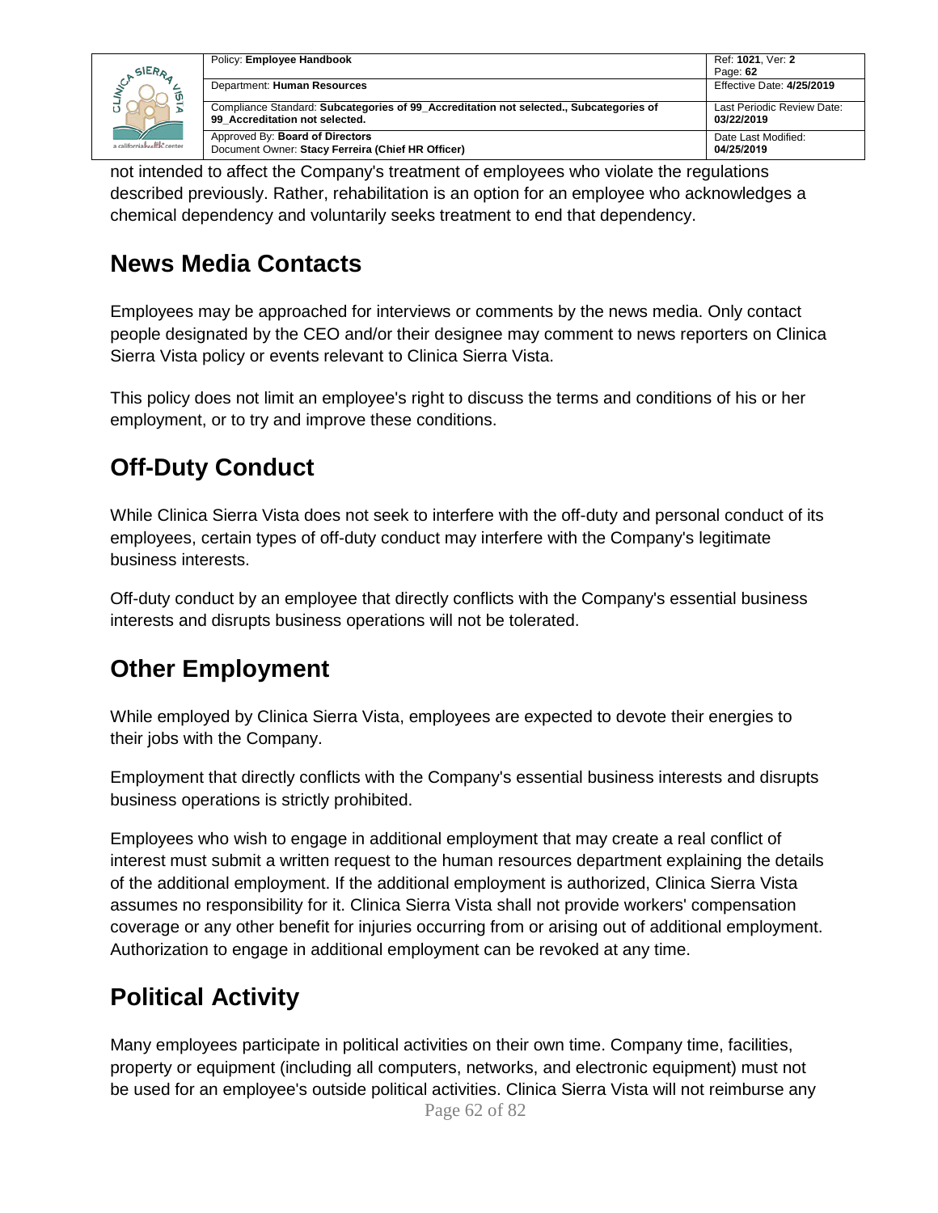|                            | Policy: Employee Handbook                                                                                                | Ref: 1021. Ver: 2                        |
|----------------------------|--------------------------------------------------------------------------------------------------------------------------|------------------------------------------|
| SIERA                      |                                                                                                                          | Page: 62                                 |
|                            | Department: Human Resources                                                                                              | Effective Date: 4/25/2019                |
|                            | Compliance Standard: Subcategories of 99 Accreditation not selected., Subcategories of<br>99 Accreditation not selected. | Last Periodic Review Date:<br>03/22/2019 |
| a californiahealth, center | Approved By: Board of Directors<br>Document Owner: Stacy Ferreira (Chief HR Officer)                                     | Date Last Modified:<br>04/25/2019        |

not intended to affect the Company's treatment of employees who violate the regulations described previously. Rather, rehabilitation is an option for an employee who acknowledges a chemical dependency and voluntarily seeks treatment to end that dependency.

## **News Media Contacts**

Employees may be approached for interviews or comments by the news media. Only contact people designated by the CEO and/or their designee may comment to news reporters on Clinica Sierra Vista policy or events relevant to Clinica Sierra Vista.

This policy does not limit an employee's right to discuss the terms and conditions of his or her employment, or to try and improve these conditions.

## **Off-Duty Conduct**

While Clinica Sierra Vista does not seek to interfere with the off-duty and personal conduct of its employees, certain types of off-duty conduct may interfere with the Company's legitimate business interests.

Off-duty conduct by an employee that directly conflicts with the Company's essential business interests and disrupts business operations will not be tolerated.

## **Other Employment**

While employed by Clinica Sierra Vista, employees are expected to devote their energies to their jobs with the Company.

Employment that directly conflicts with the Company's essential business interests and disrupts business operations is strictly prohibited.

Employees who wish to engage in additional employment that may create a real conflict of interest must submit a written request to the human resources department explaining the details of the additional employment. If the additional employment is authorized, Clinica Sierra Vista assumes no responsibility for it. Clinica Sierra Vista shall not provide workers' compensation coverage or any other benefit for injuries occurring from or arising out of additional employment. Authorization to engage in additional employment can be revoked at any time.

## **Political Activity**

Many employees participate in political activities on their own time. Company time, facilities, property or equipment (including all computers, networks, and electronic equipment) must not be used for an employee's outside political activities. Clinica Sierra Vista will not reimburse any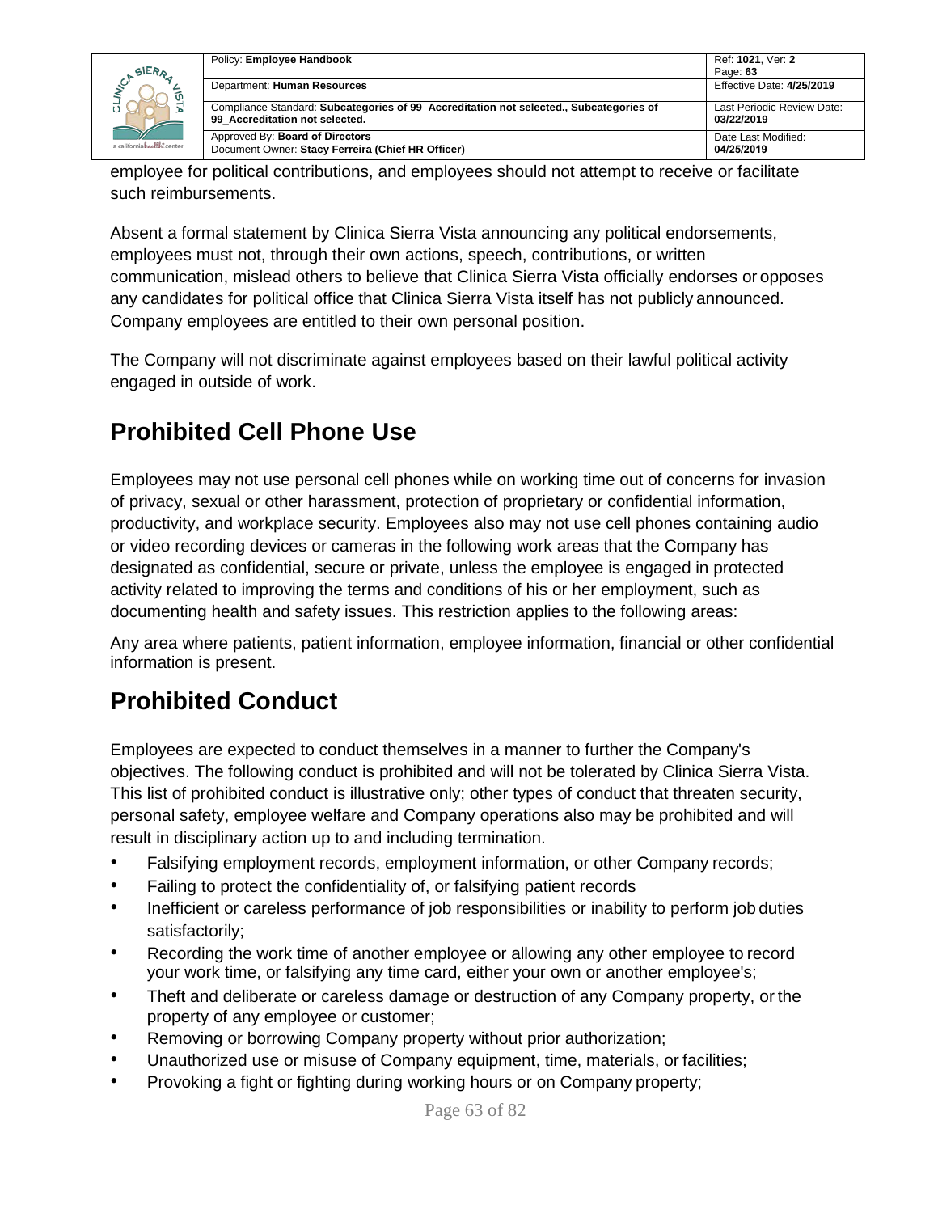| SIERA                      | Policy: Employee Handbook                                                                                                | Ref: 1021. Ver: 2<br>Page: 63            |
|----------------------------|--------------------------------------------------------------------------------------------------------------------------|------------------------------------------|
| ັທ                         | Department: Human Resources                                                                                              | Effective Date: 4/25/2019                |
|                            | Compliance Standard: Subcategories of 99 Accreditation not selected., Subcategories of<br>99 Accreditation not selected. | Last Periodic Review Date:<br>03/22/2019 |
| a californiahealth, center | Approved By: Board of Directors<br>Document Owner: Stacy Ferreira (Chief HR Officer)                                     | Date Last Modified:<br>04/25/2019        |

employee for political contributions, and employees should not attempt to receive or facilitate such reimbursements.

Absent a formal statement by Clinica Sierra Vista announcing any political endorsements, employees must not, through their own actions, speech, contributions, or written communication, mislead others to believe that Clinica Sierra Vista officially endorses or opposes any candidates for political office that Clinica Sierra Vista itself has not publicly announced. Company employees are entitled to their own personal position.

The Company will not discriminate against employees based on their lawful political activity engaged in outside of work.

## **Prohibited Cell Phone Use**

Employees may not use personal cell phones while on working time out of concerns for invasion of privacy, sexual or other harassment, protection of proprietary or confidential information, productivity, and workplace security. Employees also may not use cell phones containing audio or video recording devices or cameras in the following work areas that the Company has designated as confidential, secure or private, unless the employee is engaged in protected activity related to improving the terms and conditions of his or her employment, such as documenting health and safety issues. This restriction applies to the following areas:

Any area where patients, patient information, employee information, financial or other confidential information is present.

## **Prohibited Conduct**

Employees are expected to conduct themselves in a manner to further the Company's objectives. The following conduct is prohibited and will not be tolerated by Clinica Sierra Vista. This list of prohibited conduct is illustrative only; other types of conduct that threaten security, personal safety, employee welfare and Company operations also may be prohibited and will result in disciplinary action up to and including termination.

- Falsifying employment records, employment information, or other Company records;
- Failing to protect the confidentiality of, or falsifying patient records
- Inefficient or careless performance of job responsibilities or inability to perform job duties satisfactorily;
- Recording the work time of another employee or allowing any other employee to record your work time, or falsifying any time card, either your own or another employee's;
- Theft and deliberate or careless damage or destruction of any Company property, or the property of any employee or customer;
- Removing or borrowing Company property without prior authorization;
- Unauthorized use or misuse of Company equipment, time, materials, or facilities;
- Provoking a fight or fighting during working hours or on Company property;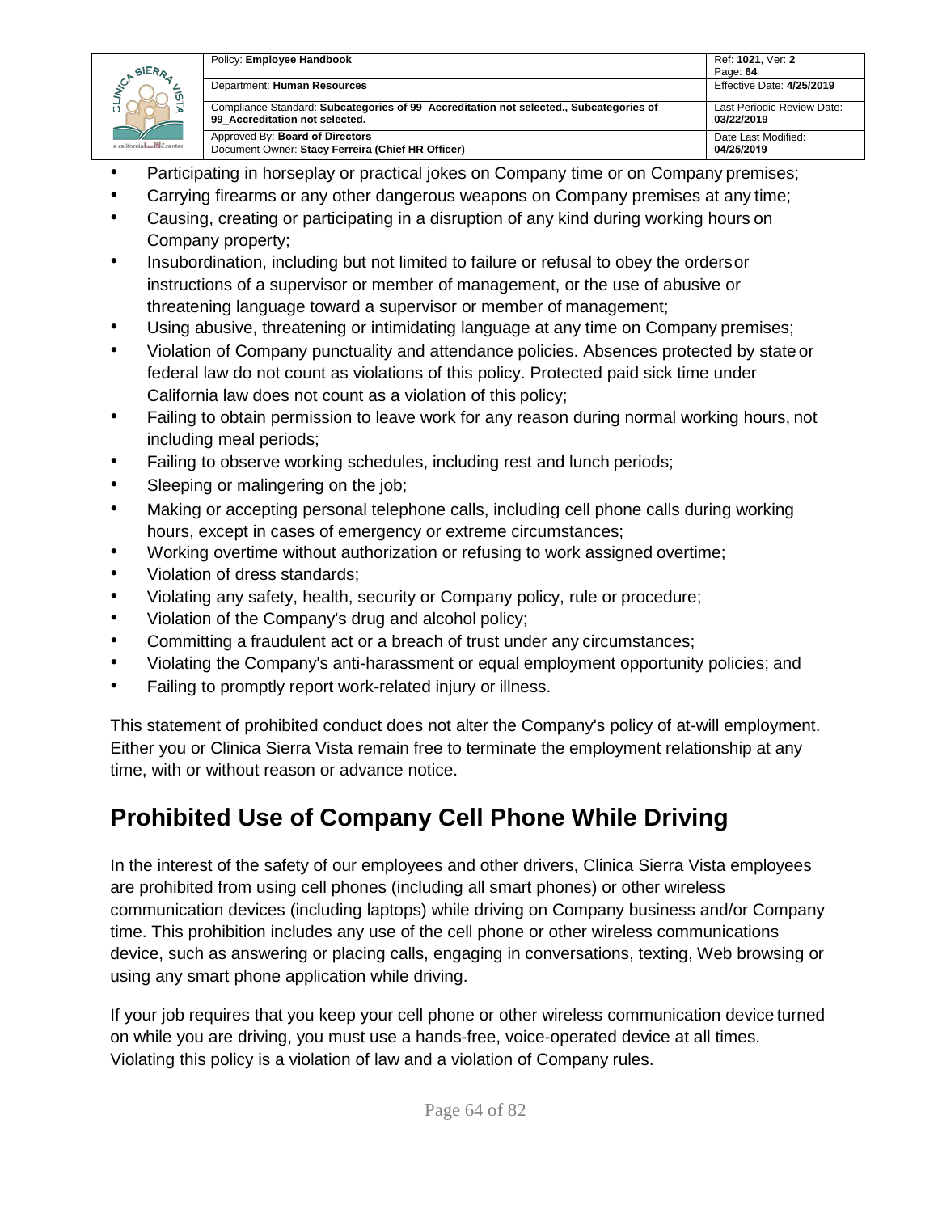

• Participating in horseplay or practical jokes on Company time or on Company premises;

Page: **64**<br>Effective Date: 4/25/2019

Last Periodic Review Date:

**03/22/2019**

Date Last Modified: **04/25/2019**

- Carrying firearms or any other dangerous weapons on Company premises at any time;
- Causing, creating or participating in a disruption of any kind during working hours on Company property;
- Insubordination, including but not limited to failure or refusal to obey the orders or instructions of a supervisor or member of management, or the use of abusive or threatening language toward a supervisor or member of management;
- Using abusive, threatening or intimidating language at any time on Company premises;
- Violation of Company punctuality and attendance policies. Absences protected by state or federal law do not count as violations of this policy. Protected paid sick time under California law does not count as a violation of this policy;
- Failing to obtain permission to leave work for any reason during normal working hours, not including meal periods;
- Failing to observe working schedules, including rest and lunch periods;
- Sleeping or malingering on the job;
- Making or accepting personal telephone calls, including cell phone calls during working hours, except in cases of emergency or extreme circumstances;
- Working overtime without authorization or refusing to work assigned overtime;
- Violation of dress standards;
- Violating any safety, health, security or Company policy, rule or procedure;
- Violation of the Company's drug and alcohol policy;
- Committing a fraudulent act or a breach of trust under any circumstances;
- Violating the Company's anti-harassment or equal employment opportunity policies; and
- Failing to promptly report work-related injury or illness.

This statement of prohibited conduct does not alter the Company's policy of at-will employment. Either you or Clinica Sierra Vista remain free to terminate the employment relationship at any time, with or without reason or advance notice.

## **Prohibited Use of Company Cell Phone While Driving**

In the interest of the safety of our employees and other drivers, Clinica Sierra Vista employees are prohibited from using cell phones (including all smart phones) or other wireless communication devices (including laptops) while driving on Company business and/or Company time. This prohibition includes any use of the cell phone or other wireless communications device, such as answering or placing calls, engaging in conversations, texting, Web browsing or using any smart phone application while driving.

If your job requires that you keep your cell phone or other wireless communication device turned on while you are driving, you must use a hands-free, voice-operated device at all times. Violating this policy is a violation of law and a violation of Company rules.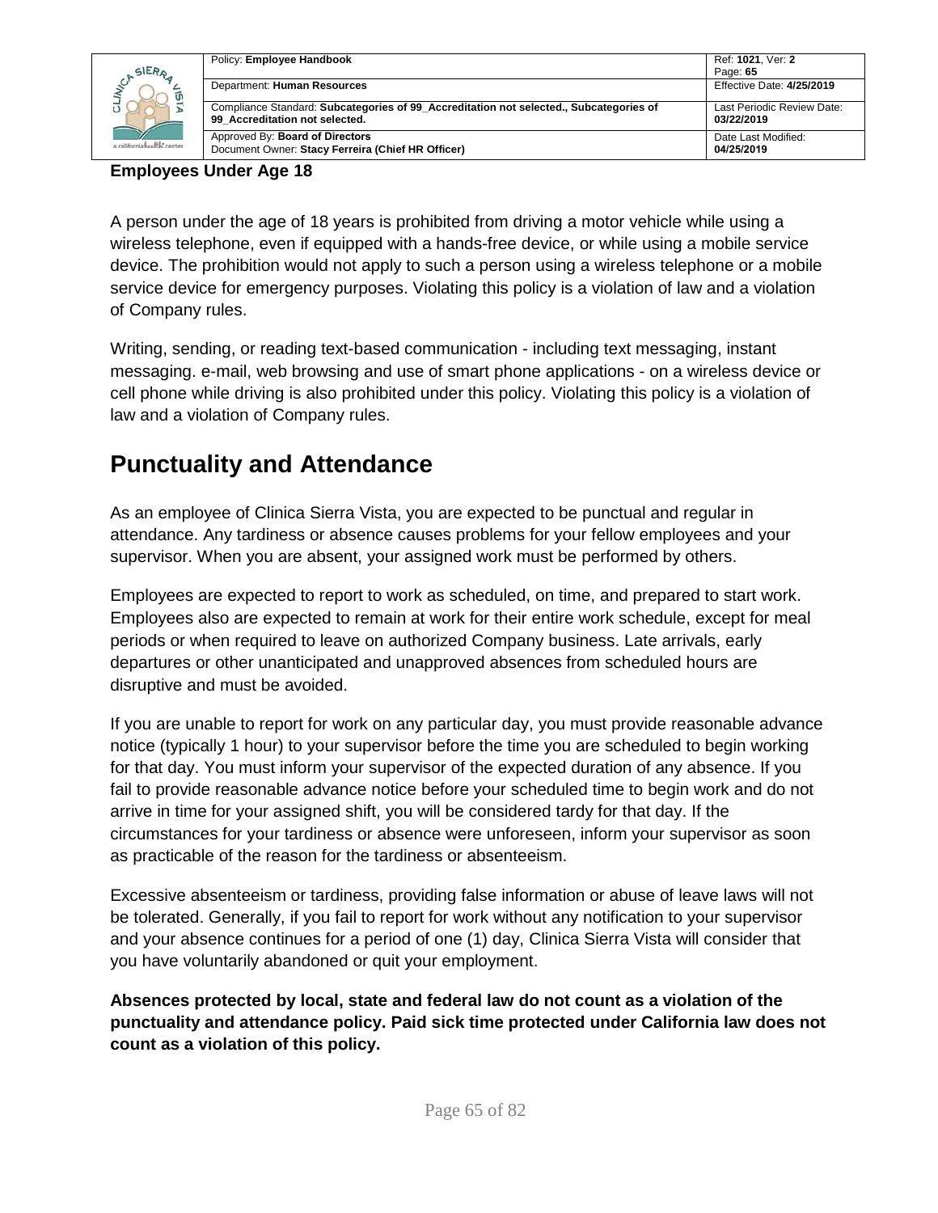| SIERA                      | Policy: Employee Handbook                                                                                                | Ref: 1021, Ver: 2<br>Page: 65            |
|----------------------------|--------------------------------------------------------------------------------------------------------------------------|------------------------------------------|
| ίU                         | Department: Human Resources                                                                                              | Effective Date: 4/25/2019                |
|                            | Compliance Standard: Subcategories of 99 Accreditation not selected., Subcategories of<br>99 Accreditation not selected. | Last Periodic Review Date:<br>03/22/2019 |
| a californiahealth, center | Approved By: Board of Directors<br>Document Owner: Stacy Ferreira (Chief HR Officer)                                     | Date Last Modified:<br>04/25/2019        |

#### **Employees Under Age 18**

A person under the age of 18 years is prohibited from driving a motor vehicle while using a wireless telephone, even if equipped with a hands-free device, or while using a mobile service device. The prohibition would not apply to such a person using a wireless telephone or a mobile service device for emergency purposes. Violating this policy is a violation of law and a violation of Company rules.

Writing, sending, or reading text-based communication - including text messaging, instant messaging. e-mail, web browsing and use of smart phone applications - on a wireless device or cell phone while driving is also prohibited under this policy. Violating this policy is a violation of law and a violation of Company rules.

### **Punctuality and Attendance**

As an employee of Clinica Sierra Vista, you are expected to be punctual and regular in attendance. Any tardiness or absence causes problems for your fellow employees and your supervisor. When you are absent, your assigned work must be performed by others.

Employees are expected to report to work as scheduled, on time, and prepared to start work. Employees also are expected to remain at work for their entire work schedule, except for meal periods or when required to leave on authorized Company business. Late arrivals, early departures or other unanticipated and unapproved absences from scheduled hours are disruptive and must be avoided.

If you are unable to report for work on any particular day, you must provide reasonable advance notice (typically 1 hour) to your supervisor before the time you are scheduled to begin working for that day. You must inform your supervisor of the expected duration of any absence. If you fail to provide reasonable advance notice before your scheduled time to begin work and do not arrive in time for your assigned shift, you will be considered tardy for that day. If the circumstances for your tardiness or absence were unforeseen, inform your supervisor as soon as practicable of the reason for the tardiness or absenteeism.

Excessive absenteeism or tardiness, providing false information or abuse of leave laws will not be tolerated. Generally, if you fail to report for work without any notification to your supervisor and your absence continues for a period of one (1) day, Clinica Sierra Vista will consider that you have voluntarily abandoned or quit your employment.

**Absences protected by local, state and federal law do not count as a violation of the punctuality and attendance policy. Paid sick time protected under California law does not count as a violation of this policy.**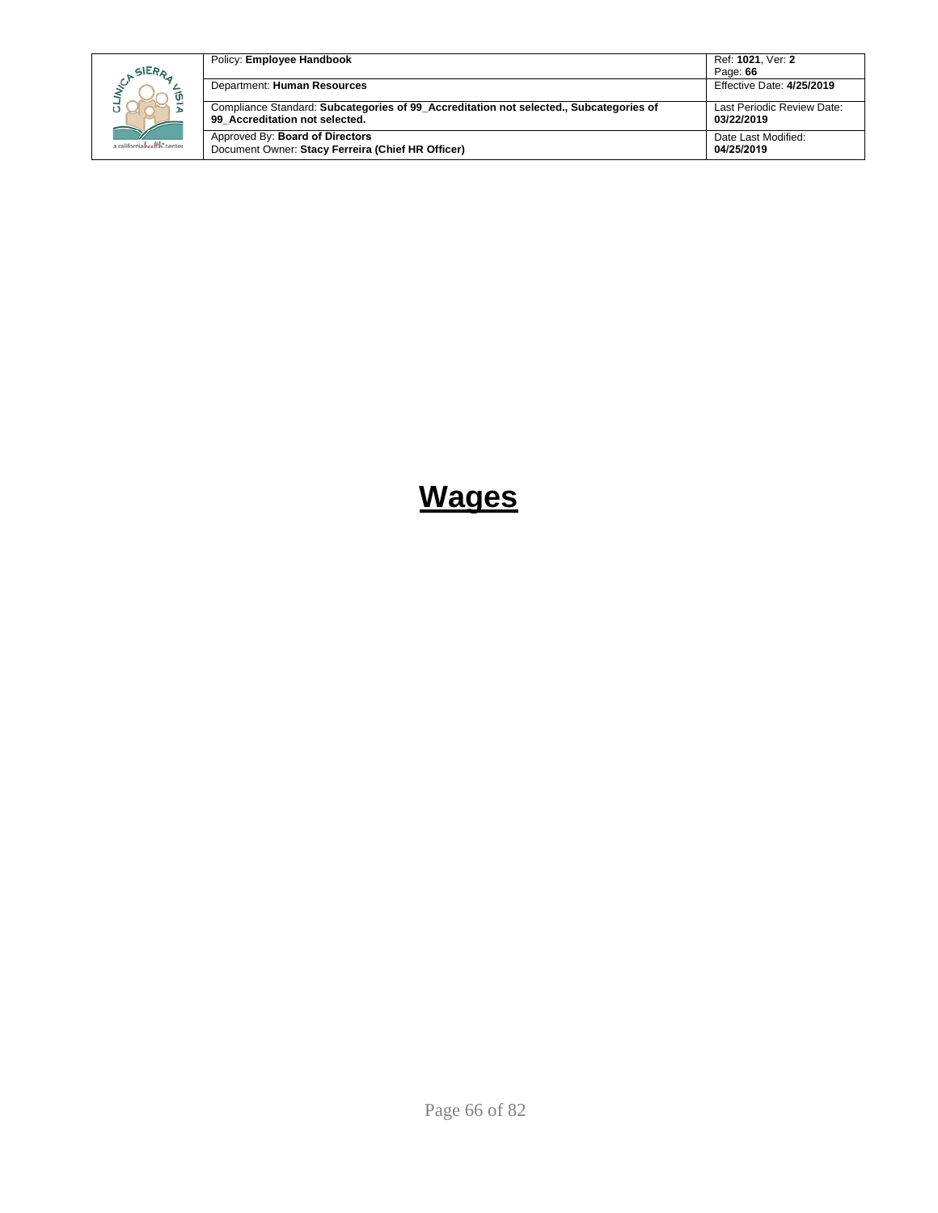| SIERA                      | Policy: Employee Handbook                                                                                                | Ref: 1021. Ver: 2<br>Page: 66            |
|----------------------------|--------------------------------------------------------------------------------------------------------------------------|------------------------------------------|
|                            | Department: Human Resources                                                                                              | Effective Date: 4/25/2019                |
|                            | Compliance Standard: Subcategories of 99 Accreditation not selected., Subcategories of<br>99 Accreditation not selected. | Last Periodic Review Date:<br>03/22/2019 |
| a californiahealth, center | Approved By: Board of Directors<br>Document Owner: Stacy Ferreira (Chief HR Officer)                                     | Date Last Modified:<br>04/25/2019        |

# **Wages**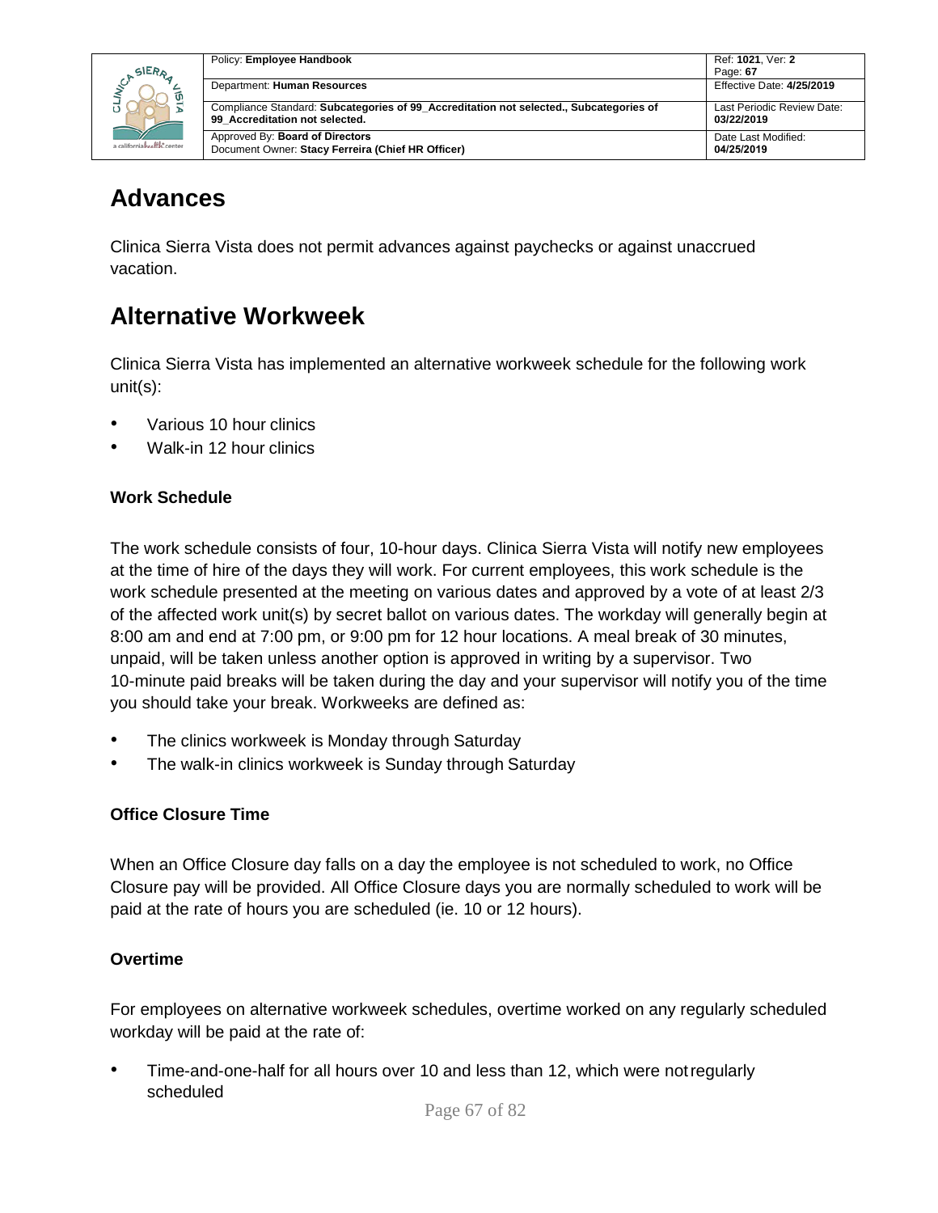

| Policy: Employee Handbook                                                                                                | Ref: 1021, Ver: 2                        |
|--------------------------------------------------------------------------------------------------------------------------|------------------------------------------|
|                                                                                                                          | Page: 67                                 |
| Department: Human Resources                                                                                              | Effective Date: 4/25/2019                |
| Compliance Standard: Subcategories of 99 Accreditation not selected., Subcategories of<br>99 Accreditation not selected. | Last Periodic Review Date:<br>03/22/2019 |
| Approved By: Board of Directors<br>Document Owner: Stacy Ferreira (Chief HR Officer)                                     | Date Last Modified:<br>04/25/2019        |

### **Advances**

Clinica Sierra Vista does not permit advances against paychecks or against unaccrued vacation.

## **Alternative Workweek**

Clinica Sierra Vista has implemented an alternative workweek schedule for the following work unit(s):

- Various 10 hour clinics
- Walk-in 12 hour clinics

### **Work Schedule**

The work schedule consists of four, 10-hour days. Clinica Sierra Vista will notify new employees at the time of hire of the days they will work. For current employees, this work schedule is the work schedule presented at the meeting on various dates and approved by a vote of at least 2/3 of the affected work unit(s) by secret ballot on various dates. The workday will generally begin at 8:00 am and end at 7:00 pm, or 9:00 pm for 12 hour locations. A meal break of 30 minutes, unpaid, will be taken unless another option is approved in writing by a supervisor. Two 10-minute paid breaks will be taken during the day and your supervisor will notify you of the time you should take your break. Workweeks are defined as:

- The clinics workweek is Monday through Saturday
- The walk-in clinics workweek is Sunday through Saturday

### **Office Closure Time**

When an Office Closure day falls on a day the employee is not scheduled to work, no Office Closure pay will be provided. All Office Closure days you are normally scheduled to work will be paid at the rate of hours you are scheduled (ie. 10 or 12 hours).

### **Overtime**

For employees on alternative workweek schedules, overtime worked on any regularly scheduled workday will be paid at the rate of:

• Time-and-one-half for all hours over 10 and less than 12, which were notregularly scheduled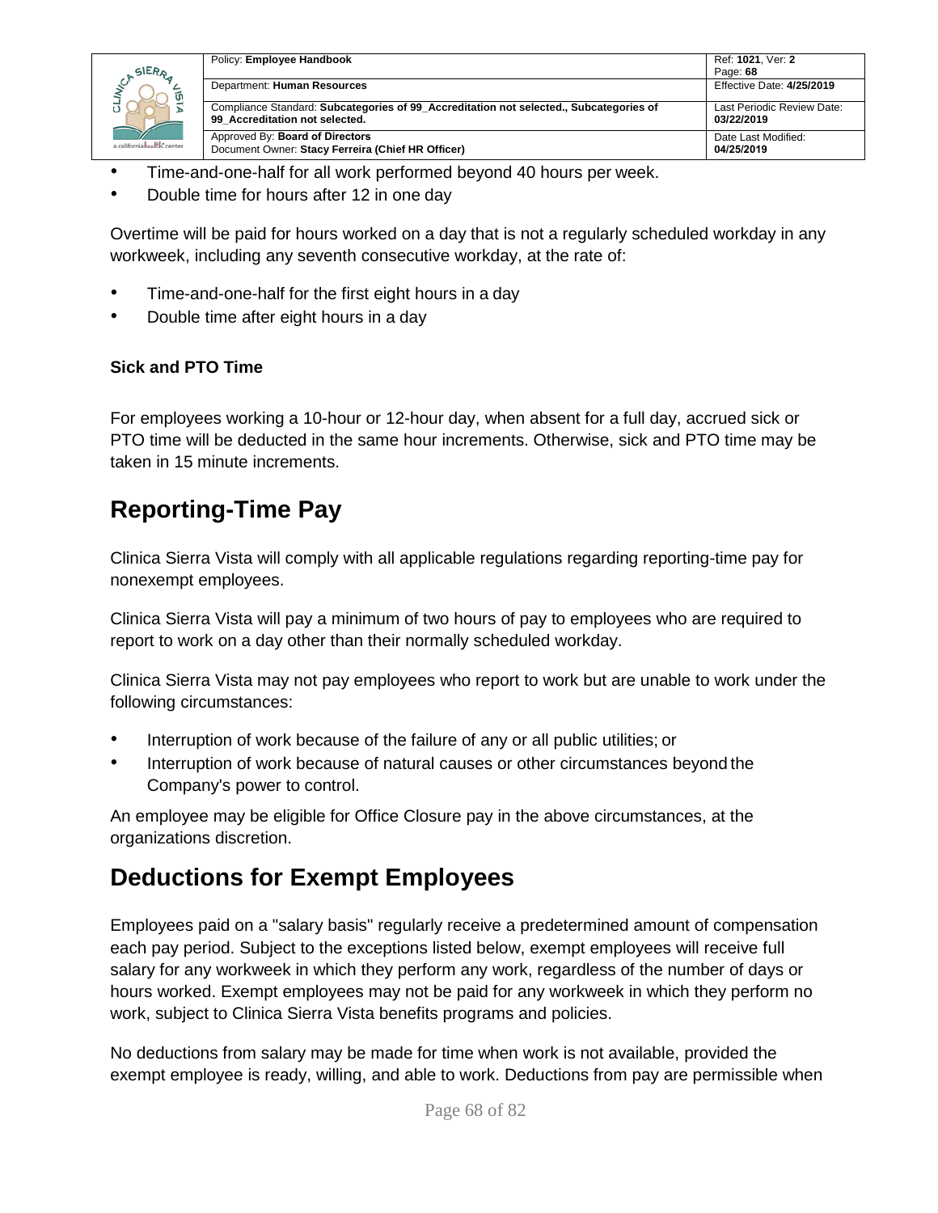

| Policy: Employee Handbook                                                                                                | Ref: 1021, Ver: 2                        |
|--------------------------------------------------------------------------------------------------------------------------|------------------------------------------|
|                                                                                                                          | Page: 68                                 |
| Department: Human Resources                                                                                              | Effective Date: 4/25/2019                |
| Compliance Standard: Subcategories of 99 Accreditation not selected., Subcategories of<br>99 Accreditation not selected. | Last Periodic Review Date:<br>03/22/2019 |
| Approved By: Board of Directors<br>Document Owner: Stacy Ferreira (Chief HR Officer)                                     | Date Last Modified:<br>04/25/2019        |

- Time-and-one-half for all work performed beyond 40 hours per week.
- Double time for hours after 12 in one day

Overtime will be paid for hours worked on a day that is not a regularly scheduled workday in any workweek, including any seventh consecutive workday, at the rate of:

- Time-and-one-half for the first eight hours in a day
- Double time after eight hours in a day

#### **Sick and PTO Time**

For employees working a 10-hour or 12-hour day, when absent for a full day, accrued sick or PTO time will be deducted in the same hour increments. Otherwise, sick and PTO time may be taken in 15 minute increments.

## **Reporting-Time Pay**

Clinica Sierra Vista will comply with all applicable regulations regarding reporting-time pay for nonexempt employees.

Clinica Sierra Vista will pay a minimum of two hours of pay to employees who are required to report to work on a day other than their normally scheduled workday.

Clinica Sierra Vista may not pay employees who report to work but are unable to work under the following circumstances:

- Interruption of work because of the failure of any or all public utilities; or
- Interruption of work because of natural causes or other circumstances beyond the Company's power to control.

An employee may be eligible for Office Closure pay in the above circumstances, at the organizations discretion.

## **Deductions for Exempt Employees**

Employees paid on a "salary basis" regularly receive a predetermined amount of compensation each pay period. Subject to the exceptions listed below, exempt employees will receive full salary for any workweek in which they perform any work, regardless of the number of days or hours worked. Exempt employees may not be paid for any workweek in which they perform no work, subject to Clinica Sierra Vista benefits programs and policies.

No deductions from salary may be made for time when work is not available, provided the exempt employee is ready, willing, and able to work. Deductions from pay are permissible when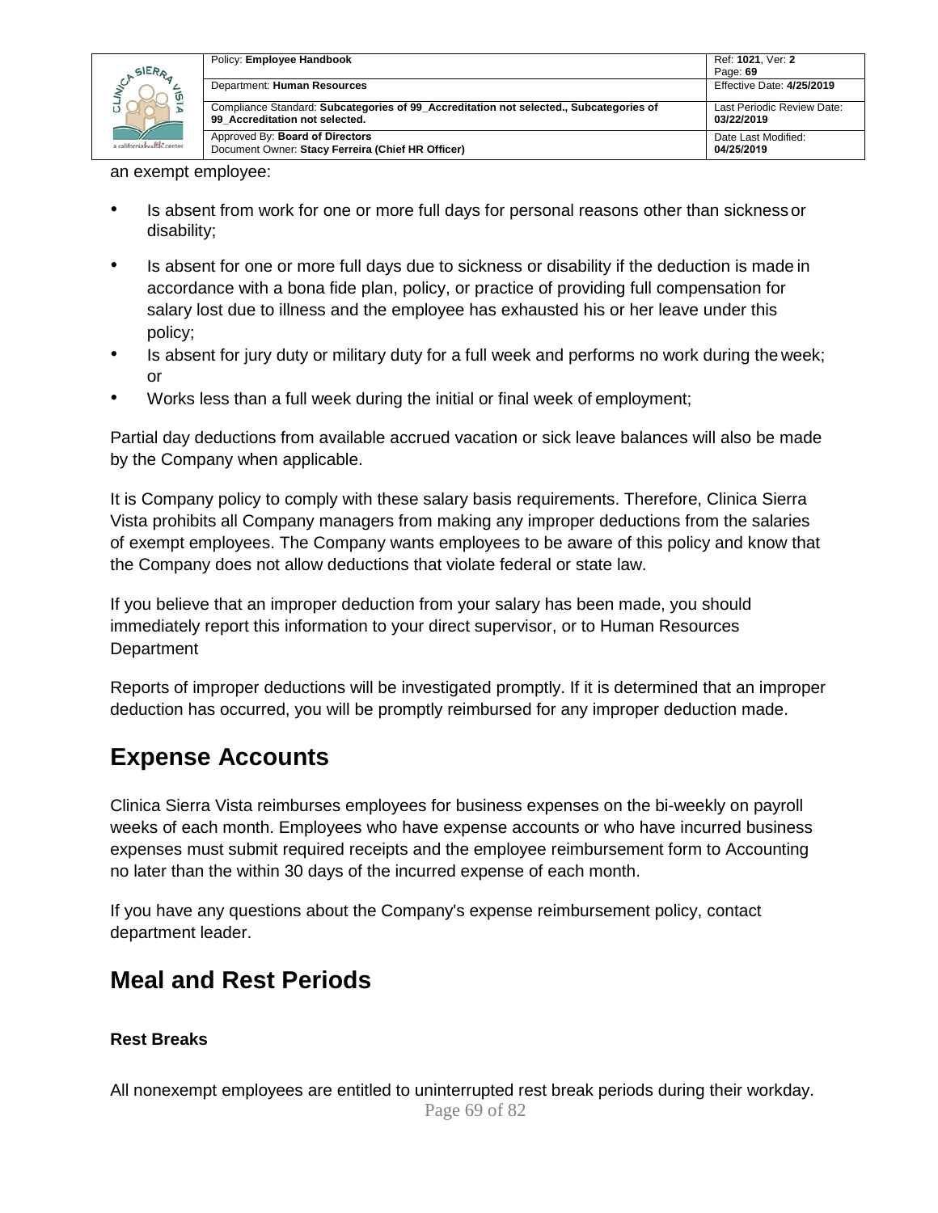

| Policy: Employee Handbook                                                                                                | Ref: 1021, Ver: 2                        |
|--------------------------------------------------------------------------------------------------------------------------|------------------------------------------|
|                                                                                                                          | Page: 69                                 |
| Department: Human Resources                                                                                              | Effective Date: 4/25/2019                |
| Compliance Standard: Subcategories of 99 Accreditation not selected., Subcategories of<br>99 Accreditation not selected. | Last Periodic Review Date:<br>03/22/2019 |
| Approved By: Board of Directors<br>Document Owner: Stacy Ferreira (Chief HR Officer)                                     | Date Last Modified:<br>04/25/2019        |

an exempt employee:

- Is absent from work for one or more full days for personal reasons other than sickness or disability;
- Is absent for one or more full days due to sickness or disability if the deduction is made in accordance with a bona fide plan, policy, or practice of providing full compensation for salary lost due to illness and the employee has exhausted his or her leave under this policy;
- Is absent for jury duty or military duty for a full week and performs no work during the week; or
- Works less than a full week during the initial or final week of employment;

Partial day deductions from available accrued vacation or sick leave balances will also be made by the Company when applicable.

It is Company policy to comply with these salary basis requirements. Therefore, Clinica Sierra Vista prohibits all Company managers from making any improper deductions from the salaries of exempt employees. The Company wants employees to be aware of this policy and know that the Company does not allow deductions that violate federal or state law.

If you believe that an improper deduction from your salary has been made, you should immediately report this information to your direct supervisor, or to Human Resources Department

Reports of improper deductions will be investigated promptly. If it is determined that an improper deduction has occurred, you will be promptly reimbursed for any improper deduction made.

### **Expense Accounts**

Clinica Sierra Vista reimburses employees for business expenses on the bi-weekly on payroll weeks of each month. Employees who have expense accounts or who have incurred business expenses must submit required receipts and the employee reimbursement form to Accounting no later than the within 30 days of the incurred expense of each month.

If you have any questions about the Company's expense reimbursement policy, contact department leader.

## **Meal and Rest Periods**

#### **Rest Breaks**

Page 69 of 82 All nonexempt employees are entitled to uninterrupted rest break periods during their workday.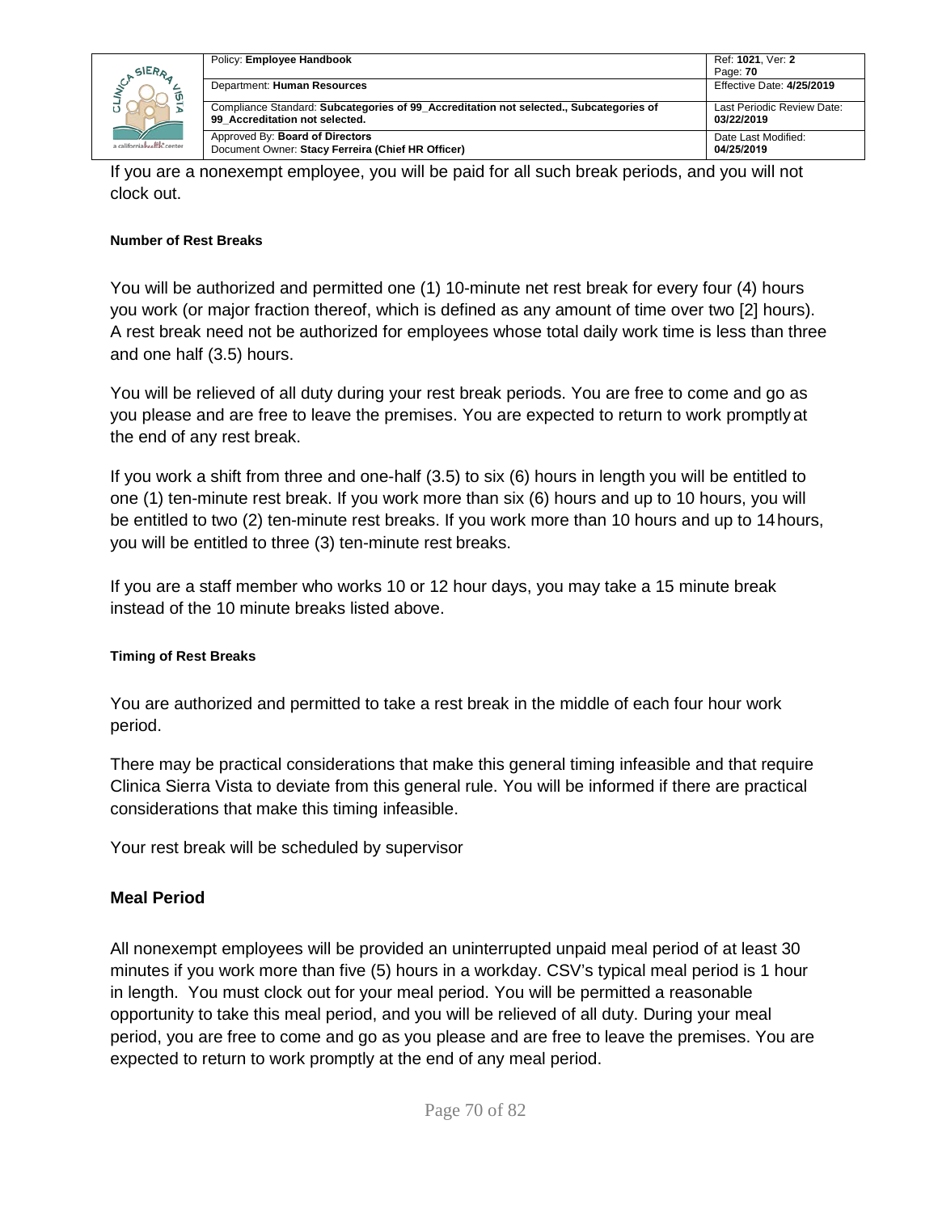|                            | Policy: Employee Handbook                                                                                                | Ref: 1021, Ver: 2                        |
|----------------------------|--------------------------------------------------------------------------------------------------------------------------|------------------------------------------|
| SIERA                      |                                                                                                                          | Page: 70                                 |
|                            | Department: Human Resources                                                                                              | Effective Date: 4/25/2019                |
|                            | Compliance Standard: Subcategories of 99 Accreditation not selected., Subcategories of<br>99 Accreditation not selected. | Last Periodic Review Date:<br>03/22/2019 |
| a californiahraffh: center | Approved By: Board of Directors<br>Document Owner: Stacy Ferreira (Chief HR Officer)                                     | Date Last Modified:<br>04/25/2019        |

If you are a nonexempt employee, you will be paid for all such break periods, and you will not clock out.

#### **Number of Rest Breaks**

You will be authorized and permitted one (1) 10-minute net rest break for every four (4) hours you work (or major fraction thereof, which is defined as any amount of time over two [2] hours). A rest break need not be authorized for employees whose total daily work time is less than three and one half (3.5) hours.

You will be relieved of all duty during your rest break periods. You are free to come and go as you please and are free to leave the premises. You are expected to return to work promptly at the end of any rest break.

If you work a shift from three and one-half (3.5) to six (6) hours in length you will be entitled to one (1) ten-minute rest break. If you work more than six (6) hours and up to 10 hours, you will be entitled to two (2) ten-minute rest breaks. If you work more than 10 hours and up to 14hours, you will be entitled to three (3) ten-minute rest breaks.

If you are a staff member who works 10 or 12 hour days, you may take a 15 minute break instead of the 10 minute breaks listed above.

#### **Timing of Rest Breaks**

You are authorized and permitted to take a rest break in the middle of each four hour work period.

There may be practical considerations that make this general timing infeasible and that require Clinica Sierra Vista to deviate from this general rule. You will be informed if there are practical considerations that make this timing infeasible.

Your rest break will be scheduled by supervisor

#### **Meal Period**

All nonexempt employees will be provided an uninterrupted unpaid meal period of at least 30 minutes if you work more than five (5) hours in a workday. CSV's typical meal period is 1 hour in length. You must clock out for your meal period. You will be permitted a reasonable opportunity to take this meal period, and you will be relieved of all duty. During your meal period, you are free to come and go as you please and are free to leave the premises. You are expected to return to work promptly at the end of any meal period.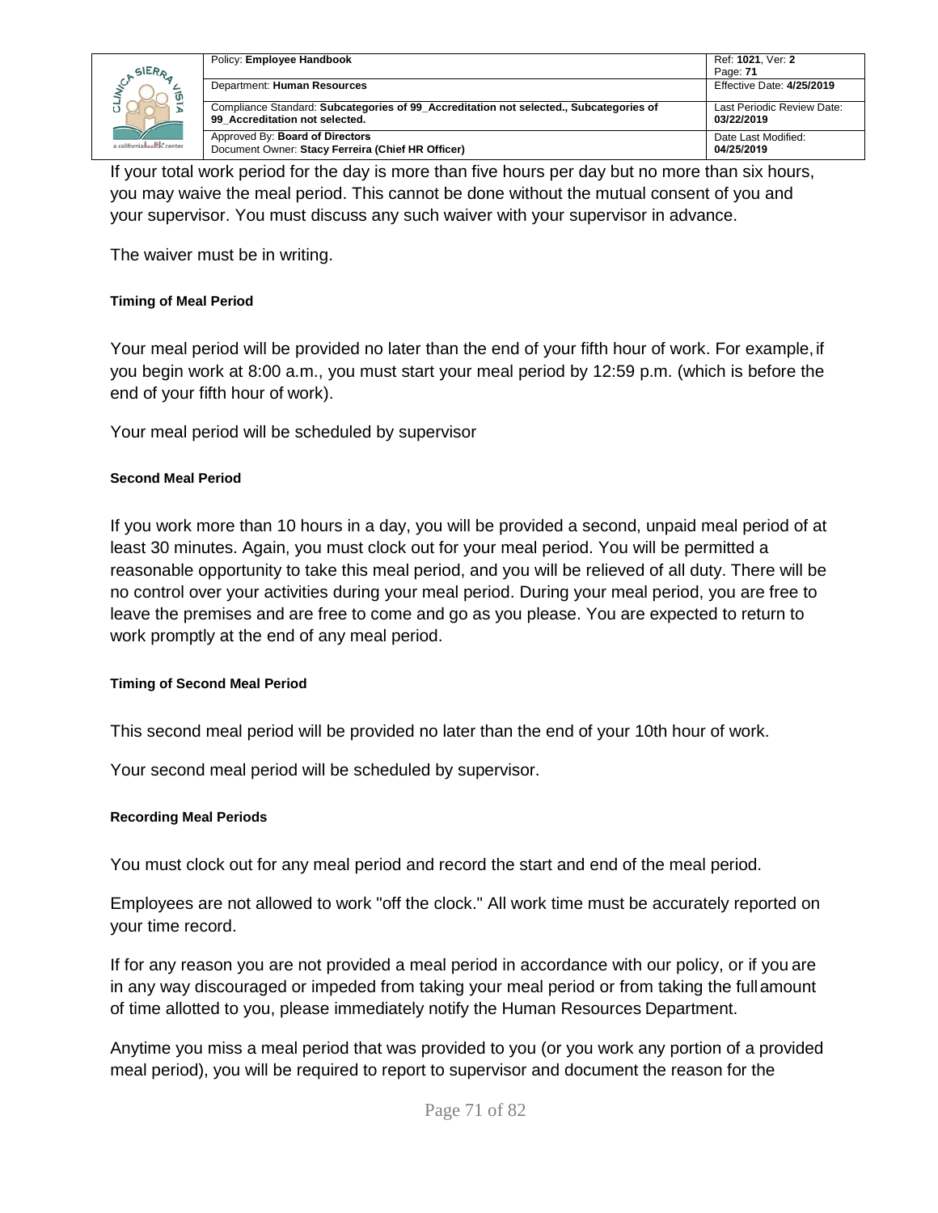

| Policy: Employee Handbook                                                                                                | Ref: 1021, Ver: 2                        |
|--------------------------------------------------------------------------------------------------------------------------|------------------------------------------|
|                                                                                                                          | Page: 71                                 |
| Department: Human Resources                                                                                              | Effective Date: 4/25/2019                |
| Compliance Standard: Subcategories of 99 Accreditation not selected., Subcategories of<br>99 Accreditation not selected. | Last Periodic Review Date:<br>03/22/2019 |
| Approved By: Board of Directors<br>Document Owner: Stacy Ferreira (Chief HR Officer)                                     | Date Last Modified:<br>04/25/2019        |

If your total work period for the day is more than five hours per day but no more than six hours, you may waive the meal period. This cannot be done without the mutual consent of you and your supervisor. You must discuss any such waiver with your supervisor in advance.

The waiver must be in writing.

#### **Timing of Meal Period**

Your meal period will be provided no later than the end of your fifth hour of work. For example,if you begin work at 8:00 a.m., you must start your meal period by 12:59 p.m. (which is before the end of your fifth hour of work).

Your meal period will be scheduled by supervisor

#### **Second Meal Period**

If you work more than 10 hours in a day, you will be provided a second, unpaid meal period of at least 30 minutes. Again, you must clock out for your meal period. You will be permitted a reasonable opportunity to take this meal period, and you will be relieved of all duty. There will be no control over your activities during your meal period. During your meal period, you are free to leave the premises and are free to come and go as you please. You are expected to return to work promptly at the end of any meal period.

#### **Timing of Second Meal Period**

This second meal period will be provided no later than the end of your 10th hour of work.

Your second meal period will be scheduled by supervisor.

#### **Recording Meal Periods**

You must clock out for any meal period and record the start and end of the meal period.

Employees are not allowed to work "off the clock." All work time must be accurately reported on your time record.

If for any reason you are not provided a meal period in accordance with our policy, or if you are in any way discouraged or impeded from taking your meal period or from taking the fullamount of time allotted to you, please immediately notify the Human Resources Department.

Anytime you miss a meal period that was provided to you (or you work any portion of a provided meal period), you will be required to report to supervisor and document the reason for the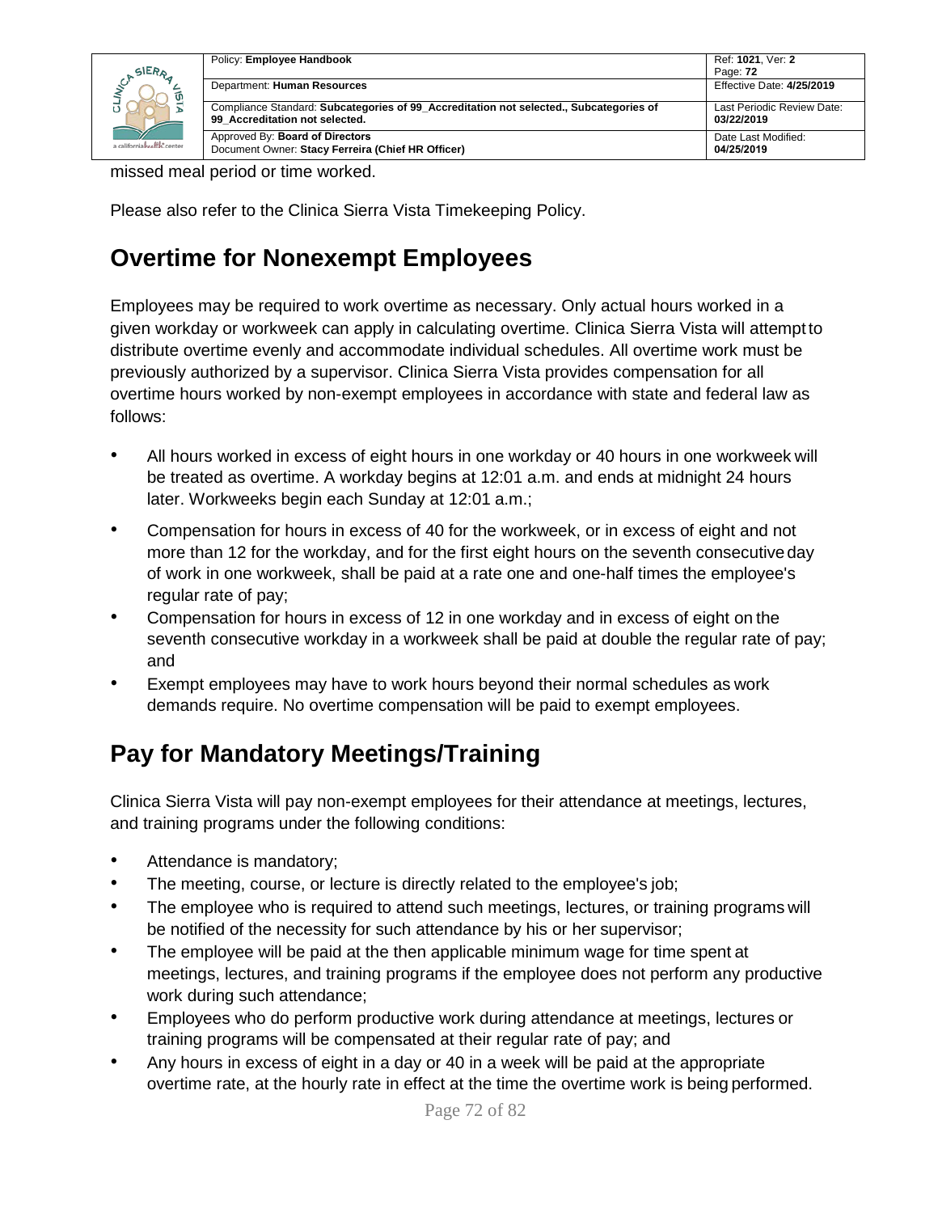| SIERA<br>a californiahealth.center | Policy: Employee Handbook                                                                                                | Ref: 1021, Ver: 2                        |
|------------------------------------|--------------------------------------------------------------------------------------------------------------------------|------------------------------------------|
|                                    |                                                                                                                          | Page: 72                                 |
|                                    | Department: Human Resources                                                                                              | Effective Date: 4/25/2019                |
|                                    | Compliance Standard: Subcategories of 99 Accreditation not selected., Subcategories of<br>99 Accreditation not selected. | Last Periodic Review Date:<br>03/22/2019 |
|                                    | Approved By: Board of Directors<br>Document Owner: Stacy Ferreira (Chief HR Officer)                                     | Date Last Modified:<br>04/25/2019        |

missed meal period or time worked.

Please also refer to the Clinica Sierra Vista Timekeeping Policy.

## **Overtime for Nonexempt Employees**

Employees may be required to work overtime as necessary. Only actual hours worked in a given workday or workweek can apply in calculating overtime. Clinica Sierra Vista will attempt to distribute overtime evenly and accommodate individual schedules. All overtime work must be previously authorized by a supervisor. Clinica Sierra Vista provides compensation for all overtime hours worked by non-exempt employees in accordance with state and federal law as follows:

- All hours worked in excess of eight hours in one workday or 40 hours in one workweek will be treated as overtime. A workday begins at 12:01 a.m. and ends at midnight 24 hours later. Workweeks begin each Sunday at 12:01 a.m.;
- Compensation for hours in excess of 40 for the workweek, or in excess of eight and not more than 12 for the workday, and for the first eight hours on the seventh consecutiveday of work in one workweek, shall be paid at a rate one and one-half times the employee's regular rate of pay;
- Compensation for hours in excess of 12 in one workday and in excess of eight on the seventh consecutive workday in a workweek shall be paid at double the regular rate of pay; and
- Exempt employees may have to work hours beyond their normal schedules as work demands require. No overtime compensation will be paid to exempt employees.

## **Pay for Mandatory Meetings/Training**

Clinica Sierra Vista will pay non-exempt employees for their attendance at meetings, lectures, and training programs under the following conditions:

- Attendance is mandatory;
- The meeting, course, or lecture is directly related to the employee's job;
- The employee who is required to attend such meetings, lectures, or training programs will be notified of the necessity for such attendance by his or her supervisor;
- The employee will be paid at the then applicable minimum wage for time spent at meetings, lectures, and training programs if the employee does not perform any productive work during such attendance;
- Employees who do perform productive work during attendance at meetings, lectures or training programs will be compensated at their regular rate of pay; and
- Any hours in excess of eight in a day or 40 in a week will be paid at the appropriate overtime rate, at the hourly rate in effect at the time the overtime work is being performed.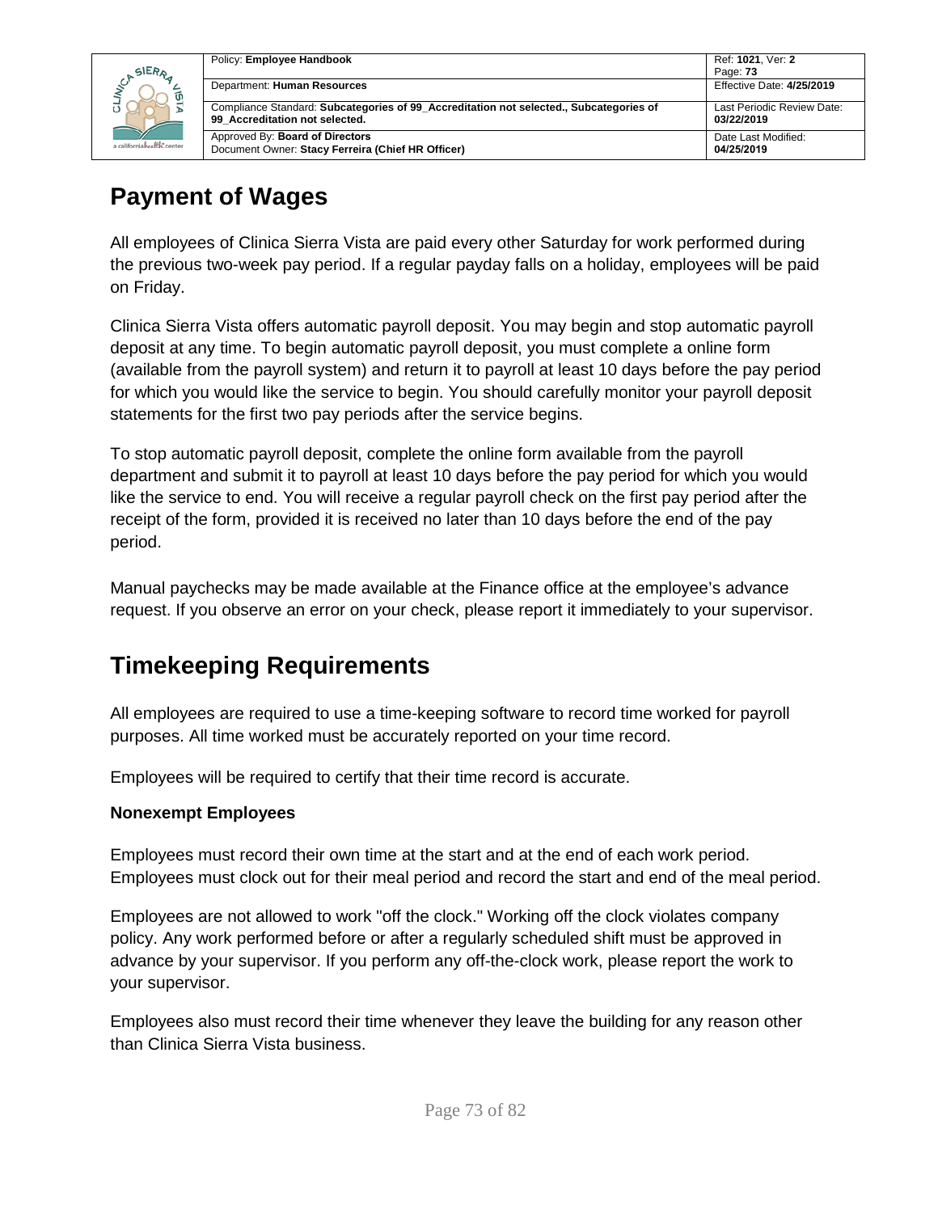|                            | Policy: Employee Handbook                                                                                                | Ref: 1021, Ver: 2                        |
|----------------------------|--------------------------------------------------------------------------------------------------------------------------|------------------------------------------|
| SIERA                      |                                                                                                                          | Page: 73                                 |
|                            | Department: Human Resources                                                                                              | Effective Date: 4/25/2019                |
|                            | Compliance Standard: Subcategories of 99 Accreditation not selected., Subcategories of<br>99 Accreditation not selected. | Last Periodic Review Date:<br>03/22/2019 |
| a californiahealth, center | Approved By: Board of Directors<br>Document Owner: Stacy Ferreira (Chief HR Officer)                                     | Date Last Modified:<br>04/25/2019        |

#### **Payment of Wages**

All employees of Clinica Sierra Vista are paid every other Saturday for work performed during the previous two-week pay period. If a regular payday falls on a holiday, employees will be paid on Friday.

Clinica Sierra Vista offers automatic payroll deposit. You may begin and stop automatic payroll deposit at any time. To begin automatic payroll deposit, you must complete a online form (available from the payroll system) and return it to payroll at least 10 days before the pay period for which you would like the service to begin. You should carefully monitor your payroll deposit statements for the first two pay periods after the service begins.

To stop automatic payroll deposit, complete the online form available from the payroll department and submit it to payroll at least 10 days before the pay period for which you would like the service to end. You will receive a regular payroll check on the first pay period after the receipt of the form, provided it is received no later than 10 days before the end of the pay period.

Manual paychecks may be made available at the Finance office at the employee's advance request. If you observe an error on your check, please report it immediately to your supervisor.

#### **Timekeeping Requirements**

All employees are required to use a time-keeping software to record time worked for payroll purposes. All time worked must be accurately reported on your time record.

Employees will be required to certify that their time record is accurate.

#### **Nonexempt Employees**

Employees must record their own time at the start and at the end of each work period. Employees must clock out for their meal period and record the start and end of the meal period.

Employees are not allowed to work "off the clock." Working off the clock violates company policy. Any work performed before or after a regularly scheduled shift must be approved in advance by your supervisor. If you perform any off-the-clock work, please report the work to your supervisor.

Employees also must record their time whenever they leave the building for any reason other than Clinica Sierra Vista business.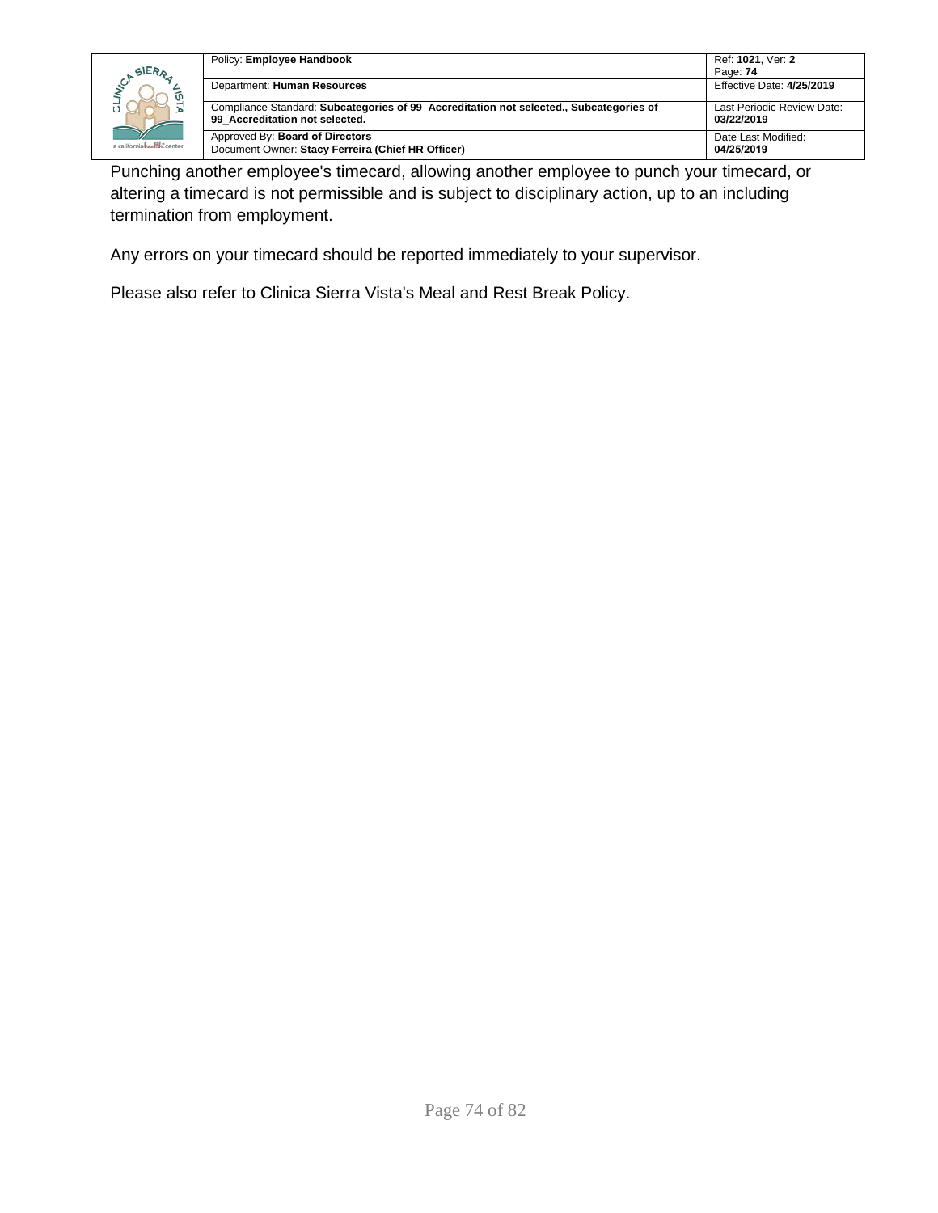

| Policy: Employee Handbook                                                                                                | Ref: 1021, Ver: 2                        |
|--------------------------------------------------------------------------------------------------------------------------|------------------------------------------|
|                                                                                                                          | Page: 74                                 |
| Department: Human Resources                                                                                              | Effective Date: 4/25/2019                |
| Compliance Standard: Subcategories of 99 Accreditation not selected., Subcategories of<br>99 Accreditation not selected. | Last Periodic Review Date:<br>03/22/2019 |
| Approved By: Board of Directors<br>Document Owner: Stacy Ferreira (Chief HR Officer)                                     | Date Last Modified:<br>04/25/2019        |

Punching another employee's timecard, allowing another employee to punch your timecard, or altering a timecard is not permissible and is subject to disciplinary action, up to an including termination from employment.

Any errors on your timecard should be reported immediately to your supervisor.

Please also refer to Clinica Sierra Vista's Meal and Rest Break Policy.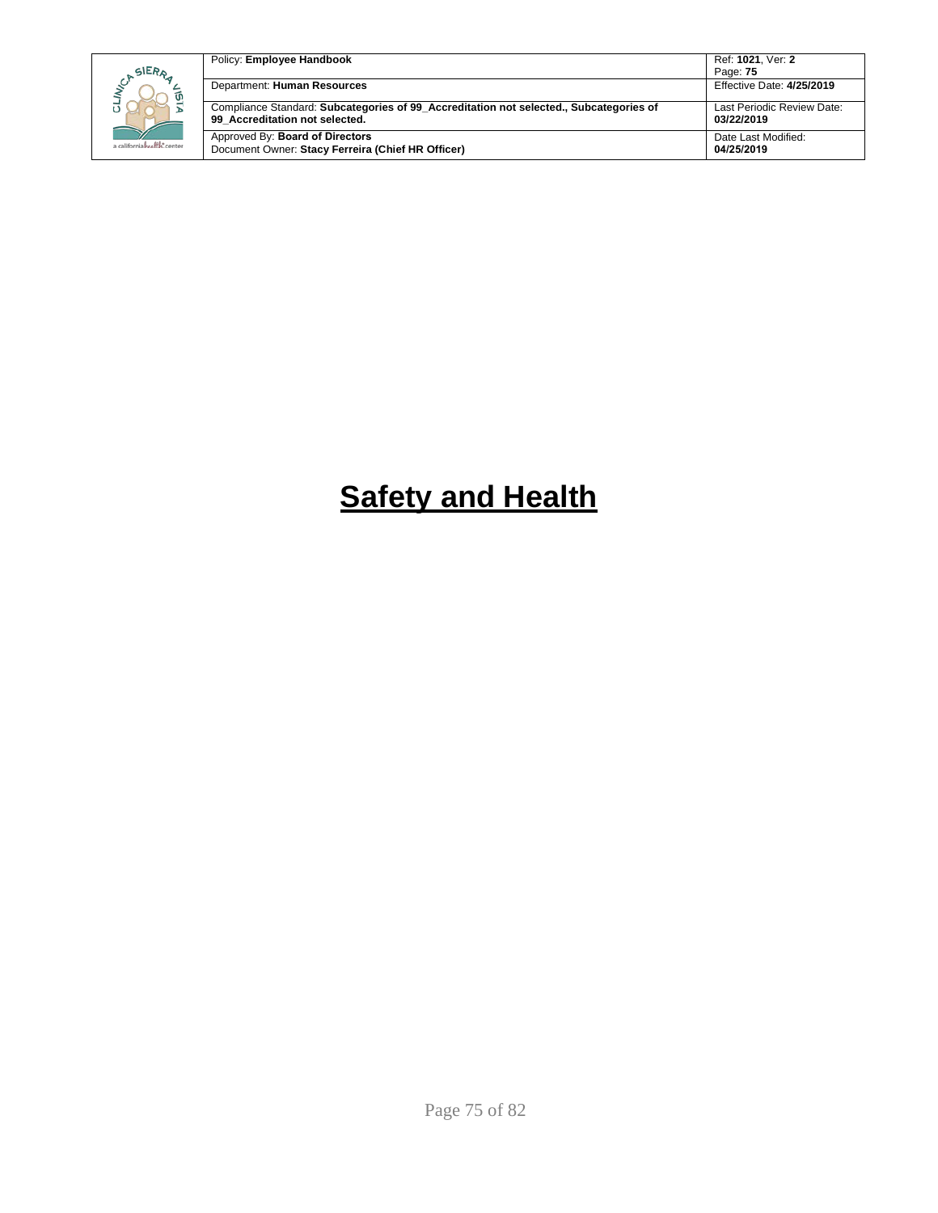| SIERA                      | Policy: Employee Handbook                                                                                                | Ref: 1021. Ver: 2<br>Page: 75            |
|----------------------------|--------------------------------------------------------------------------------------------------------------------------|------------------------------------------|
|                            | Department: Human Resources                                                                                              | Effective Date: 4/25/2019                |
|                            | Compliance Standard: Subcategories of 99 Accreditation not selected., Subcategories of<br>99 Accreditation not selected. | Last Periodic Review Date:<br>03/22/2019 |
| a californiahealth, center | Approved By: Board of Directors<br>Document Owner: Stacy Ferreira (Chief HR Officer)                                     | Date Last Modified:<br>04/25/2019        |

## **Safety and Health**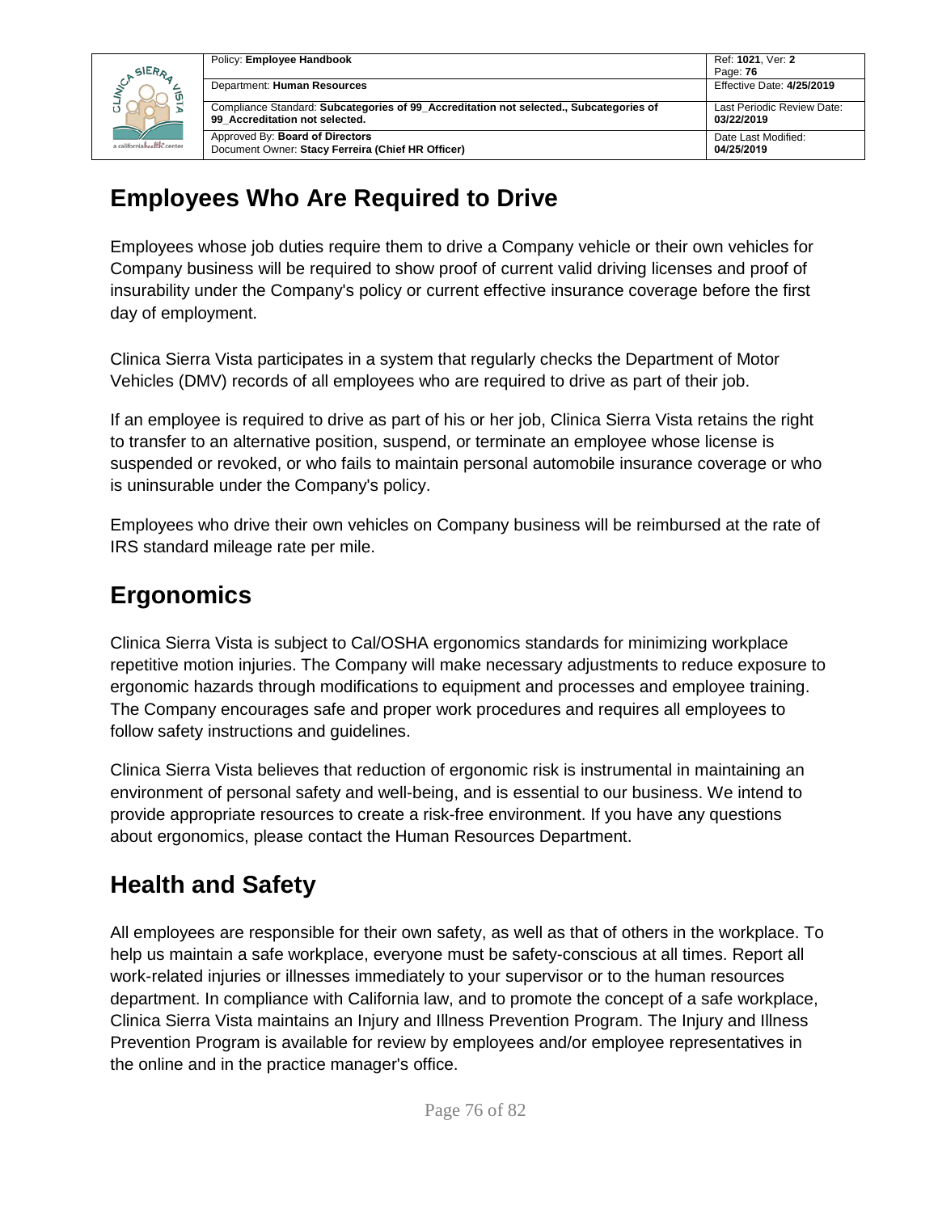

| Policy: Employee Handbook                                                                                                | Ref: 1021, Ver: 2                        |
|--------------------------------------------------------------------------------------------------------------------------|------------------------------------------|
|                                                                                                                          | Page: 76                                 |
| Department: Human Resources                                                                                              | Effective Date: 4/25/2019                |
| Compliance Standard: Subcategories of 99 Accreditation not selected., Subcategories of<br>99 Accreditation not selected. | Last Periodic Review Date:<br>03/22/2019 |
| Approved By: <b>Board of Directors</b><br>Document Owner: Stacy Ferreira (Chief HR Officer)                              | Date Last Modified:<br>04/25/2019        |

#### **Employees Who Are Required to Drive**

Employees whose job duties require them to drive a Company vehicle or their own vehicles for Company business will be required to show proof of current valid driving licenses and proof of insurability under the Company's policy or current effective insurance coverage before the first day of employment.

Clinica Sierra Vista participates in a system that regularly checks the Department of Motor Vehicles (DMV) records of all employees who are required to drive as part of their job.

If an employee is required to drive as part of his or her job, Clinica Sierra Vista retains the right to transfer to an alternative position, suspend, or terminate an employee whose license is suspended or revoked, or who fails to maintain personal automobile insurance coverage or who is uninsurable under the Company's policy.

Employees who drive their own vehicles on Company business will be reimbursed at the rate of IRS standard mileage rate per mile.

#### **Ergonomics**

Clinica Sierra Vista is subject to Cal/OSHA ergonomics standards for minimizing workplace repetitive motion injuries. The Company will make necessary adjustments to reduce exposure to ergonomic hazards through modifications to equipment and processes and employee training. The Company encourages safe and proper work procedures and requires all employees to follow safety instructions and guidelines.

Clinica Sierra Vista believes that reduction of ergonomic risk is instrumental in maintaining an environment of personal safety and well-being, and is essential to our business. We intend to provide appropriate resources to create a risk-free environment. If you have any questions about ergonomics, please contact the Human Resources Department.

#### **Health and Safety**

All employees are responsible for their own safety, as well as that of others in the workplace. To help us maintain a safe workplace, everyone must be safety-conscious at all times. Report all work-related injuries or illnesses immediately to your supervisor or to the human resources department. In compliance with California law, and to promote the concept of a safe workplace, Clinica Sierra Vista maintains an Injury and Illness Prevention Program. The Injury and Illness Prevention Program is available for review by employees and/or employee representatives in the online and in the practice manager's office.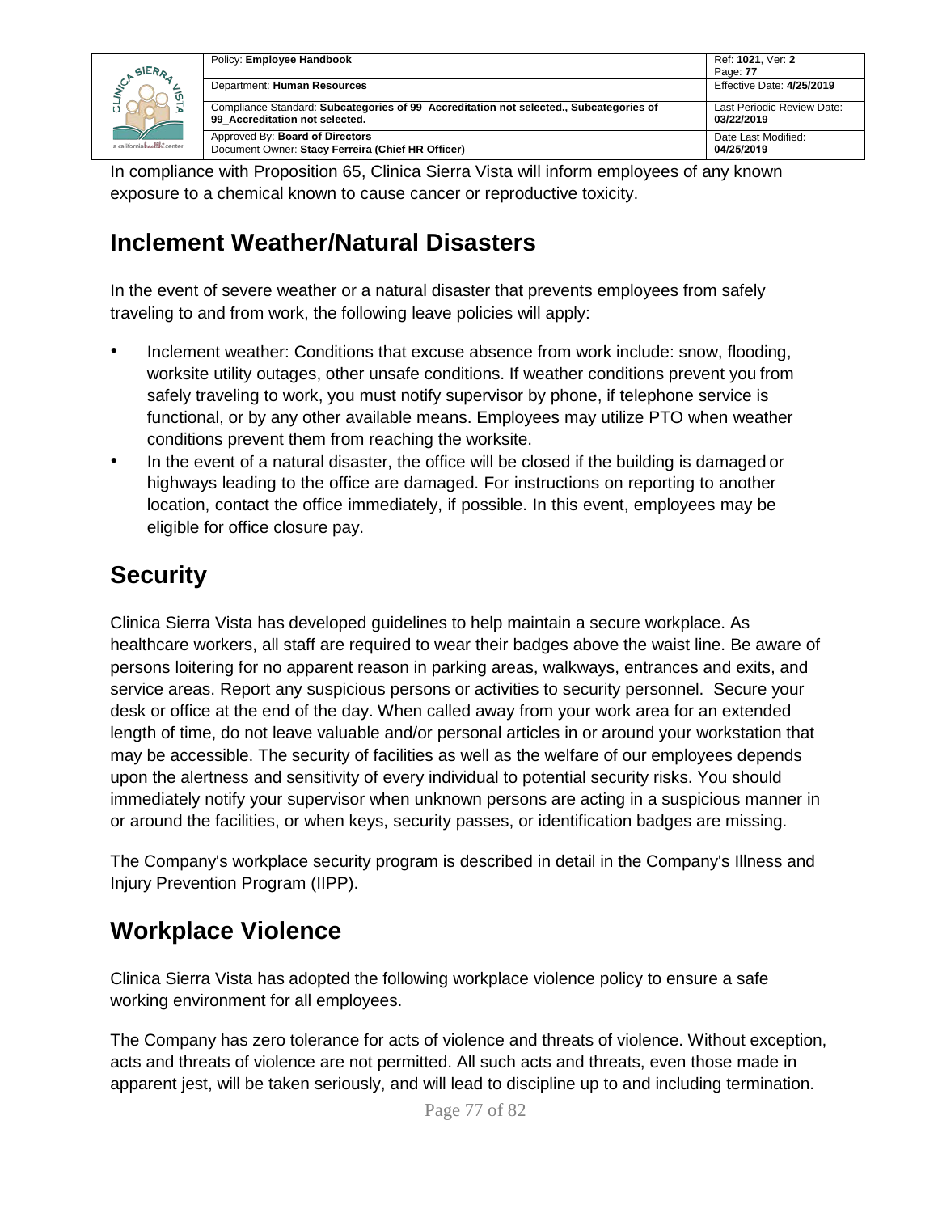|                            | Policy: Employee Handbook                                                                                                | Ref: 1021, Ver: 2                        |
|----------------------------|--------------------------------------------------------------------------------------------------------------------------|------------------------------------------|
| SIERA                      |                                                                                                                          | Page: 77                                 |
| ັທ                         | Department: Human Resources                                                                                              | Effective Date: 4/25/2019                |
|                            | Compliance Standard: Subcategories of 99 Accreditation not selected., Subcategories of<br>99 Accreditation not selected. | Last Periodic Review Date:<br>03/22/2019 |
| a californiahealth, center | Approved By: Board of Directors<br>Document Owner: Stacy Ferreira (Chief HR Officer)                                     | Date Last Modified:<br>04/25/2019        |

In compliance with Proposition 65, Clinica Sierra Vista will inform employees of any known exposure to a chemical known to cause cancer or reproductive toxicity.

#### **Inclement Weather/Natural Disasters**

In the event of severe weather or a natural disaster that prevents employees from safely traveling to and from work, the following leave policies will apply:

- Inclement weather: Conditions that excuse absence from work include: snow, flooding, worksite utility outages, other unsafe conditions. If weather conditions prevent you from safely traveling to work, you must notify supervisor by phone, if telephone service is functional, or by any other available means. Employees may utilize PTO when weather conditions prevent them from reaching the worksite.
- In the event of a natural disaster, the office will be closed if the building is damaged or highways leading to the office are damaged. For instructions on reporting to another location, contact the office immediately, if possible. In this event, employees may be eligible for office closure pay.

#### **Security**

Clinica Sierra Vista has developed guidelines to help maintain a secure workplace. As healthcare workers, all staff are required to wear their badges above the waist line. Be aware of persons loitering for no apparent reason in parking areas, walkways, entrances and exits, and service areas. Report any suspicious persons or activities to security personnel. Secure your desk or office at the end of the day. When called away from your work area for an extended length of time, do not leave valuable and/or personal articles in or around your workstation that may be accessible. The security of facilities as well as the welfare of our employees depends upon the alertness and sensitivity of every individual to potential security risks. You should immediately notify your supervisor when unknown persons are acting in a suspicious manner in or around the facilities, or when keys, security passes, or identification badges are missing.

The Company's workplace security program is described in detail in the Company's Illness and Injury Prevention Program (IIPP).

#### **Workplace Violence**

Clinica Sierra Vista has adopted the following workplace violence policy to ensure a safe working environment for all employees.

The Company has zero tolerance for acts of violence and threats of violence. Without exception, acts and threats of violence are not permitted. All such acts and threats, even those made in apparent jest, will be taken seriously, and will lead to discipline up to and including termination.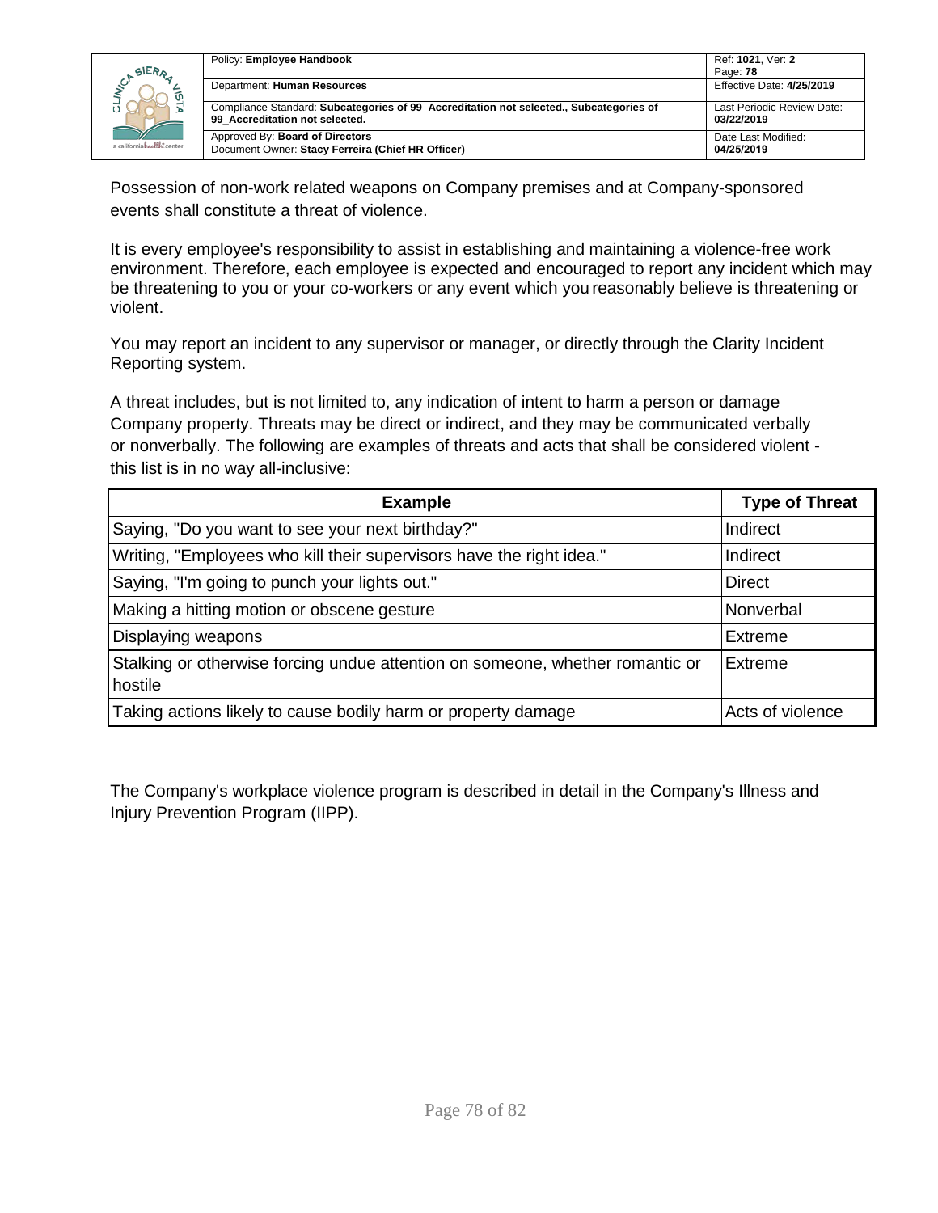

| Policy: Employee Handbook                                                                                                | Ref: 1021, Ver: 2                        |
|--------------------------------------------------------------------------------------------------------------------------|------------------------------------------|
|                                                                                                                          | Page: 78                                 |
| Department: Human Resources                                                                                              | Effective Date: 4/25/2019                |
| Compliance Standard: Subcategories of 99 Accreditation not selected., Subcategories of<br>99 Accreditation not selected. | Last Periodic Review Date:<br>03/22/2019 |
| Approved By: Board of Directors<br>Document Owner: Stacy Ferreira (Chief HR Officer)                                     | Date Last Modified:<br>04/25/2019        |

Possession of non-work related weapons on Company premises and at Company-sponsored events shall constitute a threat of violence.

It is every employee's responsibility to assist in establishing and maintaining a violence-free work environment. Therefore, each employee is expected and encouraged to report any incident which may be threatening to you or your co-workers or any event which you reasonably believe is threatening or violent.

You may report an incident to any supervisor or manager, or directly through the Clarity Incident Reporting system.

A threat includes, but is not limited to, any indication of intent to harm a person or damage Company property. Threats may be direct or indirect, and they may be communicated verbally or nonverbally. The following are examples of threats and acts that shall be considered violent this list is in no way all-inclusive:

| <b>Example</b>                                                                           | <b>Type of Threat</b> |
|------------------------------------------------------------------------------------------|-----------------------|
| Saying, "Do you want to see your next birthday?"                                         | Indirect              |
| Writing, "Employees who kill their supervisors have the right idea."                     | Indirect              |
| Saying, "I'm going to punch your lights out."                                            | <b>Direct</b>         |
| Making a hitting motion or obscene gesture                                               | Nonverbal             |
| Displaying weapons                                                                       | Extreme               |
| Stalking or otherwise forcing undue attention on someone, whether romantic or<br>hostile | <b>Extreme</b>        |
| Taking actions likely to cause bodily harm or property damage                            | Acts of violence      |

The Company's workplace violence program is described in detail in the Company's Illness and Injury Prevention Program (IIPP).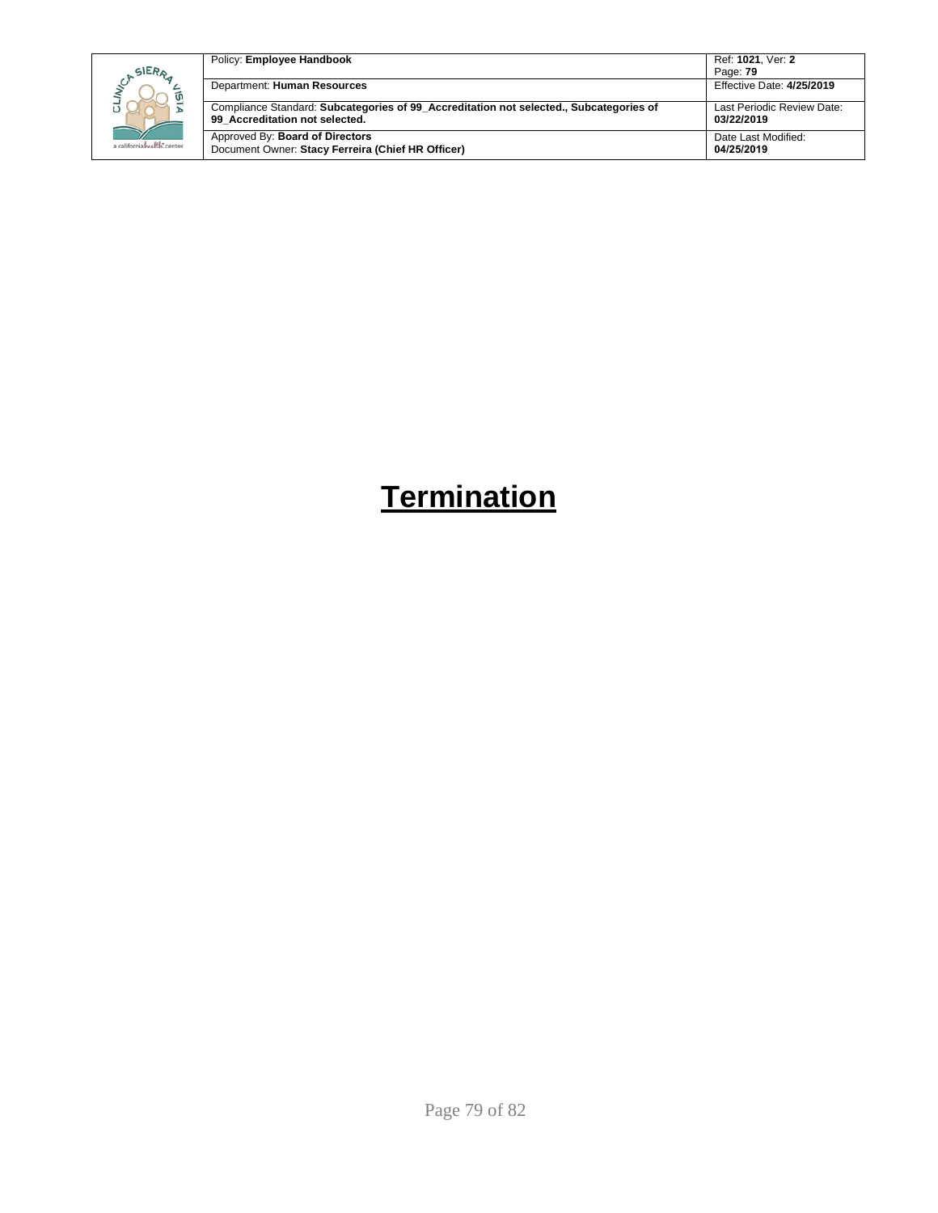|  |                            | Policy: Employee Handbook                                                                                                | Ref: 1021, Ver: 2                        |
|--|----------------------------|--------------------------------------------------------------------------------------------------------------------------|------------------------------------------|
|  | SIERA                      |                                                                                                                          | Page: 79                                 |
|  | ัด                         | Department: Human Resources                                                                                              | Effective Date: 4/25/2019                |
|  |                            | Compliance Standard: Subcategories of 99 Accreditation not selected., Subcategories of<br>99 Accreditation not selected. | Last Periodic Review Date:<br>03/22/2019 |
|  |                            |                                                                                                                          |                                          |
|  | a californiahralth: center | Approved By: Board of Directors                                                                                          | Date Last Modified:<br>04/25/2019        |
|  |                            | Document Owner: Stacy Ferreira (Chief HR Officer)                                                                        |                                          |

### **Termination**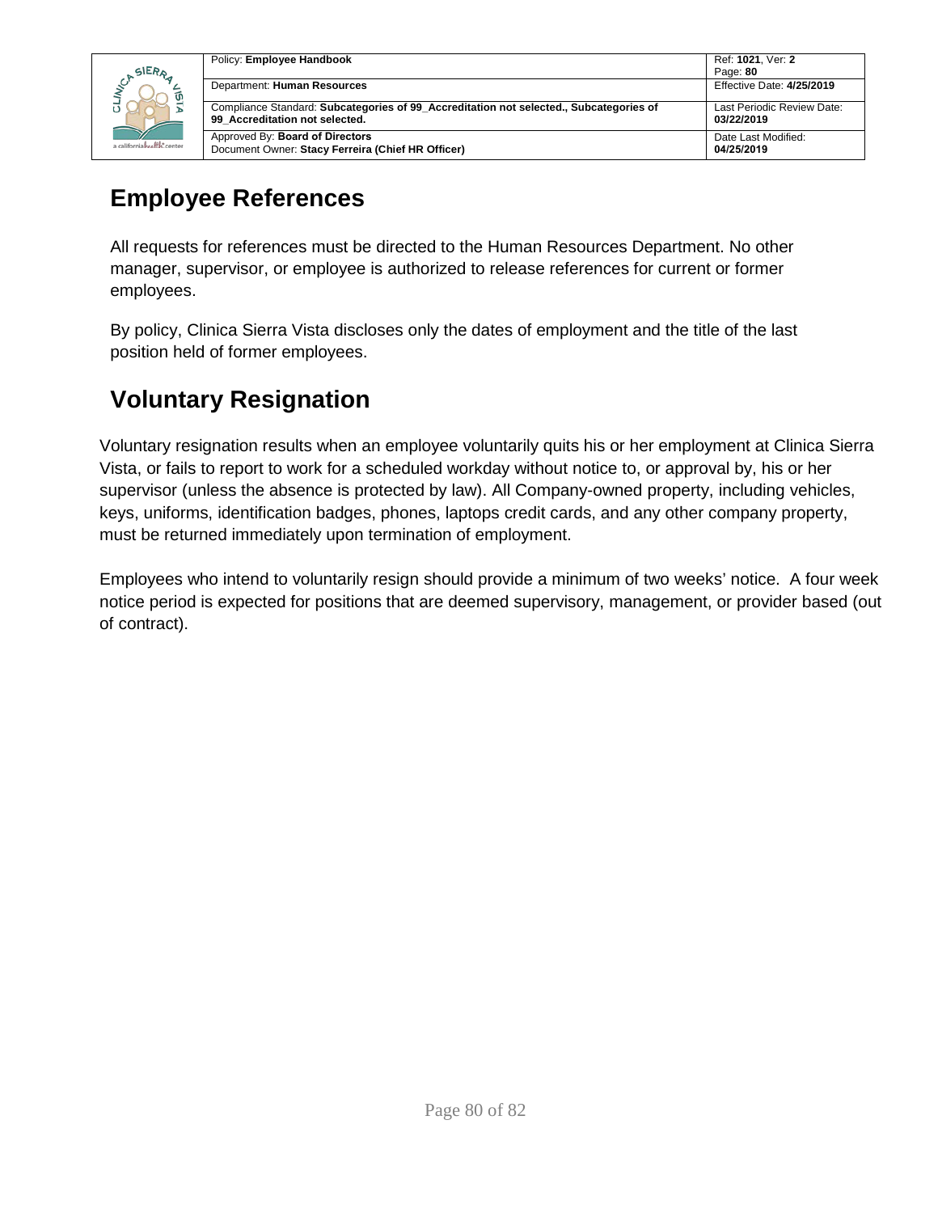

| Policy: Employee Handbook                                                              | Ref: 1021, Ver: 2<br>Page: 80 |
|----------------------------------------------------------------------------------------|-------------------------------|
| Department: Human Resources                                                            | Effective Date: 4/25/2019     |
| Compliance Standard: Subcategories of 99 Accreditation not selected., Subcategories of | Last Periodic Review Date:    |
| 99 Accreditation not selected.                                                         | 03/22/2019                    |
| Approved By: Board of Directors                                                        | Date Last Modified:           |
| Document Owner: Stacy Ferreira (Chief HR Officer)                                      | 04/25/2019                    |

#### **Employee References**

All requests for references must be directed to the Human Resources Department. No other manager, supervisor, or employee is authorized to release references for current or former employees.

By policy, Clinica Sierra Vista discloses only the dates of employment and the title of the last position held of former employees.

### **Voluntary Resignation**

Voluntary resignation results when an employee voluntarily quits his or her employment at Clinica Sierra Vista, or fails to report to work for a scheduled workday without notice to, or approval by, his or her supervisor (unless the absence is protected by law). All Company-owned property, including vehicles, keys, uniforms, identification badges, phones, laptops credit cards, and any other company property, must be returned immediately upon termination of employment.

Employees who intend to voluntarily resign should provide a minimum of two weeks' notice. A four week notice period is expected for positions that are deemed supervisory, management, or provider based (out of contract).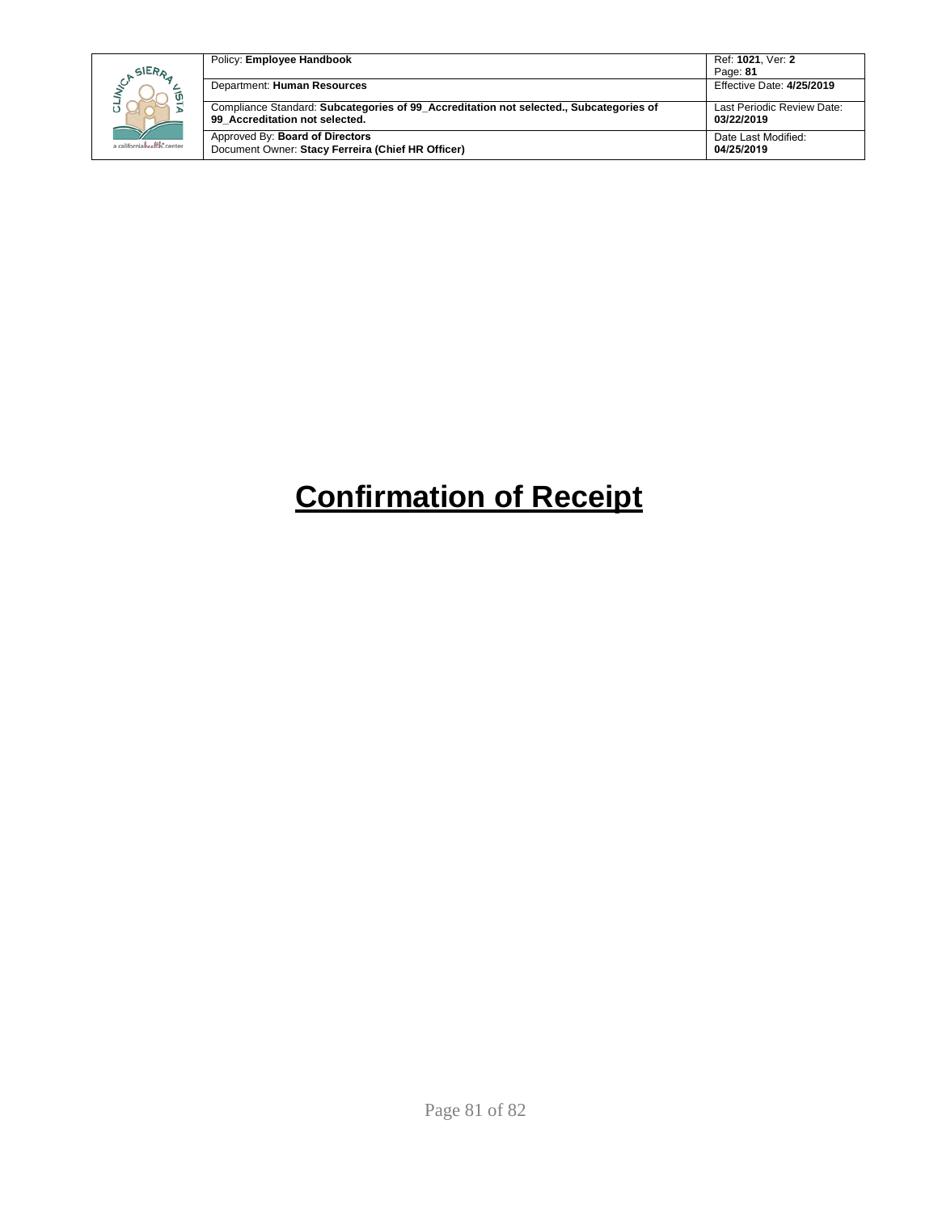| SIERA                      | Policy: Employee Handbook                                                                                                | Ref: 1021. Ver: 2<br>Page: 81            |
|----------------------------|--------------------------------------------------------------------------------------------------------------------------|------------------------------------------|
| ັທ                         | Department: Human Resources                                                                                              | Effective Date: 4/25/2019                |
|                            | Compliance Standard: Subcategories of 99 Accreditation not selected., Subcategories of<br>99 Accreditation not selected. | Last Periodic Review Date:<br>03/22/2019 |
| a californiahealth, center | Approved By: Board of Directors<br>Document Owner: Stacy Ferreira (Chief HR Officer)                                     | Date Last Modified:<br>04/25/2019        |

# **Confirmation of Receipt**